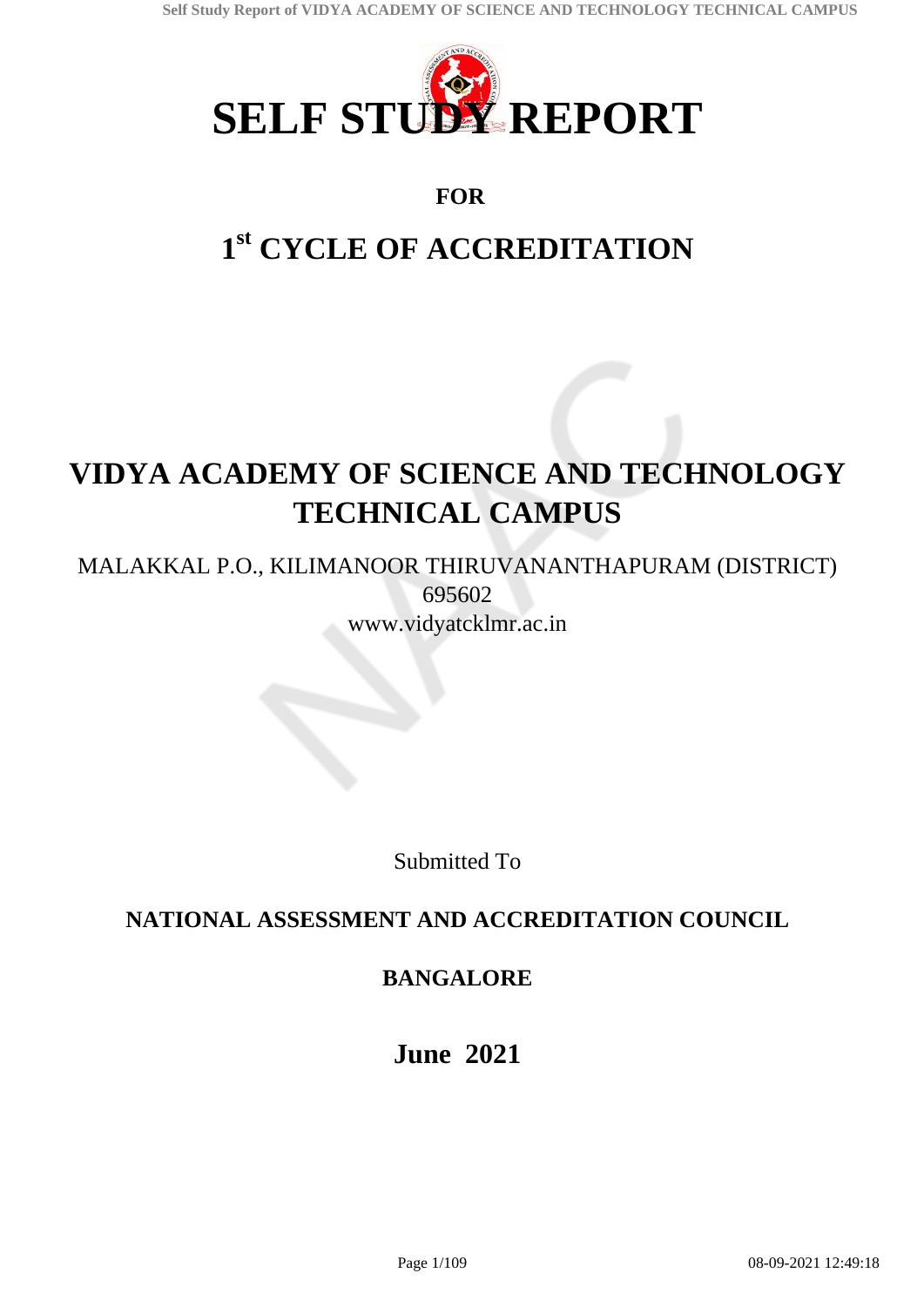

# **FOR**

# **1 st CYCLE OF ACCREDITATION**

# **VIDYA ACADEMY OF SCIENCE AND TECHNOLOGY TECHNICAL CAMPUS**

MALAKKAL P.O., KILIMANOOR THIRUVANANTHAPURAM (DISTRICT) 695602 www.vidyatcklmr.ac.in

Submitted To

# **NATIONAL ASSESSMENT AND ACCREDITATION COUNCIL**

# **BANGALORE**

**June 2021**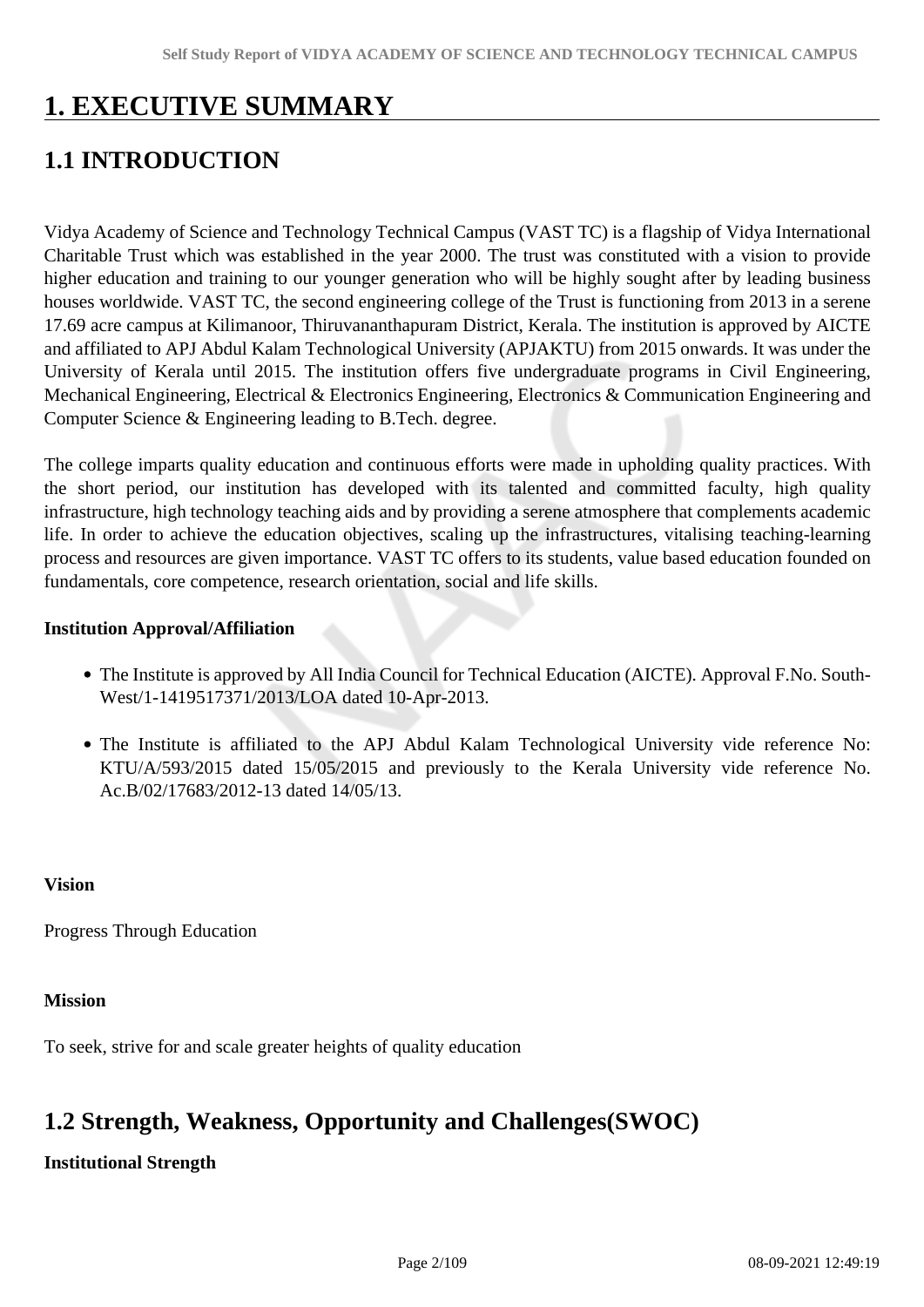# **1. EXECUTIVE SUMMARY**

# **1.1 INTRODUCTION**

Vidya Academy of Science and Technology Technical Campus (VAST TC) is a flagship of Vidya International Charitable Trust which was established in the year 2000. The trust was constituted with a vision to provide higher education and training to our younger generation who will be highly sought after by leading business houses worldwide. VAST TC, the second engineering college of the Trust is functioning from 2013 in a serene 17.69 acre campus at Kilimanoor, Thiruvananthapuram District, Kerala. The institution is approved by AICTE and affiliated to APJ Abdul Kalam Technological University (APJAKTU) from 2015 onwards. It was under the University of Kerala until 2015. The institution offers five undergraduate programs in Civil Engineering, Mechanical Engineering, Electrical & Electronics Engineering, Electronics & Communication Engineering and Computer Science & Engineering leading to B.Tech. degree.

The college imparts quality education and continuous efforts were made in upholding quality practices. With the short period, our institution has developed with its talented and committed faculty, high quality infrastructure, high technology teaching aids and by providing a serene atmosphere that complements academic life. In order to achieve the education objectives, scaling up the infrastructures, vitalising teaching-learning process and resources are given importance. VAST TC offers to its students, value based education founded on fundamentals, core competence, research orientation, social and life skills.

#### **Institution Approval/Affiliation**

- The Institute is approved by All India Council for Technical Education (AICTE). Approval F.No. South-West/1-1419517371/2013/LOA dated 10-Apr-2013.
- The Institute is affiliated to the APJ Abdul Kalam Technological University vide reference No: KTU/A/593/2015 dated 15/05/2015 and previously to the Kerala University vide reference No. Ac.B/02/17683/2012-13 dated 14/05/13.

#### **Vision**

Progress Through Education

#### **Mission**

To seek, strive for and scale greater heights of quality education

# **1.2 Strength, Weakness, Opportunity and Challenges(SWOC)**

### **Institutional Strength**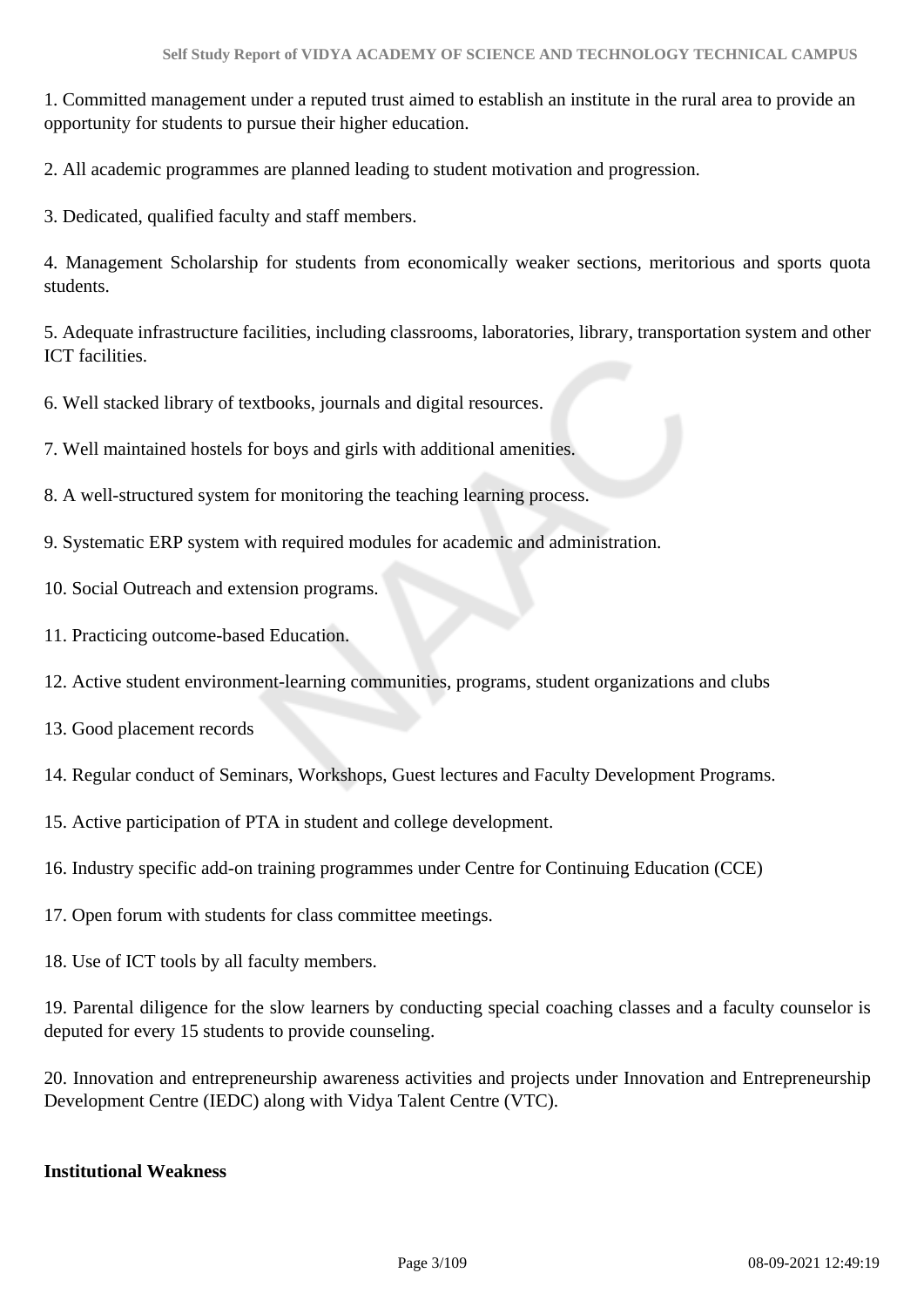1. Committed management under a reputed trust aimed to establish an institute in the rural area to provide an opportunity for students to pursue their higher education.

2. All academic programmes are planned leading to student motivation and progression.

3. Dedicated, qualified faculty and staff members.

4. Management Scholarship for students from economically weaker sections, meritorious and sports quota students.

5. Adequate infrastructure facilities, including classrooms, laboratories, library, transportation system and other ICT facilities.

6. Well stacked library of textbooks, journals and digital resources.

7. Well maintained hostels for boys and girls with additional amenities.

8. A well-structured system for monitoring the teaching learning process.

9. Systematic ERP system with required modules for academic and administration.

- 10. Social Outreach and extension programs.
- 11. Practicing outcome-based Education.
- 12. Active student environment-learning communities, programs, student organizations and clubs
- 13. Good placement records
- 14. Regular conduct of Seminars, Workshops, Guest lectures and Faculty Development Programs.
- 15. Active participation of PTA in student and college development.
- 16. Industry specific add-on training programmes under Centre for Continuing Education (CCE)
- 17. Open forum with students for class committee meetings.
- 18. Use of ICT tools by all faculty members.

19. Parental diligence for the slow learners by conducting special coaching classes and a faculty counselor is deputed for every 15 students to provide counseling.

20. Innovation and entrepreneurship awareness activities and projects under Innovation and Entrepreneurship Development Centre (IEDC) along with Vidya Talent Centre (VTC).

#### **Institutional Weakness**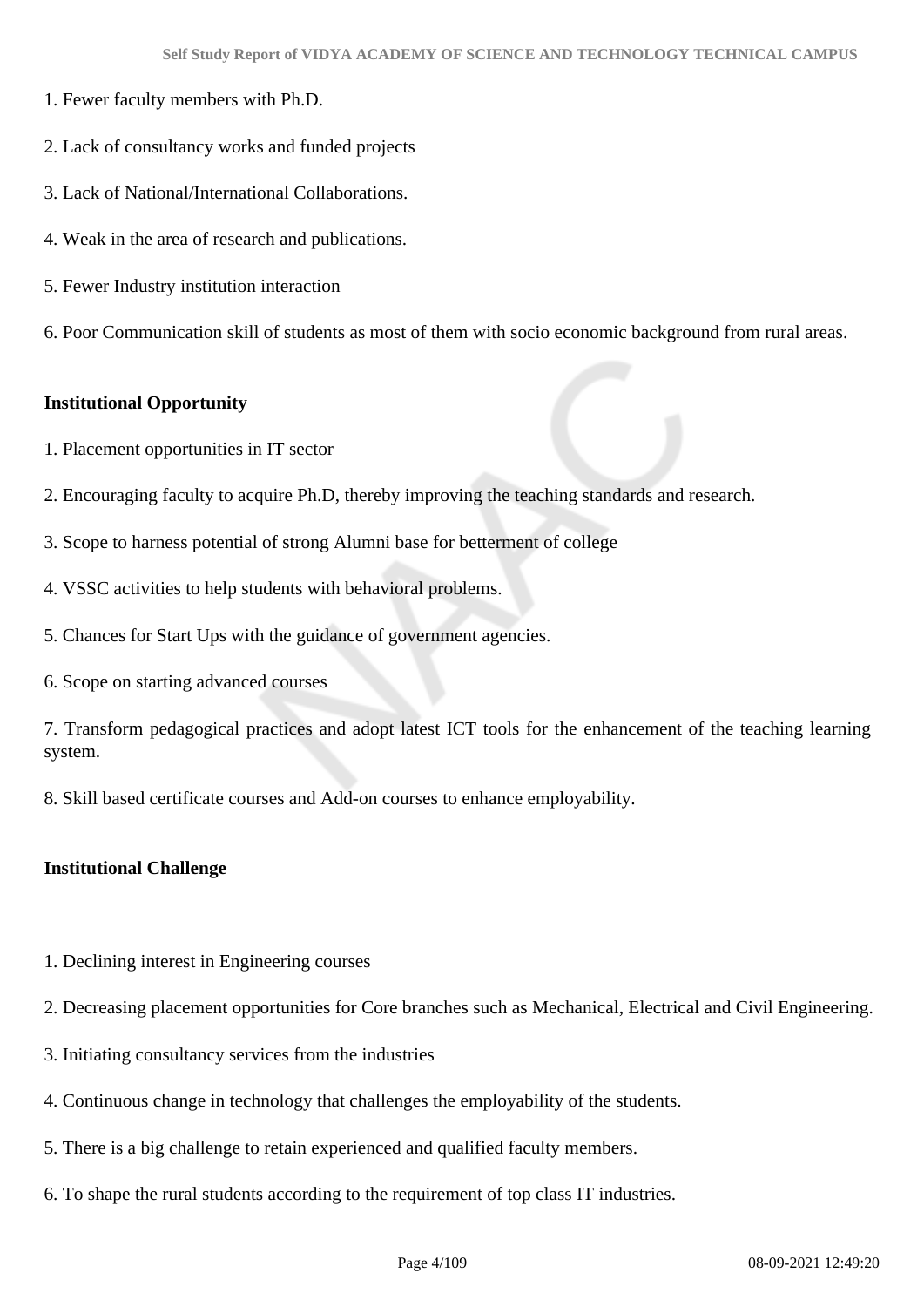- 1. Fewer faculty members with Ph.D.
- 2. Lack of consultancy works and funded projects
- 3. Lack of National/International Collaborations.
- 4. Weak in the area of research and publications.
- 5. Fewer Industry institution interaction
- 6. Poor Communication skill of students as most of them with socio economic background from rural areas.

#### **Institutional Opportunity**

- 1. Placement opportunities in IT sector
- 2. Encouraging faculty to acquire Ph.D, thereby improving the teaching standards and research.
- 3. Scope to harness potential of strong Alumni base for betterment of college
- 4. VSSC activities to help students with behavioral problems.
- 5. Chances for Start Ups with the guidance of government agencies.
- 6. Scope on starting advanced courses

7. Transform pedagogical practices and adopt latest ICT tools for the enhancement of the teaching learning system.

8. Skill based certificate courses and Add-on courses to enhance employability.

#### **Institutional Challenge**

- 1. Declining interest in Engineering courses
- 2. Decreasing placement opportunities for Core branches such as Mechanical, Electrical and Civil Engineering.
- 3. Initiating consultancy services from the industries
- 4. Continuous change in technology that challenges the employability of the students.
- 5. There is a big challenge to retain experienced and qualified faculty members.
- 6. To shape the rural students according to the requirement of top class IT industries.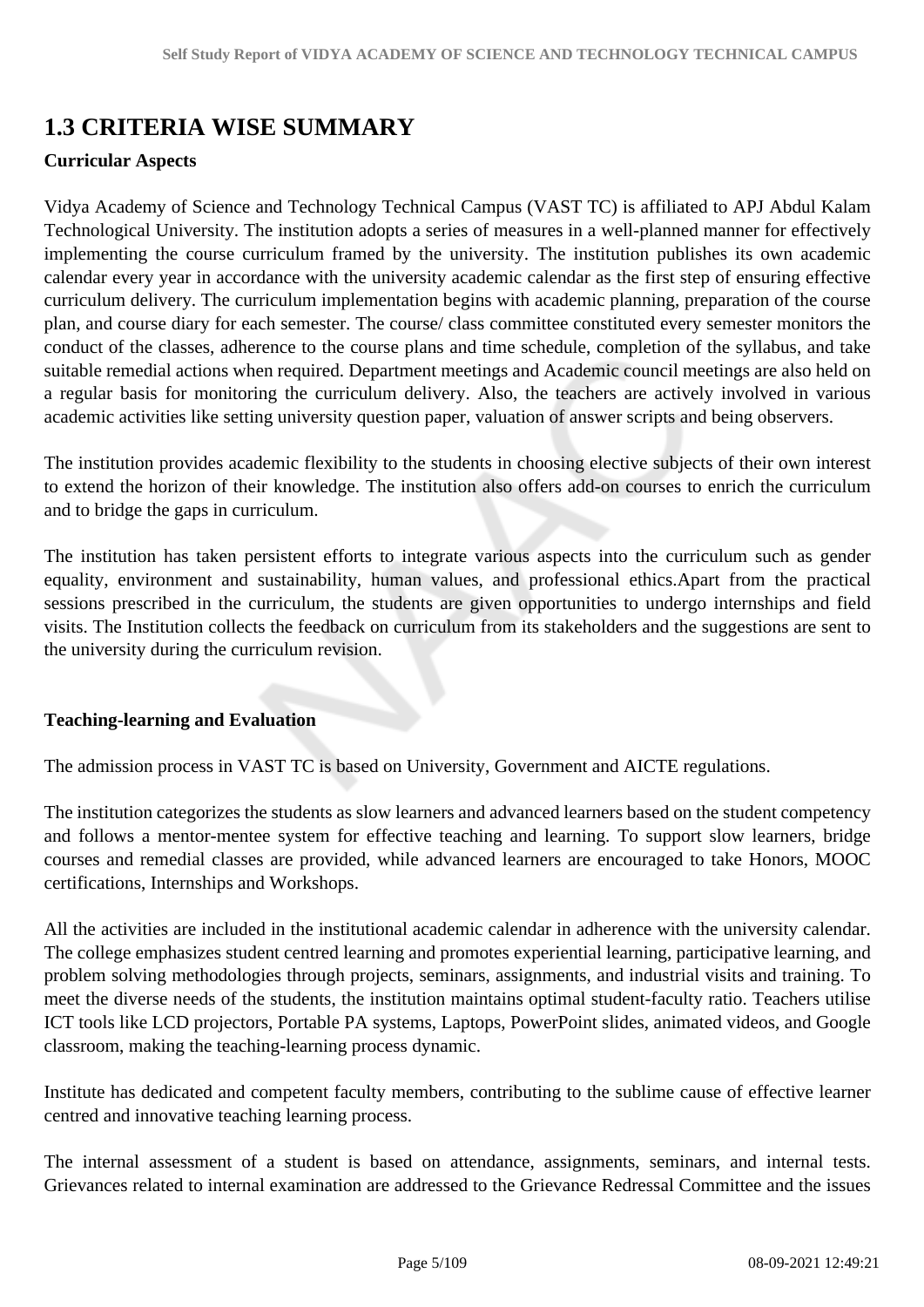# **1.3 CRITERIA WISE SUMMARY**

#### **Curricular Aspects**

Vidya Academy of Science and Technology Technical Campus (VAST TC) is affiliated to APJ Abdul Kalam Technological University. The institution adopts a series of measures in a well-planned manner for effectively implementing the course curriculum framed by the university. The institution publishes its own academic calendar every year in accordance with the university academic calendar as the first step of ensuring effective curriculum delivery. The curriculum implementation begins with academic planning, preparation of the course plan, and course diary for each semester. The course/ class committee constituted every semester monitors the conduct of the classes, adherence to the course plans and time schedule, completion of the syllabus, and take suitable remedial actions when required. Department meetings and Academic council meetings are also held on a regular basis for monitoring the curriculum delivery. Also, the teachers are actively involved in various academic activities like setting university question paper, valuation of answer scripts and being observers.

The institution provides academic flexibility to the students in choosing elective subjects of their own interest to extend the horizon of their knowledge. The institution also offers add-on courses to enrich the curriculum and to bridge the gaps in curriculum.

The institution has taken persistent efforts to integrate various aspects into the curriculum such as gender equality, environment and sustainability, human values, and professional ethics.Apart from the practical sessions prescribed in the curriculum, the students are given opportunities to undergo internships and field visits. The Institution collects the feedback on curriculum from its stakeholders and the suggestions are sent to the university during the curriculum revision.

### **Teaching-learning and Evaluation**

The admission process in VAST TC is based on University, Government and AICTE regulations.

The institution categorizes the students as slow learners and advanced learners based on the student competency and follows a mentor-mentee system for effective teaching and learning. To support slow learners, bridge courses and remedial classes are provided, while advanced learners are encouraged to take Honors, MOOC certifications, Internships and Workshops.

All the activities are included in the institutional academic calendar in adherence with the university calendar. The college emphasizes student centred learning and promotes experiential learning, participative learning, and problem solving methodologies through projects, seminars, assignments, and industrial visits and training. To meet the diverse needs of the students, the institution maintains optimal student-faculty ratio. Teachers utilise ICT tools like LCD projectors, Portable PA systems, Laptops, PowerPoint slides, animated videos, and Google classroom, making the teaching-learning process dynamic.

Institute has dedicated and competent faculty members, contributing to the sublime cause of effective learner centred and innovative teaching learning process.

The internal assessment of a student is based on attendance, assignments, seminars, and internal tests. Grievances related to internal examination are addressed to the Grievance Redressal Committee and the issues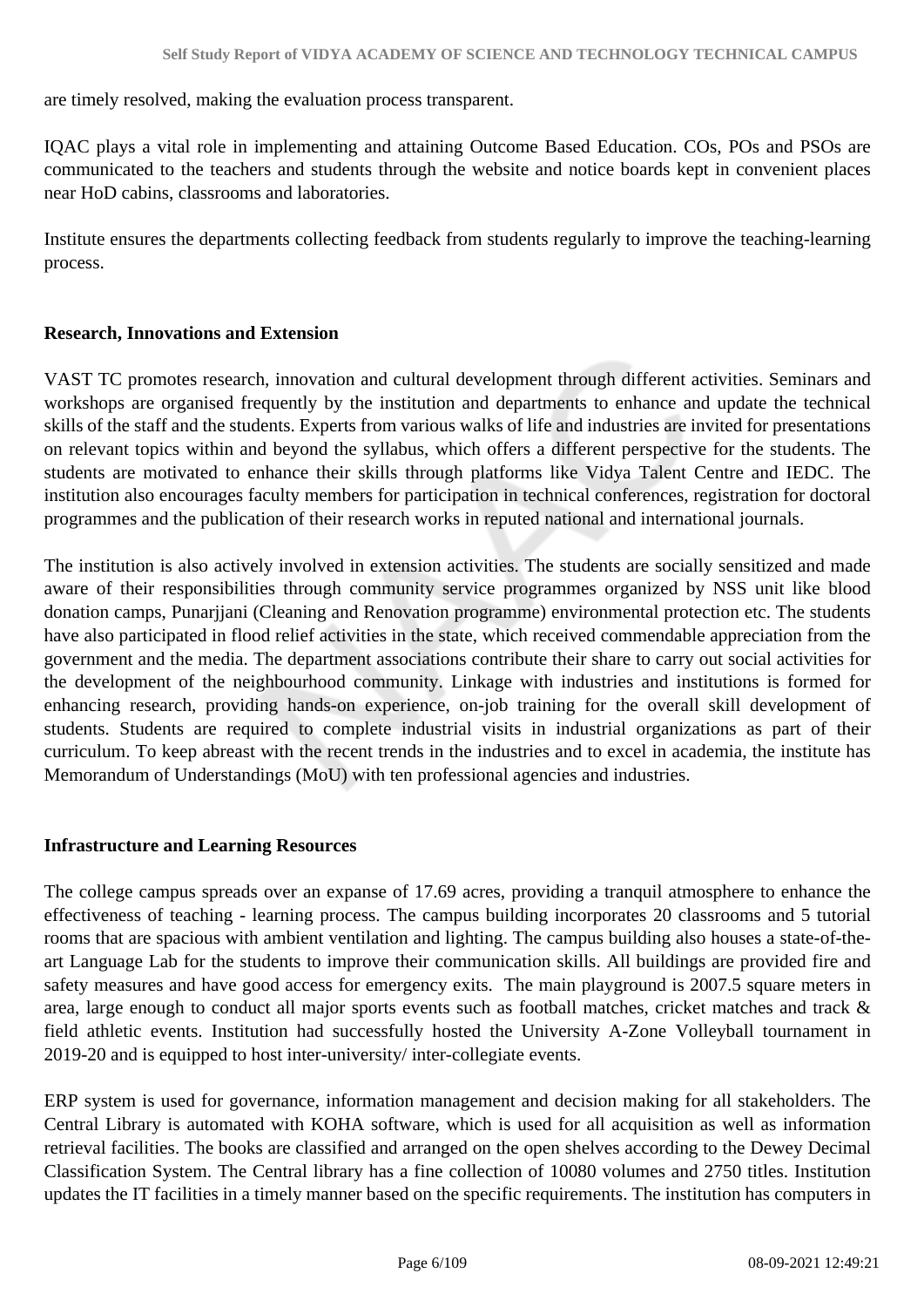are timely resolved, making the evaluation process transparent.

IQAC plays a vital role in implementing and attaining Outcome Based Education. COs, POs and PSOs are communicated to the teachers and students through the website and notice boards kept in convenient places near HoD cabins, classrooms and laboratories.

Institute ensures the departments collecting feedback from students regularly to improve the teaching-learning process.

### **Research, Innovations and Extension**

VAST TC promotes research, innovation and cultural development through different activities. Seminars and workshops are organised frequently by the institution and departments to enhance and update the technical skills of the staff and the students. Experts from various walks of life and industries are invited for presentations on relevant topics within and beyond the syllabus, which offers a different perspective for the students. The students are motivated to enhance their skills through platforms like Vidya Talent Centre and IEDC. The institution also encourages faculty members for participation in technical conferences, registration for doctoral programmes and the publication of their research works in reputed national and international journals.

The institution is also actively involved in extension activities. The students are socially sensitized and made aware of their responsibilities through community service programmes organized by NSS unit like blood donation camps, Punarjjani (Cleaning and Renovation programme) environmental protection etc. The students have also participated in flood relief activities in the state, which received commendable appreciation from the government and the media. The department associations contribute their share to carry out social activities for the development of the neighbourhood community. Linkage with industries and institutions is formed for enhancing research, providing hands-on experience, on-job training for the overall skill development of students. Students are required to complete industrial visits in industrial organizations as part of their curriculum. To keep abreast with the recent trends in the industries and to excel in academia, the institute has Memorandum of Understandings (MoU) with ten professional agencies and industries.

### **Infrastructure and Learning Resources**

The college campus spreads over an expanse of 17.69 acres, providing a tranquil atmosphere to enhance the effectiveness of teaching - learning process. The campus building incorporates 20 classrooms and 5 tutorial rooms that are spacious with ambient ventilation and lighting. The campus building also houses a state-of-theart Language Lab for the students to improve their communication skills. All buildings are provided fire and safety measures and have good access for emergency exits. The main playground is 2007.5 square meters in area, large enough to conduct all major sports events such as football matches, cricket matches and track & field athletic events. Institution had successfully hosted the University A-Zone Volleyball tournament in 2019-20 and is equipped to host inter-university/ inter-collegiate events.

ERP system is used for governance, information management and decision making for all stakeholders. The Central Library is automated with KOHA software, which is used for all acquisition as well as information retrieval facilities. The books are classified and arranged on the open shelves according to the Dewey Decimal Classification System. The Central library has a fine collection of 10080 volumes and 2750 titles. Institution updates the IT facilities in a timely manner based on the specific requirements. The institution has computers in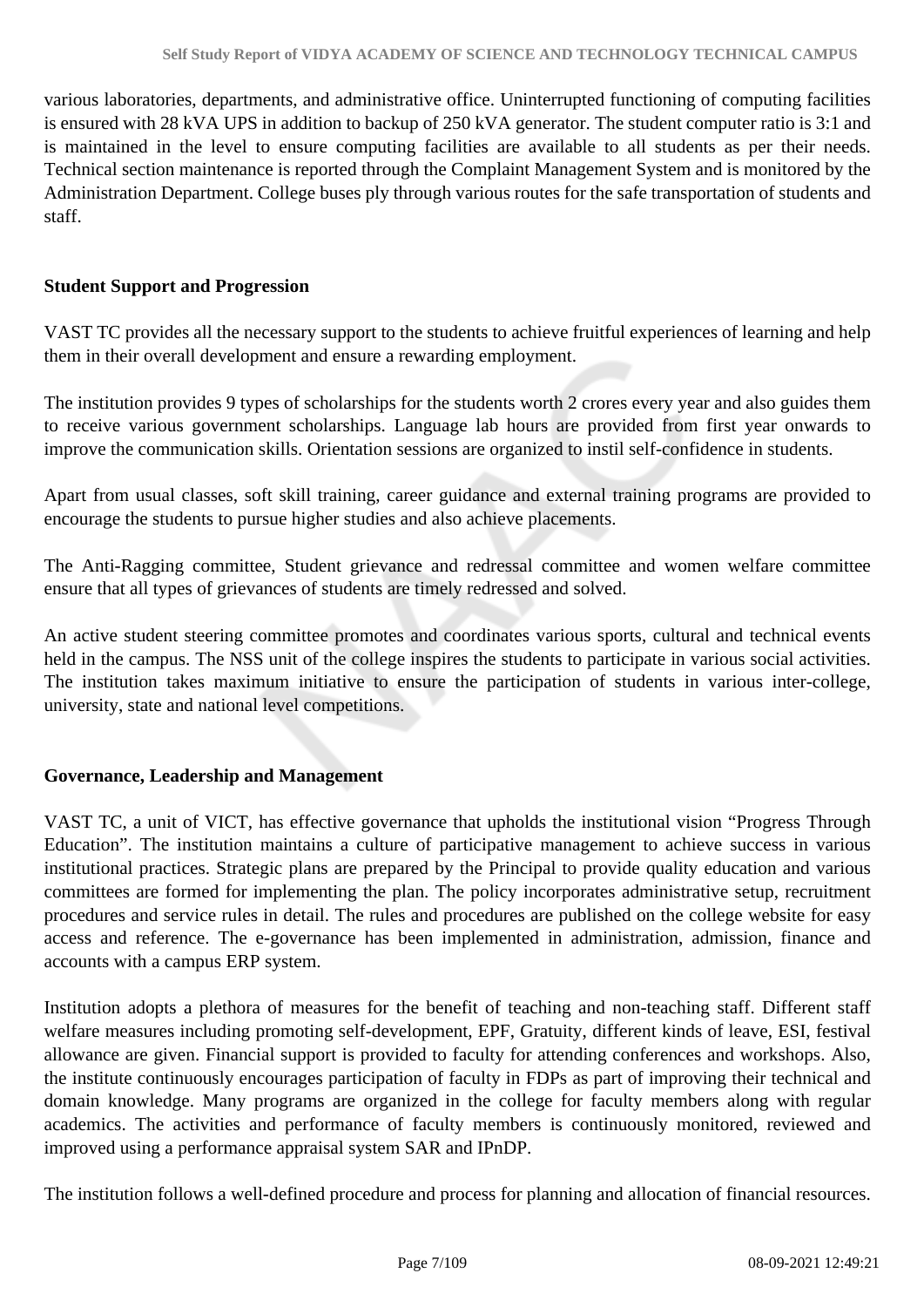various laboratories, departments, and administrative office. Uninterrupted functioning of computing facilities is ensured with 28 kVA UPS in addition to backup of 250 kVA generator. The student computer ratio is 3:1 and is maintained in the level to ensure computing facilities are available to all students as per their needs. Technical section maintenance is reported through the Complaint Management System and is monitored by the Administration Department. College buses ply through various routes for the safe transportation of students and staff.

#### **Student Support and Progression**

VAST TC provides all the necessary support to the students to achieve fruitful experiences of learning and help them in their overall development and ensure a rewarding employment.

The institution provides 9 types of scholarships for the students worth 2 crores every year and also guides them to receive various government scholarships. Language lab hours are provided from first year onwards to improve the communication skills. Orientation sessions are organized to instil self-confidence in students.

Apart from usual classes, soft skill training, career guidance and external training programs are provided to encourage the students to pursue higher studies and also achieve placements.

The Anti-Ragging committee, Student grievance and redressal committee and women welfare committee ensure that all types of grievances of students are timely redressed and solved.

An active student steering committee promotes and coordinates various sports, cultural and technical events held in the campus. The NSS unit of the college inspires the students to participate in various social activities. The institution takes maximum initiative to ensure the participation of students in various inter-college, university, state and national level competitions.

### **Governance, Leadership and Management**

VAST TC, a unit of VICT, has effective governance that upholds the institutional vision "Progress Through Education". The institution maintains a culture of participative management to achieve success in various institutional practices. Strategic plans are prepared by the Principal to provide quality education and various committees are formed for implementing the plan. The policy incorporates administrative setup, recruitment procedures and service rules in detail. The rules and procedures are published on the college website for easy access and reference. The e-governance has been implemented in administration, admission, finance and accounts with a campus ERP system.

Institution adopts a plethora of measures for the benefit of teaching and non-teaching staff. Different staff welfare measures including promoting self-development, EPF, Gratuity, different kinds of leave, ESI, festival allowance are given. Financial support is provided to faculty for attending conferences and workshops. Also, the institute continuously encourages participation of faculty in FDPs as part of improving their technical and domain knowledge. Many programs are organized in the college for faculty members along with regular academics. The activities and performance of faculty members is continuously monitored, reviewed and improved using a performance appraisal system SAR and IPnDP.

The institution follows a well-defined procedure and process for planning and allocation of financial resources.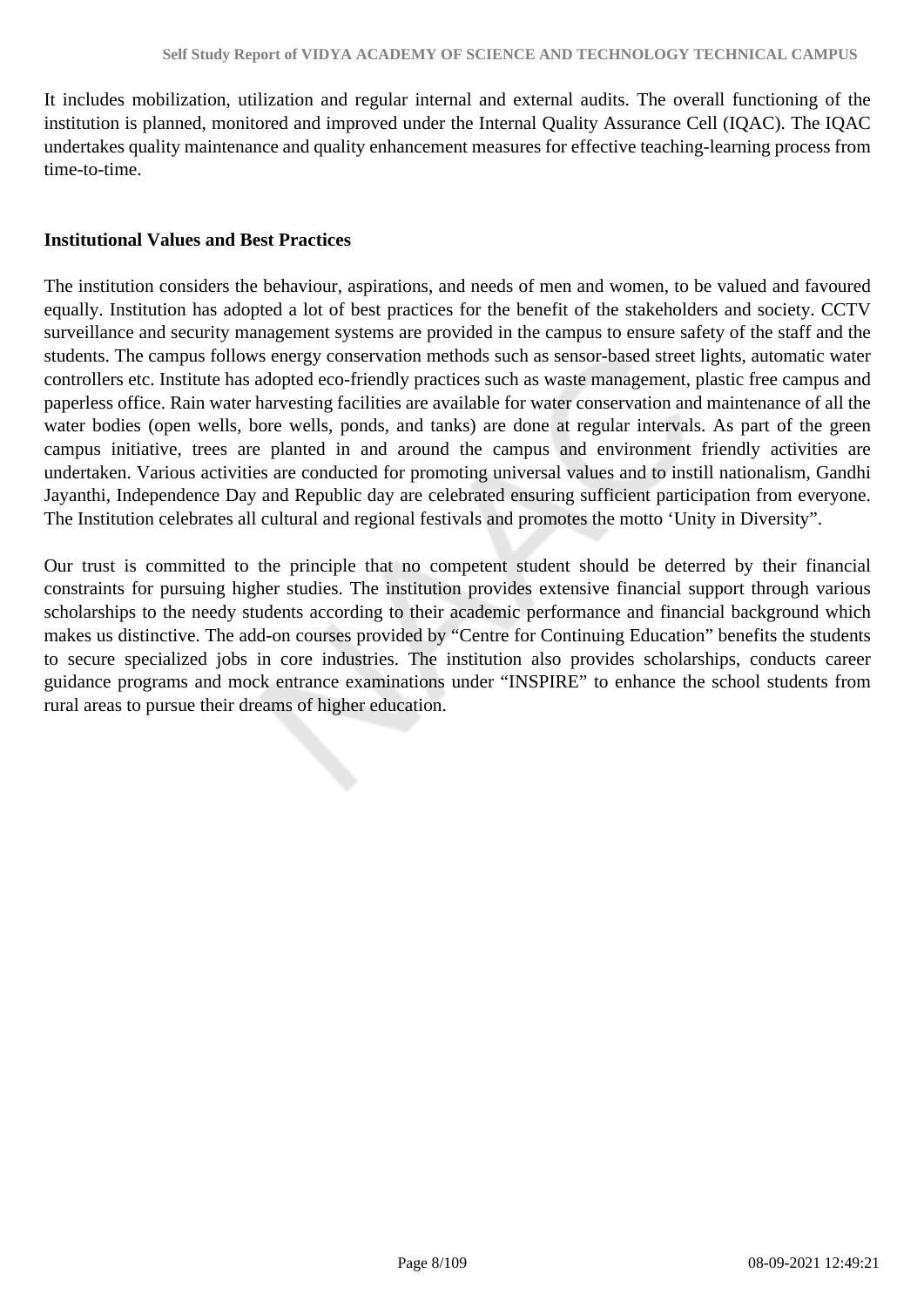It includes mobilization, utilization and regular internal and external audits. The overall functioning of the institution is planned, monitored and improved under the Internal Quality Assurance Cell (IQAC). The IQAC undertakes quality maintenance and quality enhancement measures for effective teaching-learning process from time-to-time.

#### **Institutional Values and Best Practices**

The institution considers the behaviour, aspirations, and needs of men and women, to be valued and favoured equally. Institution has adopted a lot of best practices for the benefit of the stakeholders and society. CCTV surveillance and security management systems are provided in the campus to ensure safety of the staff and the students. The campus follows energy conservation methods such as sensor-based street lights, automatic water controllers etc. Institute has adopted eco-friendly practices such as waste management, plastic free campus and paperless office. Rain water harvesting facilities are available for water conservation and maintenance of all the water bodies (open wells, bore wells, ponds, and tanks) are done at regular intervals. As part of the green campus initiative, trees are planted in and around the campus and environment friendly activities are undertaken. Various activities are conducted for promoting universal values and to instill nationalism, Gandhi Jayanthi, Independence Day and Republic day are celebrated ensuring sufficient participation from everyone. The Institution celebrates all cultural and regional festivals and promotes the motto 'Unity in Diversity".

Our trust is committed to the principle that no competent student should be deterred by their financial constraints for pursuing higher studies. The institution provides extensive financial support through various scholarships to the needy students according to their academic performance and financial background which makes us distinctive. The add-on courses provided by "Centre for Continuing Education" benefits the students to secure specialized jobs in core industries. The institution also provides scholarships, conducts career guidance programs and mock entrance examinations under "INSPIRE" to enhance the school students from rural areas to pursue their dreams of higher education.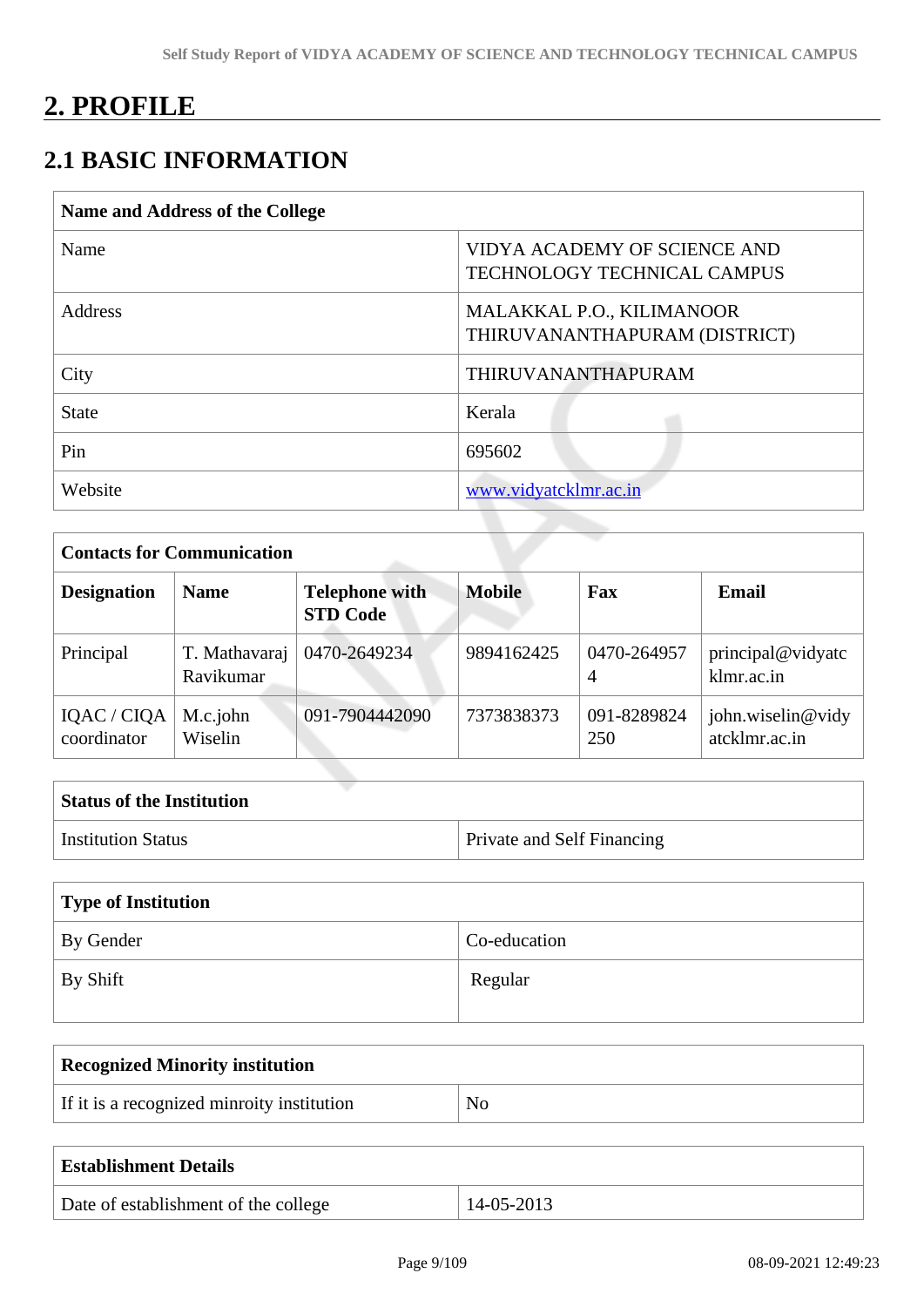# **2. PROFILE**

# **2.1 BASIC INFORMATION**

| <b>Name and Address of the College</b> |                                                                    |
|----------------------------------------|--------------------------------------------------------------------|
| Name                                   | VIDYA ACADEMY OF SCIENCE AND<br><b>TECHNOLOGY TECHNICAL CAMPUS</b> |
| Address                                | MALAKKAL P.O., KILIMANOOR<br>THIRUVANANTHAPURAM (DISTRICT)         |
| City                                   | <b>THIRUVANANTHAPURAM</b>                                          |
| <b>State</b>                           | Kerala                                                             |
| Pin                                    | 695602                                                             |
| Website                                | www.vidyatcklmr.ac.in                                              |
|                                        |                                                                    |

| <b>Contacts for Communication</b> |                            |                                          |               |                               |                                    |  |
|-----------------------------------|----------------------------|------------------------------------------|---------------|-------------------------------|------------------------------------|--|
| <b>Designation</b><br><b>Name</b> |                            | <b>Telephone with</b><br><b>STD Code</b> | <b>Mobile</b> | Fax                           | <b>Email</b>                       |  |
| Principal                         | T. Mathavaraj<br>Ravikumar | 0470-2649234                             | 9894162425    | 0470-264957<br>$\overline{A}$ | principal@vidyatc<br>klmr.ac.in    |  |
| IQAC / CIQA<br>coordinator        | M.c.john<br>Wiselin        | 091-7904442090                           | 7373838373    | 091-8289824<br>250            | john.wiselin@vidy<br>atcklmr.ac.in |  |

| <b>Status of the Institution</b> |                                   |
|----------------------------------|-----------------------------------|
| <sup>1</sup> Institution Status  | <b>Private and Self Financing</b> |

| Type of Institution |              |  |  |
|---------------------|--------------|--|--|
| By Gender           | Co-education |  |  |
| $\perp$ By Shift    | Regular      |  |  |

| <b>Recognized Minority institution</b>     |                |  |  |
|--------------------------------------------|----------------|--|--|
| If it is a recognized minroity institution | N <sub>o</sub> |  |  |
|                                            |                |  |  |

| <b>Establishment Details</b>         |            |
|--------------------------------------|------------|
| Date of establishment of the college | 14-05-2013 |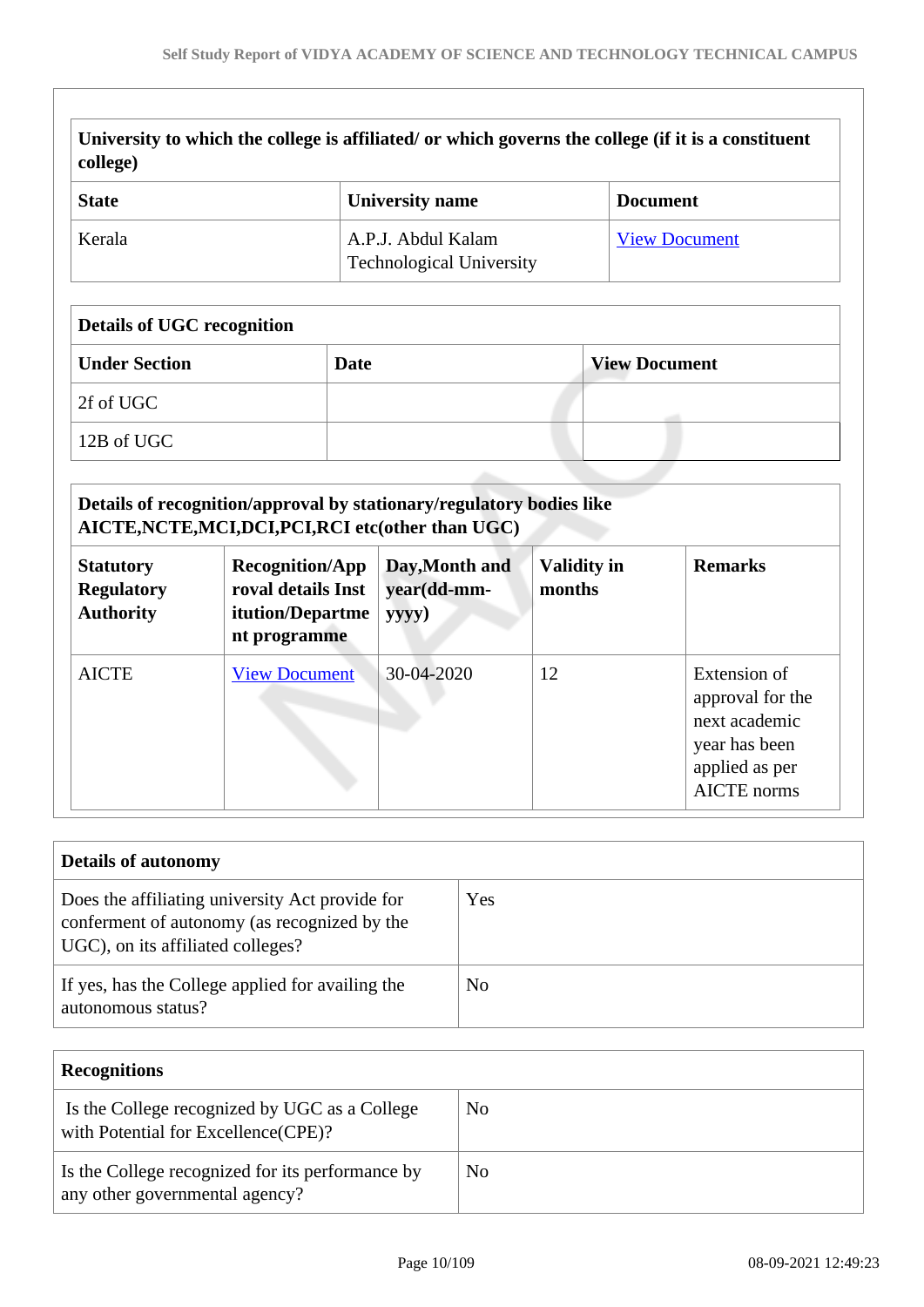| college)                          | University to which the college is affiliated/ or which governs the college (if it is a constituent |                      |
|-----------------------------------|-----------------------------------------------------------------------------------------------------|----------------------|
| <b>State</b>                      | University name                                                                                     | <b>Document</b>      |
| Kerala                            | A.P.J. Abdul Kalam<br><b>Technological University</b>                                               | <b>View Document</b> |
| <b>Details of UGC recognition</b> |                                                                                                     |                      |
| <b>Under Section</b>              | <b>Date</b>                                                                                         | <b>View Document</b> |
| 2f of UGC                         |                                                                                                     |                      |

12B of UGC

| Details of recognition/approval by stationary/regulatory bodies like<br>AICTE, NCTE, MCI, DCI, PCI, RCI etc(other than UGC) |                                                                                         |                                        |                              |                                                                                                            |  |  |
|-----------------------------------------------------------------------------------------------------------------------------|-----------------------------------------------------------------------------------------|----------------------------------------|------------------------------|------------------------------------------------------------------------------------------------------------|--|--|
| <b>Statutory</b><br><b>Regulatory</b><br><b>Authority</b>                                                                   | <b>Recognition/App</b><br>roval details Inst<br><b>itution/Departme</b><br>nt programme | Day, Month and<br>year(dd-mm-<br>yyyy) | <b>Validity in</b><br>months | <b>Remarks</b>                                                                                             |  |  |
| <b>AICTE</b>                                                                                                                | <b>View Document</b>                                                                    | 30-04-2020                             | 12                           | Extension of<br>approval for the<br>next academic<br>year has been<br>applied as per<br><b>AICTE</b> norms |  |  |

| <b>Details of autonomy</b>                                                                                                           |     |  |  |
|--------------------------------------------------------------------------------------------------------------------------------------|-----|--|--|
| Does the affiliating university Act provide for<br>conferment of autonomy (as recognized by the<br>UGC), on its affiliated colleges? | Yes |  |  |
| If yes, has the College applied for availing the<br>autonomous status?                                                               | No  |  |  |

| <b>Recognitions</b>                                                                  |    |
|--------------------------------------------------------------------------------------|----|
| Is the College recognized by UGC as a College<br>with Potential for Excellence(CPE)? | No |
| Is the College recognized for its performance by<br>any other governmental agency?   | No |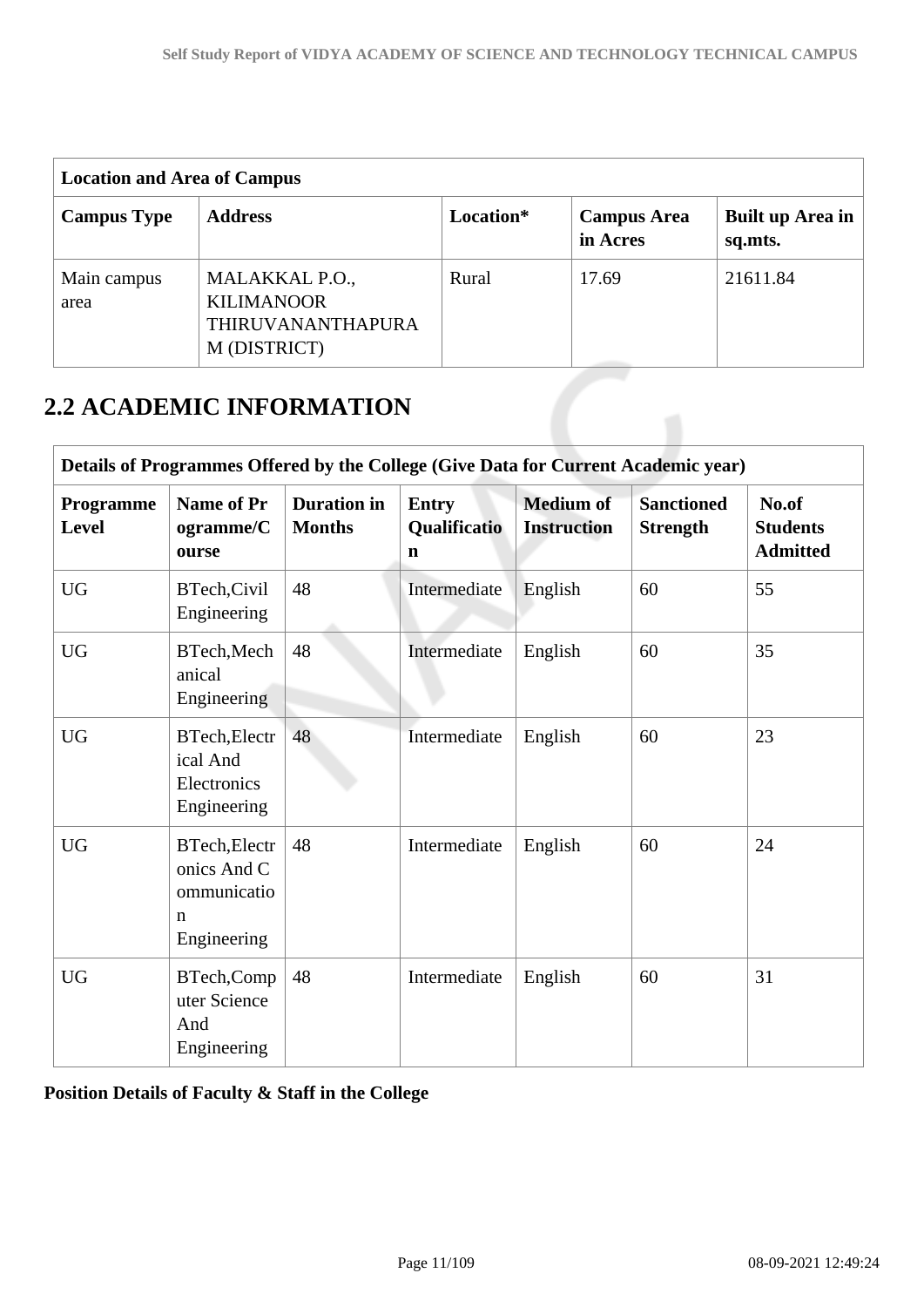| <b>Location and Area of Campus</b> |                                                                          |           |                                |                             |  |
|------------------------------------|--------------------------------------------------------------------------|-----------|--------------------------------|-----------------------------|--|
| <b>Campus Type</b>                 | <b>Address</b>                                                           | Location* | <b>Campus Area</b><br>in Acres | Built up Area in<br>sq.mts. |  |
| Main campus<br>area                | MALAKKAL P.O.,<br><b>KILIMANOOR</b><br>THIRUVANANTHAPURA<br>M (DISTRICT) | Rural     | 17.69                          | 21611.84                    |  |

# **2.2 ACADEMIC INFORMATION**

| Details of Programmes Offered by the College (Give Data for Current Academic year) |                                                                           |                                     |                                             |                                        |                                      |                                             |
|------------------------------------------------------------------------------------|---------------------------------------------------------------------------|-------------------------------------|---------------------------------------------|----------------------------------------|--------------------------------------|---------------------------------------------|
| Programme<br>Level                                                                 | <b>Name of Pr</b><br>ogramme/C<br>ourse                                   | <b>Duration</b> in<br><b>Months</b> | <b>Entry</b><br>Qualificatio<br>$\mathbf n$ | <b>Medium of</b><br><b>Instruction</b> | <b>Sanctioned</b><br><b>Strength</b> | No.of<br><b>Students</b><br><b>Admitted</b> |
| <b>UG</b>                                                                          | BTech, Civil<br>Engineering                                               | 48                                  | Intermediate                                | English                                | 60                                   | 55                                          |
| <b>UG</b>                                                                          | BTech, Mech<br>anical<br>Engineering                                      | 48                                  | Intermediate                                | English                                | 60                                   | 35                                          |
| <b>UG</b>                                                                          | BTech, Electr<br>ical And<br>Electronics<br>Engineering                   | 48                                  | Intermediate                                | English                                | 60                                   | 23                                          |
| <b>UG</b>                                                                          | BTech, Electr<br>onics And C<br>ommunicatio<br>$\mathbf n$<br>Engineering | 48                                  | Intermediate                                | English                                | 60                                   | 24                                          |
| <b>UG</b>                                                                          | BTech, Comp<br>uter Science<br>And<br>Engineering                         | 48                                  | Intermediate                                | English                                | 60                                   | 31                                          |

**Position Details of Faculty & Staff in the College**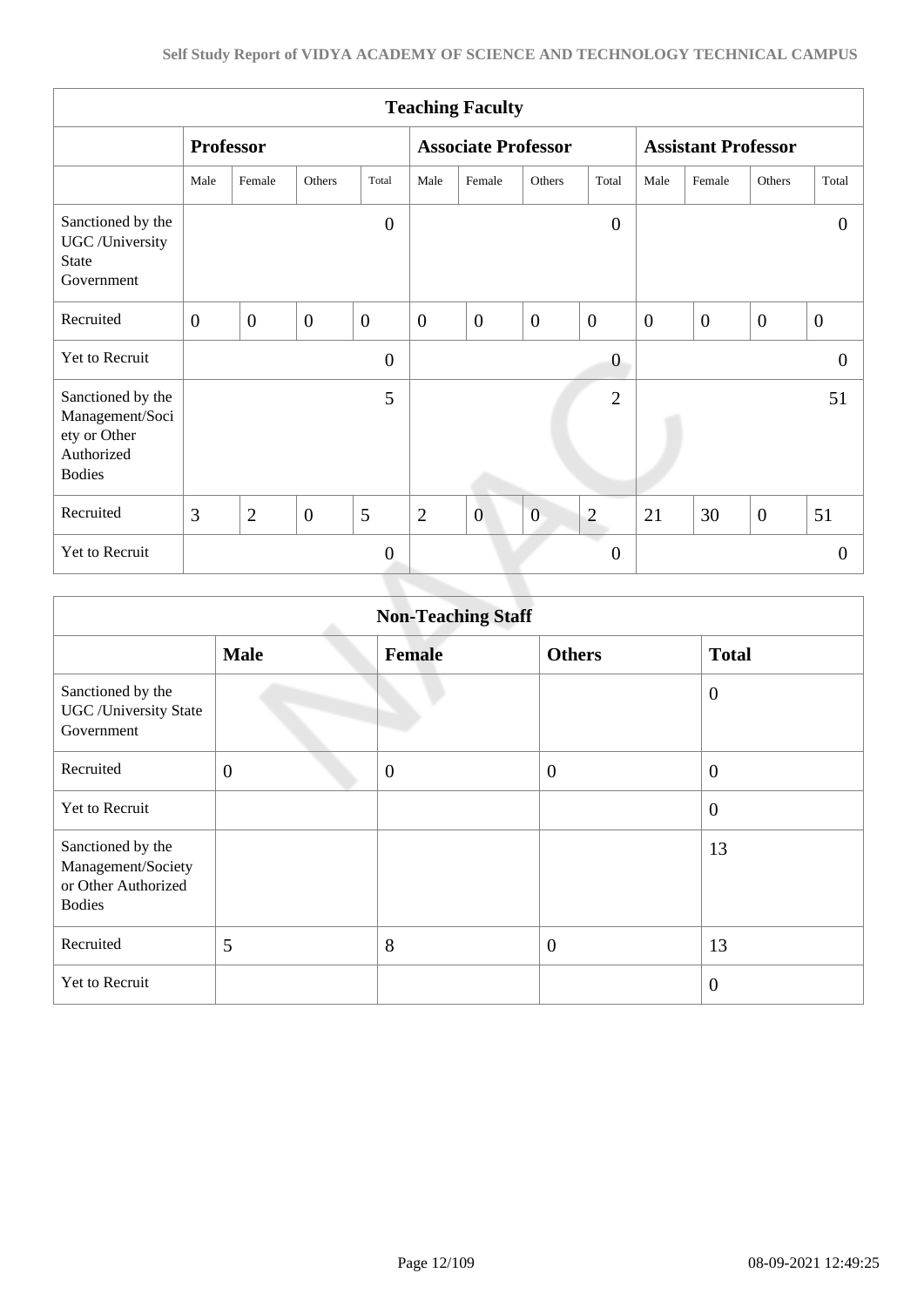| <b>Teaching Faculty</b>                                                             |                  |                |                |                  |                            |                |                |                       |                            |                  |                |                  |
|-------------------------------------------------------------------------------------|------------------|----------------|----------------|------------------|----------------------------|----------------|----------------|-----------------------|----------------------------|------------------|----------------|------------------|
|                                                                                     | <b>Professor</b> |                |                |                  | <b>Associate Professor</b> |                |                |                       | <b>Assistant Professor</b> |                  |                |                  |
|                                                                                     | Male             | Female         | Others         | Total            | Male                       | Female         | Others         | Total                 | Male                       | Female           | Others         | Total            |
| Sanctioned by the<br>UGC /University<br><b>State</b><br>Government                  |                  |                |                | $\boldsymbol{0}$ |                            |                |                | $\overline{0}$        |                            |                  |                | $\theta$         |
| Recruited                                                                           | $\overline{0}$   | $\overline{0}$ | $\overline{0}$ | $\overline{0}$   | $\overline{0}$             | $\overline{0}$ | $\overline{0}$ | $\overline{0}$        | $\overline{0}$             | $\boldsymbol{0}$ | $\overline{0}$ | $\boldsymbol{0}$ |
| Yet to Recruit                                                                      |                  |                |                | $\overline{0}$   |                            |                |                | $\overline{0}$        |                            |                  |                | $\theta$         |
| Sanctioned by the<br>Management/Soci<br>ety or Other<br>Authorized<br><b>Bodies</b> |                  |                |                | 5                |                            |                |                | $\overline{2}$        |                            |                  |                | 51               |
| Recruited                                                                           | 3                | $\overline{2}$ | $\overline{0}$ | 5                | $\overline{2}$             | $\overline{0}$ | $\overline{0}$ | $\mathbf{2}$          | 21                         | 30               | $\overline{0}$ | 51               |
| Yet to Recruit                                                                      |                  |                |                | $\overline{0}$   |                            |                |                | a d<br>$\overline{0}$ |                            |                  |                | $\overline{0}$   |
|                                                                                     |                  |                |                |                  |                            |                |                |                       |                            |                  |                |                  |

|                                                                                 |                | <b>Non-Teaching Staff</b> |                  |                  |
|---------------------------------------------------------------------------------|----------------|---------------------------|------------------|------------------|
|                                                                                 | <b>Male</b>    | <b>Female</b>             | <b>Others</b>    | <b>Total</b>     |
| Sanctioned by the<br><b>UGC</b> / University State<br>Government                |                |                           |                  | $\boldsymbol{0}$ |
| Recruited                                                                       | $\overline{0}$ | $\mathbf{0}$              | $\boldsymbol{0}$ | $\mathbf{0}$     |
| <b>Yet to Recruit</b>                                                           |                |                           |                  | $\boldsymbol{0}$ |
| Sanctioned by the<br>Management/Society<br>or Other Authorized<br><b>Bodies</b> |                |                           |                  | 13               |
| Recruited                                                                       | 5              | 8                         | $\overline{0}$   | 13               |
| Yet to Recruit                                                                  |                |                           |                  | $\overline{0}$   |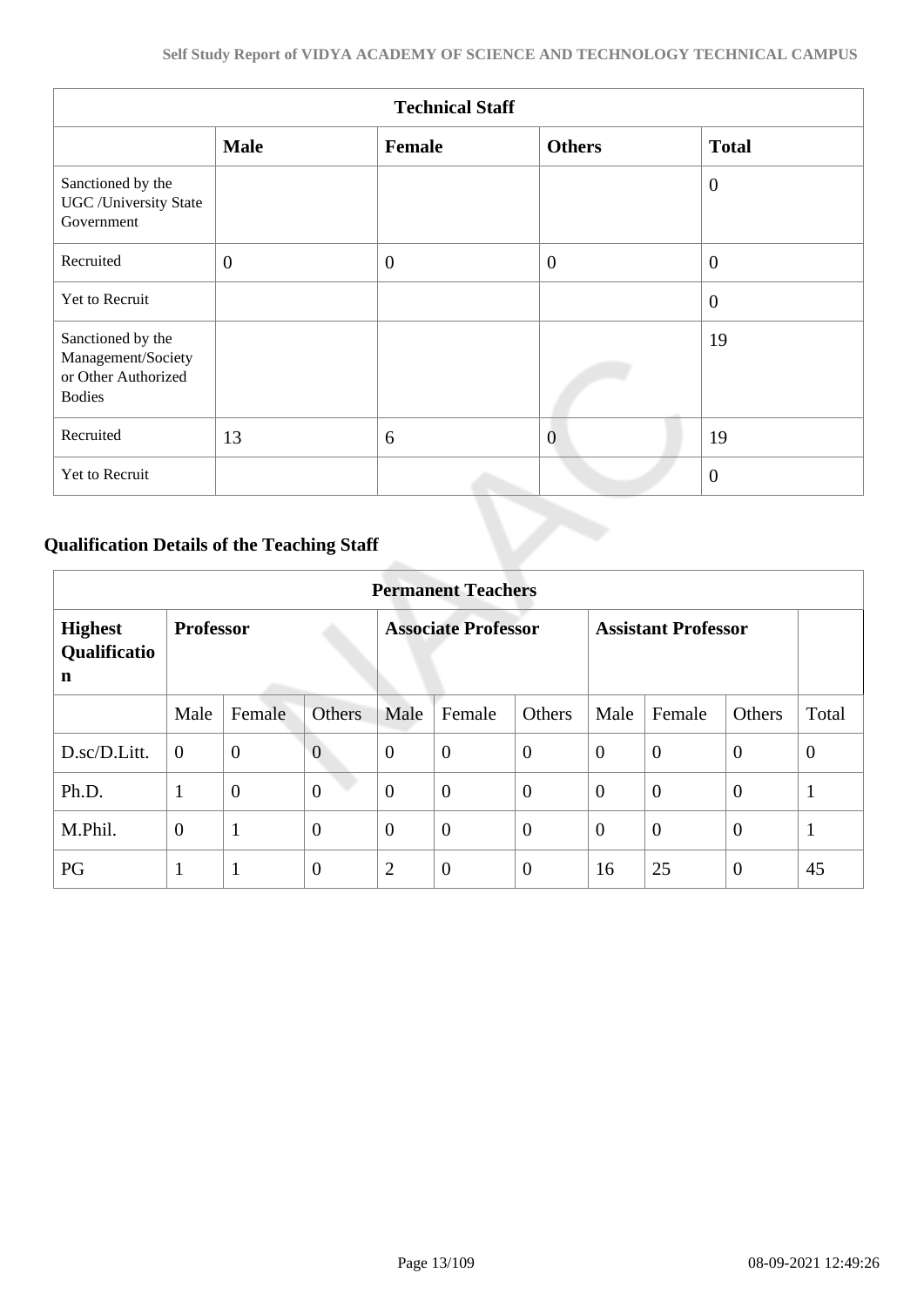|                                                                                 |                | <b>Technical Staff</b> |                |                |
|---------------------------------------------------------------------------------|----------------|------------------------|----------------|----------------|
|                                                                                 | <b>Male</b>    | Female                 | <b>Others</b>  | <b>Total</b>   |
| Sanctioned by the<br><b>UGC</b> / University State<br>Government                |                |                        |                | $\overline{0}$ |
| Recruited                                                                       | $\overline{0}$ | $\overline{0}$         | $\overline{0}$ | $\overline{0}$ |
| Yet to Recruit                                                                  |                |                        |                | $\overline{0}$ |
| Sanctioned by the<br>Management/Society<br>or Other Authorized<br><b>Bodies</b> |                |                        |                | 19             |
| Recruited                                                                       | 13             | 6                      | $\overline{0}$ | 19             |
| Yet to Recruit                                                                  |                |                        |                | $\theta$       |

# **Qualification Details of the Teaching Staff**

|                                     | <b>Permanent Teachers</b> |                |                |                            |                  |                |                            |                |                |                |  |
|-------------------------------------|---------------------------|----------------|----------------|----------------------------|------------------|----------------|----------------------------|----------------|----------------|----------------|--|
| <b>Highest</b><br>Qualificatio<br>n | <b>Professor</b>          |                |                | <b>Associate Professor</b> |                  |                | <b>Assistant Professor</b> |                |                |                |  |
|                                     | Male                      | Female         | <b>Others</b>  | Male                       | Female           | Others         | Male                       | Female         | Others         | Total          |  |
| D.sc/D.Litt.                        | $\overline{0}$            | $\mathbf{0}$   | $\overline{0}$ | $\theta$                   | $\overline{0}$   | $\theta$       | $\overline{0}$             | $\theta$       | $\overline{0}$ | $\overline{0}$ |  |
| Ph.D.                               | 1                         | $\overline{0}$ | $\overline{0}$ | $\overline{0}$             | $\boldsymbol{0}$ | $\overline{0}$ | $\overline{0}$             | $\overline{0}$ | $\overline{0}$ | $\mathbf{1}$   |  |
| M.Phil.                             | $\boldsymbol{0}$          | $\mathbf{1}$   | $\overline{0}$ | $\theta$                   | $\overline{0}$   | $\overline{0}$ | $\overline{0}$             | $\overline{0}$ | $\overline{0}$ | $\mathbf{1}$   |  |
| PG                                  | 1<br>$\bf{I}$             | $\mathbf{1}$   | $\overline{0}$ | $\overline{2}$             | $\overline{0}$   | $\overline{0}$ | 16                         | 25             | $\theta$       | 45             |  |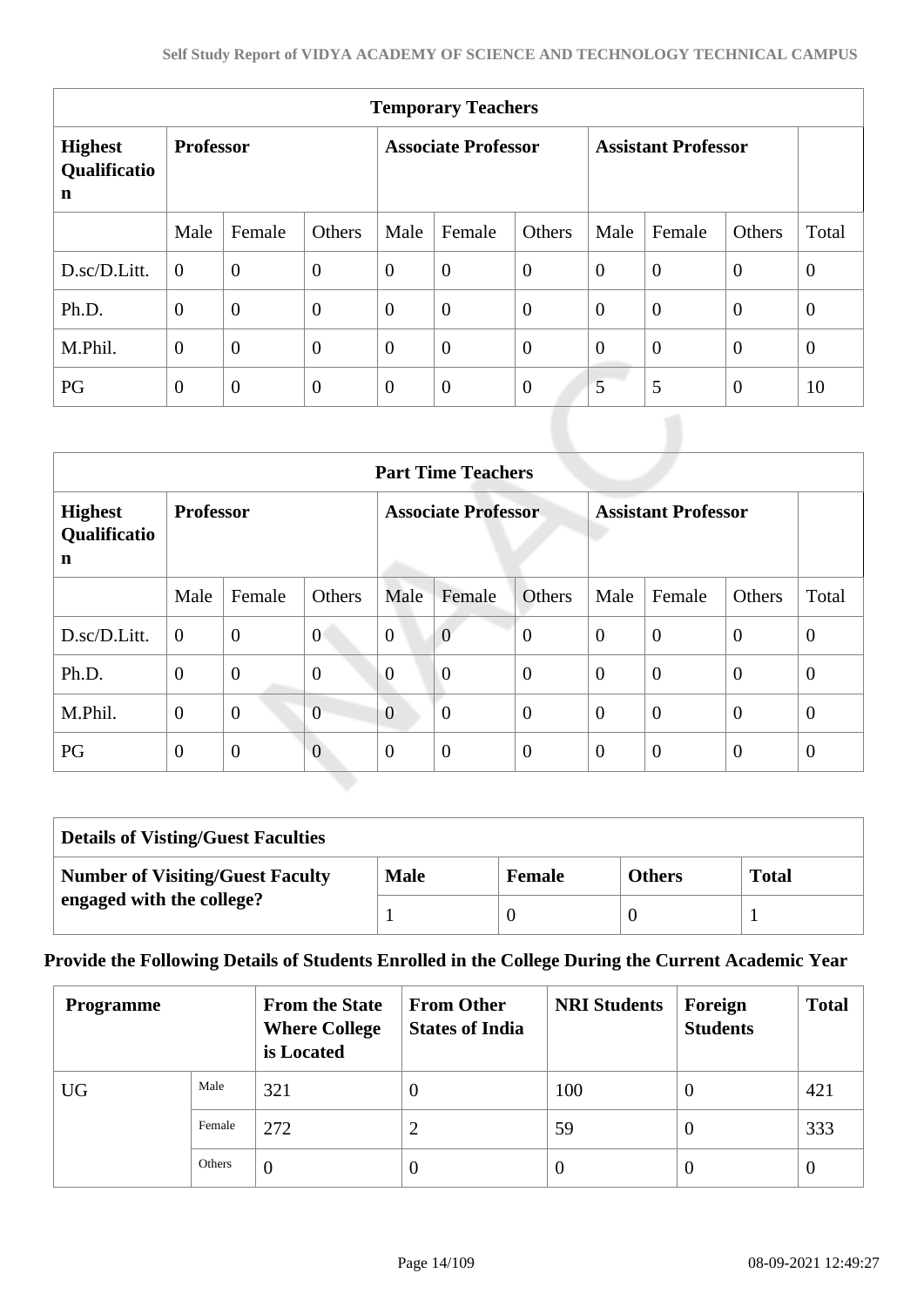| <b>Temporary Teachers</b>           |                  |                |                |                            |                |                |                            |                |                |                |  |
|-------------------------------------|------------------|----------------|----------------|----------------------------|----------------|----------------|----------------------------|----------------|----------------|----------------|--|
| <b>Highest</b><br>Qualificatio<br>n | <b>Professor</b> |                |                | <b>Associate Professor</b> |                |                | <b>Assistant Professor</b> |                |                |                |  |
|                                     | Male             | Female         | Others         | Male                       | Female         | Others         | Male                       | Female         | Others         | Total          |  |
| D.sc/D.Litt.                        | $\overline{0}$   | $\overline{0}$ | $\overline{0}$ | $\theta$                   | $\overline{0}$ | $\theta$       | $\overline{0}$             | $\overline{0}$ | $\theta$       | $\theta$       |  |
| Ph.D.                               | $\overline{0}$   | $\overline{0}$ | $\mathbf{0}$   | $\theta$                   | $\overline{0}$ | $\theta$       | $\theta$                   | $\overline{0}$ | $\theta$       | $\overline{0}$ |  |
| M.Phil.                             | $\overline{0}$   | $\overline{0}$ | $\overline{0}$ | $\theta$                   | $\overline{0}$ | $\theta$       | $\overline{0}$             | $\theta$       | $\theta$       | $\overline{0}$ |  |
| PG                                  | $\overline{0}$   | $\overline{0}$ | $\theta$       | $\theta$                   | $\overline{0}$ | $\overline{0}$ | 5                          | 5              | $\overline{0}$ | 10             |  |

| <b>Part Time Teachers</b>           |                  |                |                |                            |                |                |                            |                |                |                |
|-------------------------------------|------------------|----------------|----------------|----------------------------|----------------|----------------|----------------------------|----------------|----------------|----------------|
| <b>Highest</b><br>Qualificatio<br>n | <b>Professor</b> |                |                | <b>Associate Professor</b> |                |                | <b>Assistant Professor</b> |                |                |                |
|                                     | Male             | Female         | Others         | Male                       | Female         | Others         | Male                       | Female         | Others         | Total          |
| D.sc/D.Litt.                        | $\overline{0}$   | $\overline{0}$ | $\overline{0}$ | $\overline{0}$             | $\overline{0}$ | $\overline{0}$ | $\theta$                   | $\overline{0}$ | $\overline{0}$ | $\theta$       |
| Ph.D.                               | $\overline{0}$   | $\overline{0}$ | $\overline{0}$ | $\overline{0}$             | $\overline{0}$ | $\overline{0}$ | $\theta$                   | $\overline{0}$ | $\overline{0}$ | $\theta$       |
| M.Phil.                             | $\overline{0}$   | $\overline{0}$ | $\overline{0}$ | $\overline{0}$             | $\overline{0}$ | $\overline{0}$ | $\overline{0}$             | $\overline{0}$ | $\overline{0}$ | $\overline{0}$ |
| PG                                  | $\theta$         | $\overline{0}$ | $\overline{0}$ | $\Omega$                   | $\overline{0}$ | $\overline{0}$ | $\overline{0}$             | $\overline{0}$ | $\overline{0}$ | $\theta$       |

| <b>Details of Visting/Guest Faculties</b> |             |               |               |              |  |  |  |  |  |
|-------------------------------------------|-------------|---------------|---------------|--------------|--|--|--|--|--|
| <b>Number of Visiting/Guest Faculty</b>   | <b>Male</b> | <b>Female</b> | <b>Others</b> | <b>Total</b> |  |  |  |  |  |
| engaged with the college?                 |             |               |               |              |  |  |  |  |  |

# **Provide the Following Details of Students Enrolled in the College During the Current Academic Year**

| <b>Programme</b> |        | <b>From the State</b><br><b>Where College</b><br>is Located | <b>From Other</b><br><b>States of India</b> | <b>NRI Students</b> | Foreign<br><b>Students</b> | <b>Total</b>   |
|------------------|--------|-------------------------------------------------------------|---------------------------------------------|---------------------|----------------------------|----------------|
| <b>UG</b>        | Male   | 321                                                         | $\theta$                                    | 100                 | $\theta$                   | 421            |
|                  | Female | 272                                                         | 2                                           | 59                  | $\theta$                   | 333            |
|                  | Others | $\overline{0}$                                              | $\Omega$                                    | $\theta$            | $\theta$                   | $\overline{0}$ |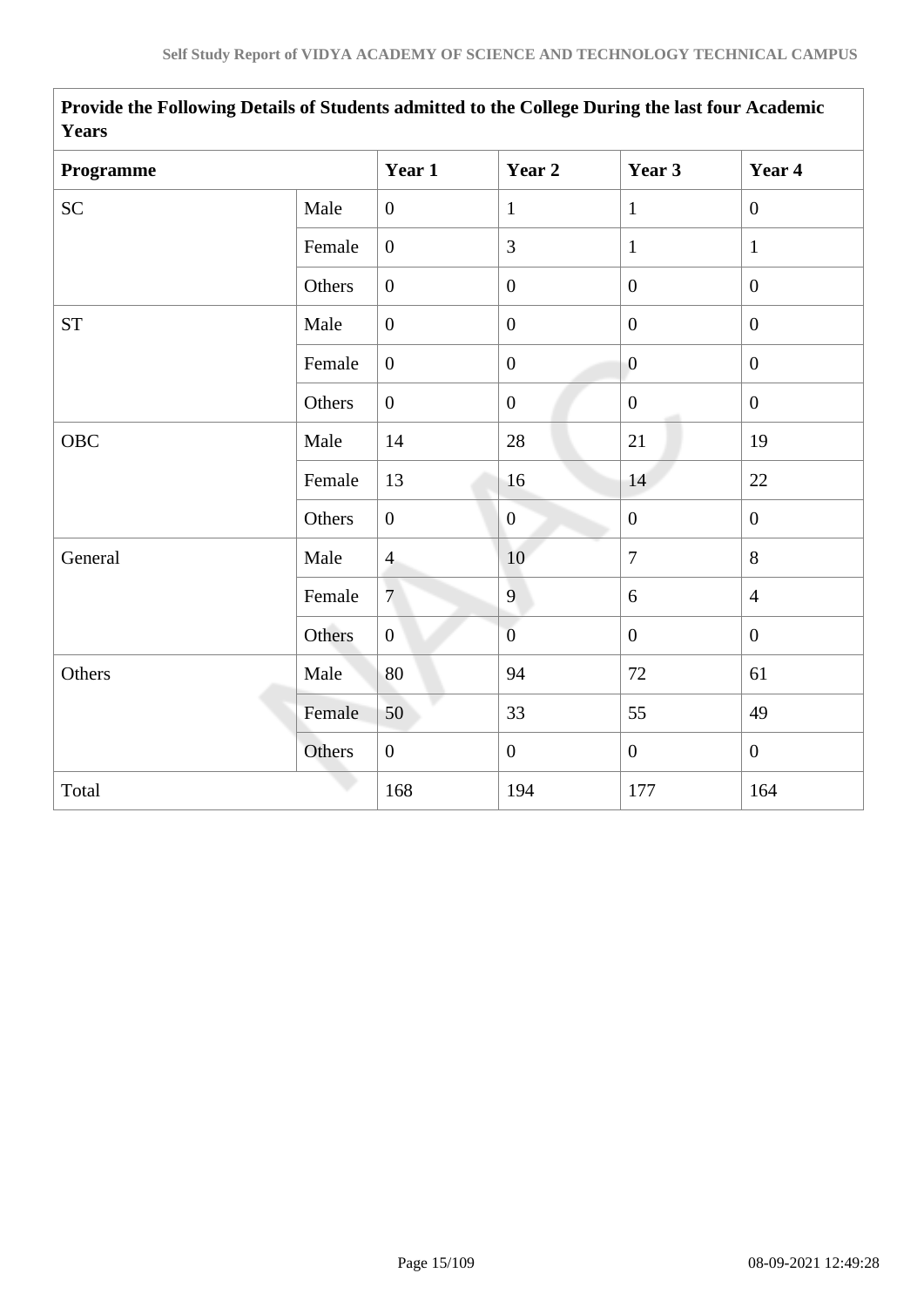| <b>Years</b>       |        |                  |                  |                  |                  |
|--------------------|--------|------------------|------------------|------------------|------------------|
| Programme          |        | Year 1           | Year 2           | Year 3           | Year 4           |
| <b>SC</b>          | Male   | $\boldsymbol{0}$ | $\mathbf{1}$     | $\mathbf{1}$     | $\overline{0}$   |
|                    | Female | $\overline{0}$   | 3                | $\mathbf{1}$     | $\mathbf{1}$     |
|                    | Others | $\boldsymbol{0}$ | $\boldsymbol{0}$ | $\overline{0}$   | $\boldsymbol{0}$ |
| ${\cal S}{\cal T}$ | Male   | $\boldsymbol{0}$ | $\boldsymbol{0}$ | $\mathbf{0}$     | $\mathbf{0}$     |
|                    | Female | $\boldsymbol{0}$ | $\boldsymbol{0}$ | $\overline{0}$   | $\mathbf{0}$     |
|                    | Others | $\overline{0}$   | $\boldsymbol{0}$ | $\overline{0}$   | $\overline{0}$   |
| OBC                | Male   | 14               | 28               | 21               | 19               |
|                    | Female | 13               | 16               | 14               | 22               |
|                    | Others | $\boldsymbol{0}$ | $\boldsymbol{0}$ | $\boldsymbol{0}$ | $\overline{0}$   |
| General            | Male   | $\overline{4}$   | 10               | $\overline{7}$   | 8                |
|                    | Female | $\overline{7}$   | 9                | 6                | $\overline{4}$   |
|                    | Others | $\overline{0}$   | $\overline{0}$   | $\mathbf{0}$     | $\mathbf{0}$     |
| Others             | Male   | 80               | 94               | 72               | 61               |
|                    | Female | 50               | 33               | 55               | 49               |
|                    | Others | $\overline{0}$   | $\overline{0}$   | $\boldsymbol{0}$ | $\mathbf{0}$     |
| Total              |        | 168              | 194              | 177              | 164              |
|                    |        |                  |                  |                  |                  |

 **Provide the Following Details of Students admitted to the College During the last four Academic Years**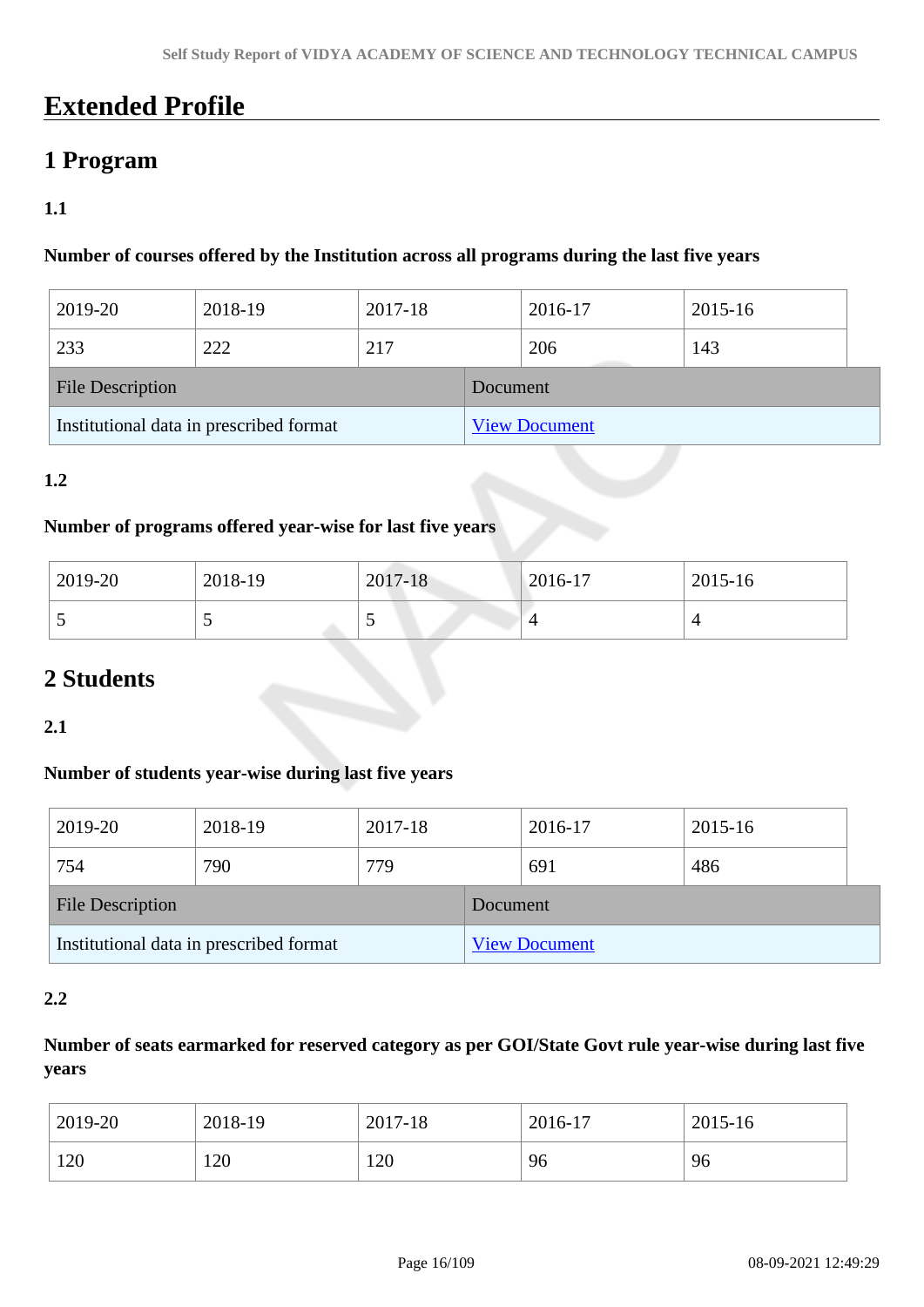# **Extended Profile**

# **1 Program**

# **1.1**

#### **Number of courses offered by the Institution across all programs during the last five years**

| 2019-20                                 | 2018-19 | 2017-18 |          | 2016-17              | 2015-16 |  |  |  |
|-----------------------------------------|---------|---------|----------|----------------------|---------|--|--|--|
| 233                                     | 222     | 217     |          | 206                  | 143     |  |  |  |
| <b>File Description</b>                 |         |         | Document |                      |         |  |  |  |
| Institutional data in prescribed format |         |         |          | <b>View Document</b> |         |  |  |  |

### **1.2**

#### **Number of programs offered year-wise for last five years**

| 2019-20 | 2018-19 | 2017-18 | 2016-17 | 2015-16 |
|---------|---------|---------|---------|---------|
| ັ       | ັ       | ັ       |         |         |

# **2 Students**

**2.1**

### **Number of students year-wise during last five years**

| 2019-20                                 | 2018-19 | 2017-18 |                      | 2016-17 | 2015-16 |  |  |
|-----------------------------------------|---------|---------|----------------------|---------|---------|--|--|
| 754                                     | 790     | 779     |                      | 691     | 486     |  |  |
| <b>File Description</b>                 |         |         | Document             |         |         |  |  |
| Institutional data in prescribed format |         |         | <b>View Document</b> |         |         |  |  |

#### **2.2**

# **Number of seats earmarked for reserved category as per GOI/State Govt rule year-wise during last five years**

| 2019-20 | 2018-19 | 2017-18 | 2016-17 | 2015-16 |
|---------|---------|---------|---------|---------|
| 120     | 120     | 120     | 96      | 96      |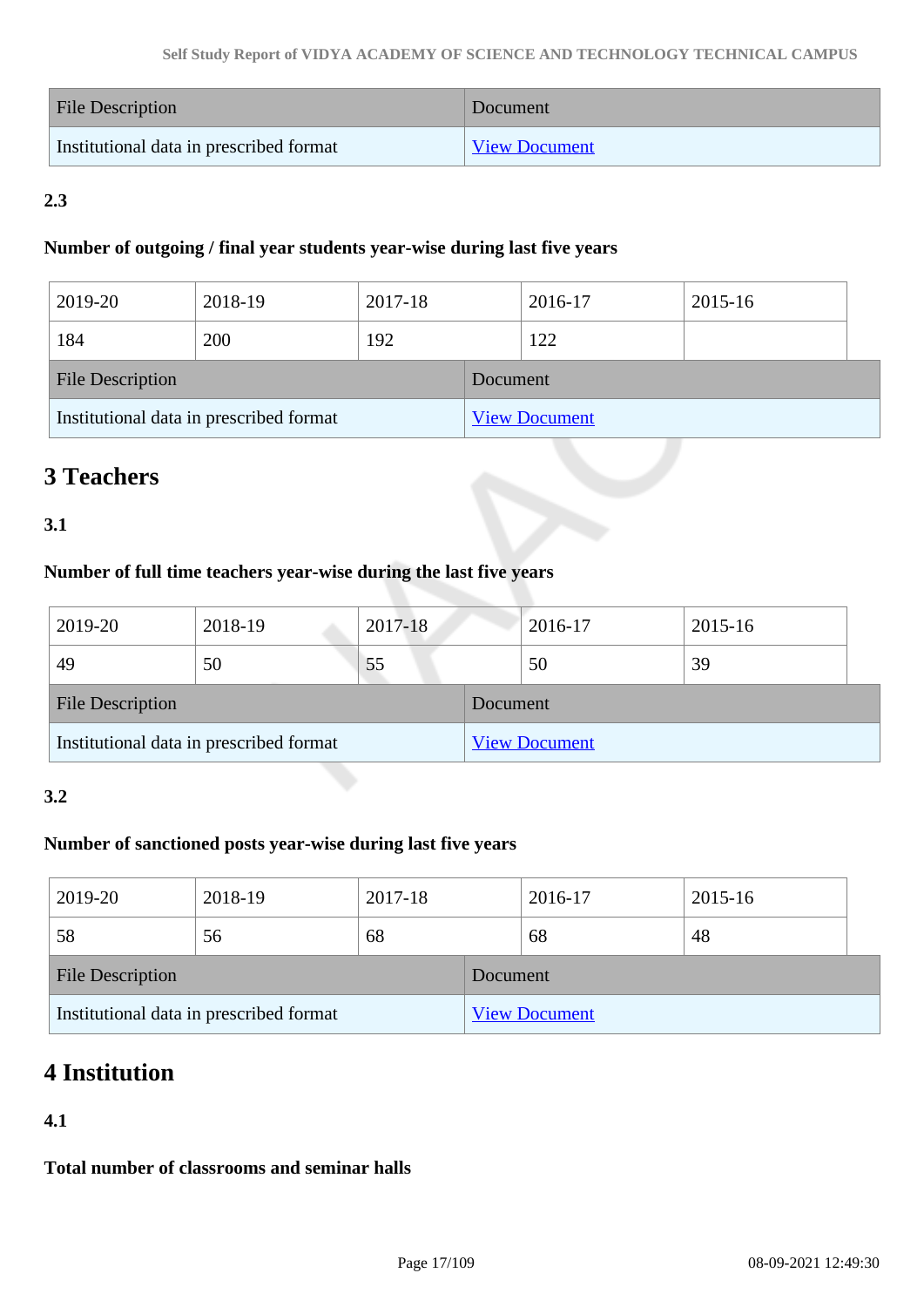| <b>File Description</b>                 | Document             |
|-----------------------------------------|----------------------|
| Institutional data in prescribed format | <b>View Document</b> |

# **2.3**

### **Number of outgoing / final year students year-wise during last five years**

| 2019-20                 | 2018-19                                 | 2017-18 |          | 2016-17              | 2015-16 |  |
|-------------------------|-----------------------------------------|---------|----------|----------------------|---------|--|
| 184                     | 200                                     | 192     |          | 122                  |         |  |
| <b>File Description</b> |                                         |         | Document |                      |         |  |
|                         | Institutional data in prescribed format |         |          | <b>View Document</b> |         |  |

# **3 Teachers**

# **3.1**

# **Number of full time teachers year-wise during the last five years**

| 2019-20                 | 2018-19                                 | 2017-18 |          | 2016-17              | 2015-16 |
|-------------------------|-----------------------------------------|---------|----------|----------------------|---------|
| 49                      | 50                                      | 55      |          | 50                   | 39      |
| <b>File Description</b> |                                         |         | Document |                      |         |
|                         | Institutional data in prescribed format |         |          | <b>View Document</b> |         |

### **3.2**

# **Number of sanctioned posts year-wise during last five years**

| 2019-20                 | 2018-19                                 | 2017-18 |          | 2016-17              | 2015-16 |  |
|-------------------------|-----------------------------------------|---------|----------|----------------------|---------|--|
| 58                      | 56                                      | 68      |          | 68                   | 48      |  |
| <b>File Description</b> |                                         |         | Document |                      |         |  |
|                         | Institutional data in prescribed format |         |          | <b>View Document</b> |         |  |

# **4 Institution**

# **4.1**

**Total number of classrooms and seminar halls**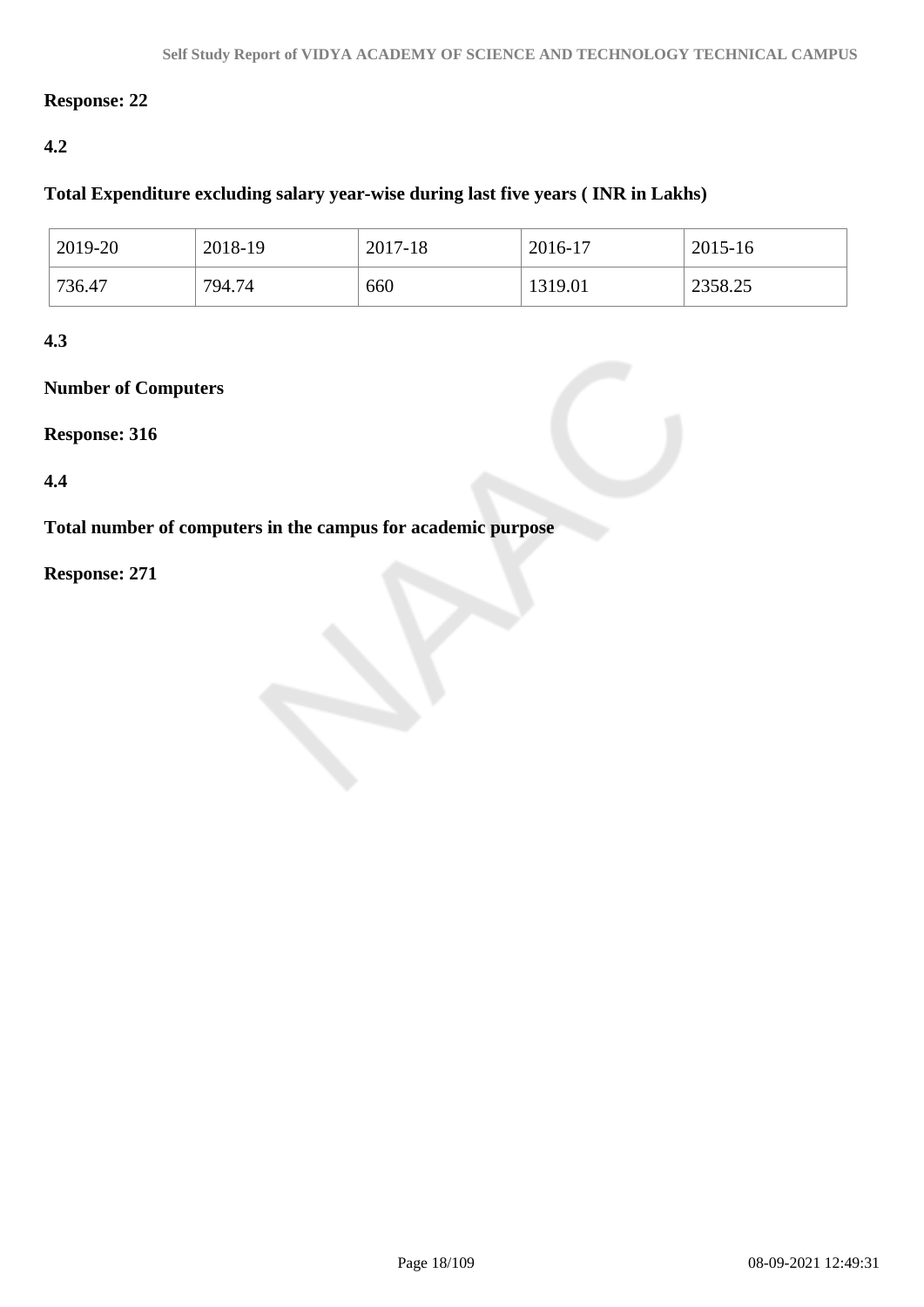### **Response: 22**

# **4.2**

# **Total Expenditure excluding salary year-wise during last five years ( INR in Lakhs)**

| 2019-20 | 2018-19 | 2017-18 | 2016-17 | 2015-16 |
|---------|---------|---------|---------|---------|
| 736.47  | 794.74  | 660     | 1319.01 | 2358.25 |

## **4.3**

# **Number of Computers**

#### **Response: 316**

### **4.4**

**Total number of computers in the campus for academic purpose**

## **Response: 271**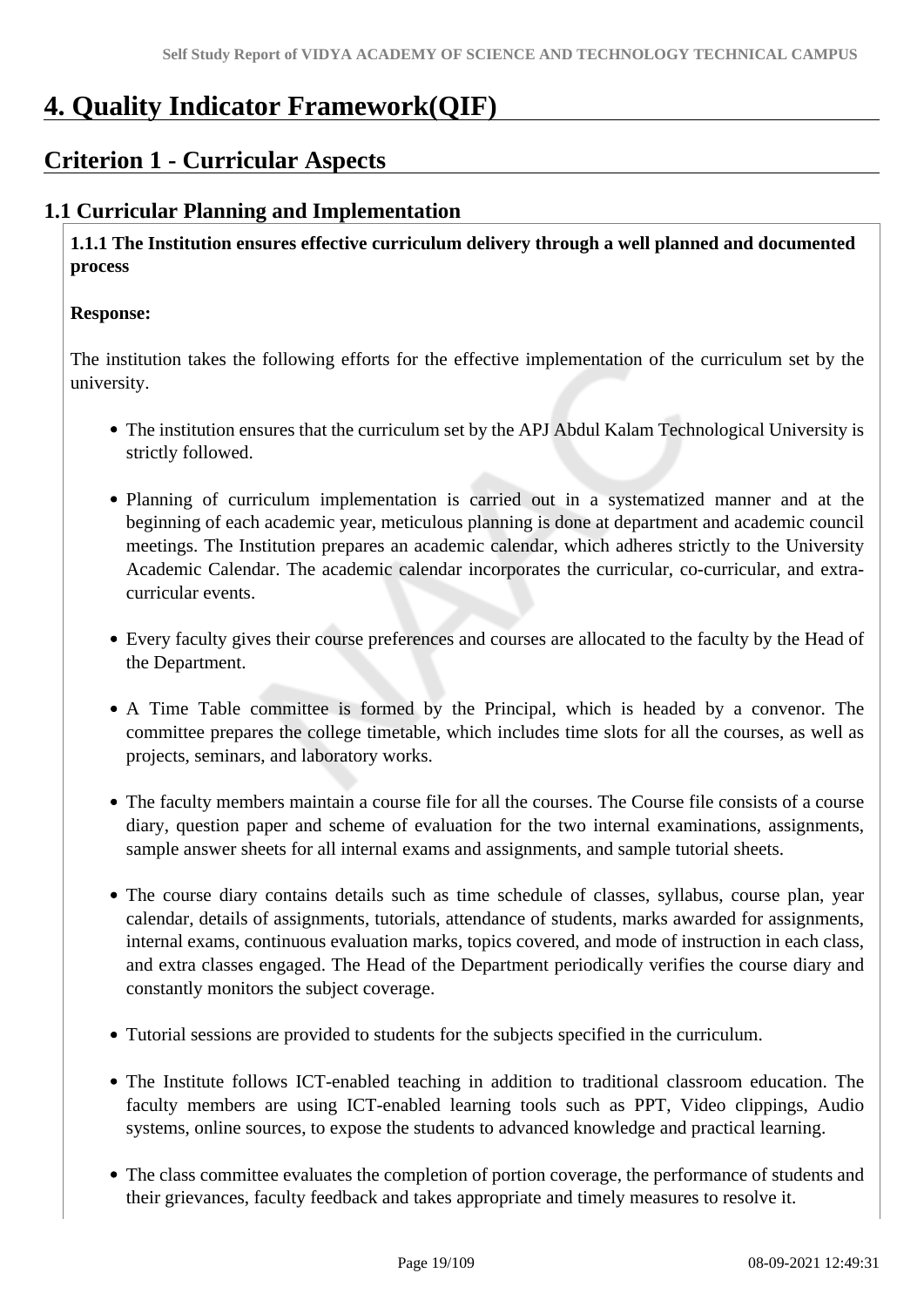# **4. Quality Indicator Framework(QIF)**

# **Criterion 1 - Curricular Aspects**

# **1.1 Curricular Planning and Implementation**

 **1.1.1 The Institution ensures effective curriculum delivery through a well planned and documented process**

#### **Response:**

The institution takes the following efforts for the effective implementation of the curriculum set by the university.

- The institution ensures that the curriculum set by the APJ Abdul Kalam Technological University is strictly followed.
- Planning of curriculum implementation is carried out in a systematized manner and at the beginning of each academic year, meticulous planning is done at department and academic council meetings. The Institution prepares an academic calendar, which adheres strictly to the University Academic Calendar. The academic calendar incorporates the curricular, co-curricular, and extracurricular events.
- Every faculty gives their course preferences and courses are allocated to the faculty by the Head of the Department.
- A Time Table committee is formed by the Principal, which is headed by a convenor. The committee prepares the college timetable, which includes time slots for all the courses, as well as projects, seminars, and laboratory works.
- The faculty members maintain a course file for all the courses. The Course file consists of a course diary, question paper and scheme of evaluation for the two internal examinations, assignments, sample answer sheets for all internal exams and assignments, and sample tutorial sheets.
- The course diary contains details such as time schedule of classes, syllabus, course plan, year calendar, details of assignments, tutorials, attendance of students, marks awarded for assignments, internal exams, continuous evaluation marks, topics covered, and mode of instruction in each class, and extra classes engaged. The Head of the Department periodically verifies the course diary and constantly monitors the subject coverage.
- Tutorial sessions are provided to students for the subjects specified in the curriculum.
- The Institute follows ICT-enabled teaching in addition to traditional classroom education. The faculty members are using ICT-enabled learning tools such as PPT, Video clippings, Audio systems, online sources, to expose the students to advanced knowledge and practical learning.
- The class committee evaluates the completion of portion coverage, the performance of students and their grievances, faculty feedback and takes appropriate and timely measures to resolve it.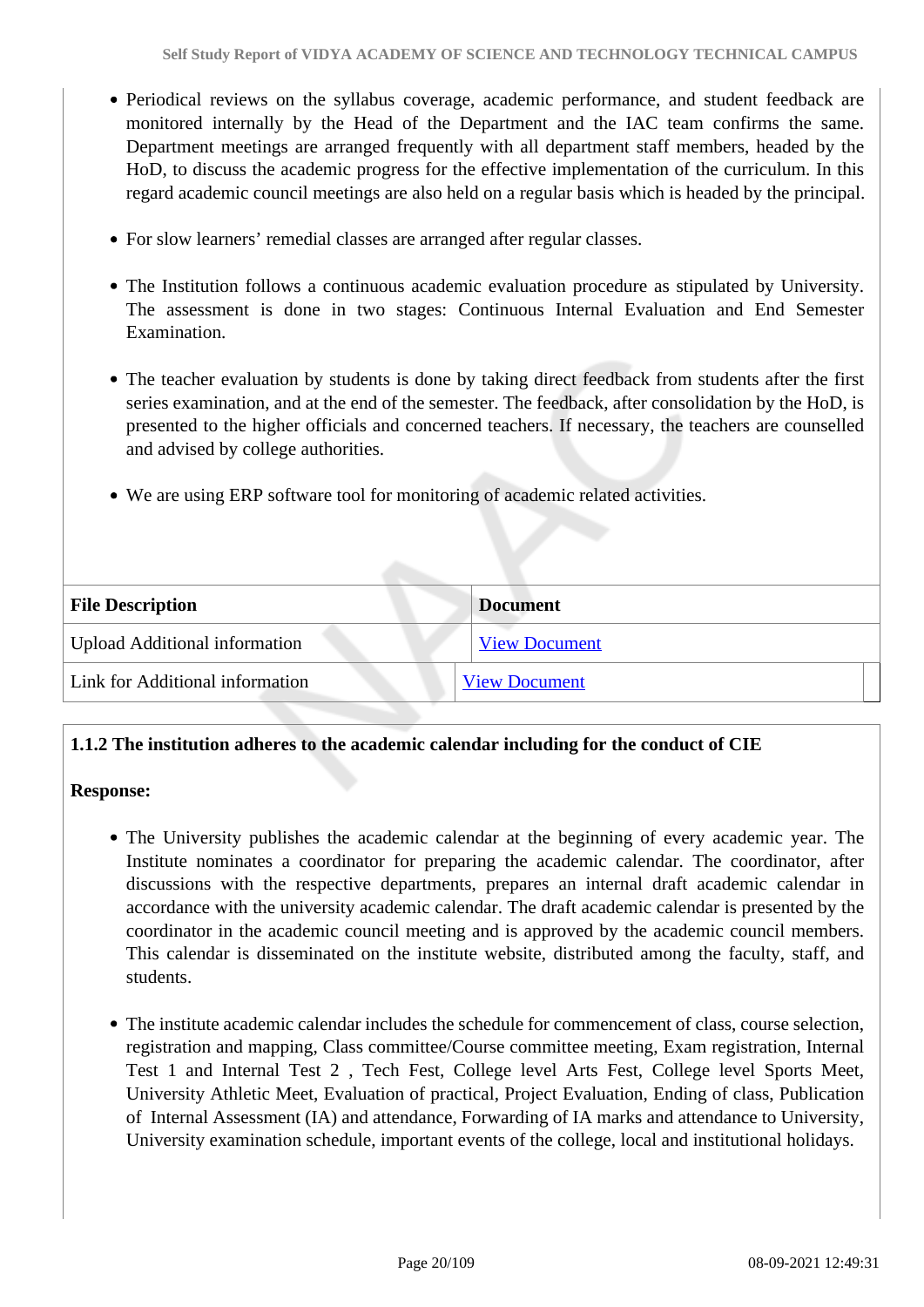- Periodical reviews on the syllabus coverage, academic performance, and student feedback are monitored internally by the Head of the Department and the IAC team confirms the same. Department meetings are arranged frequently with all department staff members, headed by the HoD, to discuss the academic progress for the effective implementation of the curriculum. In this regard academic council meetings are also held on a regular basis which is headed by the principal.
- For slow learners' remedial classes are arranged after regular classes.
- The Institution follows a continuous academic evaluation procedure as stipulated by University. The assessment is done in two stages: Continuous Internal Evaluation and End Semester Examination.
- The teacher evaluation by students is done by taking direct feedback from students after the first series examination, and at the end of the semester. The feedback, after consolidation by the HoD, is presented to the higher officials and concerned teachers. If necessary, the teachers are counselled and advised by college authorities.
- We are using ERP software tool for monitoring of academic related activities.

| <b>File Description</b>              | <b>Document</b>      |
|--------------------------------------|----------------------|
| <b>Upload Additional information</b> | <b>View Document</b> |
| Link for Additional information      | <b>View Document</b> |

# **1.1.2 The institution adheres to the academic calendar including for the conduct of CIE**

### **Response:**

- The University publishes the academic calendar at the beginning of every academic year. The Institute nominates a coordinator for preparing the academic calendar. The coordinator, after discussions with the respective departments, prepares an internal draft academic calendar in accordance with the university academic calendar. The draft academic calendar is presented by the coordinator in the academic council meeting and is approved by the academic council members. This calendar is disseminated on the institute website, distributed among the faculty, staff, and students.
- The institute academic calendar includes the schedule for commencement of class, course selection, registration and mapping, Class committee/Course committee meeting, Exam registration, Internal Test 1 and Internal Test 2 , Tech Fest, College level Arts Fest, College level Sports Meet, University Athletic Meet, Evaluation of practical, Project Evaluation, Ending of class, Publication of Internal Assessment (IA) and attendance, Forwarding of IA marks and attendance to University, University examination schedule, important events of the college, local and institutional holidays.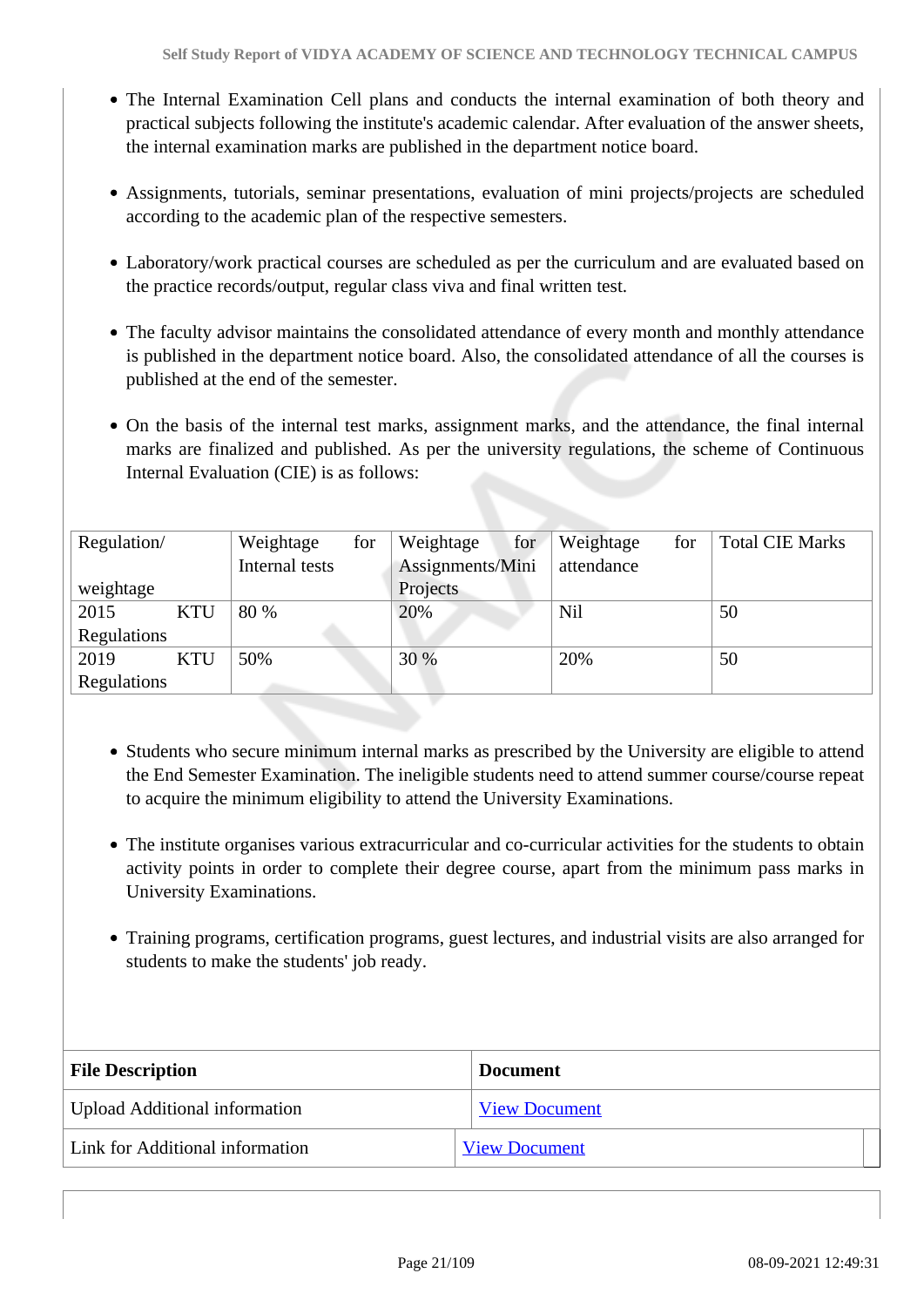- The Internal Examination Cell plans and conducts the internal examination of both theory and practical subjects following the institute's academic calendar. After evaluation of the answer sheets, the internal examination marks are published in the department notice board.
- Assignments, tutorials, seminar presentations, evaluation of mini projects/projects are scheduled according to the academic plan of the respective semesters.
- Laboratory/work practical courses are scheduled as per the curriculum and are evaluated based on the practice records/output, regular class viva and final written test.
- The faculty advisor maintains the consolidated attendance of every month and monthly attendance is published in the department notice board. Also, the consolidated attendance of all the courses is published at the end of the semester.
- On the basis of the internal test marks, assignment marks, and the attendance, the final internal marks are finalized and published. As per the university regulations, the scheme of Continuous Internal Evaluation (CIE) is as follows:

| Regulation/ |            | Weightage      | for | Weightage        | for | Weightage  | for | <b>Total CIE Marks</b> |
|-------------|------------|----------------|-----|------------------|-----|------------|-----|------------------------|
|             |            | Internal tests |     | Assignments/Mini |     | attendance |     |                        |
| weightage   |            |                |     | Projects         |     |            |     |                        |
| 2015        | <b>KTU</b> | 80 %           |     | 20%              |     | Nil        |     | 50                     |
| Regulations |            |                |     |                  |     |            |     |                        |
| 2019        | <b>KTU</b> | 50%            |     | 30 %             |     | 20%        |     | 50                     |
| Regulations |            |                |     |                  |     |            |     |                        |

- Students who secure minimum internal marks as prescribed by the University are eligible to attend the End Semester Examination. The ineligible students need to attend summer course/course repeat to acquire the minimum eligibility to attend the University Examinations.
- The institute organises various extracurricular and co-curricular activities for the students to obtain activity points in order to complete their degree course, apart from the minimum pass marks in University Examinations.
- Training programs, certification programs, guest lectures, and industrial visits are also arranged for students to make the students' job ready.

| <b>File Description</b>         | <b>Document</b>      |
|---------------------------------|----------------------|
| Upload Additional information   | <b>View Document</b> |
| Link for Additional information | <b>View Document</b> |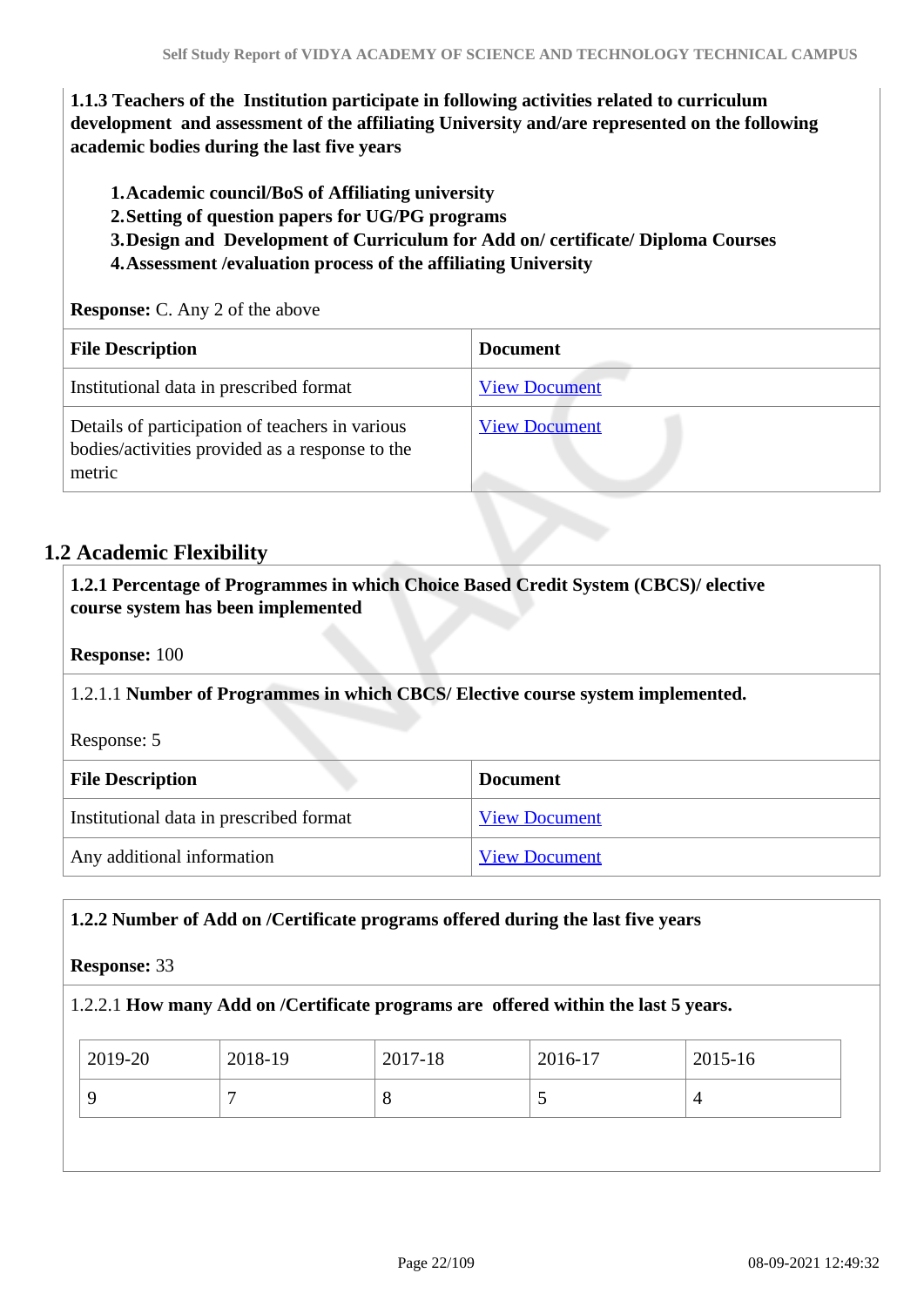**1.1.3 Teachers of the Institution participate in following activities related to curriculum development and assessment of the affiliating University and/are represented on the following academic bodies during the last five years** 

**1.Academic council/BoS of Affiliating university**

**2.Setting of question papers for UG/PG programs** 

**3.Design and Development of Curriculum for Add on/ certificate/ Diploma Courses** 

**4.Assessment /evaluation process of the affiliating University**

**Response:** C. Any 2 of the above

| <b>File Description</b>                                                                                      | <b>Document</b>      |
|--------------------------------------------------------------------------------------------------------------|----------------------|
| Institutional data in prescribed format                                                                      | <b>View Document</b> |
| Details of participation of teachers in various<br>bodies/activities provided as a response to the<br>metric | <b>View Document</b> |

# **1.2 Academic Flexibility**

 **1.2.1 Percentage of Programmes in which Choice Based Credit System (CBCS)/ elective course system has been implemented** 

**Response:** 100

1.2.1.1 **Number of Programmes in which CBCS/ Elective course system implemented.**

Response: 5

| <b>File Description</b>                 | <b>Document</b>      |
|-----------------------------------------|----------------------|
| Institutional data in prescribed format | <b>View Document</b> |
| Any additional information              | <b>View Document</b> |

### **1.2.2 Number of Add on /Certificate programs offered during the last five years**

#### **Response:** 33

#### 1.2.2.1 **How many Add on /Certificate programs are offered within the last 5 years.**

| 2019-20 | 2018-19 | 2017-18 | 2016-17 | 2015-16 |
|---------|---------|---------|---------|---------|
|         |         | $\circ$ | ັ       | 4       |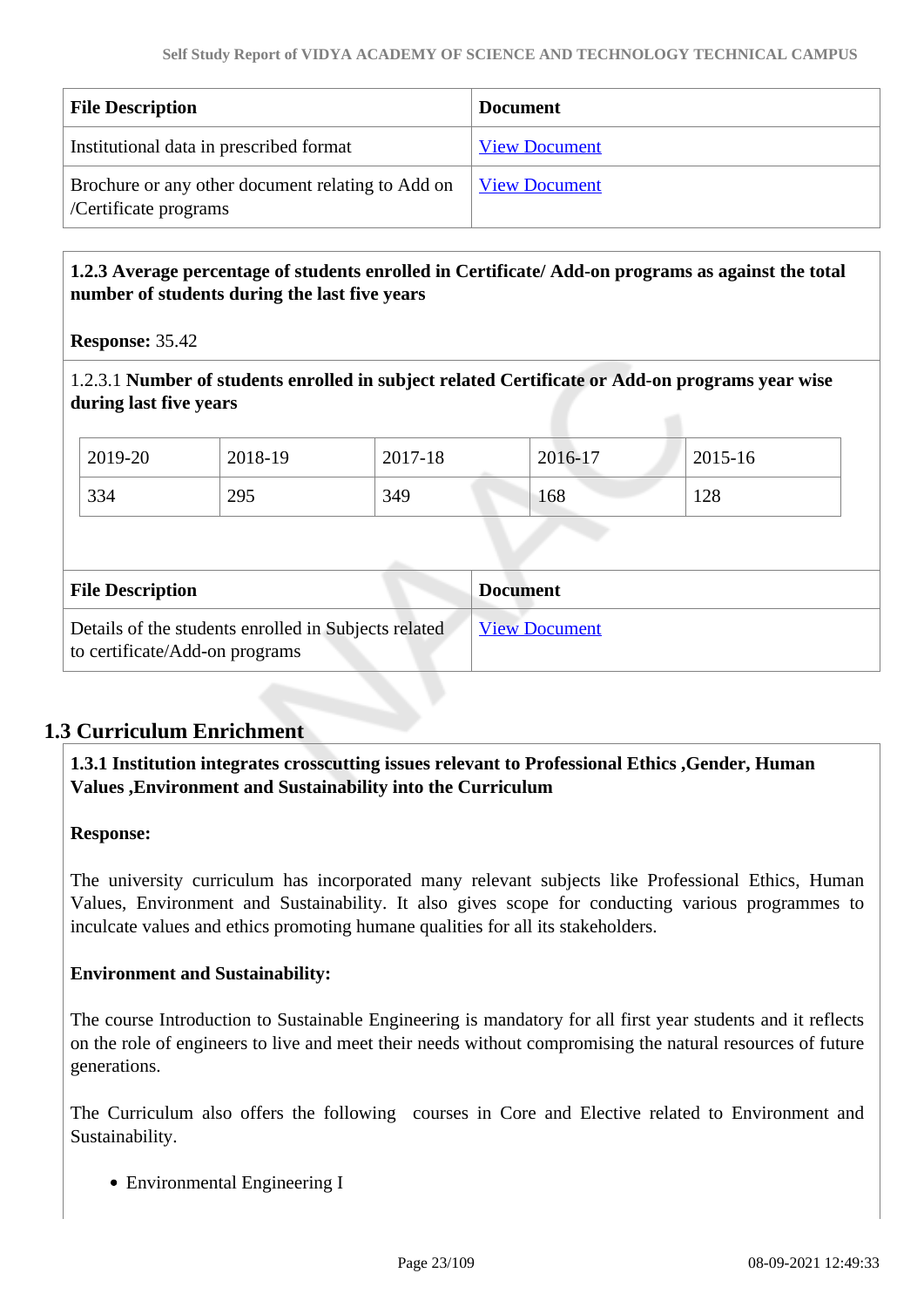| <b>File Description</b>                                                    | <b>Document</b>             |
|----------------------------------------------------------------------------|-----------------------------|
| Institutional data in prescribed format                                    | <b>View Document</b>        |
| Brochure or any other document relating to Add on<br>/Certificate programs | <u><b>View Document</b></u> |

# **1.2.3 Average percentage of students enrolled in Certificate/ Add-on programs as against the total number of students during the last five years**

**Response:** 35.42

1.2.3.1 **Number of students enrolled in subject related Certificate or Add-on programs year wise during last five years**

| 2019-20                 | 2018-19 | 2017-18 | 2016-17         | 2015-16 |
|-------------------------|---------|---------|-----------------|---------|
| 334                     | 295     | 349     | 168             | 128     |
|                         |         |         |                 |         |
| <b>File Description</b> |         |         | <b>Document</b> |         |
|                         |         |         |                 |         |

# **1.3 Curriculum Enrichment**

### **1.3.1 Institution integrates crosscutting issues relevant to Professional Ethics ,Gender, Human Values ,Environment and Sustainability into the Curriculum**

#### **Response:**

The university curriculum has incorporated many relevant subjects like Professional Ethics, Human Values, Environment and Sustainability. It also gives scope for conducting various programmes to inculcate values and ethics promoting humane qualities for all its stakeholders.

### **Environment and Sustainability:**

The course Introduction to Sustainable Engineering is mandatory for all first year students and it reflects on the role of engineers to live and meet their needs without compromising the natural resources of future generations.

The Curriculum also offers the following courses in Core and Elective related to Environment and Sustainability.

Environmental Engineering I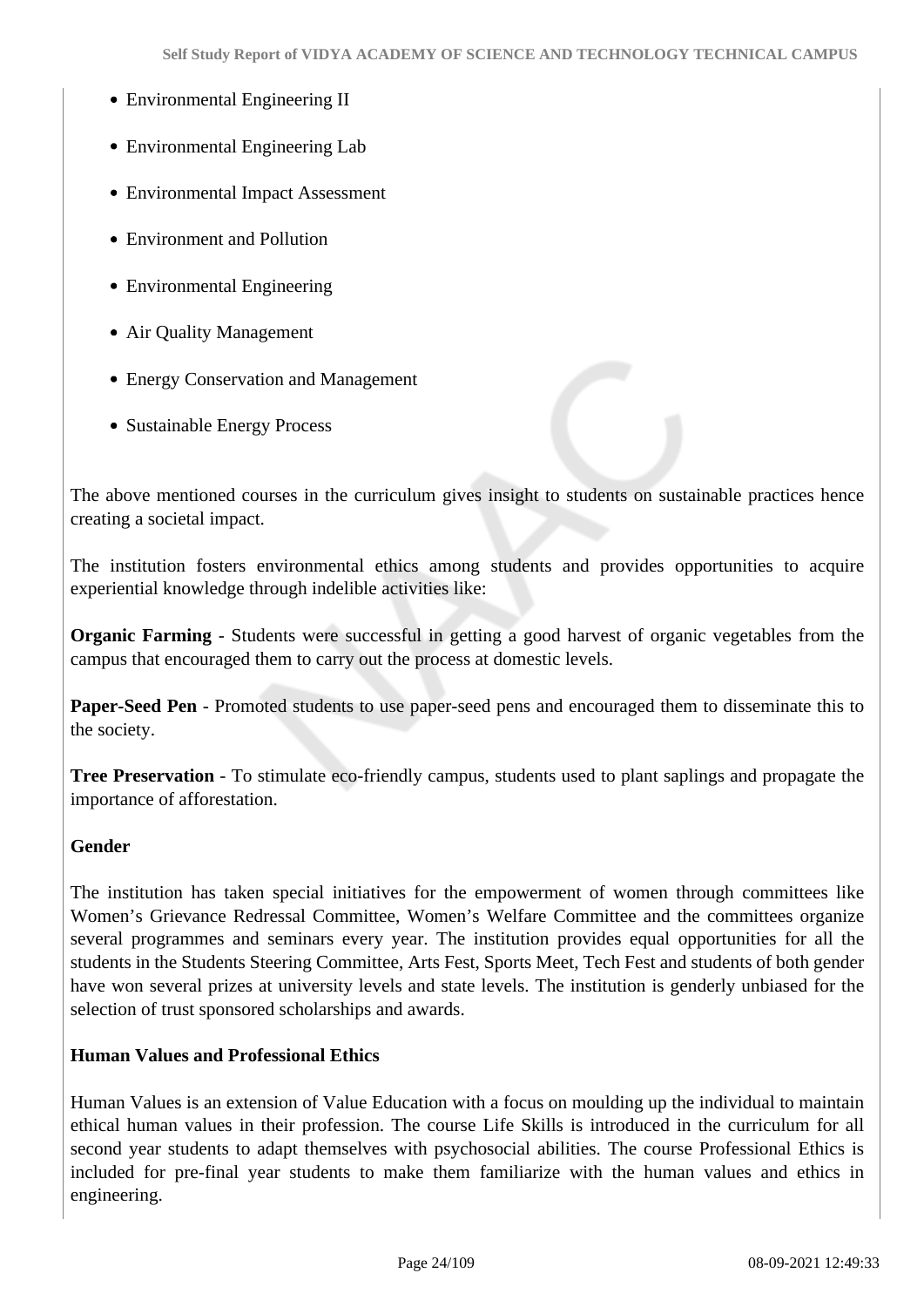- Environmental Engineering II
- Environmental Engineering Lab
- Environmental Impact Assessment
- Environment and Pollution
- Environmental Engineering
- Air Quality Management
- Energy Conservation and Management
- Sustainable Energy Process

The above mentioned courses in the curriculum gives insight to students on sustainable practices hence creating a societal impact.

The institution fosters environmental ethics among students and provides opportunities to acquire experiential knowledge through indelible activities like:

**Organic Farming** - Students were successful in getting a good harvest of organic vegetables from the campus that encouraged them to carry out the process at domestic levels.

**Paper-Seed Pen** - Promoted students to use paper-seed pens and encouraged them to disseminate this to the society.

**Tree Preservation** - To stimulate eco-friendly campus, students used to plant saplings and propagate the importance of afforestation.

### **Gender**

The institution has taken special initiatives for the empowerment of women through committees like Women's Grievance Redressal Committee, Women's Welfare Committee and the committees organize several programmes and seminars every year. The institution provides equal opportunities for all the students in the Students Steering Committee, Arts Fest, Sports Meet, Tech Fest and students of both gender have won several prizes at university levels and state levels. The institution is genderly unbiased for the selection of trust sponsored scholarships and awards.

### **Human Values and Professional Ethics**

Human Values is an extension of Value Education with a focus on moulding up the individual to maintain ethical human values in their profession. The course Life Skills is introduced in the curriculum for all second year students to adapt themselves with psychosocial abilities. The course Professional Ethics is included for pre-final year students to make them familiarize with the human values and ethics in engineering.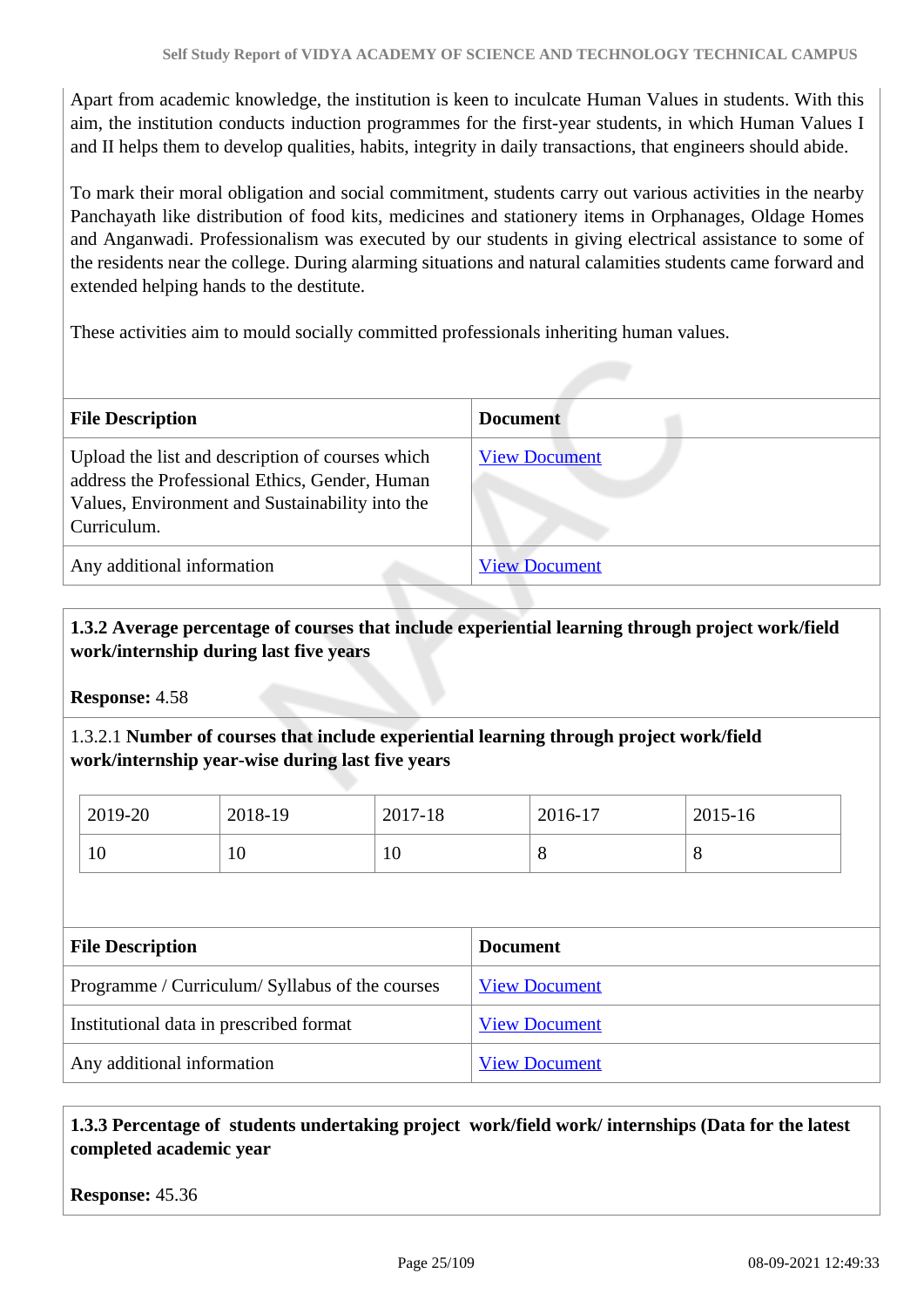Apart from academic knowledge, the institution is keen to inculcate Human Values in students. With this aim, the institution conducts induction programmes for the first-year students, in which Human Values I and II helps them to develop qualities, habits, integrity in daily transactions, that engineers should abide.

To mark their moral obligation and social commitment, students carry out various activities in the nearby Panchayath like distribution of food kits, medicines and stationery items in Orphanages, Oldage Homes and Anganwadi. Professionalism was executed by our students in giving electrical assistance to some of the residents near the college. During alarming situations and natural calamities students came forward and extended helping hands to the destitute.

These activities aim to mould socially committed professionals inheriting human values.

| <b>File Description</b>                                                                                                                                              | <b>Document</b>      |
|----------------------------------------------------------------------------------------------------------------------------------------------------------------------|----------------------|
| Upload the list and description of courses which<br>address the Professional Ethics, Gender, Human<br>Values, Environment and Sustainability into the<br>Curriculum. | <b>View Document</b> |
| Any additional information                                                                                                                                           | <b>View Document</b> |

### **1.3.2 Average percentage of courses that include experiential learning through project work/field work/internship during last five years**

**Response:** 4.58

1.3.2.1 **Number of courses that include experiential learning through project work/field work/internship year-wise during last five years**

| 2019-20 | 2018-19 | 2017-18 | 2016-17 | 2015-16 |
|---------|---------|---------|---------|---------|
| 10      | ΙV      | 10      | $\circ$ | v       |

| <b>File Description</b>                         | <b>Document</b>      |
|-------------------------------------------------|----------------------|
| Programme / Curriculum/ Syllabus of the courses | <b>View Document</b> |
| Institutional data in prescribed format         | <b>View Document</b> |
| Any additional information                      | <b>View Document</b> |

### **1.3.3 Percentage of students undertaking project work/field work/ internships (Data for the latest completed academic year**

**Response:** 45.36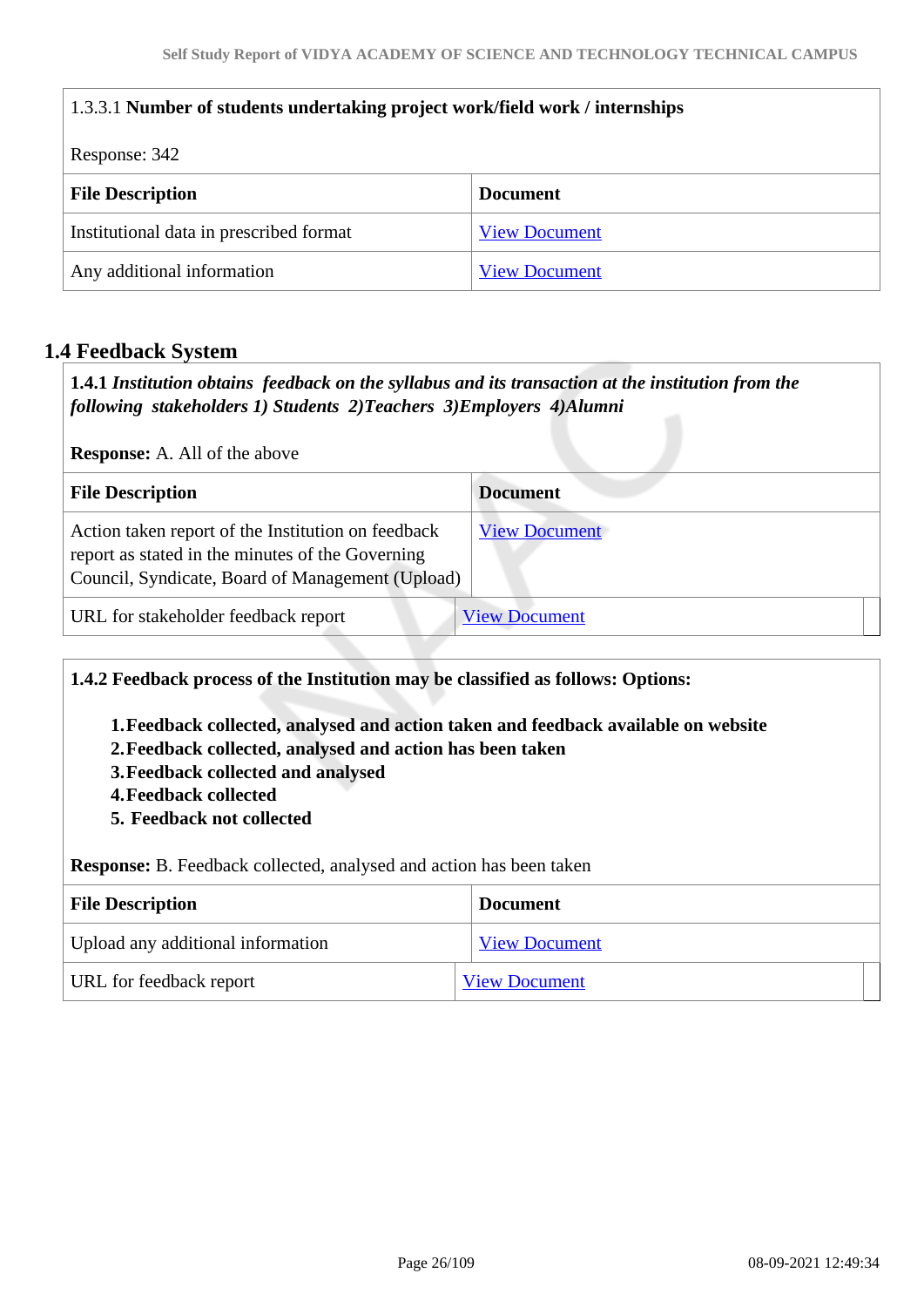| 1.3.3.1 Number of students undertaking project work/field work / internships |                      |  |
|------------------------------------------------------------------------------|----------------------|--|
| Response: 342                                                                |                      |  |
| <b>File Description</b>                                                      | <b>Document</b>      |  |
| Institutional data in prescribed format                                      | <b>View Document</b> |  |
| Any additional information<br><b>View Document</b>                           |                      |  |

# **1.4 Feedback System**

 **1.4.1** *Institution obtains feedback on the syllabus and its transaction at the institution from the following stakeholders 1) Students 2)Teachers 3)Employers 4)Alumni* 

**Response:** A. All of the above

| <b>File Description</b>                                                                                                                                    | <b>Document</b>      |
|------------------------------------------------------------------------------------------------------------------------------------------------------------|----------------------|
| Action taken report of the Institution on feedback<br>report as stated in the minutes of the Governing<br>Council, Syndicate, Board of Management (Upload) | <b>View Document</b> |
| URL for stakeholder feedback report                                                                                                                        | <b>View Document</b> |

**1.4.2 Feedback process of the Institution may be classified as follows: Options:**

**1.Feedback collected, analysed and action taken and feedback available on website**

**2.Feedback collected, analysed and action has been taken**

**3.Feedback collected and analysed**

**4.Feedback collected**

**5. Feedback not collected**

**Response:** B. Feedback collected, analysed and action has been taken

| <b>File Description</b>           | <b>Document</b>      |
|-----------------------------------|----------------------|
| Upload any additional information | <b>View Document</b> |
| URL for feedback report           | <b>View Document</b> |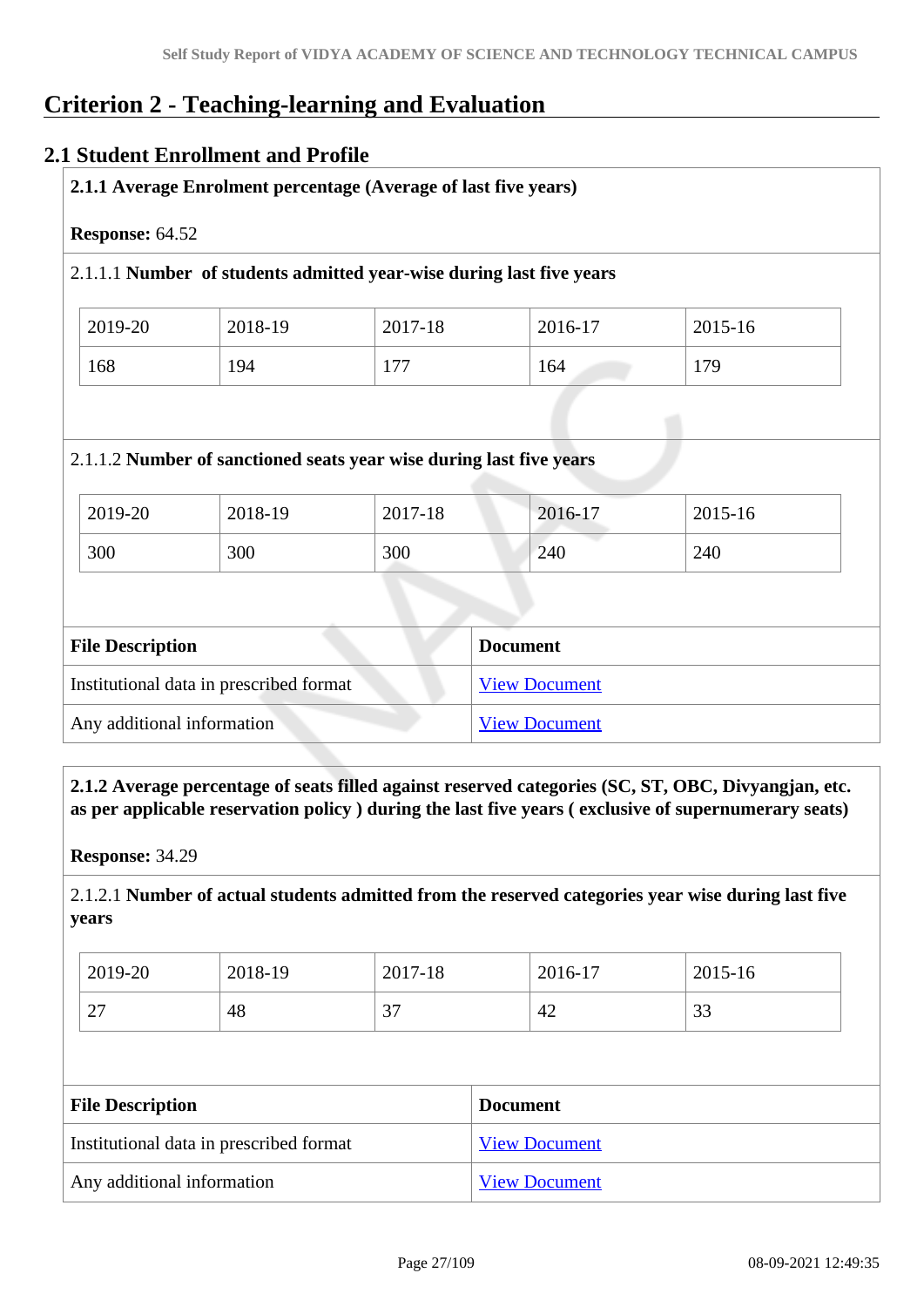# **Criterion 2 - Teaching-learning and Evaluation**

## **2.1 Student Enrollment and Profile**

| 2018-19                                                                        | 2017-18         | 2016-17 | 2015-16                                                                                                                                 |
|--------------------------------------------------------------------------------|-----------------|---------|-----------------------------------------------------------------------------------------------------------------------------------------|
| 194                                                                            | 177             | 164     | 179                                                                                                                                     |
|                                                                                |                 |         |                                                                                                                                         |
| 2.1.1.2 Number of sanctioned seats year wise during last five years<br>2018-19 | 2017-18         | 2016-17 | 2015-16                                                                                                                                 |
|                                                                                | Response: 64.52 |         | 2.1.1 Average Enrolment percentage (Average of last five years)<br>2.1.1.1 Number of students admitted year-wise during last five years |

| THE DESCRIPTION                         | DUCUMENT             |
|-----------------------------------------|----------------------|
| Institutional data in prescribed format | <b>View Document</b> |
| Any additional information              | <b>View Document</b> |

 **2.1.2 Average percentage of seats filled against reserved categories (SC, ST, OBC, Divyangjan, etc. as per applicable reservation policy ) during the last five years ( exclusive of supernumerary seats)**

**Response:** 34.29

2.1.2.1 **Number of actual students admitted from the reserved categories year wise during last five years**

| 2019-20       | 2018-19 | 2017-18         | 2016-17 | 2015-16         |
|---------------|---------|-----------------|---------|-----------------|
| $\cap$<br>ا ک | 48      | $\Omega$<br>، ب | 42      | $\Omega$<br>ر ر |

| <b>File Description</b>                 | <b>Document</b>      |
|-----------------------------------------|----------------------|
| Institutional data in prescribed format | <b>View Document</b> |
| Any additional information              | <b>View Document</b> |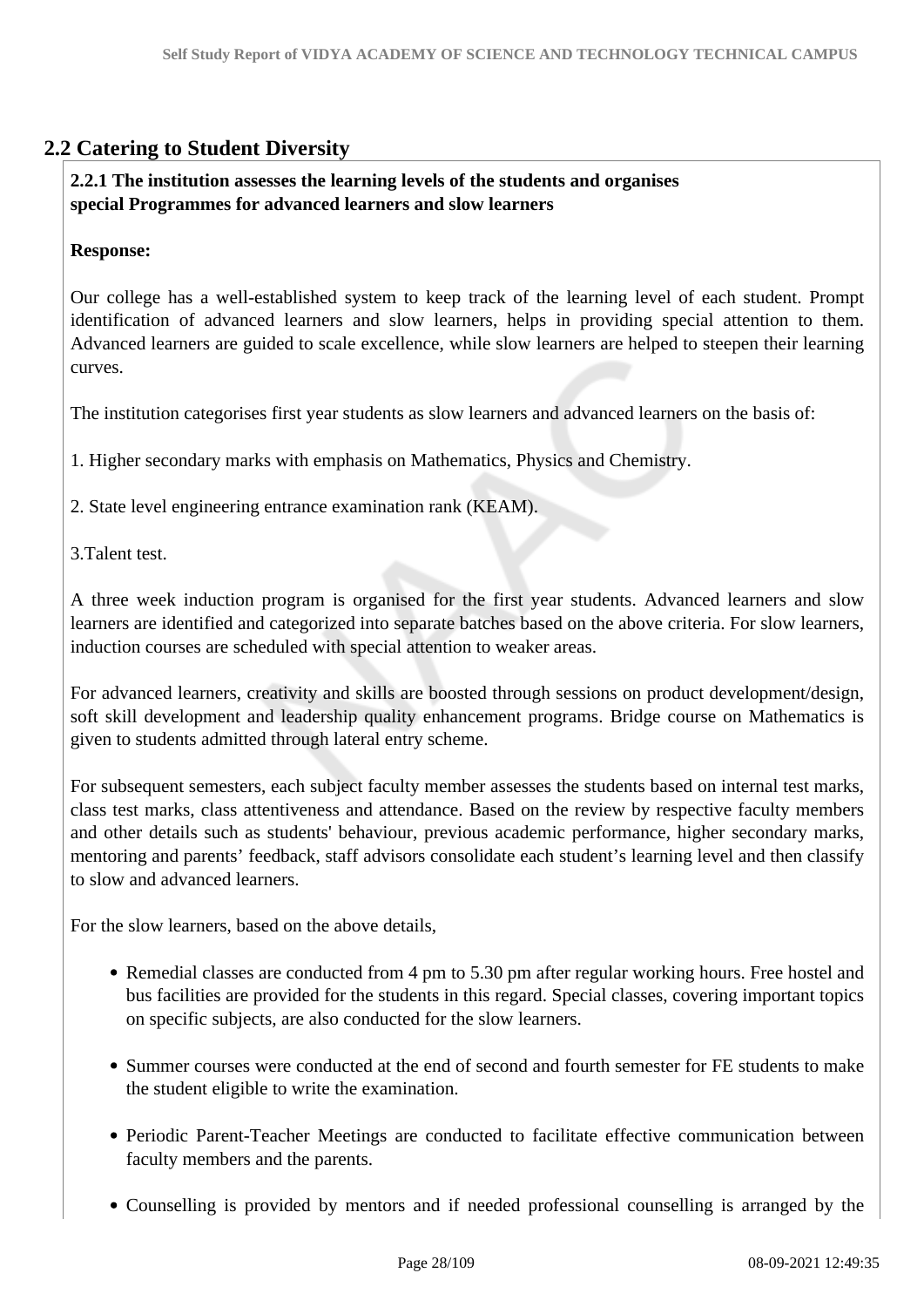# **2.2 Catering to Student Diversity**

### **2.2.1 The institution assesses the learning levels of the students and organises special Programmes for advanced learners and slow learners**

### **Response:**

Our college has a well-established system to keep track of the learning level of each student. Prompt identification of advanced learners and slow learners, helps in providing special attention to them. Advanced learners are guided to scale excellence, while slow learners are helped to steepen their learning curves.

The institution categorises first year students as slow learners and advanced learners on the basis of:

1. Higher secondary marks with emphasis on Mathematics, Physics and Chemistry.

2. State level engineering entrance examination rank (KEAM).

3.Talent test.

A three week induction program is organised for the first year students. Advanced learners and slow learners are identified and categorized into separate batches based on the above criteria. For slow learners, induction courses are scheduled with special attention to weaker areas.

For advanced learners, creativity and skills are boosted through sessions on product development/design, soft skill development and leadership quality enhancement programs. Bridge course on Mathematics is given to students admitted through lateral entry scheme.

For subsequent semesters, each subject faculty member assesses the students based on internal test marks, class test marks, class attentiveness and attendance. Based on the review by respective faculty members and other details such as students' behaviour, previous academic performance, higher secondary marks, mentoring and parents' feedback, staff advisors consolidate each student's learning level and then classify to slow and advanced learners.

For the slow learners, based on the above details,

- Remedial classes are conducted from 4 pm to 5.30 pm after regular working hours. Free hostel and bus facilities are provided for the students in this regard. Special classes, covering important topics on specific subjects, are also conducted for the slow learners.
- Summer courses were conducted at the end of second and fourth semester for FE students to make the student eligible to write the examination.
- Periodic Parent-Teacher Meetings are conducted to facilitate effective communication between faculty members and the parents.
- Counselling is provided by mentors and if needed professional counselling is arranged by the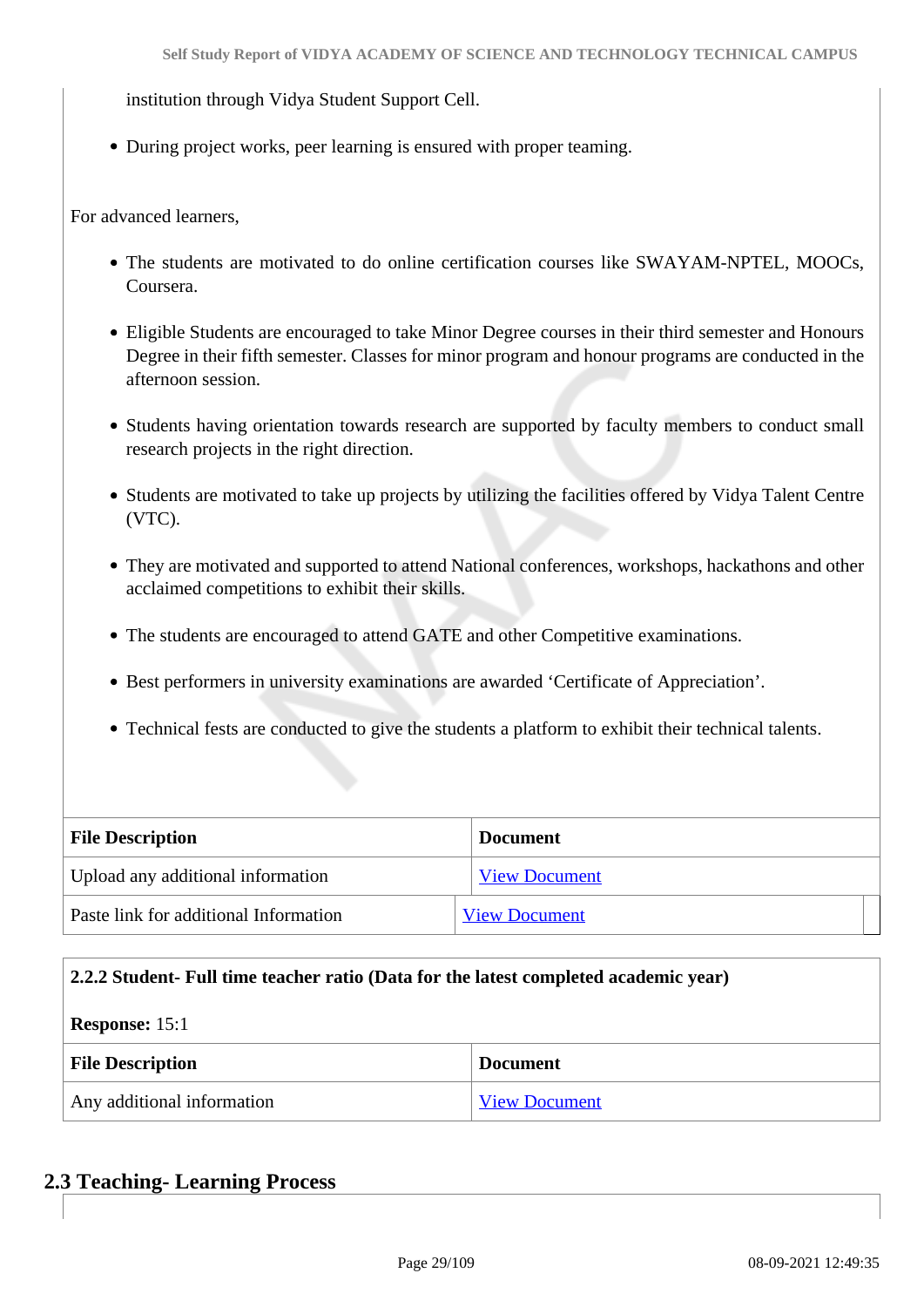institution through Vidya Student Support Cell.

During project works, peer learning is ensured with proper teaming.

For advanced learners,

- The students are motivated to do online certification courses like SWAYAM-NPTEL, MOOCs, Coursera.
- Eligible Students are encouraged to take Minor Degree courses in their third semester and Honours Degree in their fifth semester. Classes for minor program and honour programs are conducted in the afternoon session.
- Students having orientation towards research are supported by faculty members to conduct small research projects in the right direction.
- Students are motivated to take up projects by utilizing the facilities offered by Vidya Talent Centre (VTC).
- They are motivated and supported to attend National conferences, workshops, hackathons and other acclaimed competitions to exhibit their skills.
- The students are encouraged to attend GATE and other Competitive examinations.
- Best performers in university examinations are awarded 'Certificate of Appreciation'.
- Technical fests are conducted to give the students a platform to exhibit their technical talents.

| <b>File Description</b>               | <b>Document</b>      |
|---------------------------------------|----------------------|
| Upload any additional information     | <b>View Document</b> |
| Paste link for additional Information | <b>View Document</b> |

#### **2.2.2 Student- Full time teacher ratio (Data for the latest completed academic year)**

#### **Response:** 15:1

| <b>File Description</b>    | <b>Document</b>      |
|----------------------------|----------------------|
| Any additional information | <b>View Document</b> |

**2.3 Teaching- Learning Process**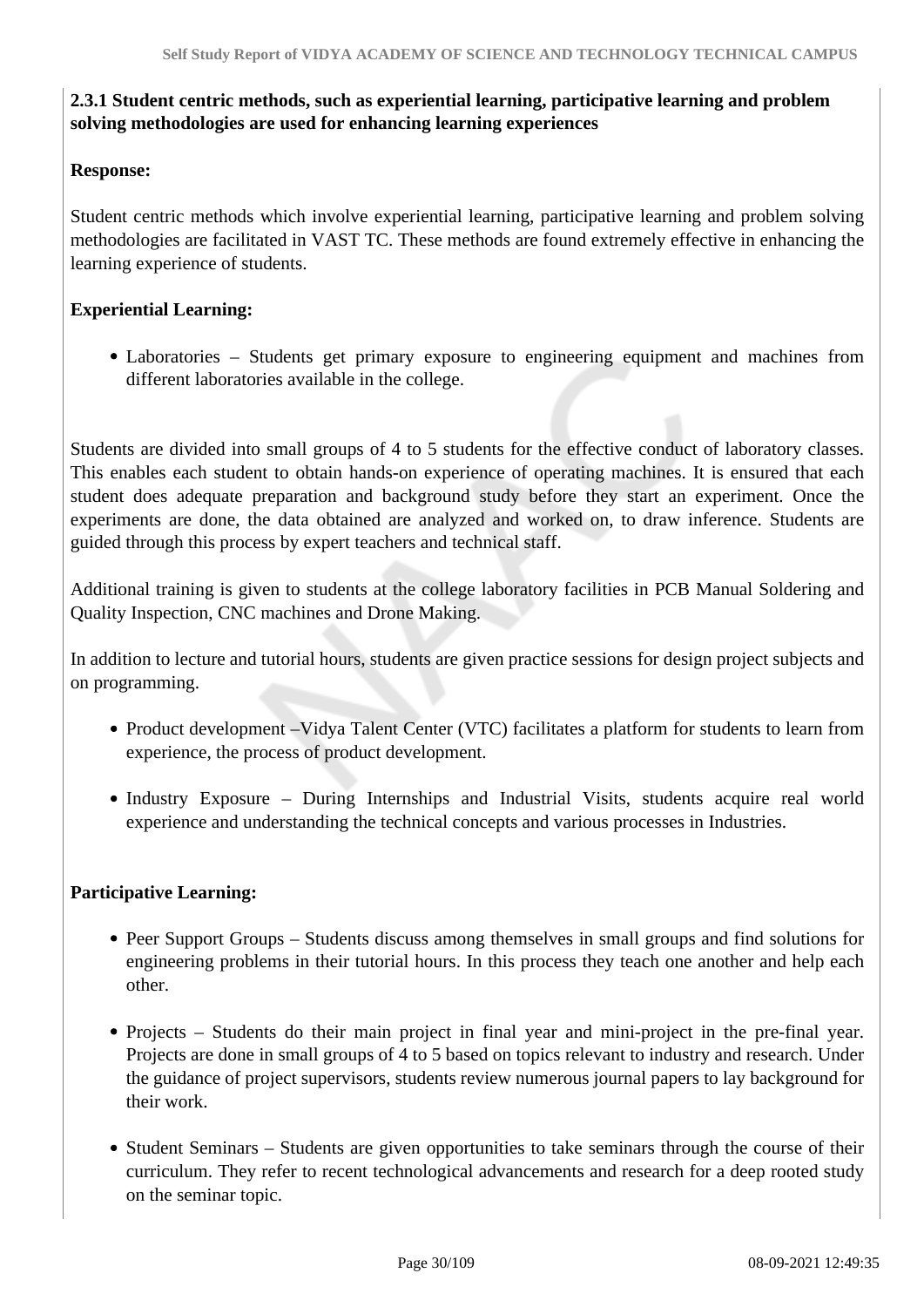# **2.3.1 Student centric methods, such as experiential learning, participative learning and problem solving methodologies are used for enhancing learning experiences**

### **Response:**

Student centric methods which involve experiential learning, participative learning and problem solving methodologies are facilitated in VAST TC. These methods are found extremely effective in enhancing the learning experience of students.

## **Experiential Learning:**

Laboratories – Students get primary exposure to engineering equipment and machines from different laboratories available in the college.

Students are divided into small groups of 4 to 5 students for the effective conduct of laboratory classes. This enables each student to obtain hands-on experience of operating machines. It is ensured that each student does adequate preparation and background study before they start an experiment. Once the experiments are done, the data obtained are analyzed and worked on, to draw inference. Students are guided through this process by expert teachers and technical staff.

Additional training is given to students at the college laboratory facilities in PCB Manual Soldering and Quality Inspection, CNC machines and Drone Making.

In addition to lecture and tutorial hours, students are given practice sessions for design project subjects and on programming.

- Product development –Vidya Talent Center (VTC) facilitates a platform for students to learn from experience, the process of product development.
- Industry Exposure During Internships and Industrial Visits, students acquire real world experience and understanding the technical concepts and various processes in Industries.

### **Participative Learning:**

- Peer Support Groups Students discuss among themselves in small groups and find solutions for engineering problems in their tutorial hours. In this process they teach one another and help each other.
- Projects Students do their main project in final year and mini-project in the pre-final year. Projects are done in small groups of 4 to 5 based on topics relevant to industry and research. Under the guidance of project supervisors, students review numerous journal papers to lay background for their work.
- Student Seminars Students are given opportunities to take seminars through the course of their curriculum. They refer to recent technological advancements and research for a deep rooted study on the seminar topic.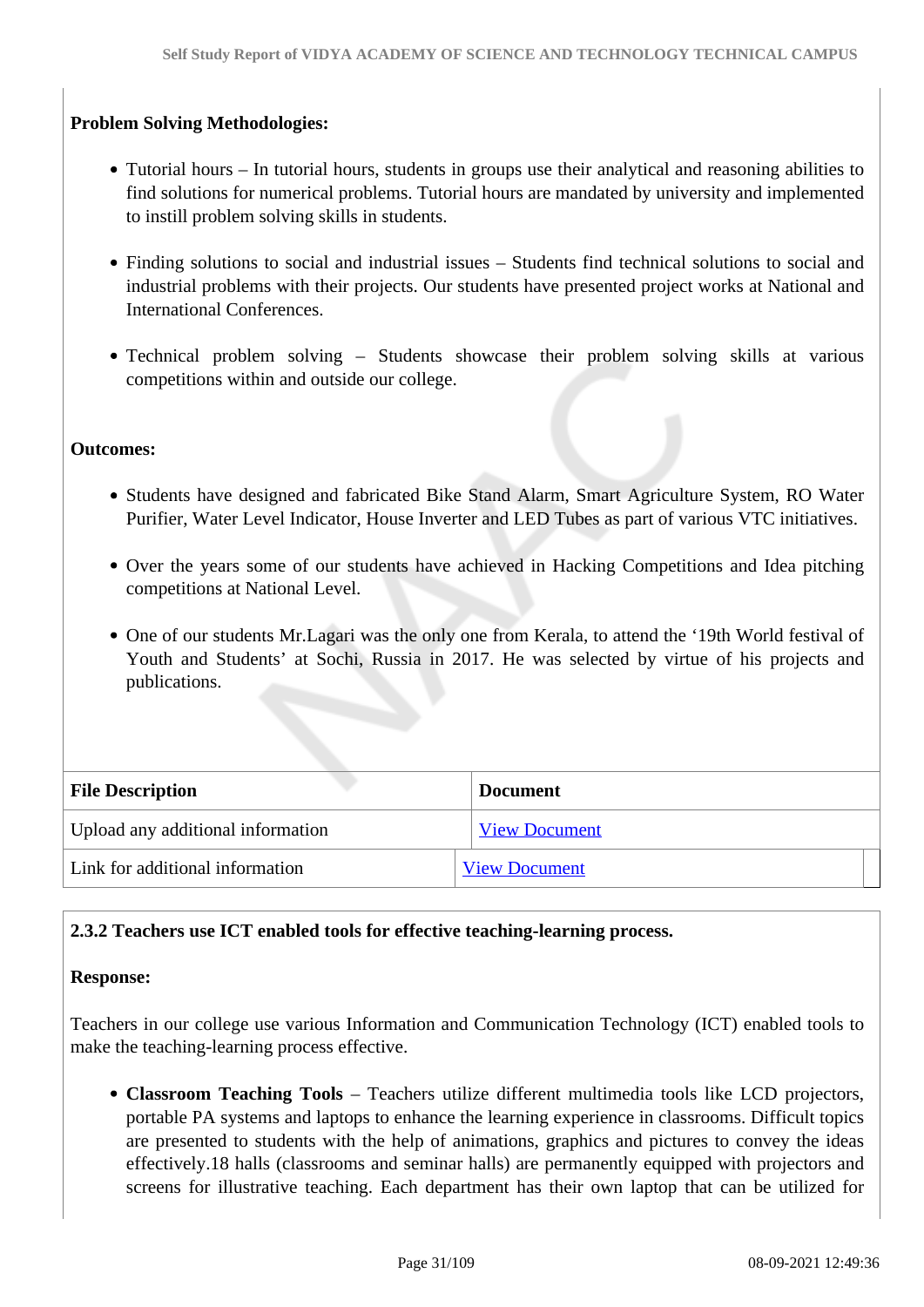# **Problem Solving Methodologies:**

- Tutorial hours In tutorial hours, students in groups use their analytical and reasoning abilities to find solutions for numerical problems. Tutorial hours are mandated by university and implemented to instill problem solving skills in students.
- Finding solutions to social and industrial issues Students find technical solutions to social and industrial problems with their projects. Our students have presented project works at National and International Conferences.
- Technical problem solving Students showcase their problem solving skills at various competitions within and outside our college.

#### **Outcomes:**

- Students have designed and fabricated Bike Stand Alarm, Smart Agriculture System, RO Water Purifier, Water Level Indicator, House Inverter and LED Tubes as part of various VTC initiatives.
- Over the years some of our students have achieved in Hacking Competitions and Idea pitching competitions at National Level.
- One of our students Mr.Lagari was the only one from Kerala, to attend the '19th World festival of Youth and Students' at Sochi, Russia in 2017. He was selected by virtue of his projects and publications.

| <b>File Description</b>           | <b>Document</b>      |  |
|-----------------------------------|----------------------|--|
| Upload any additional information | <b>View Document</b> |  |
| Link for additional information   | <b>View Document</b> |  |

### **2.3.2 Teachers use ICT enabled tools for effective teaching-learning process.**

#### **Response:**

Teachers in our college use various Information and Communication Technology (ICT) enabled tools to make the teaching-learning process effective.

**Classroom Teaching Tools** – Teachers utilize different multimedia tools like LCD projectors, portable PA systems and laptops to enhance the learning experience in classrooms. Difficult topics are presented to students with the help of animations, graphics and pictures to convey the ideas effectively.18 halls (classrooms and seminar halls) are permanently equipped with projectors and screens for illustrative teaching. Each department has their own laptop that can be utilized for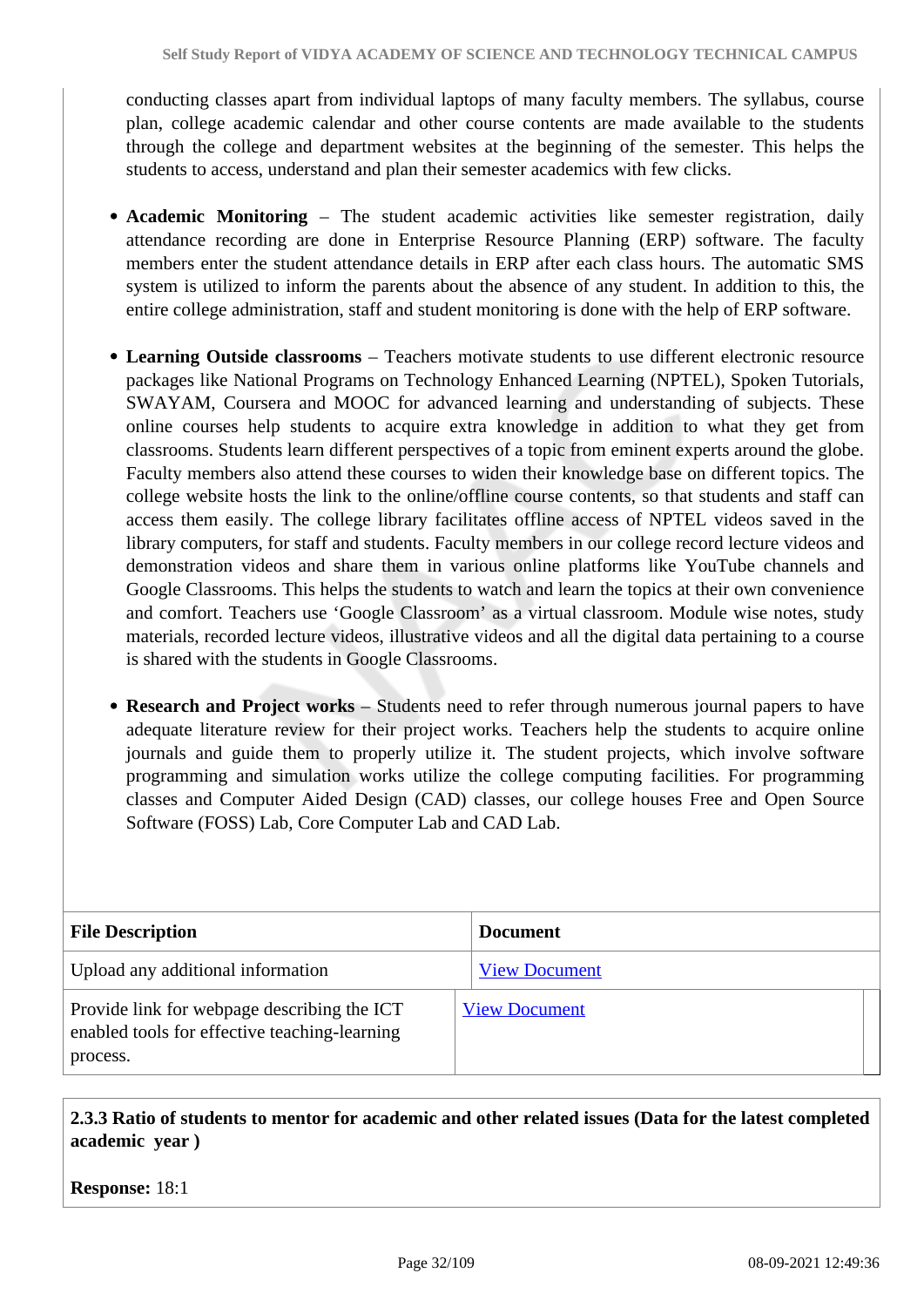conducting classes apart from individual laptops of many faculty members. The syllabus, course plan, college academic calendar and other course contents are made available to the students through the college and department websites at the beginning of the semester. This helps the students to access, understand and plan their semester academics with few clicks.

- **Academic Monitoring** The student academic activities like semester registration, daily attendance recording are done in Enterprise Resource Planning (ERP) software. The faculty members enter the student attendance details in ERP after each class hours. The automatic SMS system is utilized to inform the parents about the absence of any student. In addition to this, the entire college administration, staff and student monitoring is done with the help of ERP software.
- **Learning Outside classrooms**  Teachers motivate students to use different electronic resource packages like National Programs on Technology Enhanced Learning (NPTEL), Spoken Tutorials, SWAYAM, Coursera and MOOC for advanced learning and understanding of subjects. These online courses help students to acquire extra knowledge in addition to what they get from classrooms. Students learn different perspectives of a topic from eminent experts around the globe. Faculty members also attend these courses to widen their knowledge base on different topics. The college website hosts the link to the online/offline course contents, so that students and staff can access them easily. The college library facilitates offline access of NPTEL videos saved in the library computers, for staff and students. Faculty members in our college record lecture videos and demonstration videos and share them in various online platforms like YouTube channels and Google Classrooms. This helps the students to watch and learn the topics at their own convenience and comfort. Teachers use 'Google Classroom' as a virtual classroom. Module wise notes, study materials, recorded lecture videos, illustrative videos and all the digital data pertaining to a course is shared with the students in Google Classrooms.
- **Research and Project works** Students need to refer through numerous journal papers to have adequate literature review for their project works. Teachers help the students to acquire online journals and guide them to properly utilize it. The student projects, which involve software programming and simulation works utilize the college computing facilities. For programming classes and Computer Aided Design (CAD) classes, our college houses Free and Open Source Software (FOSS) Lab, Core Computer Lab and CAD Lab.

| <b>File Description</b>                                                                                  | Document             |
|----------------------------------------------------------------------------------------------------------|----------------------|
| Upload any additional information                                                                        | <b>View Document</b> |
| Provide link for webpage describing the ICT<br>enabled tools for effective teaching-learning<br>process. | <b>View Document</b> |

 **2.3.3 Ratio of students to mentor for academic and other related issues (Data for the latest completed academic year )**

**Response:** 18:1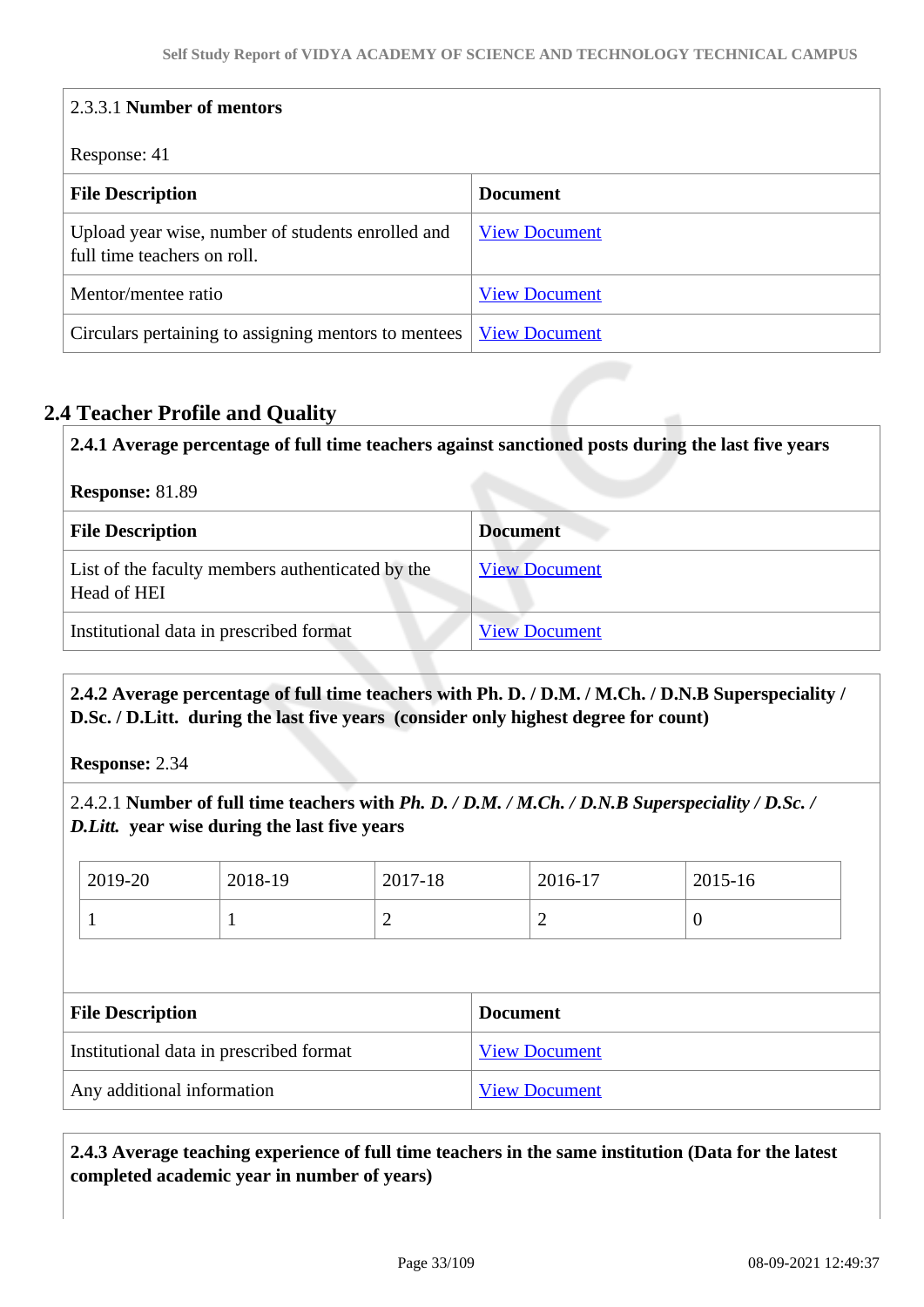| 2.3.3.1 Number of mentors                                                        |                      |  |
|----------------------------------------------------------------------------------|----------------------|--|
| Response: 41                                                                     |                      |  |
| <b>File Description</b>                                                          | <b>Document</b>      |  |
| Upload year wise, number of students enrolled and<br>full time teachers on roll. | <b>View Document</b> |  |
| Mentor/mentee ratio                                                              | <b>View Document</b> |  |
| Circulars pertaining to assigning mentors to mentees                             | <b>View Document</b> |  |

# **2.4 Teacher Profile and Quality**

| 2.4.1 Average percentage of full time teachers against sanctioned posts during the last five years<br><b>Response: 81.89</b> |                      |
|------------------------------------------------------------------------------------------------------------------------------|----------------------|
|                                                                                                                              |                      |
| List of the faculty members authenticated by the<br>Head of HEI                                                              | <b>View Document</b> |
| Institutional data in prescribed format                                                                                      | <b>View Document</b> |

### **2.4.2 Average percentage of full time teachers with Ph. D. / D.M. / M.Ch. / D.N.B Superspeciality / D.Sc. / D.Litt. during the last five years (consider only highest degree for count)**

**Response:** 2.34

2.4.2.1 **Number of full time teachers with** *Ph. D. / D.M. / M.Ch. / D.N.B Superspeciality / D.Sc. / D.Litt.* **year wise during the last five years**

|                                         | 2019-20 | 2018-19              | 2017-18         |  | 2016-17 | 2015-16        |
|-----------------------------------------|---------|----------------------|-----------------|--|---------|----------------|
|                                         |         |                      | $\overline{2}$  |  | 2       | $\overline{0}$ |
|                                         |         |                      |                 |  |         |                |
| <b>File Description</b>                 |         |                      | <b>Document</b> |  |         |                |
| Institutional data in prescribed format |         | <b>View Document</b> |                 |  |         |                |
|                                         |         |                      |                 |  |         |                |

# **2.4.3 Average teaching experience of full time teachers in the same institution (Data for the latest completed academic year in number of years)**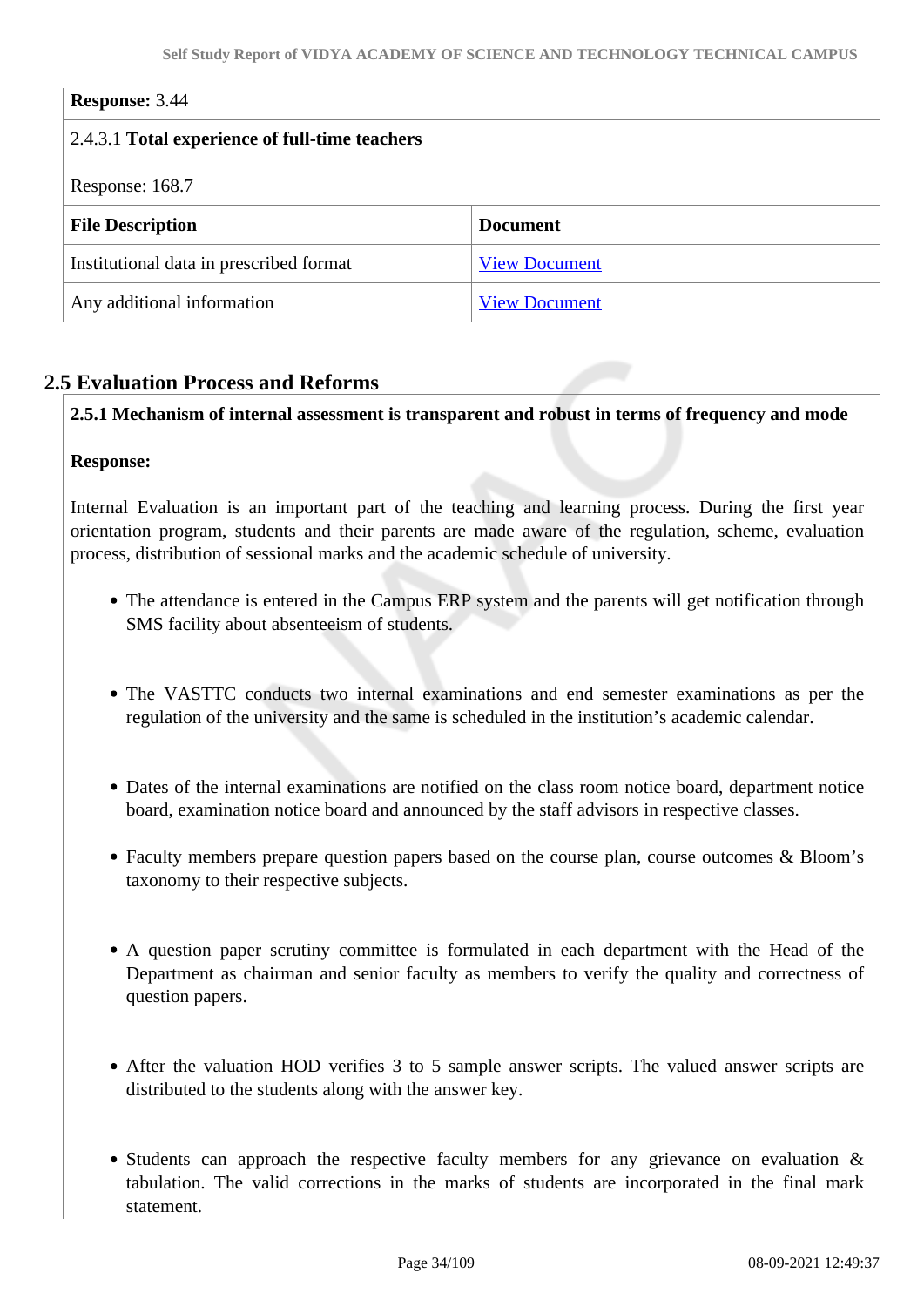#### **Response:** 3.44

| 2.4.3.1 Total experience of full-time teachers |                      |  |
|------------------------------------------------|----------------------|--|
| Response: 168.7                                |                      |  |
| <b>File Description</b>                        | <b>Document</b>      |  |
| Institutional data in prescribed format        | <b>View Document</b> |  |
| Any additional information                     | <b>View Document</b> |  |

# **2.5 Evaluation Process and Reforms**

**2.5.1 Mechanism of internal assessment is transparent and robust in terms of frequency and mode**

#### **Response:**

Internal Evaluation is an important part of the teaching and learning process. During the first year orientation program, students and their parents are made aware of the regulation, scheme, evaluation process, distribution of sessional marks and the academic schedule of university.

- The attendance is entered in the Campus ERP system and the parents will get notification through SMS facility about absenteeism of students.
- The VASTTC conducts two internal examinations and end semester examinations as per the regulation of the university and the same is scheduled in the institution's academic calendar.
- Dates of the internal examinations are notified on the class room notice board, department notice board, examination notice board and announced by the staff advisors in respective classes.
- Faculty members prepare question papers based on the course plan, course outcomes & Bloom's taxonomy to their respective subjects.
- A question paper scrutiny committee is formulated in each department with the Head of the Department as chairman and senior faculty as members to verify the quality and correctness of question papers.
- After the valuation HOD verifies 3 to 5 sample answer scripts. The valued answer scripts are distributed to the students along with the answer key.
- Students can approach the respective faculty members for any grievance on evaluation  $\&$ tabulation. The valid corrections in the marks of students are incorporated in the final mark statement.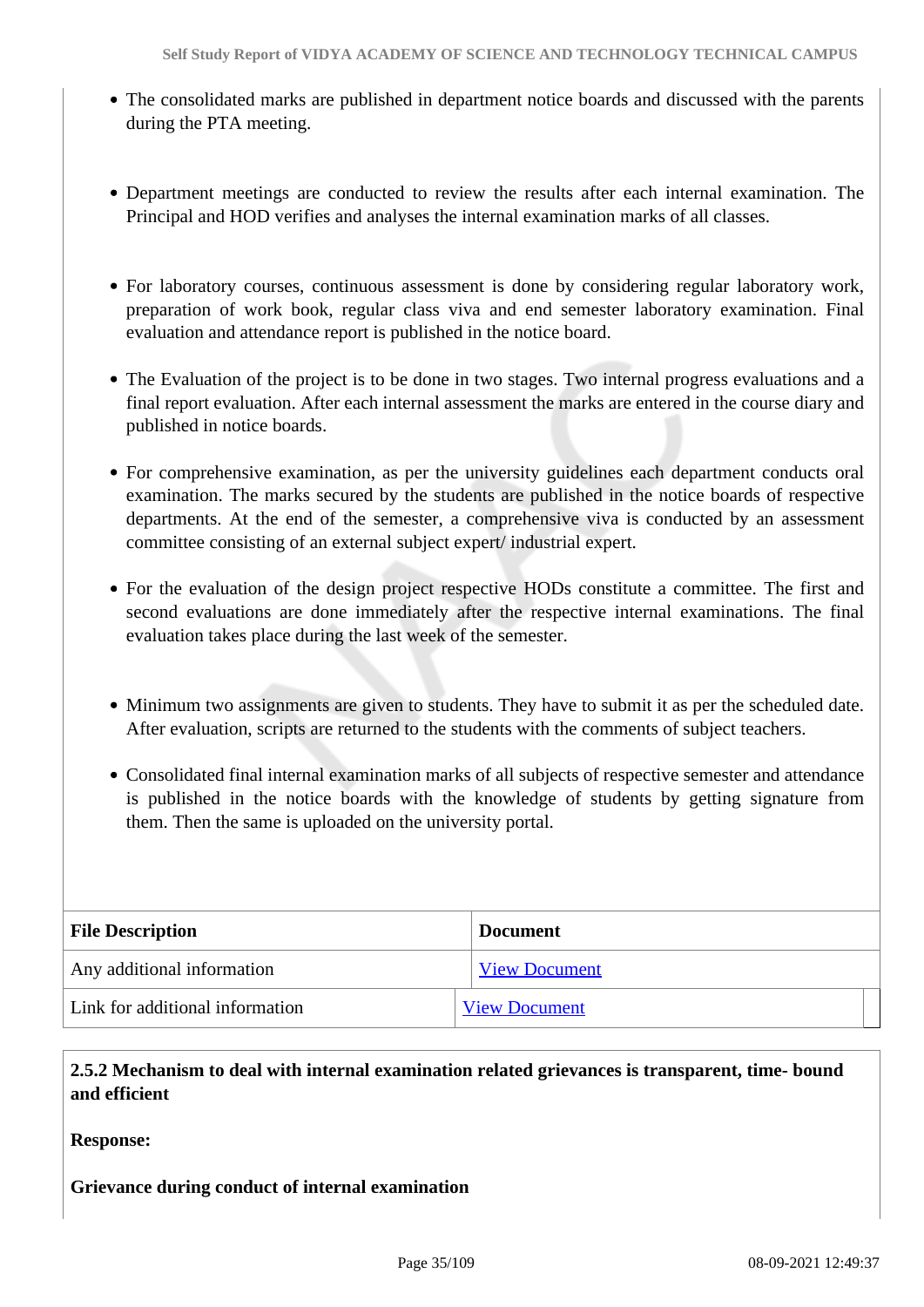- The consolidated marks are published in department notice boards and discussed with the parents during the PTA meeting.
- Department meetings are conducted to review the results after each internal examination. The Principal and HOD verifies and analyses the internal examination marks of all classes.
- For laboratory courses, continuous assessment is done by considering regular laboratory work, preparation of work book, regular class viva and end semester laboratory examination. Final evaluation and attendance report is published in the notice board.
- The Evaluation of the project is to be done in two stages. Two internal progress evaluations and a final report evaluation. After each internal assessment the marks are entered in the course diary and published in notice boards.
- For comprehensive examination, as per the university guidelines each department conducts oral examination. The marks secured by the students are published in the notice boards of respective departments. At the end of the semester, a comprehensive viva is conducted by an assessment committee consisting of an external subject expert/ industrial expert.
- For the evaluation of the design project respective HODs constitute a committee. The first and second evaluations are done immediately after the respective internal examinations. The final evaluation takes place during the last week of the semester.
- Minimum two assignments are given to students. They have to submit it as per the scheduled date. After evaluation, scripts are returned to the students with the comments of subject teachers.
- Consolidated final internal examination marks of all subjects of respective semester and attendance is published in the notice boards with the knowledge of students by getting signature from them. Then the same is uploaded on the university portal.

| <b>File Description</b>         | <b>Document</b>      |  |
|---------------------------------|----------------------|--|
| Any additional information      | <b>View Document</b> |  |
| Link for additional information | <b>View Document</b> |  |

 **2.5.2 Mechanism to deal with internal examination related grievances is transparent, time- bound and efficient** 

### **Response:**

# **Grievance during conduct of internal examination**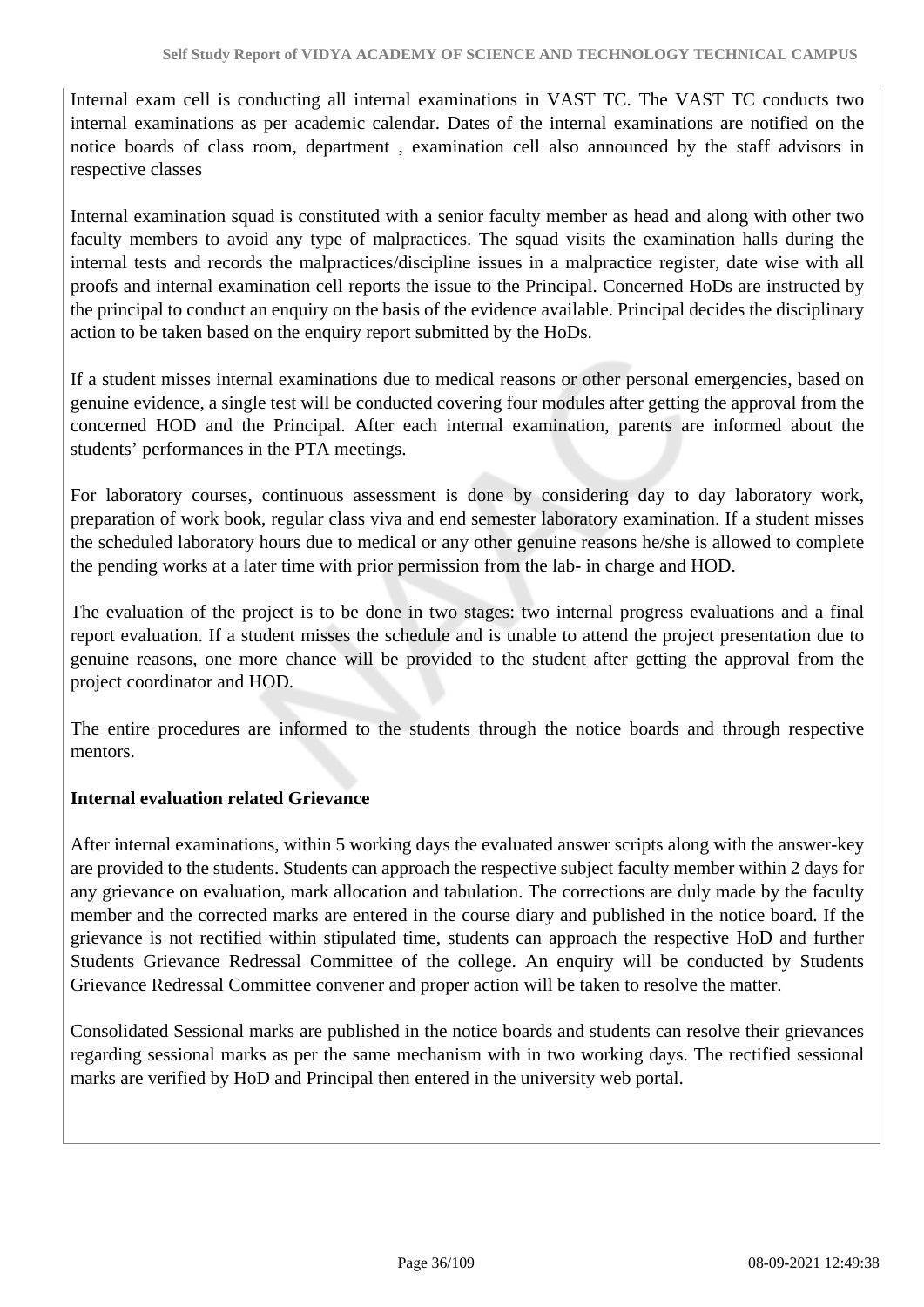Internal exam cell is conducting all internal examinations in VAST TC. The VAST TC conducts two internal examinations as per academic calendar. Dates of the internal examinations are notified on the notice boards of class room, department , examination cell also announced by the staff advisors in respective classes

Internal examination squad is constituted with a senior faculty member as head and along with other two faculty members to avoid any type of malpractices. The squad visits the examination halls during the internal tests and records the malpractices/discipline issues in a malpractice register, date wise with all proofs and internal examination cell reports the issue to the Principal. Concerned HoDs are instructed by the principal to conduct an enquiry on the basis of the evidence available. Principal decides the disciplinary action to be taken based on the enquiry report submitted by the HoDs.

If a student misses internal examinations due to medical reasons or other personal emergencies, based on genuine evidence, a single test will be conducted covering four modules after getting the approval from the concerned HOD and the Principal. After each internal examination, parents are informed about the students' performances in the PTA meetings.

For laboratory courses, continuous assessment is done by considering day to day laboratory work, preparation of work book, regular class viva and end semester laboratory examination. If a student misses the scheduled laboratory hours due to medical or any other genuine reasons he/she is allowed to complete the pending works at a later time with prior permission from the lab- in charge and HOD.

The evaluation of the project is to be done in two stages: two internal progress evaluations and a final report evaluation. If a student misses the schedule and is unable to attend the project presentation due to genuine reasons, one more chance will be provided to the student after getting the approval from the project coordinator and HOD.

The entire procedures are informed to the students through the notice boards and through respective mentors.

### **Internal evaluation related Grievance**

After internal examinations, within 5 working days the evaluated answer scripts along with the answer-key are provided to the students. Students can approach the respective subject faculty member within 2 days for any grievance on evaluation, mark allocation and tabulation. The corrections are duly made by the faculty member and the corrected marks are entered in the course diary and published in the notice board. If the grievance is not rectified within stipulated time, students can approach the respective HoD and further Students Grievance Redressal Committee of the college. An enquiry will be conducted by Students Grievance Redressal Committee convener and proper action will be taken to resolve the matter.

Consolidated Sessional marks are published in the notice boards and students can resolve their grievances regarding sessional marks as per the same mechanism with in two working days. The rectified sessional marks are verified by HoD and Principal then entered in the university web portal.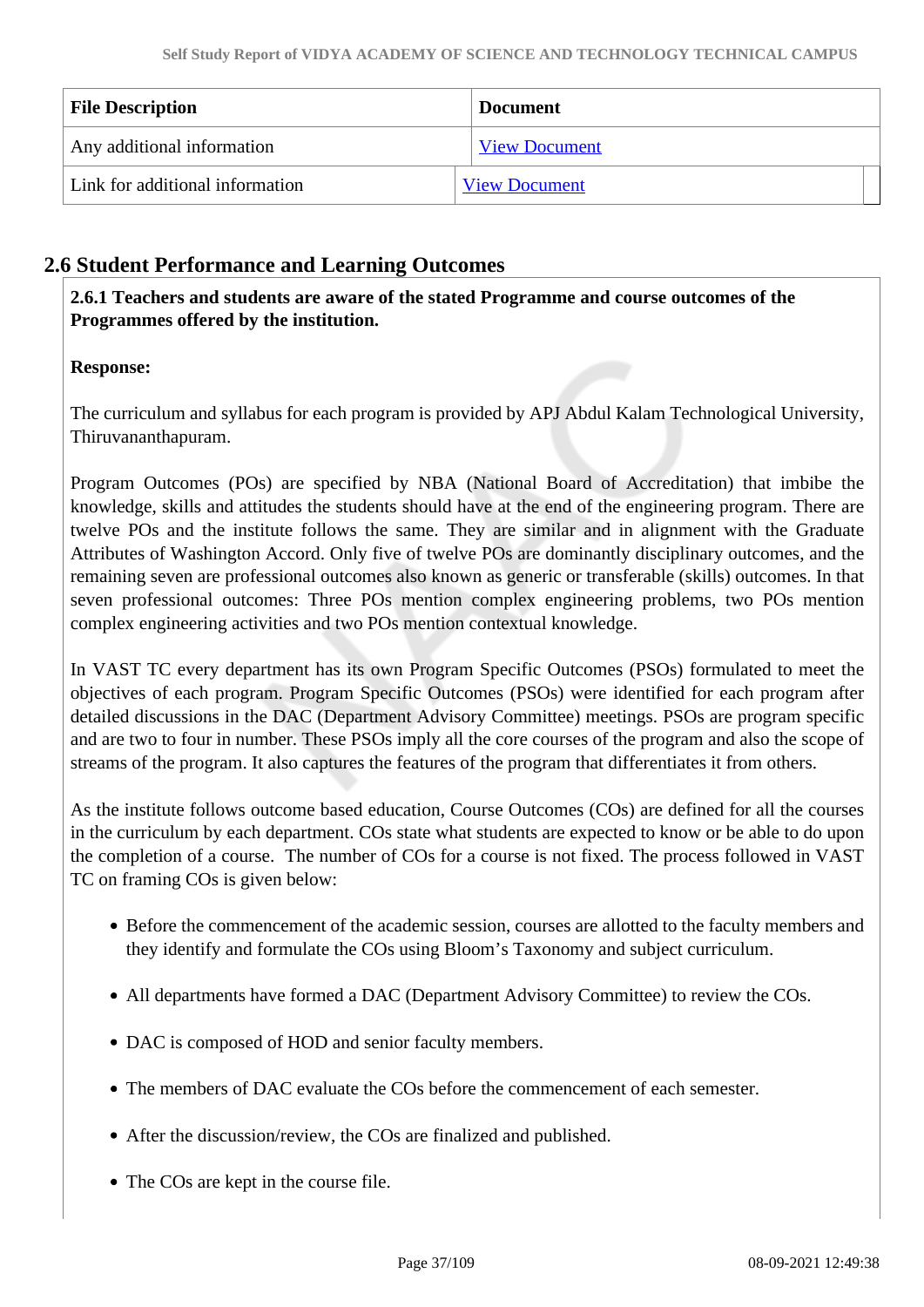| <b>File Description</b>         | <b>Document</b>      |
|---------------------------------|----------------------|
| Any additional information      | <b>View Document</b> |
| Link for additional information | <b>View Document</b> |

# **2.6 Student Performance and Learning Outcomes**

 **2.6.1 Teachers and students are aware of the stated Programme and course outcomes of the Programmes offered by the institution.**

# **Response:**

The curriculum and syllabus for each program is provided by APJ Abdul Kalam Technological University, Thiruvananthapuram.

Program Outcomes (POs) are specified by NBA (National Board of Accreditation) that imbibe the knowledge, skills and attitudes the students should have at the end of the engineering program. There are twelve POs and the institute follows the same. They are similar and in alignment with the Graduate Attributes of Washington Accord. Only five of twelve POs are dominantly disciplinary outcomes, and the remaining seven are professional outcomes also known as generic or transferable (skills) outcomes. In that seven professional outcomes: Three POs mention complex engineering problems, two POs mention complex engineering activities and two POs mention contextual knowledge.

In VAST TC every department has its own Program Specific Outcomes (PSOs) formulated to meet the objectives of each program. Program Specific Outcomes (PSOs) were identified for each program after detailed discussions in the DAC (Department Advisory Committee) meetings. PSOs are program specific and are two to four in number. These PSOs imply all the core courses of the program and also the scope of streams of the program. It also captures the features of the program that differentiates it from others.

As the institute follows outcome based education, Course Outcomes (COs) are defined for all the courses in the curriculum by each department. COs state what students are expected to know or be able to do upon the completion of a course. The number of COs for a course is not fixed. The process followed in VAST TC on framing COs is given below:

- Before the commencement of the academic session, courses are allotted to the faculty members and they identify and formulate the COs using Bloom's Taxonomy and subject curriculum.
- All departments have formed a DAC (Department Advisory Committee) to review the COs.
- DAC is composed of HOD and senior faculty members.
- The members of DAC evaluate the COs before the commencement of each semester.
- After the discussion/review, the COs are finalized and published.
- The COs are kept in the course file.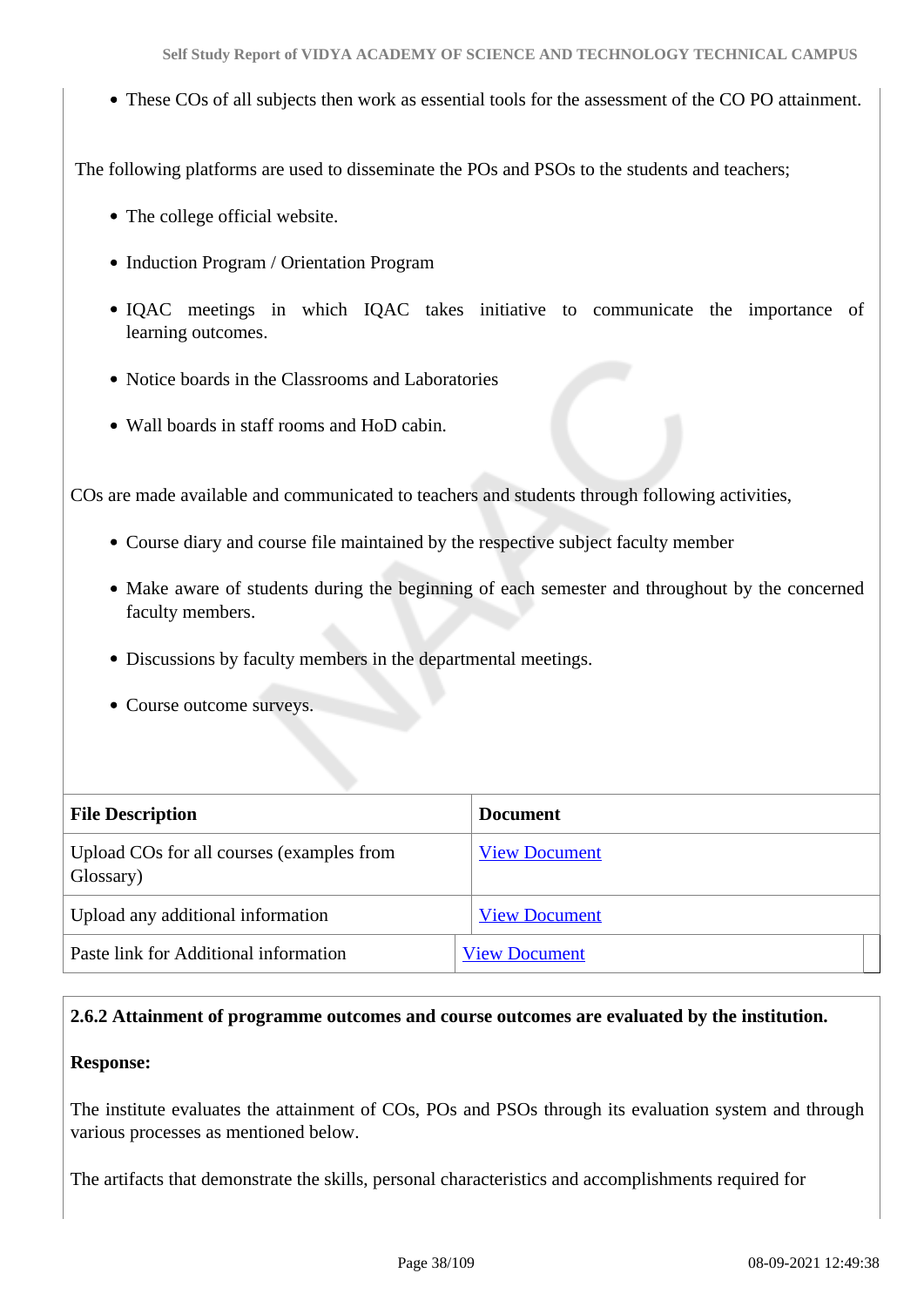These COs of all subjects then work as essential tools for the assessment of the CO PO attainment.

The following platforms are used to disseminate the POs and PSOs to the students and teachers;

- The college official website.
- Induction Program / Orientation Program
- IQAC meetings in which IQAC takes initiative to communicate the importance of learning outcomes.
- Notice boards in the Classrooms and Laboratories
- Wall boards in staff rooms and HoD cabin.

COs are made available and communicated to teachers and students through following activities,

- Course diary and course file maintained by the respective subject faculty member
- Make aware of students during the beginning of each semester and throughout by the concerned faculty members.
- Discussions by faculty members in the departmental meetings.
- Course outcome surveys.

| <b>File Description</b>                                | <b>Document</b>      |
|--------------------------------------------------------|----------------------|
| Upload COs for all courses (examples from<br>Glossary) | <b>View Document</b> |
| Upload any additional information                      | <b>View Document</b> |
| Paste link for Additional information                  | <b>View Document</b> |

# **2.6.2 Attainment of programme outcomes and course outcomes are evaluated by the institution.**

# **Response:**

The institute evaluates the attainment of COs, POs and PSOs through its evaluation system and through various processes as mentioned below.

The artifacts that demonstrate the skills, personal characteristics and accomplishments required for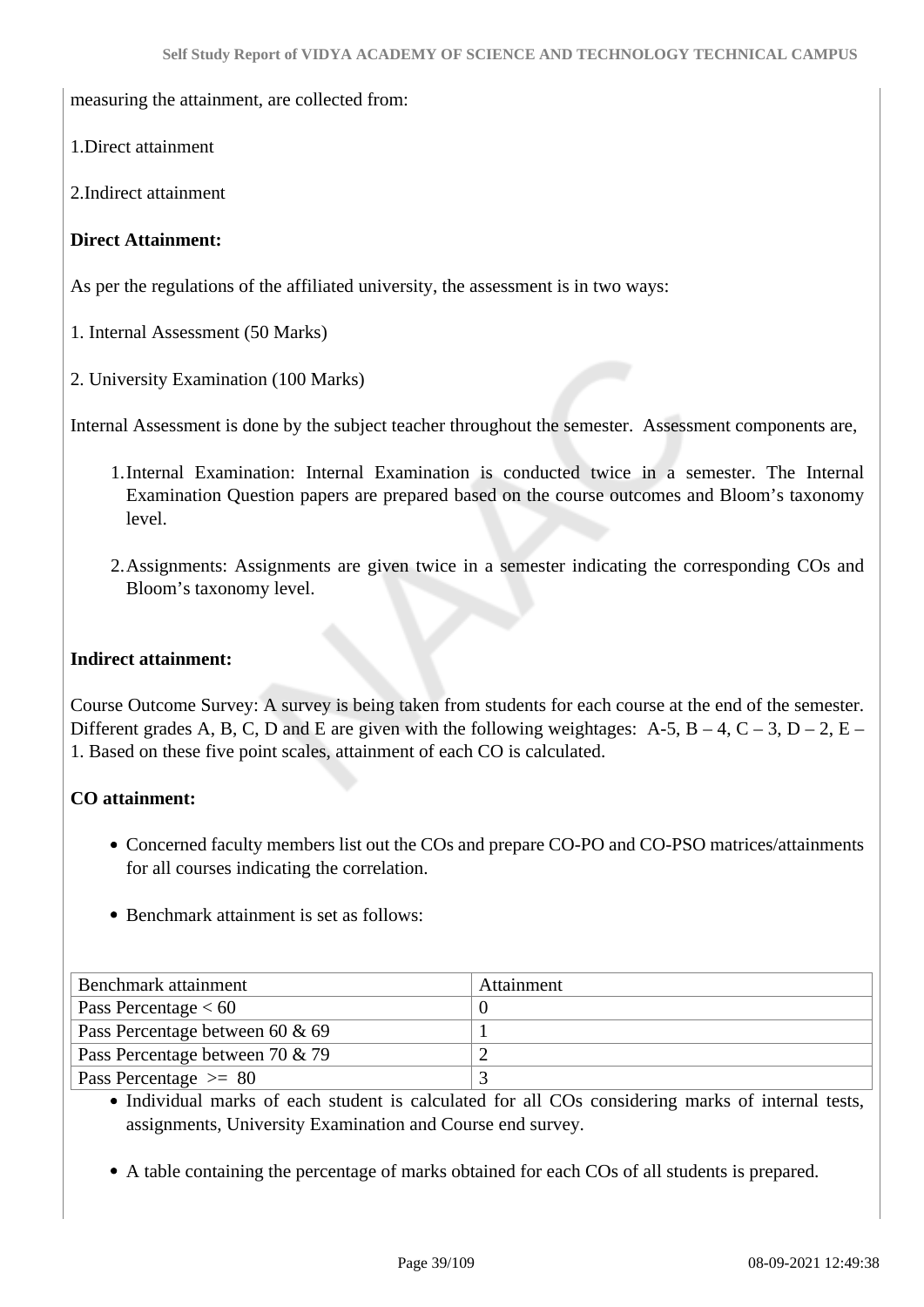measuring the attainment, are collected from:

1.Direct attainment

2.Indirect attainment

#### **Direct Attainment:**

As per the regulations of the affiliated university, the assessment is in two ways:

1. Internal Assessment (50 Marks)

2. University Examination (100 Marks)

Internal Assessment is done by the subject teacher throughout the semester. Assessment components are,

- 1.Internal Examination: Internal Examination is conducted twice in a semester. The Internal Examination Question papers are prepared based on the course outcomes and Bloom's taxonomy level.
- 2.Assignments: Assignments are given twice in a semester indicating the corresponding COs and Bloom's taxonomy level.

#### **Indirect attainment:**

Course Outcome Survey: A survey is being taken from students for each course at the end of the semester. Different grades A, B, C, D and E are given with the following weightages: A-5, B – 4, C – 3, D – 2, E – 1. Based on these five point scales, attainment of each CO is calculated.

#### **CO attainment:**

- Concerned faculty members list out the COs and prepare CO-PO and CO-PSO matrices/attainments for all courses indicating the correlation.
- Benchmark attainment is set as follows:

| Benchmark attainment            | Attainment |
|---------------------------------|------------|
| Pass Percentage $< 60$          |            |
| Pass Percentage between 60 & 69 |            |
| Pass Percentage between 70 & 79 |            |
| Pass Percentage $\geq$ 80       |            |

• Individual marks of each student is calculated for all COs considering marks of internal tests, assignments, University Examination and Course end survey.

A table containing the percentage of marks obtained for each COs of all students is prepared.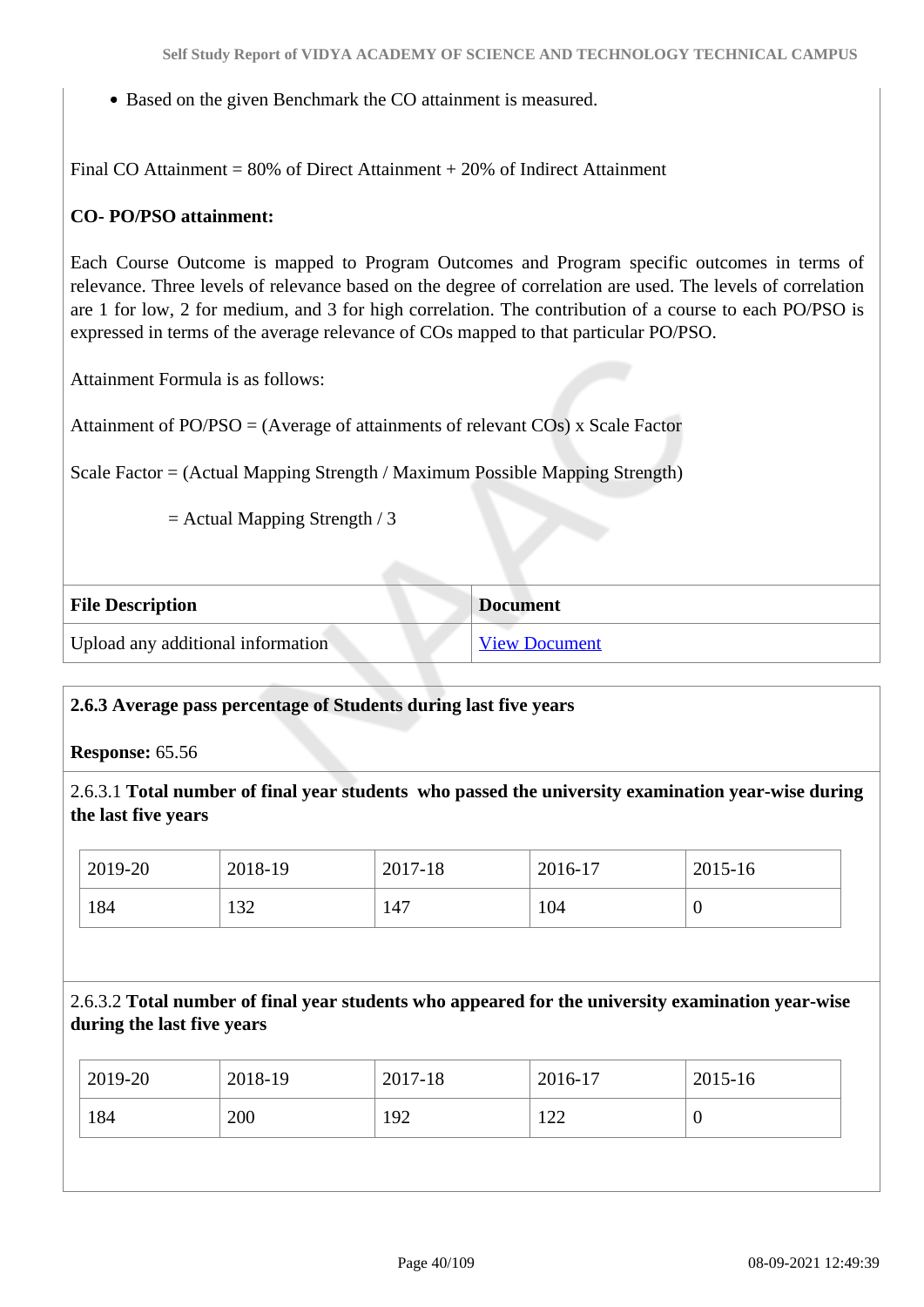• Based on the given Benchmark the CO attainment is measured.

Final CO Attainment = 80% of Direct Attainment + 20% of Indirect Attainment

# **CO- PO/PSO attainment:**

Each Course Outcome is mapped to Program Outcomes and Program specific outcomes in terms of relevance. Three levels of relevance based on the degree of correlation are used. The levels of correlation are 1 for low, 2 for medium, and 3 for high correlation. The contribution of a course to each PO/PSO is expressed in terms of the average relevance of COs mapped to that particular PO/PSO.

Attainment Formula is as follows:

Attainment of PO/PSO = (Average of attainments of relevant COs) x Scale Factor

Scale Factor = (Actual Mapping Strength / Maximum Possible Mapping Strength)

= Actual Mapping Strength / 3

| <b>File Description</b>           | <b>Document</b>      |
|-----------------------------------|----------------------|
| Upload any additional information | <b>View Document</b> |

#### **2.6.3 Average pass percentage of Students during last five years**

**Response:** 65.56

2.6.3.1 **Total number of final year students who passed the university examination year-wise during the last five years**

| 2019-20 | 2018-19 | 2017-18 | 2016-17 | 2015-16 |
|---------|---------|---------|---------|---------|
| 184     | 132     | 147     | 104     | U       |

# 2.6.3.2 **Total number of final year students who appeared for the university examination year-wise during the last five years**

| 2019-20<br>2018-19<br>2017-18<br>2016-17<br>2015-16 |  |
|-----------------------------------------------------|--|
| 184<br>200<br>192<br>122<br>ν                       |  |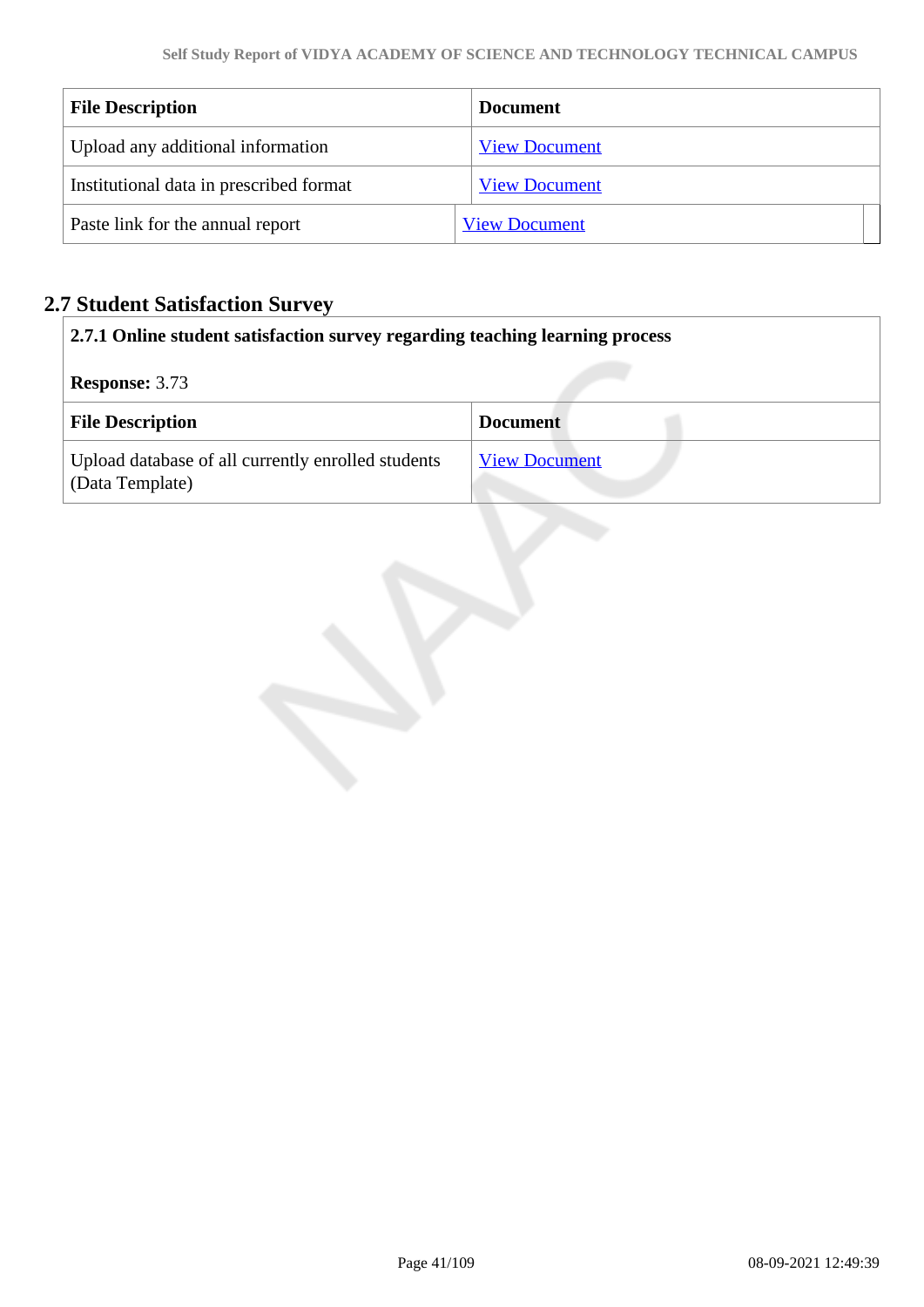| <b>File Description</b>                 | <b>Document</b>      |
|-----------------------------------------|----------------------|
| Upload any additional information       | <b>View Document</b> |
| Institutional data in prescribed format | <b>View Document</b> |
| Paste link for the annual report        | <b>View Document</b> |

# **2.7 Student Satisfaction Survey**

| 2.7.1 Online student satisfaction survey regarding teaching learning process |                      |
|------------------------------------------------------------------------------|----------------------|
| <b>Response: 3.73</b>                                                        |                      |
| <b>File Description</b>                                                      | <b>Document</b>      |
| Upload database of all currently enrolled students<br>(Data Template)        | <b>View Document</b> |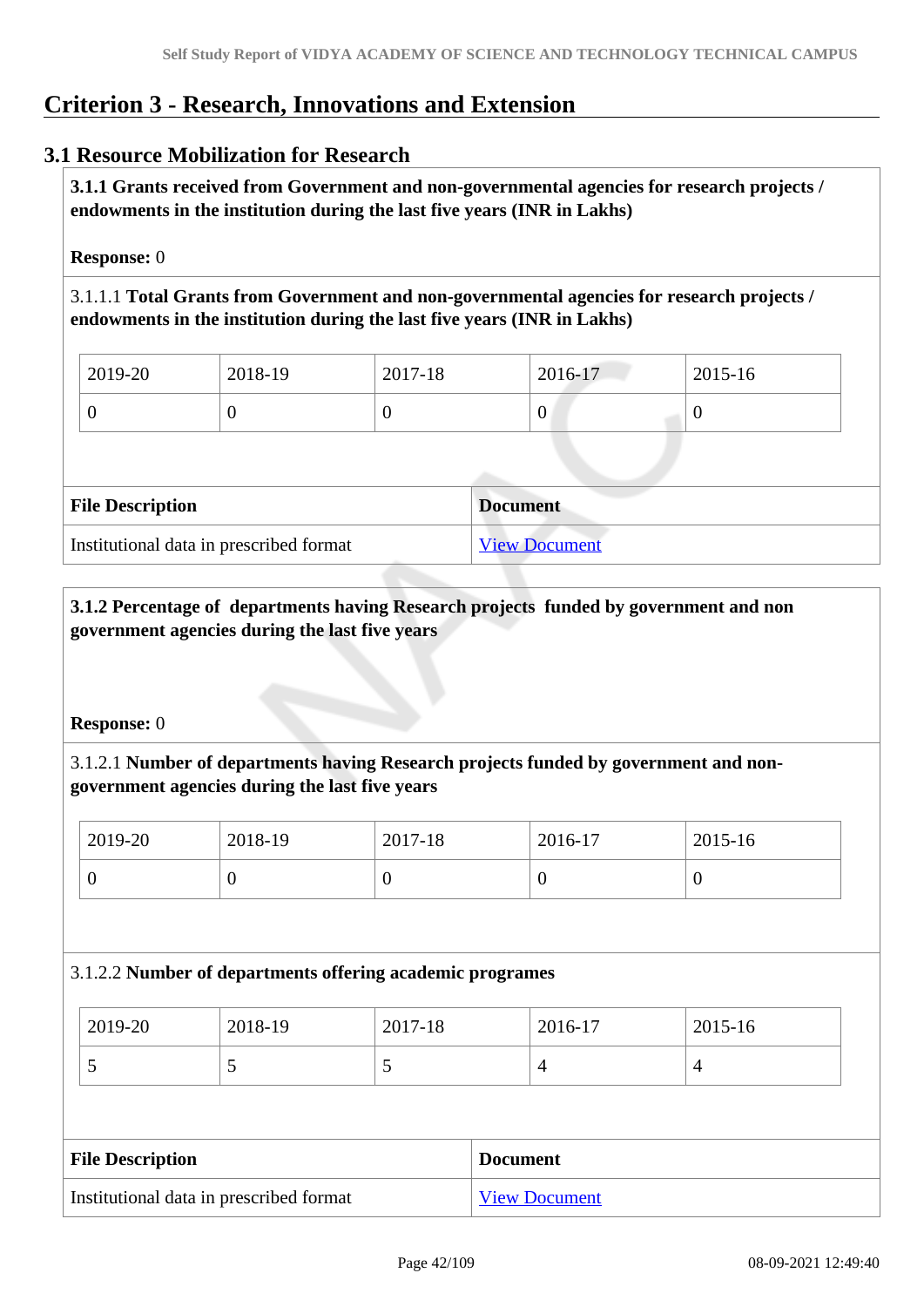# **Criterion 3 - Research, Innovations and Extension**

# **3.1 Resource Mobilization for Research**

 **3.1.1 Grants received from Government and non-governmental agencies for research projects / endowments in the institution during the last five years (INR in Lakhs)** 

**Response:** 0

3.1.1.1 **Total Grants from Government and non-governmental agencies for research projects / endowments in the institution during the last five years (INR in Lakhs)**

| $12019-20$ | 2018-19 | 2017-18 | 2016-17 | $2015 - 16$ |
|------------|---------|---------|---------|-------------|
|            | ν       |         | U       |             |

| <b>File Description</b>                 | <b>Document</b>      |
|-----------------------------------------|----------------------|
| Institutional data in prescribed format | <b>View Document</b> |

 **3.1.2 Percentage of departments having Research projects funded by government and non government agencies during the last five years**

**Response:** 0

3.1.2.1 **Number of departments having Research projects funded by government and nongovernment agencies during the last five years**

| 2019-20 | 2018-19 | 2017-18 | 2016-17 | 2015-16 |
|---------|---------|---------|---------|---------|
|         | ິ       |         |         | ν       |

# 3.1.2.2 **Number of departments offering academic programes**

| $\frac{1}{2019}$ -20 | 2018-19 | 2017-18 | 2016-17 | 2015-16 |
|----------------------|---------|---------|---------|---------|
| ~                    | ັ       | ັ       |         |         |

| <b>File Description</b>                 | <b>Document</b>      |
|-----------------------------------------|----------------------|
| Institutional data in prescribed format | <b>View Document</b> |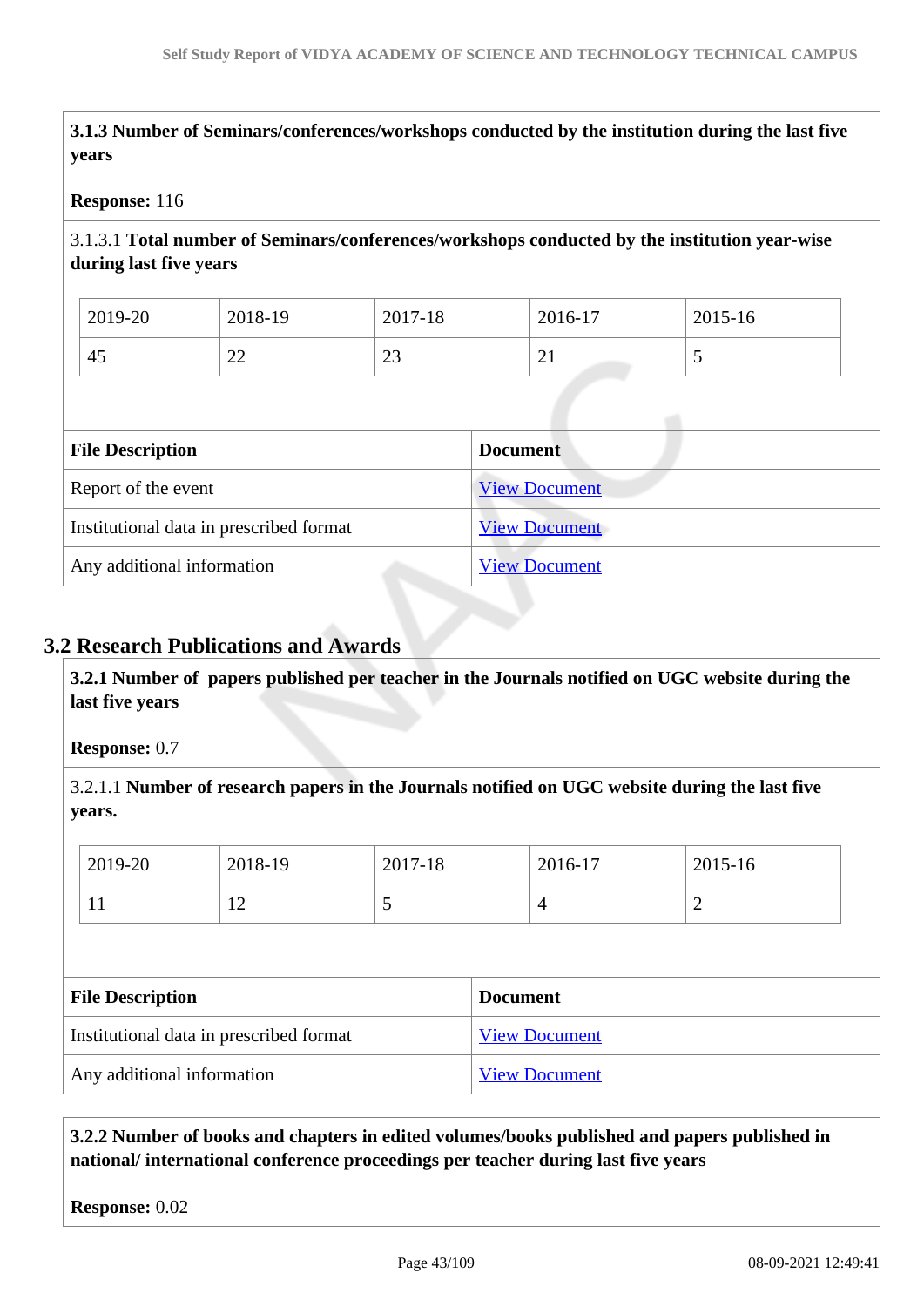**3.1.3 Number of Seminars/conferences/workshops conducted by the institution during the last five years**

#### **Response:** 116

3.1.3.1 **Total number of Seminars/conferences/workshops conducted by the institution year-wise during last five years** 

| 2019-20 | 2018-19      | 2017-18      | 2016-17  | 2015-16 |
|---------|--------------|--------------|----------|---------|
| -<br>45 | $\sim$<br>∠∠ | $\sim$<br>رے | $\sim$ 1 | ັ       |

| <b>File Description</b>                 | <b>Document</b>      |
|-----------------------------------------|----------------------|
| Report of the event                     | <b>View Document</b> |
| Institutional data in prescribed format | <b>View Document</b> |
| Any additional information              | <b>View Document</b> |

# **3.2 Research Publications and Awards**

 **3.2.1 Number of papers published per teacher in the Journals notified on UGC website during the last five years** 

**Response:** 0.7

3.2.1.1 **Number of research papers in the Journals notified on UGC website during the last five years.**

| Institutional data in prescribed format |         |         |                 | <b>View Document</b> |         |         |  |
|-----------------------------------------|---------|---------|-----------------|----------------------|---------|---------|--|
| <b>File Description</b>                 |         |         | <b>Document</b> |                      |         |         |  |
|                                         |         |         |                 |                      |         |         |  |
|                                         | 11      | 12      | C               |                      | 4       | 2       |  |
|                                         | 2019-20 | 2018-19 | 2017-18         |                      | 2016-17 | 2015-16 |  |

Any additional information [View Document](https://assessmentonline.naac.gov.in/storage/app/hei/SSR/110360/3.2.1_1620655497_6481.pdf)

 **3.2.2 Number of books and chapters in edited volumes/books published and papers published in national/ international conference proceedings per teacher during last five years**

**Response:** 0.02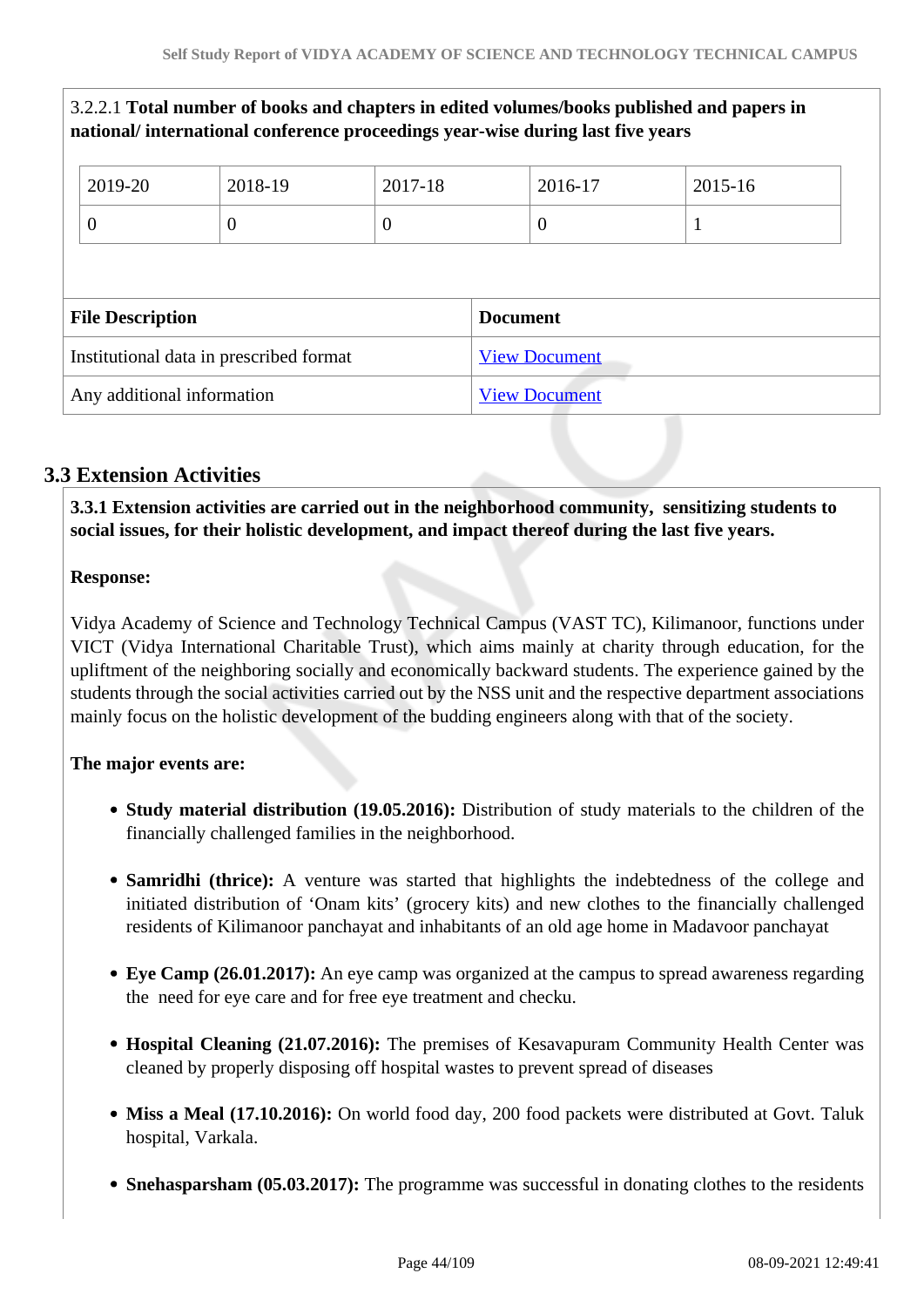|                                         |                | national/international conference proceedings year-wise during last five years |          |                      |                      | 3.2.2.1 Total number of books and chapters in edited volumes/books published and papers in |  |
|-----------------------------------------|----------------|--------------------------------------------------------------------------------|----------|----------------------|----------------------|--------------------------------------------------------------------------------------------|--|
|                                         | 2019-20        | 2018-19                                                                        | 2017-18  |                      | 2016-17              | 2015-16                                                                                    |  |
|                                         | $\overline{0}$ | $\theta$                                                                       | $\theta$ |                      | $\theta$             | 1                                                                                          |  |
|                                         |                |                                                                                |          |                      |                      |                                                                                            |  |
| <b>File Description</b>                 |                |                                                                                |          |                      | <b>Document</b>      |                                                                                            |  |
| Institutional data in prescribed format |                |                                                                                |          | <b>View Document</b> |                      |                                                                                            |  |
| Any additional information              |                |                                                                                |          |                      | <b>View Document</b> |                                                                                            |  |

# **3.3 Extension Activities**

 **3.3.1 Extension activities are carried out in the neighborhood community, sensitizing students to social issues, for their holistic development, and impact thereof during the last five years.**

# **Response:**

Vidya Academy of Science and Technology Technical Campus (VAST TC), Kilimanoor, functions under VICT (Vidya International Charitable Trust), which aims mainly at charity through education, for the upliftment of the neighboring socially and economically backward students. The experience gained by the students through the social activities carried out by the NSS unit and the respective department associations mainly focus on the holistic development of the budding engineers along with that of the society.

# **The major events are:**

- **Study material distribution (19.05.2016):** Distribution of study materials to the children of the financially challenged families in the neighborhood.
- **Samridhi (thrice):** A venture was started that highlights the indebtedness of the college and initiated distribution of 'Onam kits' (grocery kits) and new clothes to the financially challenged residents of Kilimanoor panchayat and inhabitants of an old age home in Madavoor panchayat
- **Eye Camp (26.01.2017):** An eye camp was organized at the campus to spread awareness regarding the need for eye care and for free eye treatment and checku.
- **Hospital Cleaning (21.07.2016):** The premises of Kesavapuram Community Health Center was cleaned by properly disposing off hospital wastes to prevent spread of diseases
- Miss a Meal (17.10.2016): On world food day, 200 food packets were distributed at Govt. Taluk hospital, Varkala.
- **Snehasparsham (05.03.2017):** The programme was successful in donating clothes to the residents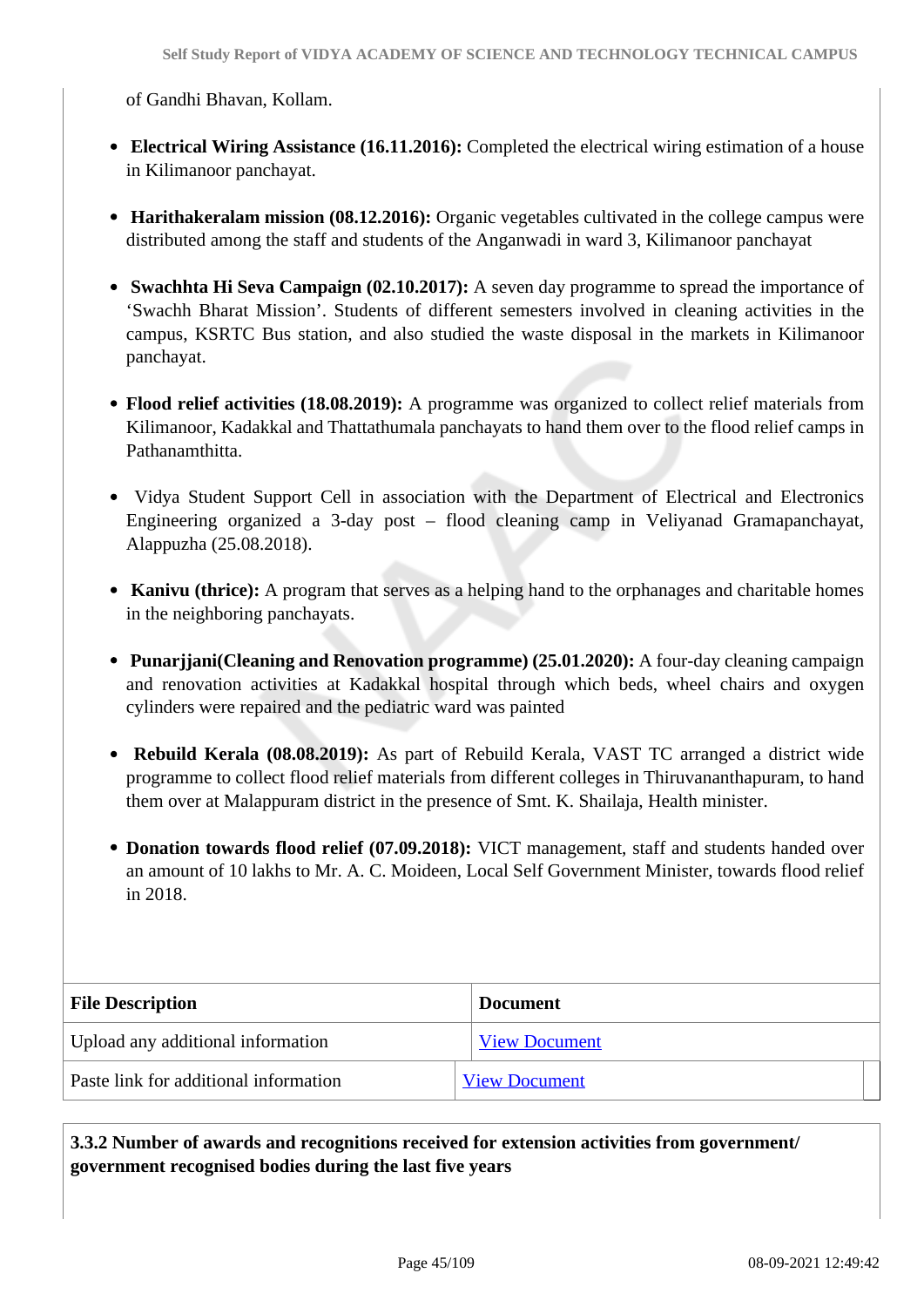of Gandhi Bhavan, Kollam.

- **Electrical Wiring Assistance (16.11.2016):** Completed the electrical wiring estimation of a house in Kilimanoor panchayat.
- **Harithakeralam mission (08.12.2016):** Organic vegetables cultivated in the college campus were distributed among the staff and students of the Anganwadi in ward 3, Kilimanoor panchayat
- **Swachhta Hi Seva Campaign (02.10.2017):** A seven day programme to spread the importance of 'Swachh Bharat Mission'. Students of different semesters involved in cleaning activities in the campus, KSRTC Bus station, and also studied the waste disposal in the markets in Kilimanoor panchayat.
- **Flood relief activities (18.08.2019):** A programme was organized to collect relief materials from Kilimanoor, Kadakkal and Thattathumala panchayats to hand them over to the flood relief camps in Pathanamthitta.
- Vidya Student Support Cell in association with the Department of Electrical and Electronics Engineering organized a 3-day post – flood cleaning camp in Veliyanad Gramapanchayat, Alappuzha (25.08.2018).
- **Kanivu (thrice):** A program that serves as a helping hand to the orphanages and charitable homes in the neighboring panchayats.
- **Punarjjani(Cleaning and Renovation programme) (25.01.2020):** A four-day cleaning campaign and renovation activities at Kadakkal hospital through which beds, wheel chairs and oxygen cylinders were repaired and the pediatric ward was painted
- **Rebuild Kerala (08.08.2019):** As part of Rebuild Kerala, VAST TC arranged a district wide programme to collect flood relief materials from different colleges in Thiruvananthapuram, to hand them over at Malappuram district in the presence of Smt. K. Shailaja, Health minister.
- **Donation towards flood relief (07.09.2018):** VICT management, staff and students handed over an amount of 10 lakhs to Mr. A. C. Moideen, Local Self Government Minister, towards flood relief in 2018.

| <b>File Description</b>               | <b>Document</b>      |
|---------------------------------------|----------------------|
| Upload any additional information     | <b>View Document</b> |
| Paste link for additional information | <b>View Document</b> |

# **3.3.2 Number of awards and recognitions received for extension activities from government/ government recognised bodies during the last five years**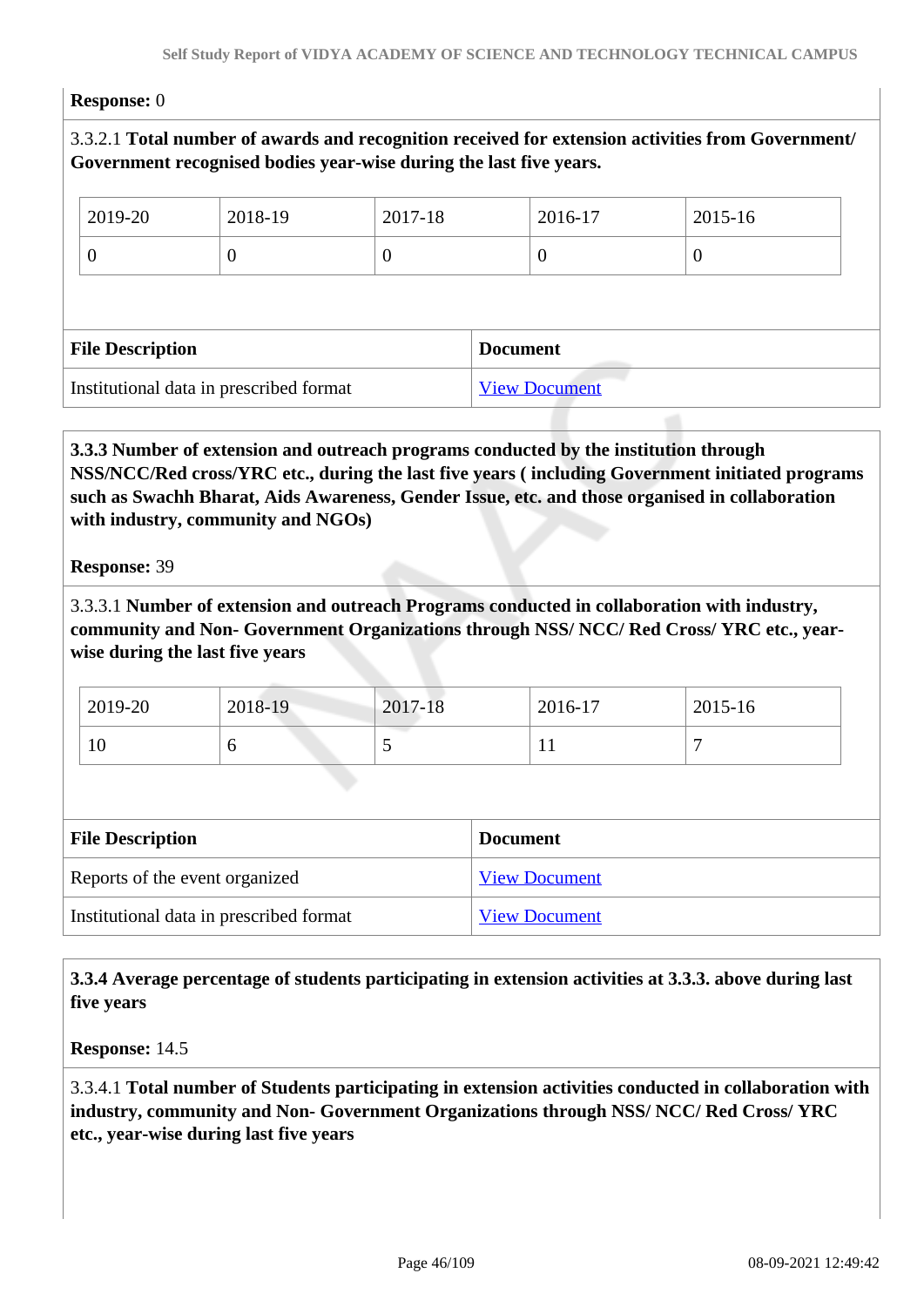#### **Response:** 0

3.3.2.1 **Total number of awards and recognition received for extension activities from Government/ Government recognised bodies year-wise during the last five years.**

| 2019-20                                 | 2018-19 | 2017-18          |                 | 2016-17              | 2015-16          |  |
|-----------------------------------------|---------|------------------|-----------------|----------------------|------------------|--|
| U                                       | U       | $\boldsymbol{0}$ |                 |                      | $\boldsymbol{0}$ |  |
|                                         |         |                  |                 |                      |                  |  |
| <b>File Description</b>                 |         |                  | <b>Document</b> |                      |                  |  |
| Institutional data in prescribed format |         |                  |                 | <b>View Document</b> |                  |  |

 **3.3.3 Number of extension and outreach programs conducted by the institution through NSS/NCC/Red cross/YRC etc., during the last five years ( including Government initiated programs such as Swachh Bharat, Aids Awareness, Gender Issue, etc. and those organised in collaboration with industry, community and NGOs)**

**Response:** 39

3.3.3.1 **Number of extension and outreach Programs conducted in collaboration with industry, community and Non- Government Organizations through NSS/ NCC/ Red Cross/ YRC etc., yearwise during the last five years**

| 2019-20 | 2018-19 | 2017-18 | 2016-17 | 2015-16 |
|---------|---------|---------|---------|---------|
| 10      |         | ັ       |         |         |

| <b>File Description</b>                 | <b>Document</b>      |
|-----------------------------------------|----------------------|
| Reports of the event organized          | <b>View Document</b> |
| Institutional data in prescribed format | <b>View Document</b> |

 **3.3.4 Average percentage of students participating in extension activities at 3.3.3. above during last five years**

**Response:** 14.5

3.3.4.1 **Total number of Students participating in extension activities conducted in collaboration with industry, community and Non- Government Organizations through NSS/ NCC/ Red Cross/ YRC etc., year-wise during last five years**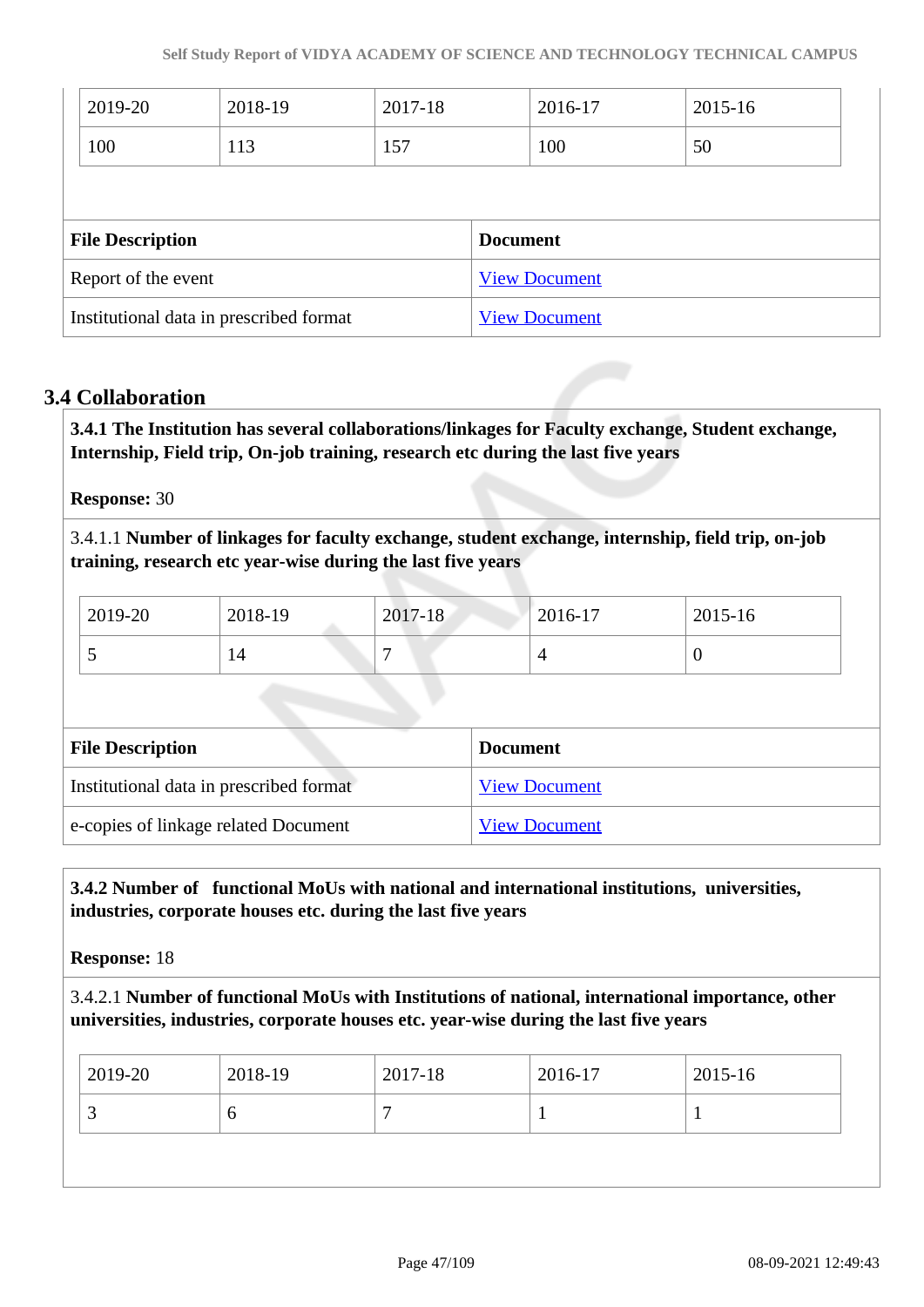|                         | 2019-20             | 2018-19 | 2017-18 |                 | 2016-17              | 2015-16 |
|-------------------------|---------------------|---------|---------|-----------------|----------------------|---------|
|                         | 100                 | 113     | 157     |                 | 100                  | 50      |
|                         |                     |         |         |                 |                      |         |
| <b>File Description</b> |                     |         |         |                 |                      |         |
|                         |                     |         |         | <b>Document</b> |                      |         |
|                         | Report of the event |         |         |                 | <b>View Document</b> |         |

# **3.4 Collaboration**

 **3.4.1 The Institution has several collaborations/linkages for Faculty exchange, Student exchange, Internship, Field trip, On-job training, research etc during the last five years** 

**Response:** 30

3.4.1.1 **Number of linkages for faculty exchange, student exchange, internship, field trip, on-job training, research etc year-wise during the last five years**

| 2019-20 | 2018-19 | 2017-18 | 2016-17 | 2015-16 |
|---------|---------|---------|---------|---------|
| ັ       | 14      |         |         | ν       |

| <b>File Description</b>                 | <b>Document</b>      |
|-----------------------------------------|----------------------|
| Institutional data in prescribed format | <b>View Document</b> |
| e-copies of linkage related Document    | <b>View Document</b> |

# **3.4.2 Number of functional MoUs with national and international institutions, universities, industries, corporate houses etc. during the last five years**

**Response:** 18

3.4.2.1 **Number of functional MoUs with Institutions of national, international importance, other universities, industries, corporate houses etc. year-wise during the last five years**

| O | $ 2019-20 $ | 2018-19 | 2017-18 | 2016-17 | 2015-16 |
|---|-------------|---------|---------|---------|---------|
|   |             |         |         |         |         |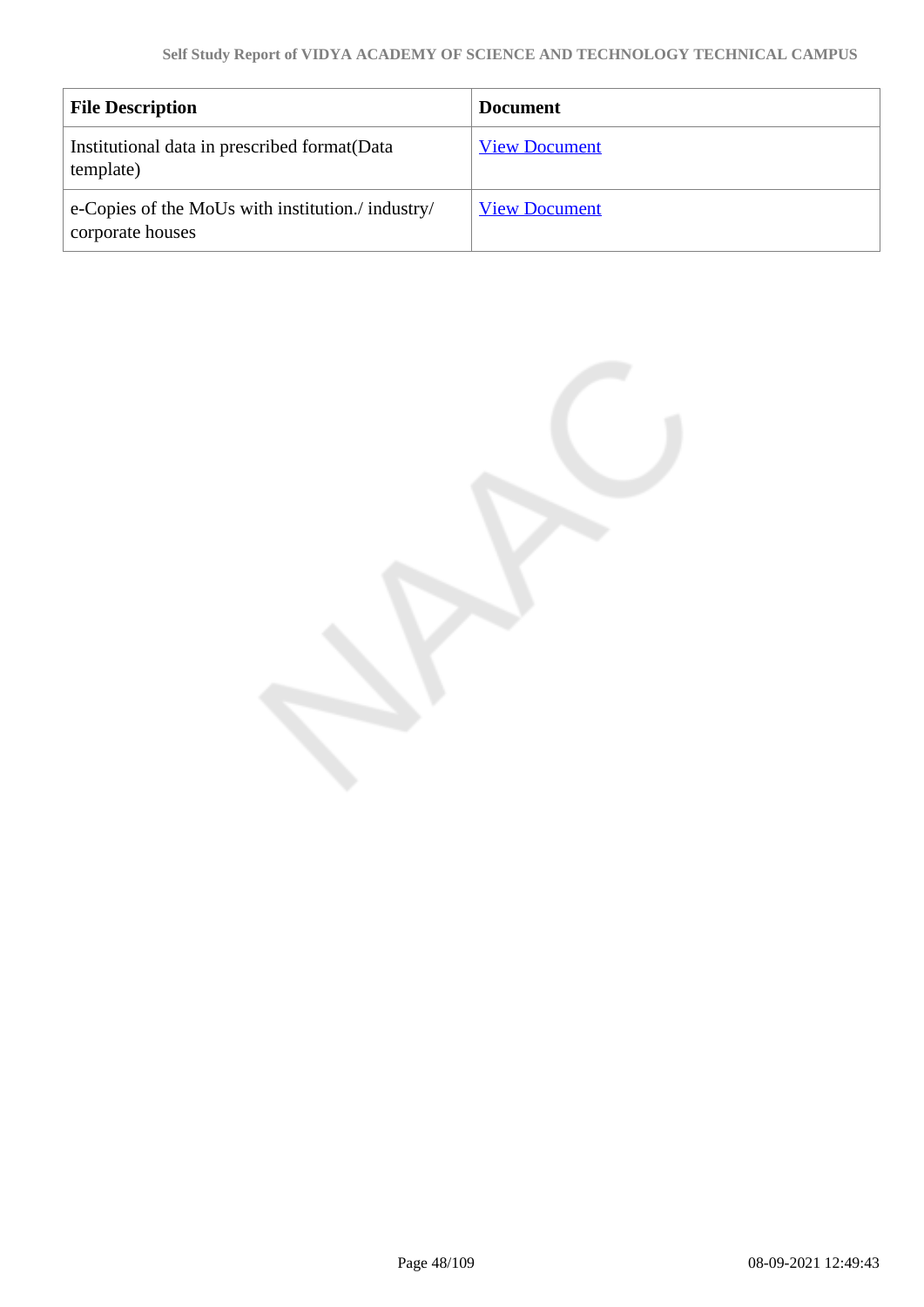| <b>File Description</b>                                               | <b>Document</b>      |
|-----------------------------------------------------------------------|----------------------|
| Institutional data in prescribed format (Data<br>template)            | <b>View Document</b> |
| e-Copies of the MoUs with institution./ industry/<br>corporate houses | <b>View Document</b> |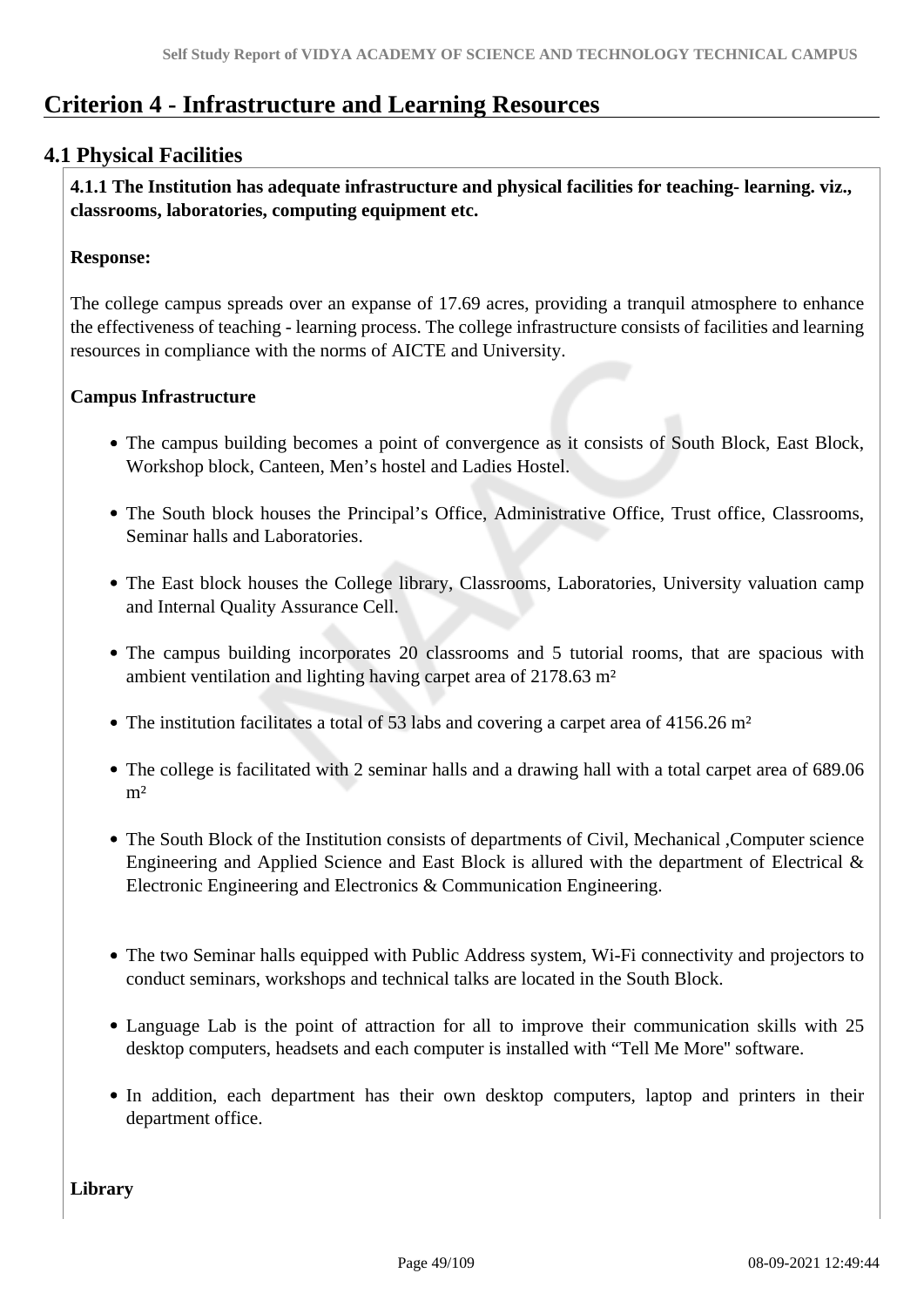# **Criterion 4 - Infrastructure and Learning Resources**

# **4.1 Physical Facilities**

 **4.1.1 The Institution has adequate infrastructure and physical facilities for teaching- learning. viz., classrooms, laboratories, computing equipment etc.** 

### **Response:**

The college campus spreads over an expanse of 17.69 acres, providing a tranquil atmosphere to enhance the effectiveness of teaching - learning process. The college infrastructure consists of facilities and learning resources in compliance with the norms of AICTE and University.

# **Campus Infrastructure**

- The campus building becomes a point of convergence as it consists of South Block, East Block, Workshop block, Canteen, Men's hostel and Ladies Hostel.
- The South block houses the Principal's Office, Administrative Office, Trust office, Classrooms, Seminar halls and Laboratories.
- The East block houses the College library, Classrooms, Laboratories, University valuation camp and Internal Quality Assurance Cell.
- The campus building incorporates 20 classrooms and 5 tutorial rooms, that are spacious with ambient ventilation and lighting having carpet area of 2178.63 m²
- The institution facilitates a total of 53 labs and covering a carpet area of  $4156.26$  m<sup>2</sup>
- The college is facilitated with 2 seminar halls and a drawing hall with a total carpet area of 689.06  $m<sup>2</sup>$
- The South Block of the Institution consists of departments of Civil, Mechanical ,Computer science Engineering and Applied Science and East Block is allured with the department of Electrical & Electronic Engineering and Electronics & Communication Engineering.
- The two Seminar halls equipped with Public Address system, Wi-Fi connectivity and projectors to conduct seminars, workshops and technical talks are located in the South Block.
- Language Lab is the point of attraction for all to improve their communication skills with 25 desktop computers, headsets and each computer is installed with "Tell Me More'' software.
- In addition, each department has their own desktop computers, laptop and printers in their department office.

**Library**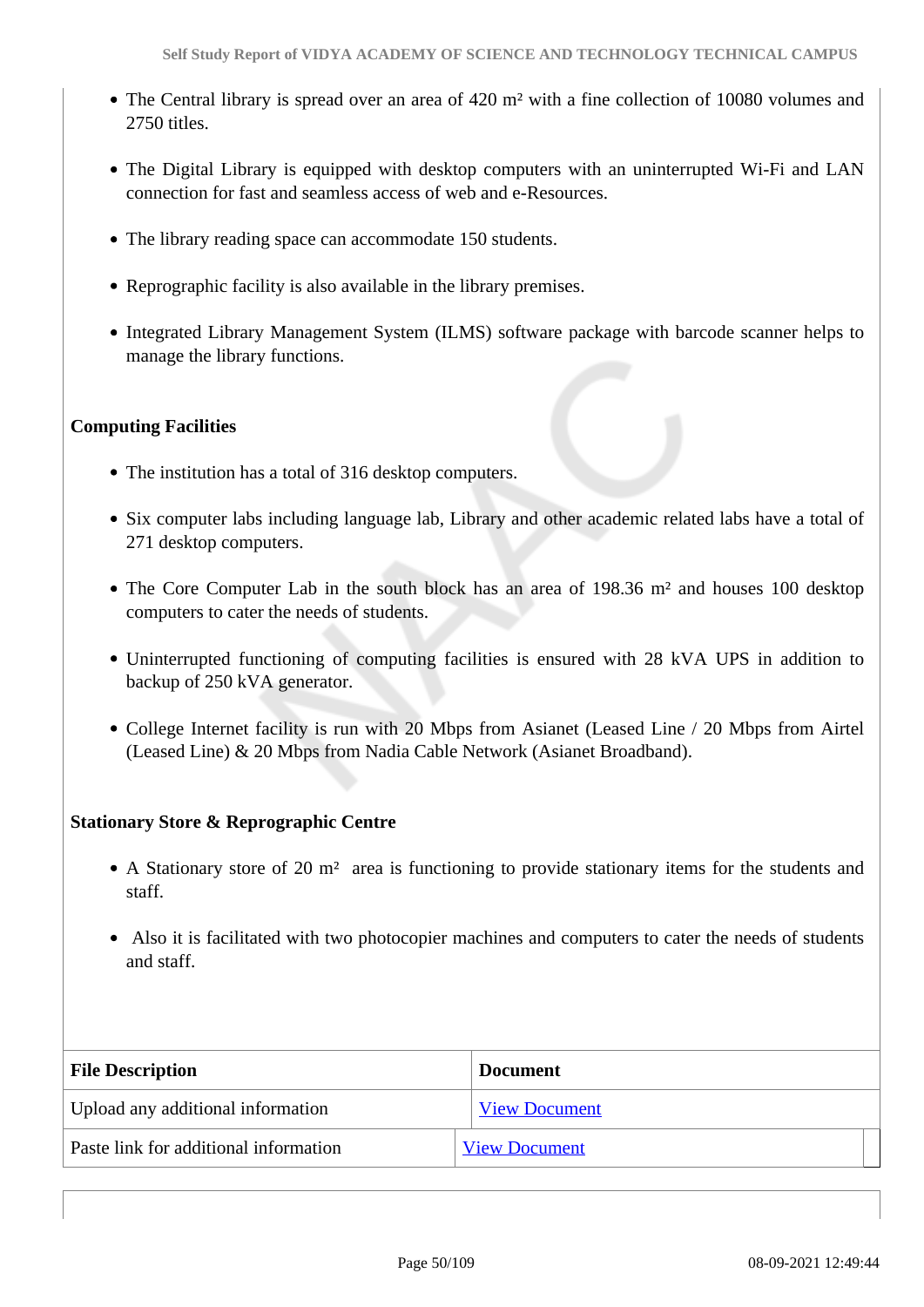- The Central library is spread over an area of 420 m² with a fine collection of 10080 volumes and 2750 titles.
- The Digital Library is equipped with desktop computers with an uninterrupted Wi-Fi and LAN connection for fast and seamless access of web and e-Resources.
- The library reading space can accommodate 150 students.
- Reprographic facility is also available in the library premises.
- Integrated Library Management System (ILMS) software package with barcode scanner helps to manage the library functions.

# **Computing Facilities**

- The institution has a total of 316 desktop computers.
- Six computer labs including language lab, Library and other academic related labs have a total of 271 desktop computers.
- The Core Computer Lab in the south block has an area of 198.36 m<sup>2</sup> and houses 100 desktop computers to cater the needs of students.
- Uninterrupted functioning of computing facilities is ensured with 28 kVA UPS in addition to backup of 250 kVA generator.
- College Internet facility is run with 20 Mbps from Asianet (Leased Line / 20 Mbps from Airtel (Leased Line) & 20 Mbps from Nadia Cable Network (Asianet Broadband).

# **Stationary Store & Reprographic Centre**

- A Stationary store of 20 m² area is functioning to provide stationary items for the students and staff.
- Also it is facilitated with two photocopier machines and computers to cater the needs of students and staff.

| <b>File Description</b>               | <b>Document</b>      |
|---------------------------------------|----------------------|
| Upload any additional information     | <b>View Document</b> |
| Paste link for additional information | <b>View Document</b> |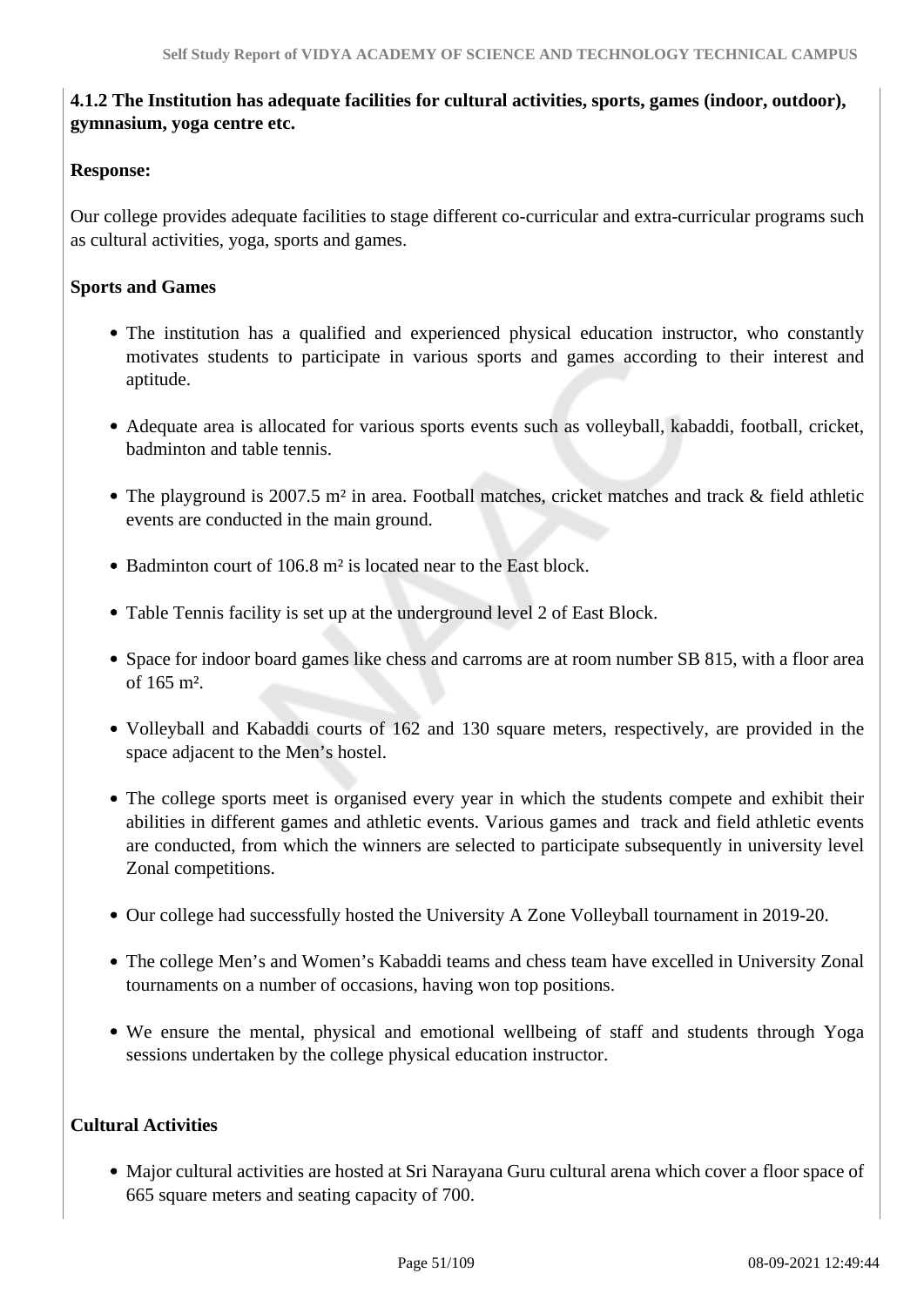# **4.1.2 The Institution has adequate facilities for cultural activities, sports, games (indoor, outdoor), gymnasium, yoga centre etc.**

# **Response:**

Our college provides adequate facilities to stage different co-curricular and extra-curricular programs such as cultural activities, yoga, sports and games.

# **Sports and Games**

- The institution has a qualified and experienced physical education instructor, who constantly motivates students to participate in various sports and games according to their interest and aptitude.
- Adequate area is allocated for various sports events such as volleyball, kabaddi, football, cricket, badminton and table tennis.
- The playground is 2007.5 m<sup>2</sup> in area. Football matches, cricket matches and track & field athletic events are conducted in the main ground.
- Badminton court of 106.8 m<sup>2</sup> is located near to the East block.
- Table Tennis facility is set up at the underground level 2 of East Block.
- Space for indoor board games like chess and carroms are at room number SB 815, with a floor area of 165 m².
- Volleyball and Kabaddi courts of 162 and 130 square meters, respectively, are provided in the space adjacent to the Men's hostel.
- The college sports meet is organised every year in which the students compete and exhibit their abilities in different games and athletic events. Various games and track and field athletic events are conducted, from which the winners are selected to participate subsequently in university level Zonal competitions.
- Our college had successfully hosted the University A Zone Volleyball tournament in 2019-20.
- The college Men's and Women's Kabaddi teams and chess team have excelled in University Zonal tournaments on a number of occasions, having won top positions.
- We ensure the mental, physical and emotional wellbeing of staff and students through Yoga sessions undertaken by the college physical education instructor.

# **Cultural Activities**

Major cultural activities are hosted at Sri Narayana Guru cultural arena which cover a floor space of 665 square meters and seating capacity of 700.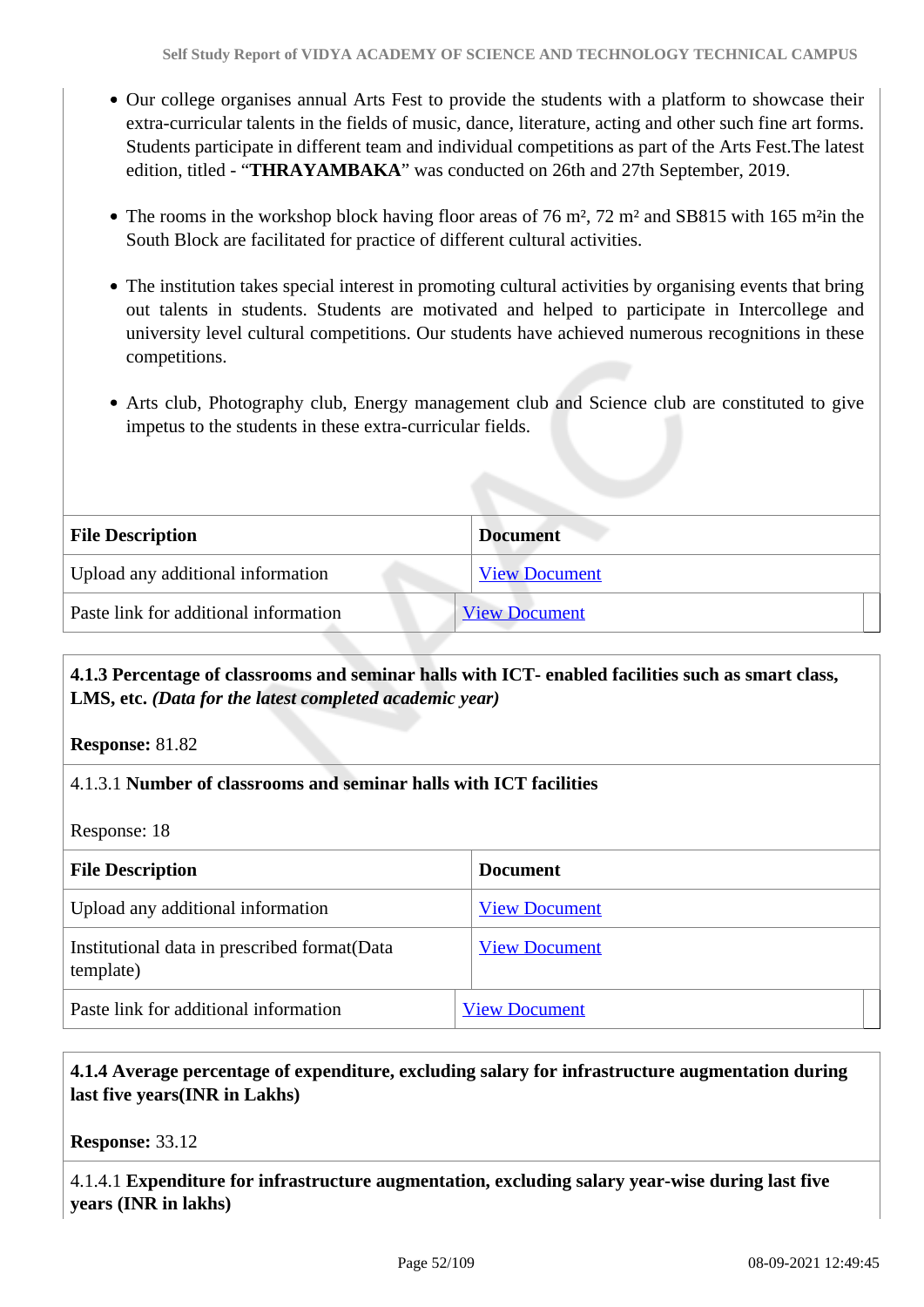- Our college organises annual Arts Fest to provide the students with a platform to showcase their extra-curricular talents in the fields of music, dance, literature, acting and other such fine art forms. Students participate in different team and individual competitions as part of the Arts Fest.The latest edition, titled - "**THRAYAMBAKA**" was conducted on 26th and 27th September, 2019.
- The rooms in the workshop block having floor areas of 76 m<sup>2</sup>, 72 m<sup>2</sup> and SB815 with 165 m<sup>2</sup>in the South Block are facilitated for practice of different cultural activities.
- The institution takes special interest in promoting cultural activities by organising events that bring out talents in students. Students are motivated and helped to participate in Intercollege and university level cultural competitions. Our students have achieved numerous recognitions in these competitions.
- Arts club, Photography club, Energy management club and Science club are constituted to give impetus to the students in these extra-curricular fields.

| <b>File Description</b>               | <b>Document</b>      |
|---------------------------------------|----------------------|
| Upload any additional information     | <b>View Document</b> |
| Paste link for additional information | <b>View Document</b> |

# **4.1.3 Percentage of classrooms and seminar halls with ICT- enabled facilities such as smart class, LMS, etc.** *(Data for the latest completed academic year)*

**Response:** 81.82

# 4.1.3.1 **Number of classrooms and seminar halls with ICT facilities**

Response: 18

| <b>File Description</b>                                    | <b>Document</b>      |
|------------------------------------------------------------|----------------------|
| Upload any additional information                          | <b>View Document</b> |
| Institutional data in prescribed format (Data<br>template) | <b>View Document</b> |
| Paste link for additional information                      | <b>View Document</b> |

# **4.1.4 Average percentage of expenditure, excluding salary for infrastructure augmentation during last five years(INR in Lakhs)**

**Response:** 33.12

4.1.4.1 **Expenditure for infrastructure augmentation, excluding salary year-wise during last five years (INR in lakhs)**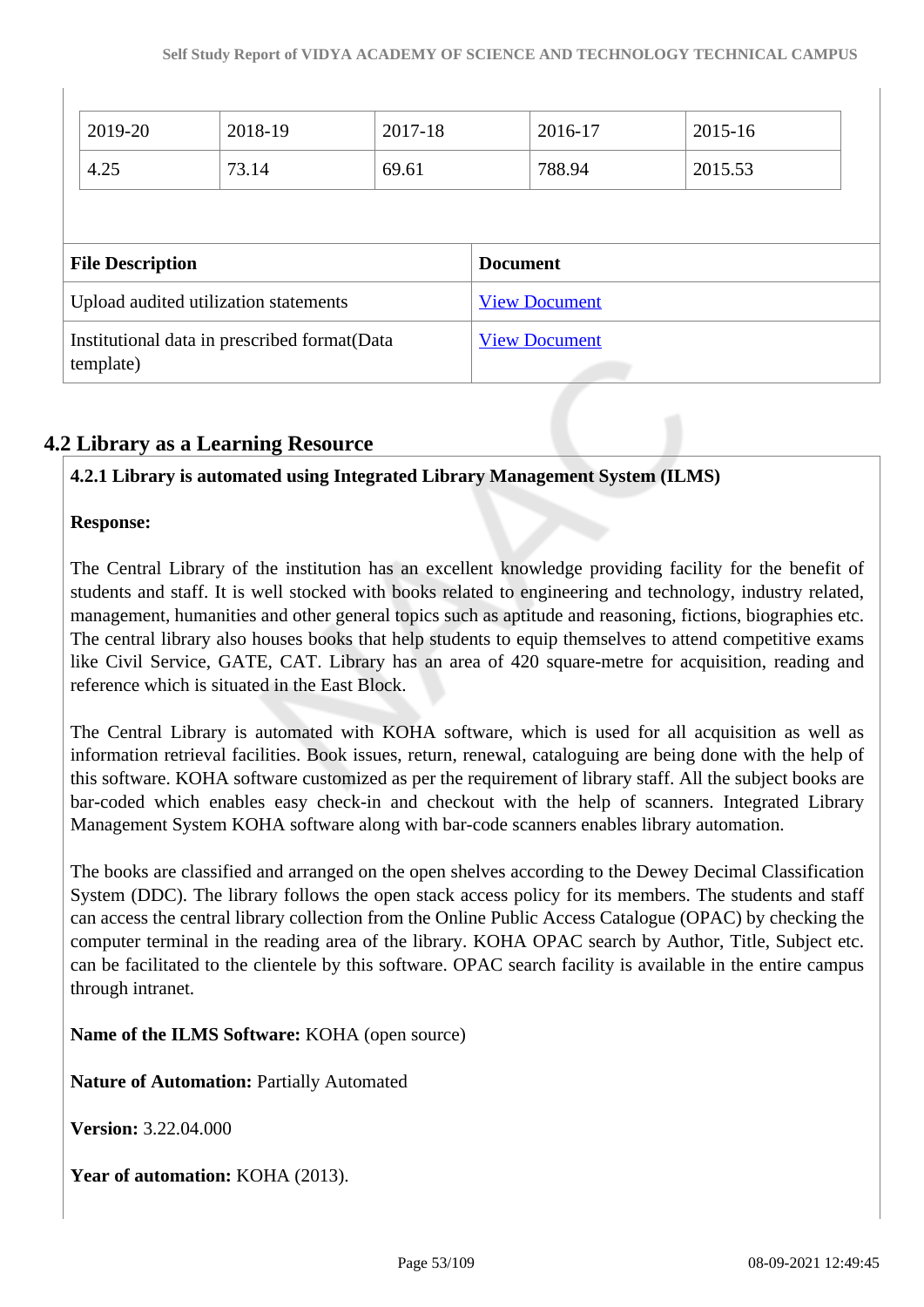| 2019-20                               | 2018-19 | 2017-18 |                 | 2016-17              | 2015-16 |
|---------------------------------------|---------|---------|-----------------|----------------------|---------|
| 4.25                                  | 73.14   | 69.61   |                 | 788.94               | 2015.53 |
|                                       |         |         |                 |                      |         |
|                                       |         |         |                 |                      |         |
| <b>File Description</b>               |         |         | <b>Document</b> |                      |         |
| Upload audited utilization statements |         |         |                 | <b>View Document</b> |         |

# **4.2 Library as a Learning Resource**

# **4.2.1 Library is automated using Integrated Library Management System (ILMS)**

# **Response:**

The Central Library of the institution has an excellent knowledge providing facility for the benefit of students and staff. It is well stocked with books related to engineering and technology, industry related, management, humanities and other general topics such as aptitude and reasoning, fictions, biographies etc. The central library also houses books that help students to equip themselves to attend competitive exams like Civil Service, GATE, CAT. Library has an area of 420 square-metre for acquisition, reading and reference which is situated in the East Block.

The Central Library is automated with KOHA software, which is used for all acquisition as well as information retrieval facilities. Book issues, return, renewal, cataloguing are being done with the help of this software. KOHA software customized as per the requirement of library staff. All the subject books are bar-coded which enables easy check-in and checkout with the help of scanners. Integrated Library Management System KOHA software along with bar-code scanners enables library automation.

The books are classified and arranged on the open shelves according to the Dewey Decimal Classification System (DDC). The library follows the open stack access policy for its members. The students and staff can access the central library collection from the Online Public Access Catalogue (OPAC) by checking the computer terminal in the reading area of the library. KOHA OPAC search by Author, Title, Subject etc. can be facilitated to the clientele by this software. OPAC search facility is available in the entire campus through intranet.

**Name of the ILMS Software:** KOHA (open source)

**Nature of Automation:** Partially Automated

**Version:** 3.22.04.000

**Year of automation:** KOHA (2013).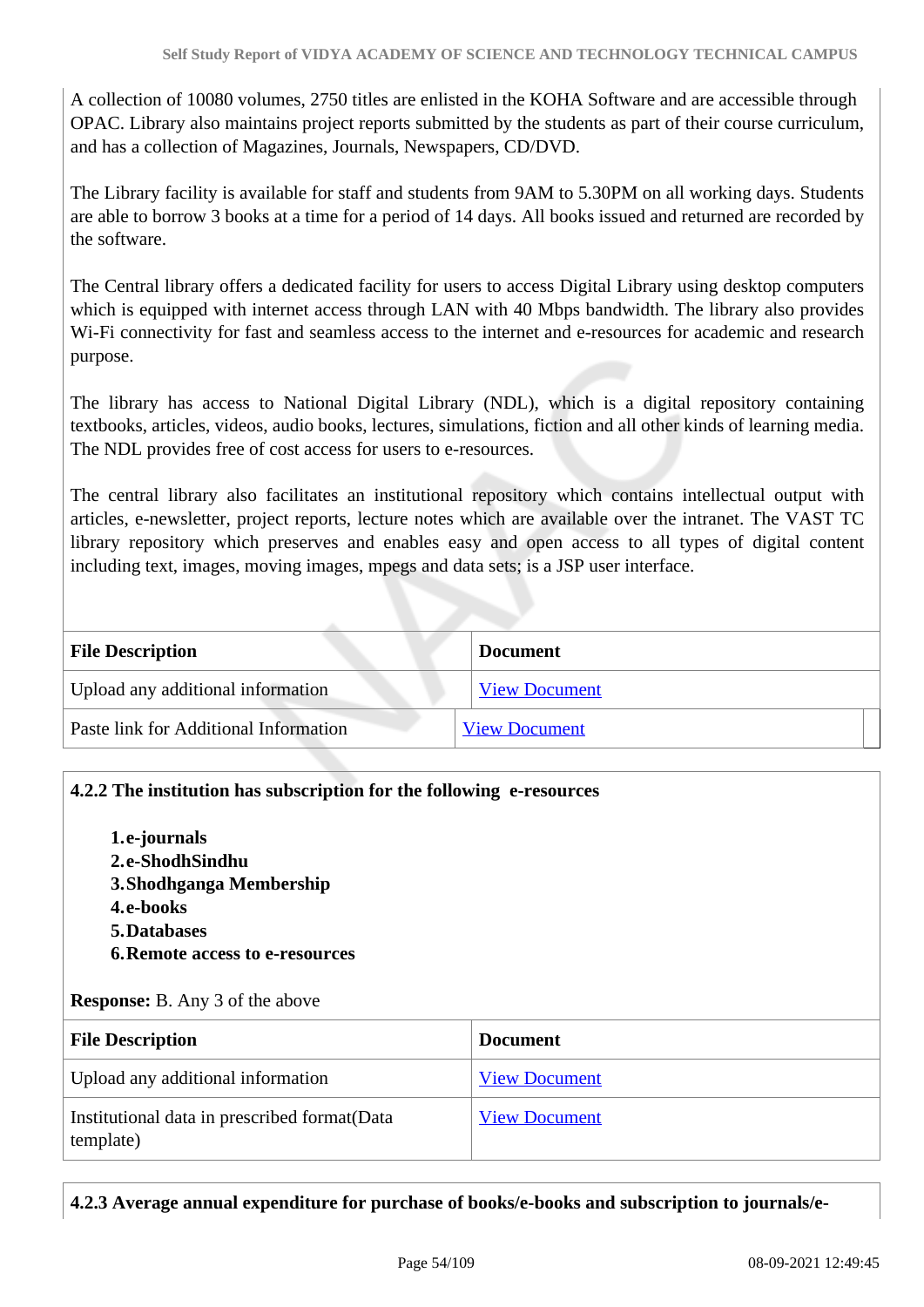A collection of 10080 volumes, 2750 titles are enlisted in the KOHA Software and are accessible through OPAC. Library also maintains project reports submitted by the students as part of their course curriculum, and has a collection of Magazines, Journals, Newspapers, CD/DVD.

The Library facility is available for staff and students from 9AM to 5.30PM on all working days. Students are able to borrow 3 books at a time for a period of 14 days. All books issued and returned are recorded by the software.

The Central library offers a dedicated facility for users to access Digital Library using desktop computers which is equipped with internet access through LAN with 40 Mbps bandwidth. The library also provides Wi-Fi connectivity for fast and seamless access to the internet and e-resources for academic and research purpose.

The library has access to National Digital Library (NDL), which is a digital repository containing textbooks, articles, videos, audio books, lectures, simulations, fiction and all other kinds of learning media. The NDL provides free of cost access for users to e-resources.

The central library also facilitates an institutional repository which contains intellectual output with articles, e-newsletter, project reports, lecture notes which are available over the intranet. The VAST TC library repository which preserves and enables easy and open access to all types of digital content including text, images, moving images, mpegs and data sets; is a JSP user interface.

| <b>File Description</b>               | <b>Document</b>      |
|---------------------------------------|----------------------|
| Upload any additional information     | <b>View Document</b> |
| Paste link for Additional Information | <b>View Document</b> |

# **4.2.2 The institution has subscription for the following e-resources**

**1.e-journals 2.e-ShodhSindhu 3.Shodhganga Membership 4.e-books 5.Databases 6.Remote access to e-resources**

#### **Response:** B. Any 3 of the above

| <b>File Description</b>                                    | <b>Document</b>      |
|------------------------------------------------------------|----------------------|
| Upload any additional information                          | <b>View Document</b> |
| Institutional data in prescribed format (Data<br>template) | <b>View Document</b> |

# **4.2.3 Average annual expenditure for purchase of books/e-books and subscription to journals/e-**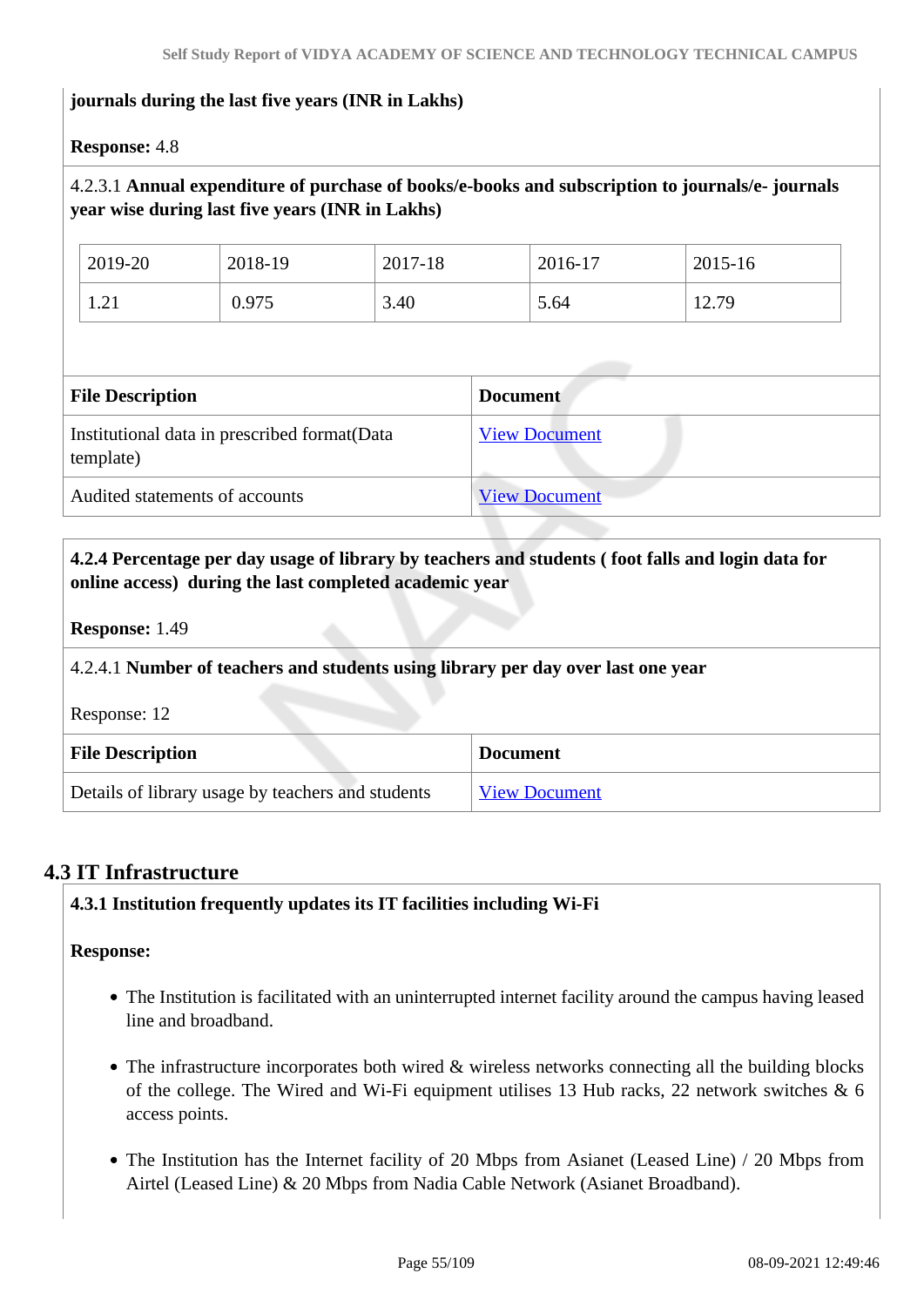# **journals during the last five years (INR in Lakhs)**

#### **Response:** 4.8

# 4.2.3.1 **Annual expenditure of purchase of books/e-books and subscription to journals/e- journals year wise during last five years (INR in Lakhs)**

| 2019-20                               | 2018-19 | 2017-18 | 2016-17 | $2015 - 16$ |
|---------------------------------------|---------|---------|---------|-------------|
| . າ.<br>$\mathbf{1} \cdot \mathbf{4}$ | 0.975   | 3.40    | 5.64    | 12.79       |

| <b>File Description</b>                                    | <b>Document</b>      |
|------------------------------------------------------------|----------------------|
|                                                            |                      |
| Institutional data in prescribed format (Data<br>template) | <b>View Document</b> |
| Audited statements of accounts                             | <b>View Document</b> |

 **4.2.4 Percentage per day usage of library by teachers and students ( foot falls and login data for online access) during the last completed academic year**

**Response:** 1.49

#### 4.2.4.1 **Number of teachers and students using library per day over last one year**

Response: 12

| <b>File Description</b>                           | <b>Document</b>      |
|---------------------------------------------------|----------------------|
| Details of library usage by teachers and students | <b>View Document</b> |

# **4.3 IT Infrastructure**

# **4.3.1 Institution frequently updates its IT facilities including Wi-Fi**

#### **Response:**

- The Institution is facilitated with an uninterrupted internet facility around the campus having leased line and broadband.
- The infrastructure incorporates both wired & wireless networks connecting all the building blocks of the college. The Wired and Wi-Fi equipment utilises 13 Hub racks, 22 network switches & 6 access points.
- The Institution has the Internet facility of 20 Mbps from Asianet (Leased Line) / 20 Mbps from Airtel (Leased Line) & 20 Mbps from Nadia Cable Network (Asianet Broadband).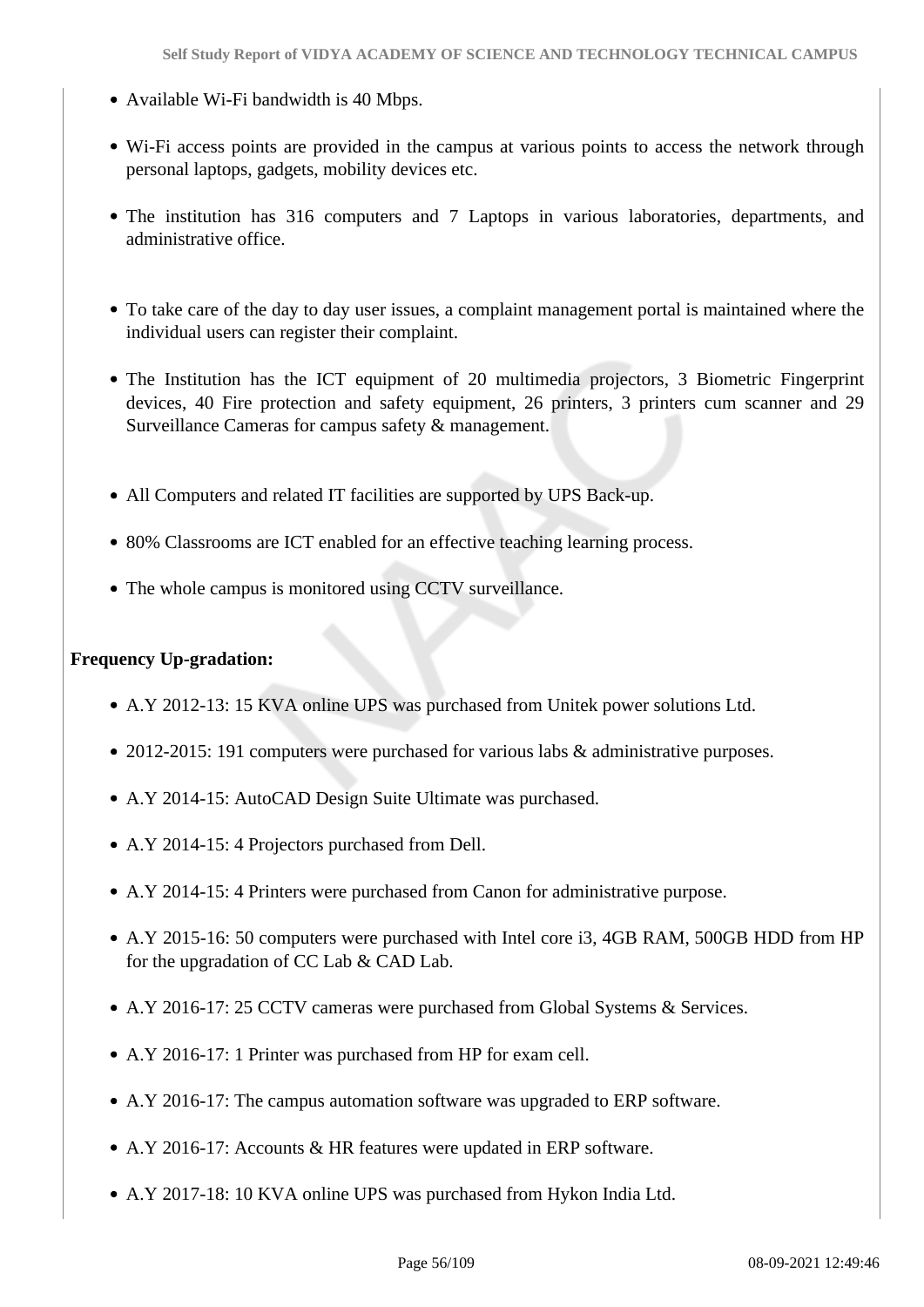- Available Wi-Fi bandwidth is 40 Mbps.
- Wi-Fi access points are provided in the campus at various points to access the network through personal laptops, gadgets, mobility devices etc.
- The institution has 316 computers and 7 Laptops in various laboratories, departments, and administrative office.
- To take care of the day to day user issues, a complaint management portal is maintained where the individual users can register their complaint.
- The Institution has the ICT equipment of 20 multimedia projectors, 3 Biometric Fingerprint devices, 40 Fire protection and safety equipment, 26 printers, 3 printers cum scanner and 29 Surveillance Cameras for campus safety & management.
- All Computers and related IT facilities are supported by UPS Back-up.
- 80% Classrooms are ICT enabled for an effective teaching learning process.
- The whole campus is monitored using CCTV surveillance.

### **Frequency Up-gradation:**

- A.Y 2012-13: 15 KVA online UPS was purchased from Unitek power solutions Ltd.
- 2012-2015: 191 computers were purchased for various labs & administrative purposes.
- A.Y 2014-15: AutoCAD Design Suite Ultimate was purchased.
- A.Y 2014-15: 4 Projectors purchased from Dell.
- A.Y 2014-15: 4 Printers were purchased from Canon for administrative purpose.
- A.Y 2015-16: 50 computers were purchased with Intel core i3, 4GB RAM, 500GB HDD from HP for the upgradation of CC Lab & CAD Lab.
- A.Y 2016-17: 25 CCTV cameras were purchased from Global Systems & Services.
- A.Y 2016-17: 1 Printer was purchased from HP for exam cell.
- A.Y 2016-17: The campus automation software was upgraded to ERP software.
- A.Y 2016-17: Accounts & HR features were updated in ERP software.
- A.Y 2017-18: 10 KVA online UPS was purchased from Hykon India Ltd.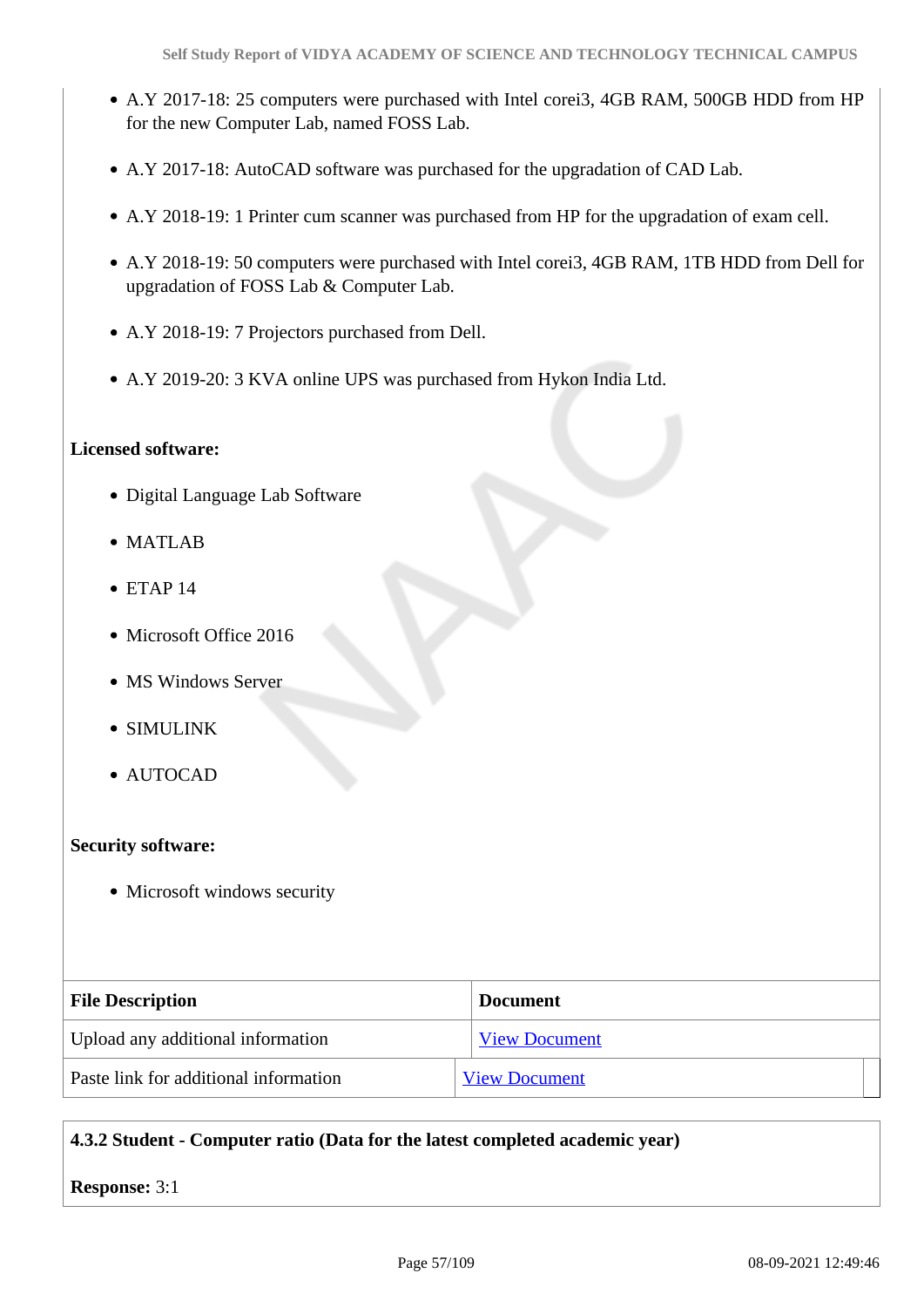- A.Y 2017-18: 25 computers were purchased with Intel corei3, 4GB RAM, 500GB HDD from HP for the new Computer Lab, named FOSS Lab.
- A.Y 2017-18: AutoCAD software was purchased for the upgradation of CAD Lab.
- A.Y 2018-19: 1 Printer cum scanner was purchased from HP for the upgradation of exam cell.
- A.Y 2018-19: 50 computers were purchased with Intel corei3, 4GB RAM, 1TB HDD from Dell for upgradation of FOSS Lab & Computer Lab.
- A.Y 2018-19: 7 Projectors purchased from Dell.
- A.Y 2019-20: 3 KVA online UPS was purchased from Hykon India Ltd.

#### **Licensed software:**

- Digital Language Lab Software
- MATLAB
- $\bullet$  ETAP 14
- Microsoft Office 2016
- MS Windows Server
- SIMULINK
- AUTOCAD

#### **Security software:**

• Microsoft windows security

| <b>File Description</b>               | <b>Document</b>      |
|---------------------------------------|----------------------|
| Upload any additional information     | <b>View Document</b> |
| Paste link for additional information | <b>View Document</b> |

#### **4.3.2 Student - Computer ratio (Data for the latest completed academic year)**

**Response:** 3:1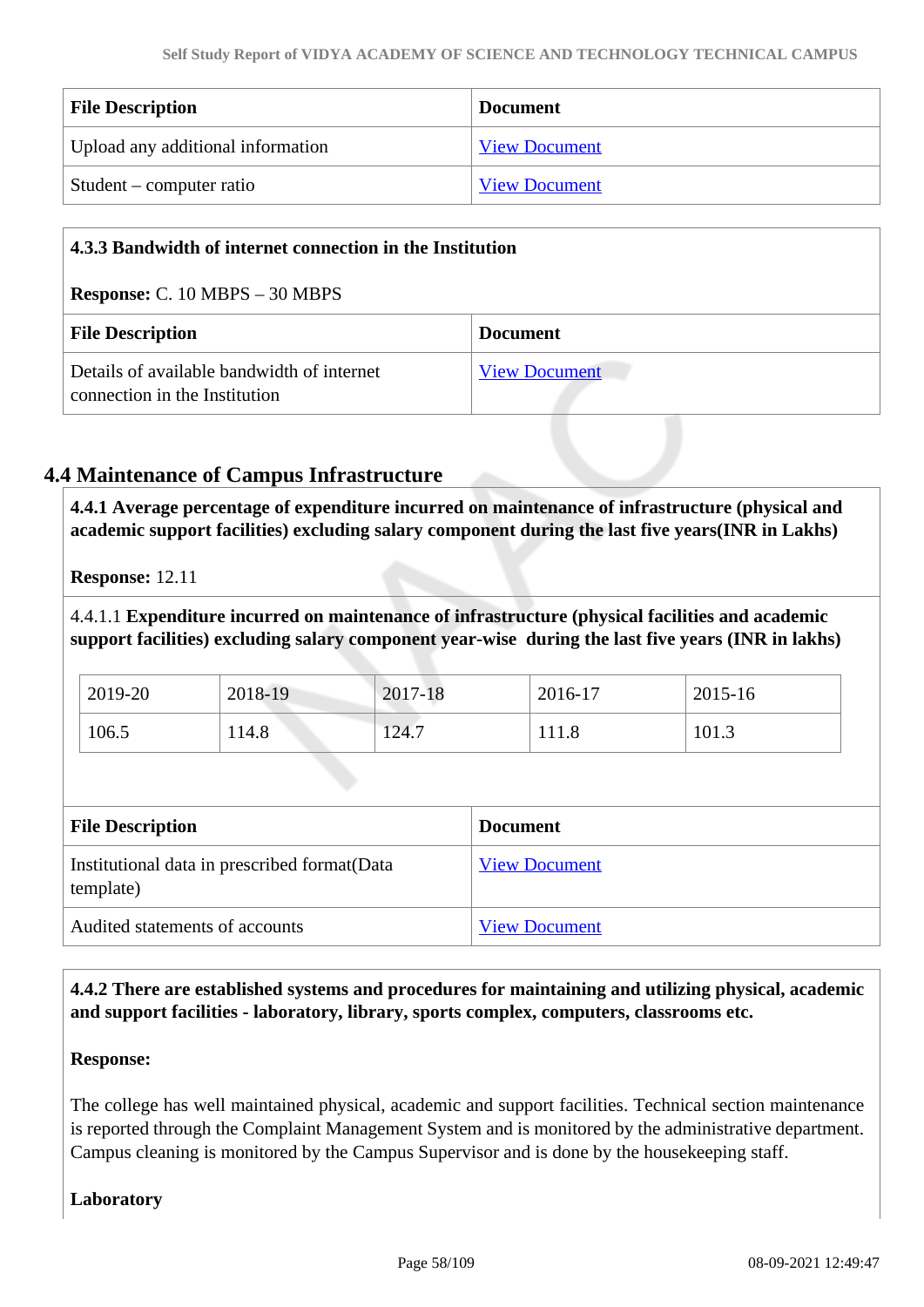| <b>File Description</b>           | <b>Document</b>      |
|-----------------------------------|----------------------|
| Upload any additional information | <b>View Document</b> |
| Student – computer ratio          | <b>View Document</b> |

| 4.3.3 Bandwidth of internet connection in the Institution                   |                      |  |
|-----------------------------------------------------------------------------|----------------------|--|
| <b>Response:</b> C. $10 \text{ MBPS} - 30 \text{ MBPS}$                     |                      |  |
| <b>File Description</b><br><b>Document</b>                                  |                      |  |
| Details of available bandwidth of internet<br>connection in the Institution | <b>View Document</b> |  |

# **4.4 Maintenance of Campus Infrastructure**

 **4.4.1 Average percentage of expenditure incurred on maintenance of infrastructure (physical and academic support facilities) excluding salary component during the last five years(INR in Lakhs)**

**Response:** 12.11

4.4.1.1 **Expenditure incurred on maintenance of infrastructure (physical facilities and academic support facilities) excluding salary component year-wise during the last five years (INR in lakhs)**

| 2019-20 | 2018-19 | 2017-18 | 2016-17 | 2015-16 |
|---------|---------|---------|---------|---------|
| 106.5   | 114.8   | 124.7   | 111.8   | 101.3   |

| <b>File Description</b>                                   | <b>Document</b>      |
|-----------------------------------------------------------|----------------------|
| Institutional data in prescribed format(Data<br>template) | <b>View Document</b> |
| Audited statements of accounts                            | <b>View Document</b> |

 **4.4.2 There are established systems and procedures for maintaining and utilizing physical, academic and support facilities - laboratory, library, sports complex, computers, classrooms etc.**

# **Response:**

The college has well maintained physical, academic and support facilities. Technical section maintenance is reported through the Complaint Management System and is monitored by the administrative department. Campus cleaning is monitored by the Campus Supervisor and is done by the housekeeping staff.

# **Laboratory**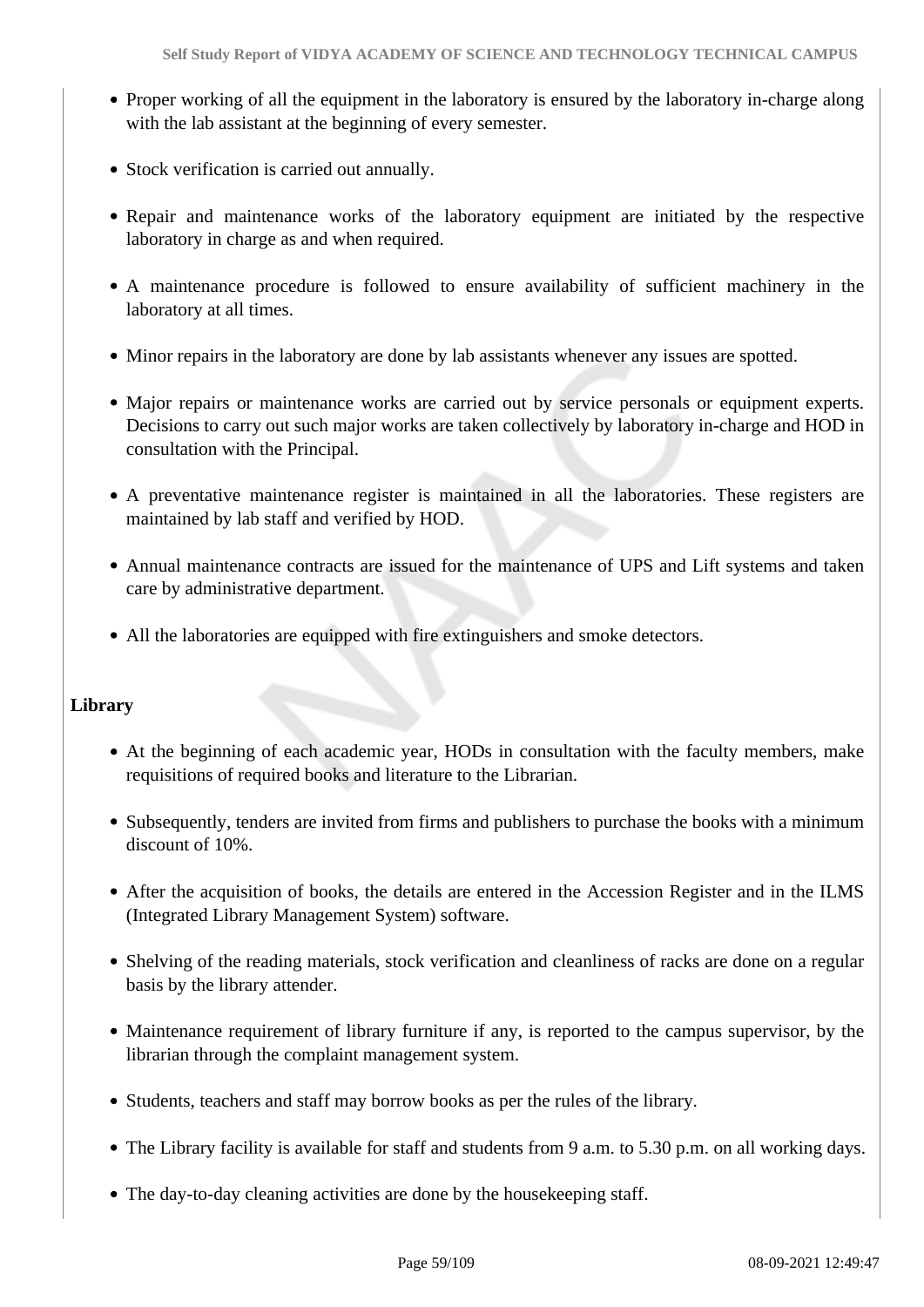- Proper working of all the equipment in the laboratory is ensured by the laboratory in-charge along with the lab assistant at the beginning of every semester.
- Stock verification is carried out annually.
- Repair and maintenance works of the laboratory equipment are initiated by the respective laboratory in charge as and when required.
- A maintenance procedure is followed to ensure availability of sufficient machinery in the laboratory at all times.
- Minor repairs in the laboratory are done by lab assistants whenever any issues are spotted.
- Major repairs or maintenance works are carried out by service personals or equipment experts. Decisions to carry out such major works are taken collectively by laboratory in-charge and HOD in consultation with the Principal.
- A preventative maintenance register is maintained in all the laboratories. These registers are maintained by lab staff and verified by HOD.
- Annual maintenance contracts are issued for the maintenance of UPS and Lift systems and taken care by administrative department.
- All the laboratories are equipped with fire extinguishers and smoke detectors.

# **Library**

- At the beginning of each academic year, HODs in consultation with the faculty members, make requisitions of required books and literature to the Librarian.
- Subsequently, tenders are invited from firms and publishers to purchase the books with a minimum discount of 10%.
- After the acquisition of books, the details are entered in the Accession Register and in the ILMS (Integrated Library Management System) software.
- Shelving of the reading materials, stock verification and cleanliness of racks are done on a regular basis by the library attender.
- Maintenance requirement of library furniture if any, is reported to the campus supervisor, by the librarian through the complaint management system.
- Students, teachers and staff may borrow books as per the rules of the library.
- The Library facility is available for staff and students from 9 a.m. to 5.30 p.m. on all working days.
- The day-to-day cleaning activities are done by the housekeeping staff.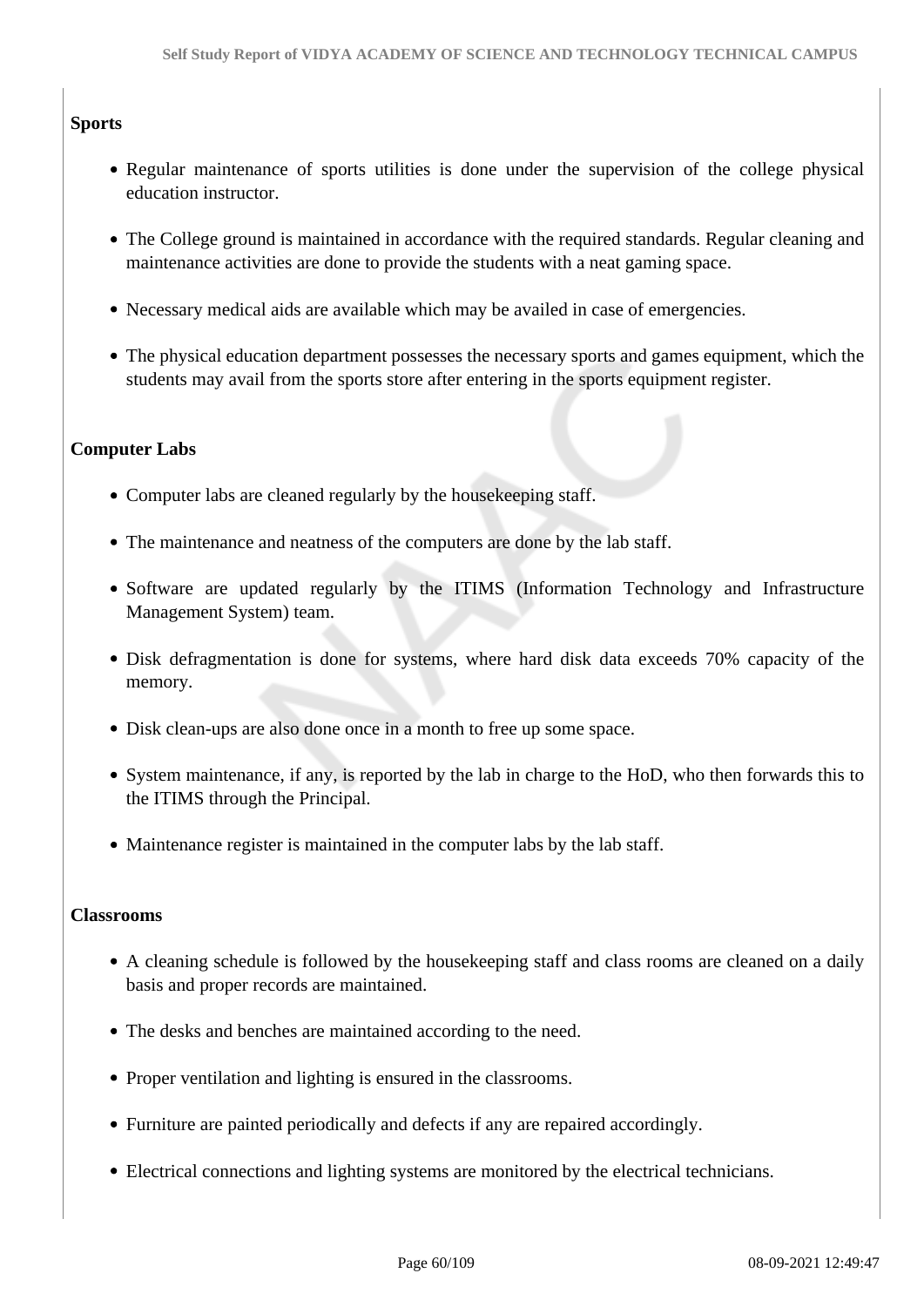# **Sports**

- Regular maintenance of sports utilities is done under the supervision of the college physical education instructor.
- The College ground is maintained in accordance with the required standards. Regular cleaning and maintenance activities are done to provide the students with a neat gaming space.
- Necessary medical aids are available which may be availed in case of emergencies.
- The physical education department possesses the necessary sports and games equipment, which the students may avail from the sports store after entering in the sports equipment register.

# **Computer Labs**

- Computer labs are cleaned regularly by the house keeping staff.
- The maintenance and neatness of the computers are done by the lab staff.
- Software are updated regularly by the ITIMS (Information Technology and Infrastructure Management System) team.
- Disk defragmentation is done for systems, where hard disk data exceeds 70% capacity of the memory.
- Disk clean-ups are also done once in a month to free up some space.
- System maintenance, if any, is reported by the lab in charge to the HoD, who then forwards this to the ITIMS through the Principal.
- Maintenance register is maintained in the computer labs by the lab staff.

#### **Classrooms**

- A cleaning schedule is followed by the housekeeping staff and class rooms are cleaned on a daily basis and proper records are maintained.
- The desks and benches are maintained according to the need.
- Proper ventilation and lighting is ensured in the classrooms.
- Furniture are painted periodically and defects if any are repaired accordingly.
- Electrical connections and lighting systems are monitored by the electrical technicians.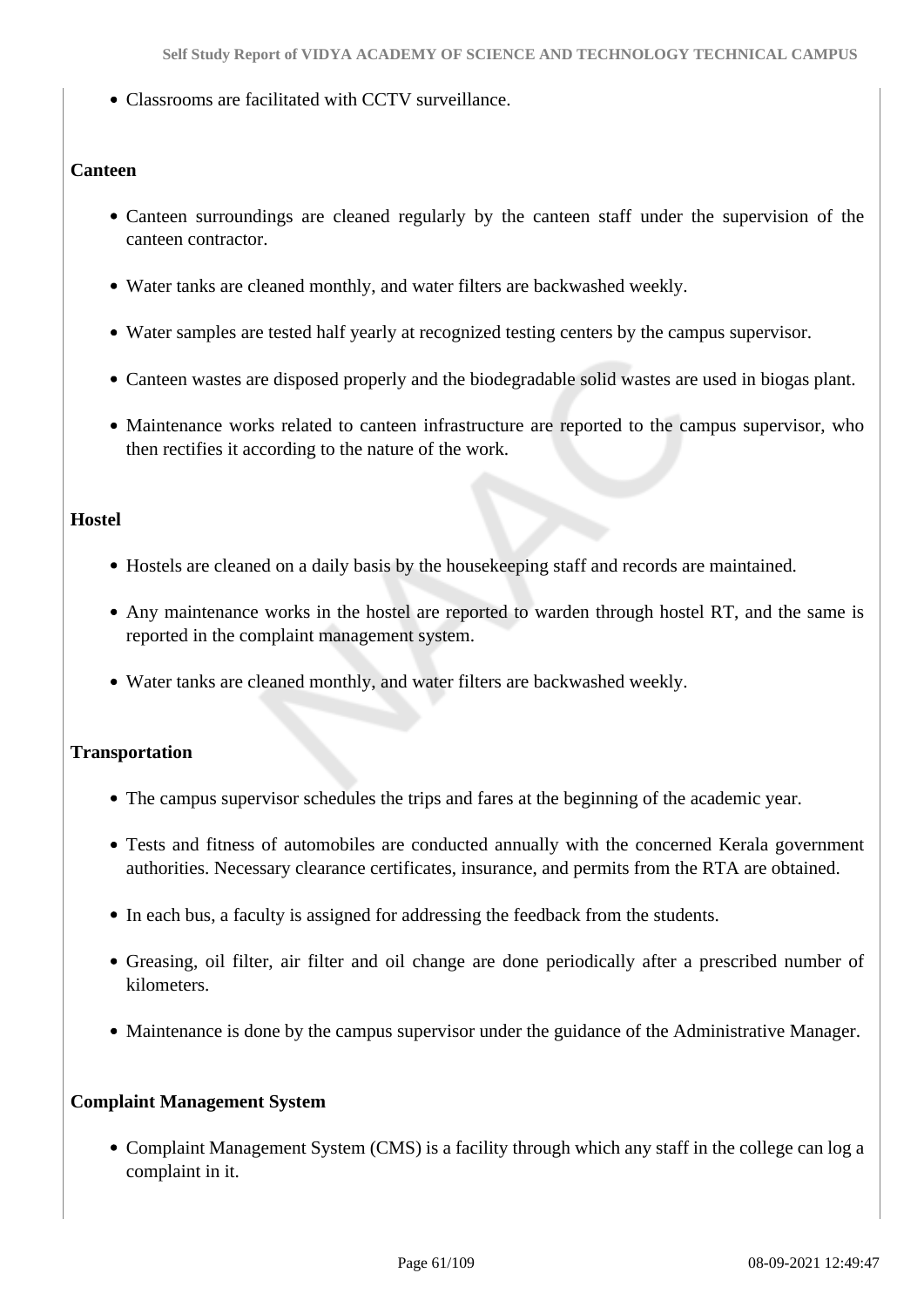Classrooms are facilitated with CCTV surveillance.

# **Canteen**

- Canteen surroundings are cleaned regularly by the canteen staff under the supervision of the canteen contractor.
- Water tanks are cleaned monthly, and water filters are backwashed weekly.
- Water samples are tested half yearly at recognized testing centers by the campus supervisor.
- Canteen wastes are disposed properly and the biodegradable solid wastes are used in biogas plant.
- Maintenance works related to canteen infrastructure are reported to the campus supervisor, who then rectifies it according to the nature of the work.

#### **Hostel**

- Hostels are cleaned on a daily basis by the housekeeping staff and records are maintained.
- Any maintenance works in the hostel are reported to warden through hostel RT, and the same is reported in the complaint management system.
- Water tanks are cleaned monthly, and water filters are backwashed weekly.

# **Transportation**

- The campus supervisor schedules the trips and fares at the beginning of the academic year.
- Tests and fitness of automobiles are conducted annually with the concerned Kerala government authorities. Necessary clearance certificates, insurance, and permits from the RTA are obtained.
- In each bus, a faculty is assigned for addressing the feedback from the students.
- Greasing, oil filter, air filter and oil change are done periodically after a prescribed number of kilometers.
- Maintenance is done by the campus supervisor under the guidance of the Administrative Manager.

# **Complaint Management System**

• Complaint Management System (CMS) is a facility through which any staff in the college can log a complaint in it.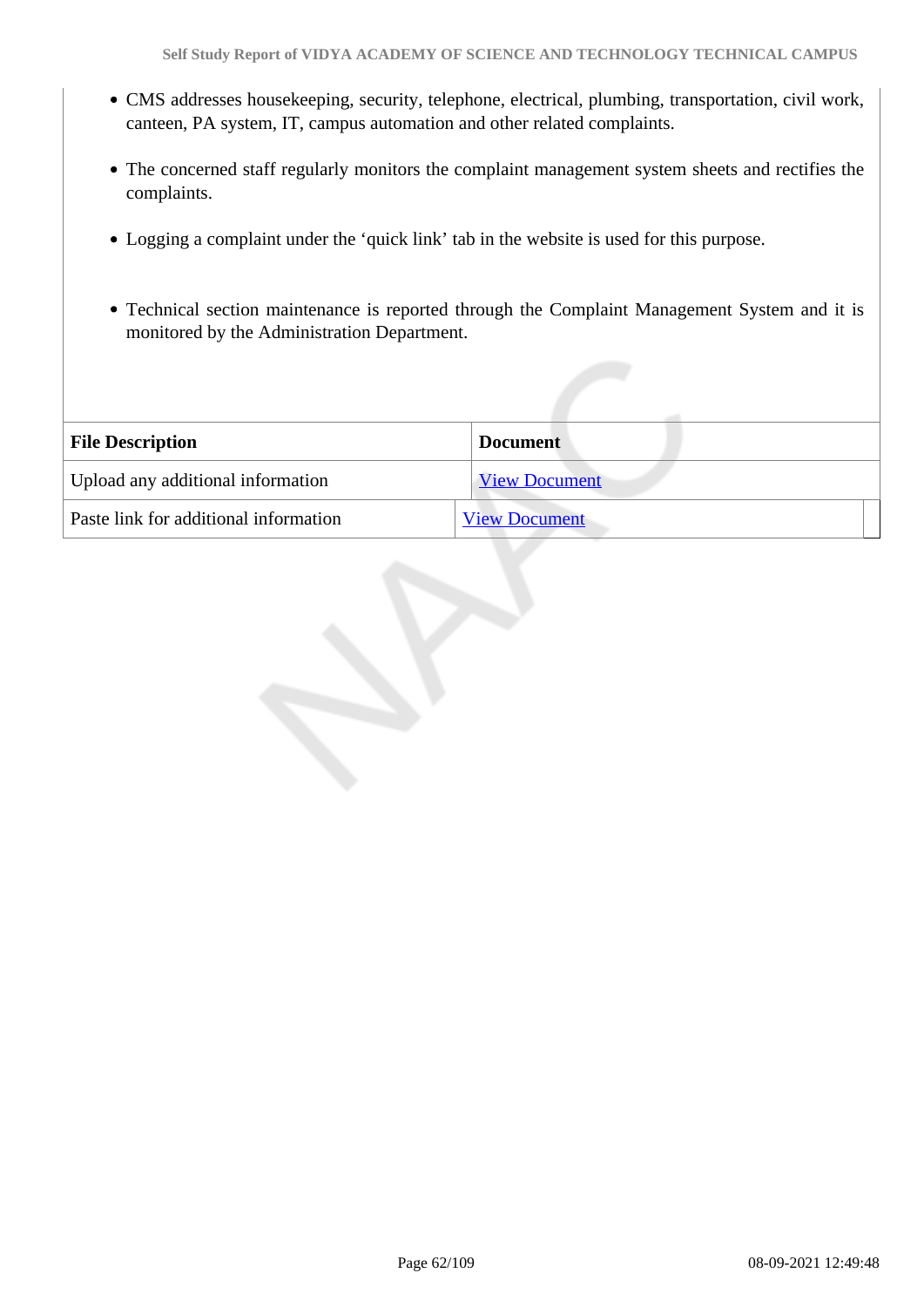- CMS addresses housekeeping, security, telephone, electrical, plumbing, transportation, civil work, canteen, PA system, IT, campus automation and other related complaints.
- The concerned staff regularly monitors the complaint management system sheets and rectifies the complaints.
- Logging a complaint under the 'quick link' tab in the website is used for this purpose.
- Technical section maintenance is reported through the Complaint Management System and it is monitored by the Administration Department.

| <b>File Description</b>               | <b>Document</b>      |
|---------------------------------------|----------------------|
| Upload any additional information     | <b>View Document</b> |
| Paste link for additional information | <b>View Document</b> |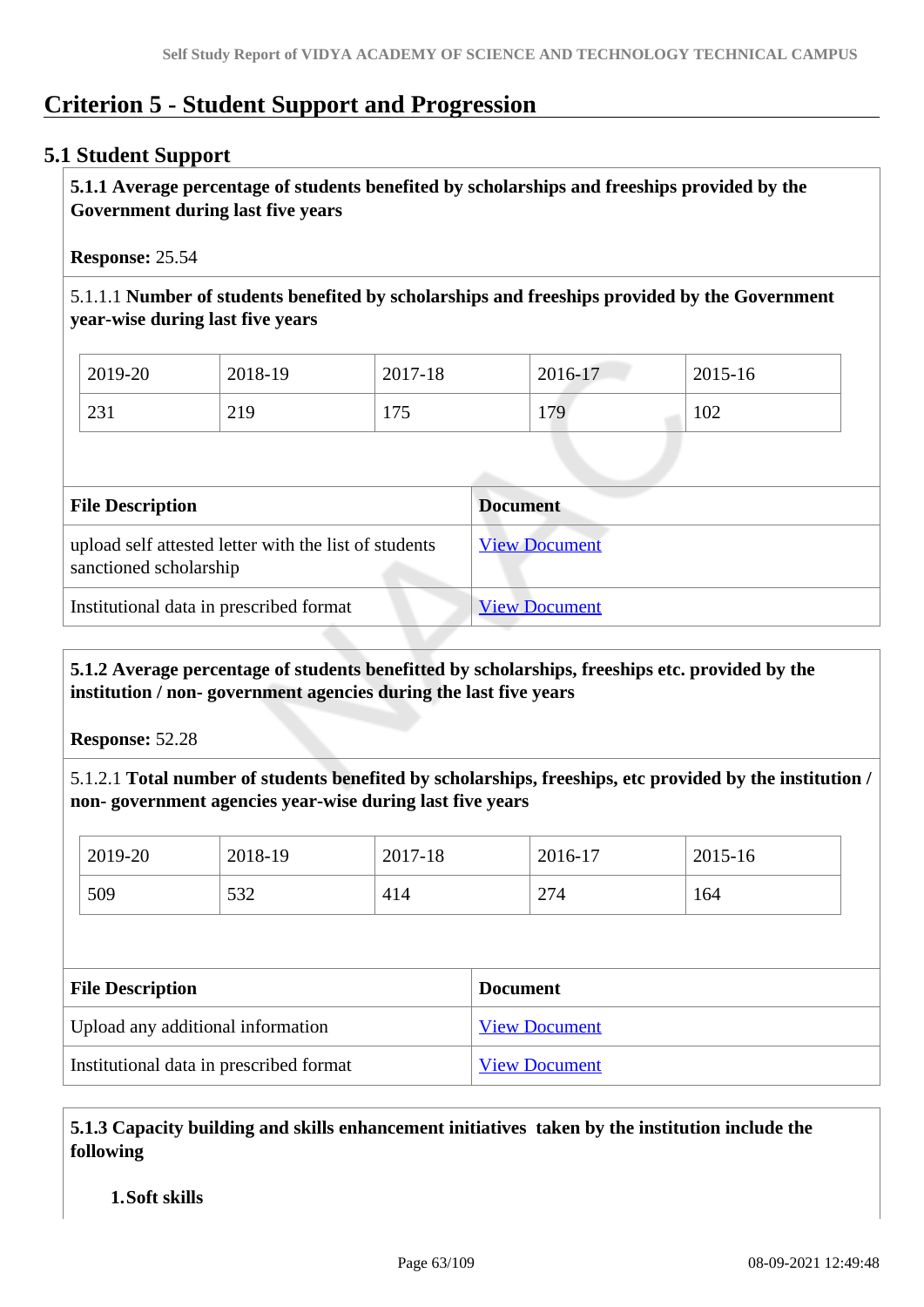# **Criterion 5 - Student Support and Progression**

# **5.1 Student Support**

 **5.1.1 Average percentage of students benefited by scholarships and freeships provided by the Government during last five years** 

**Response:** 25.54

5.1.1.1 **Number of students benefited by scholarships and freeships provided by the Government year-wise during last five years**

| 2019-20 | 2018-19 | 2017-18    | 2016-17 | 2015-16 |
|---------|---------|------------|---------|---------|
| 231     | 219     | 175<br>11J | 179     | 102     |

| <b>File Description</b>                                                         | <b>Document</b>      |
|---------------------------------------------------------------------------------|----------------------|
| upload self attested letter with the list of students<br>sanctioned scholarship | <b>View Document</b> |
| Institutional data in prescribed format                                         | <b>View Document</b> |

 **5.1.2 Average percentage of students benefitted by scholarships, freeships etc. provided by the institution / non- government agencies during the last five years**

**Response:** 52.28

5.1.2.1 **Total number of students benefited by scholarships, freeships, etc provided by the institution / non- government agencies year-wise during last five years**

| 2019-20 | 2018-19 | 2017-18 | 2016-17 | 2015-16 |
|---------|---------|---------|---------|---------|
| 509     | 532     | 414     | 274     | 164     |

| <b>File Description</b>                 | <b>Document</b>      |
|-----------------------------------------|----------------------|
| Upload any additional information       | <b>View Document</b> |
| Institutional data in prescribed format | <b>View Document</b> |

 **5.1.3 Capacity building and skills enhancement initiatives taken by the institution include the following**

# **1.Soft skills**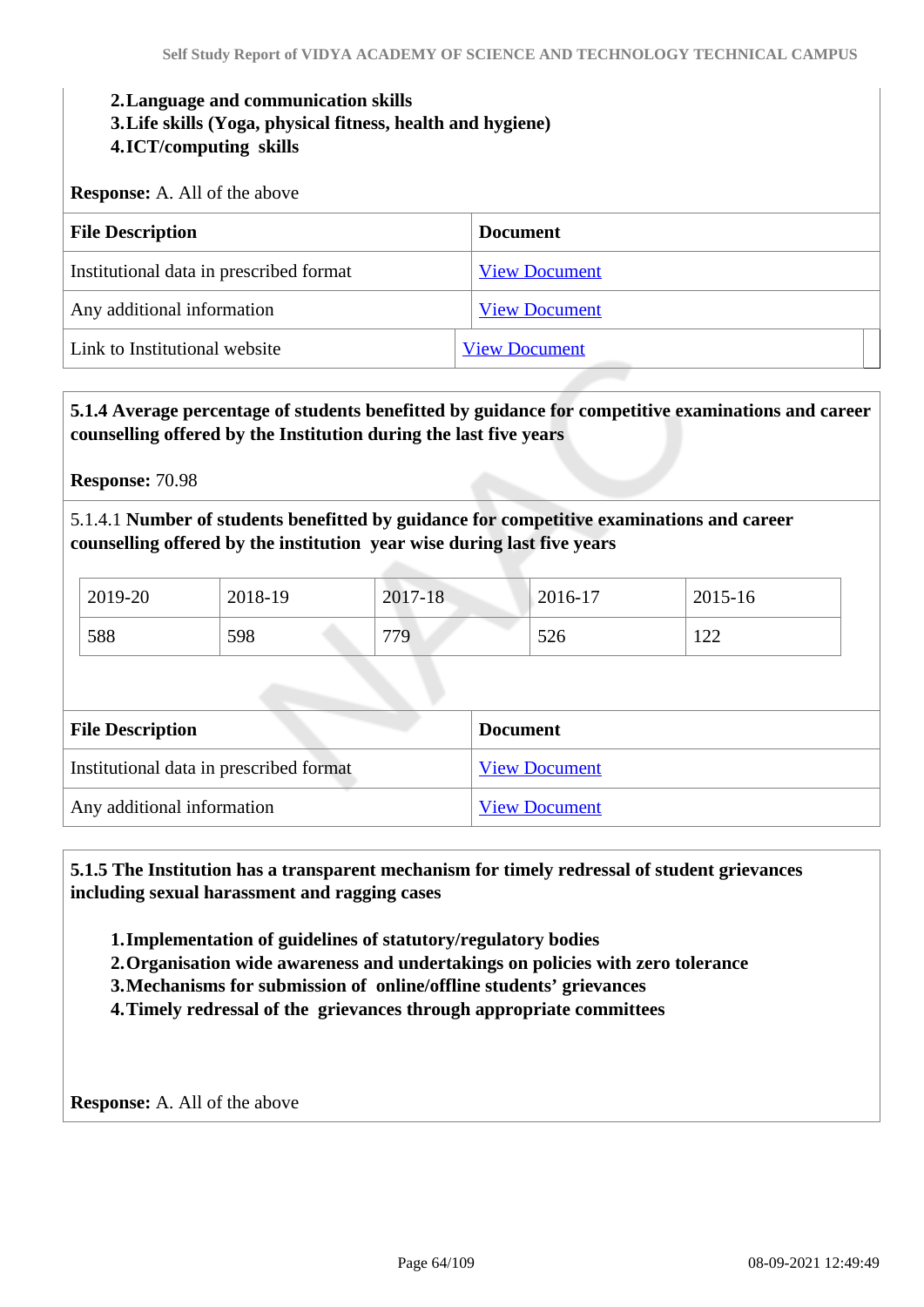#### **2.Language and communication skills**

**3.Life skills (Yoga, physical fitness, health and hygiene)**

# **4.ICT/computing skills**

**Response:** A. All of the above

| <b>File Description</b>                 | Document             |
|-----------------------------------------|----------------------|
| Institutional data in prescribed format | <b>View Document</b> |
| Any additional information              | <b>View Document</b> |
| Link to Institutional website           | <b>View Document</b> |

# **5.1.4 Average percentage of students benefitted by guidance for competitive examinations and career counselling offered by the Institution during the last five years**

**Response:** 70.98

5.1.4.1 **Number of students benefitted by guidance for competitive examinations and career counselling offered by the institution year wise during last five years**

| 2019-20 | 2018-19 | 2017-18 | $2016 - 17$ | 2015-16 |
|---------|---------|---------|-------------|---------|
| 588     | 598     | 779     | 526         | 1 ລລ    |

| <b>File Description</b>                 | <b>Document</b>      |
|-----------------------------------------|----------------------|
| Institutional data in prescribed format | <b>View Document</b> |
| Any additional information              | <b>View Document</b> |

 **5.1.5 The Institution has a transparent mechanism for timely redressal of student grievances including sexual harassment and ragging cases**

**1.Implementation of guidelines of statutory/regulatory bodies**

**2.Organisation wide awareness and undertakings on policies with zero tolerance**

**3.Mechanisms for submission of online/offline students' grievances**

**4.Timely redressal of the grievances through appropriate committees**

**Response:** A. All of the above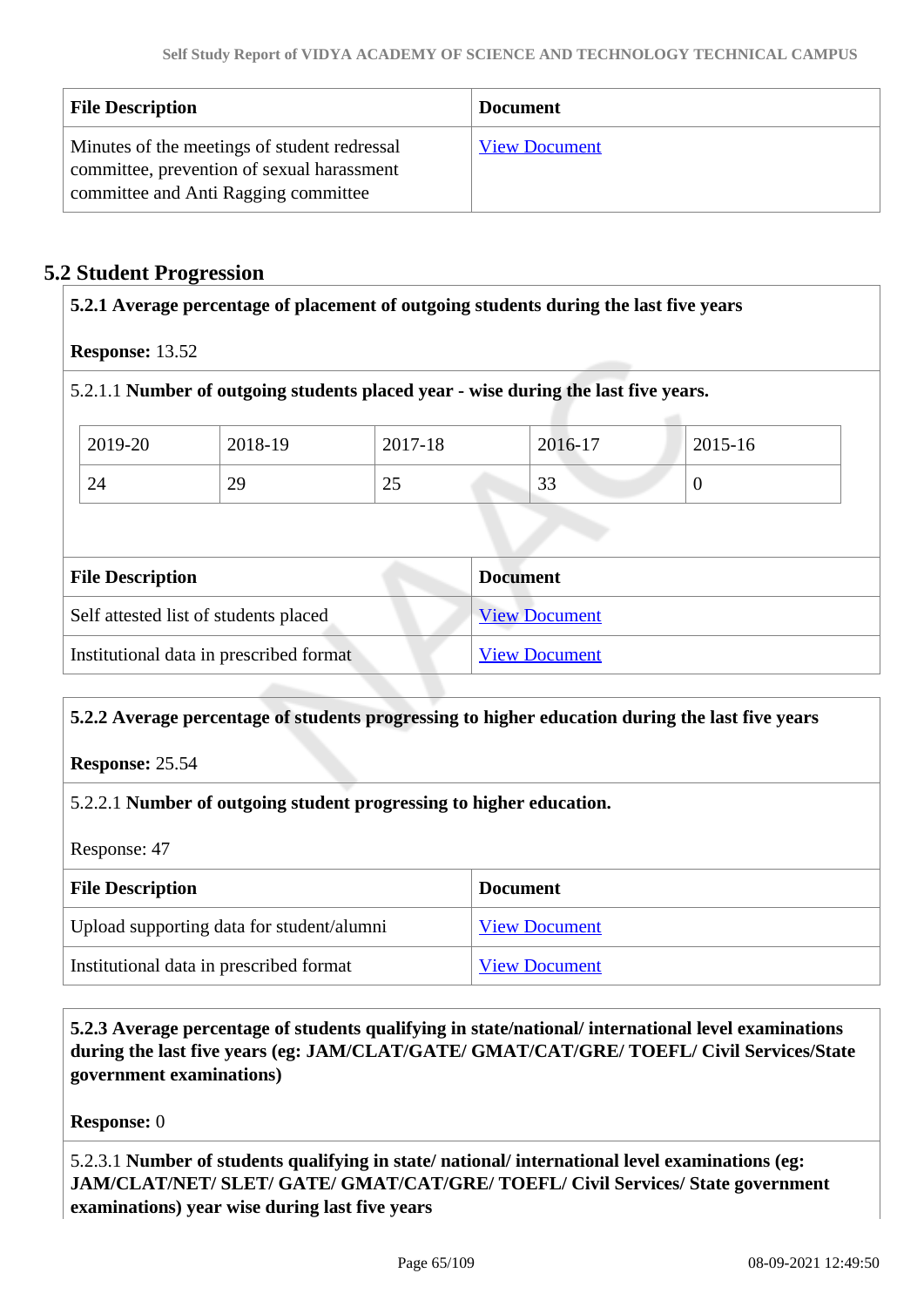| <b>File Description</b>                                                                                                            | <b>Document</b>      |
|------------------------------------------------------------------------------------------------------------------------------------|----------------------|
| Minutes of the meetings of student redressal<br>committee, prevention of sexual harassment<br>committee and Anti Ragging committee | <b>View Document</b> |

# **5.2 Student Progression**

| 5.2.1 Average percentage of placement of outgoing students during the last five years |                                         |         |                                                                                    |                |  |
|---------------------------------------------------------------------------------------|-----------------------------------------|---------|------------------------------------------------------------------------------------|----------------|--|
| <b>Response: 13.52</b>                                                                |                                         |         |                                                                                    |                |  |
|                                                                                       |                                         |         | 5.2.1.1 Number of outgoing students placed year - wise during the last five years. |                |  |
| 2019-20                                                                               | 2018-19                                 | 2017-18 | 2016-17                                                                            | 2015-16        |  |
| 24                                                                                    | 29                                      | 25      | 33                                                                                 | $\overline{0}$ |  |
|                                                                                       |                                         |         |                                                                                    |                |  |
| <b>File Description</b>                                                               |                                         |         | <b>Document</b>                                                                    |                |  |
| Self attested list of students placed                                                 |                                         |         | <b>View Document</b>                                                               |                |  |
|                                                                                       | Institutional data in prescribed format |         | <b>View Document</b>                                                               |                |  |
|                                                                                       |                                         |         |                                                                                    |                |  |

# **5.2.2 Average percentage of students progressing to higher education during the last five years**

**Response:** 25.54

# 5.2.2.1 **Number of outgoing student progressing to higher education.**

Response: 47

| <b>File Description</b>                   | <b>Document</b>      |
|-------------------------------------------|----------------------|
| Upload supporting data for student/alumni | <b>View Document</b> |
| Institutional data in prescribed format   | <b>View Document</b> |

 **5.2.3 Average percentage of students qualifying in state/national/ international level examinations during the last five years (eg: JAM/CLAT/GATE/ GMAT/CAT/GRE/ TOEFL/ Civil Services/State government examinations)**

**Response:** 0

5.2.3.1 **Number of students qualifying in state/ national/ international level examinations (eg: JAM/CLAT/NET/ SLET/ GATE/ GMAT/CAT/GRE/ TOEFL/ Civil Services/ State government examinations) year wise during last five years**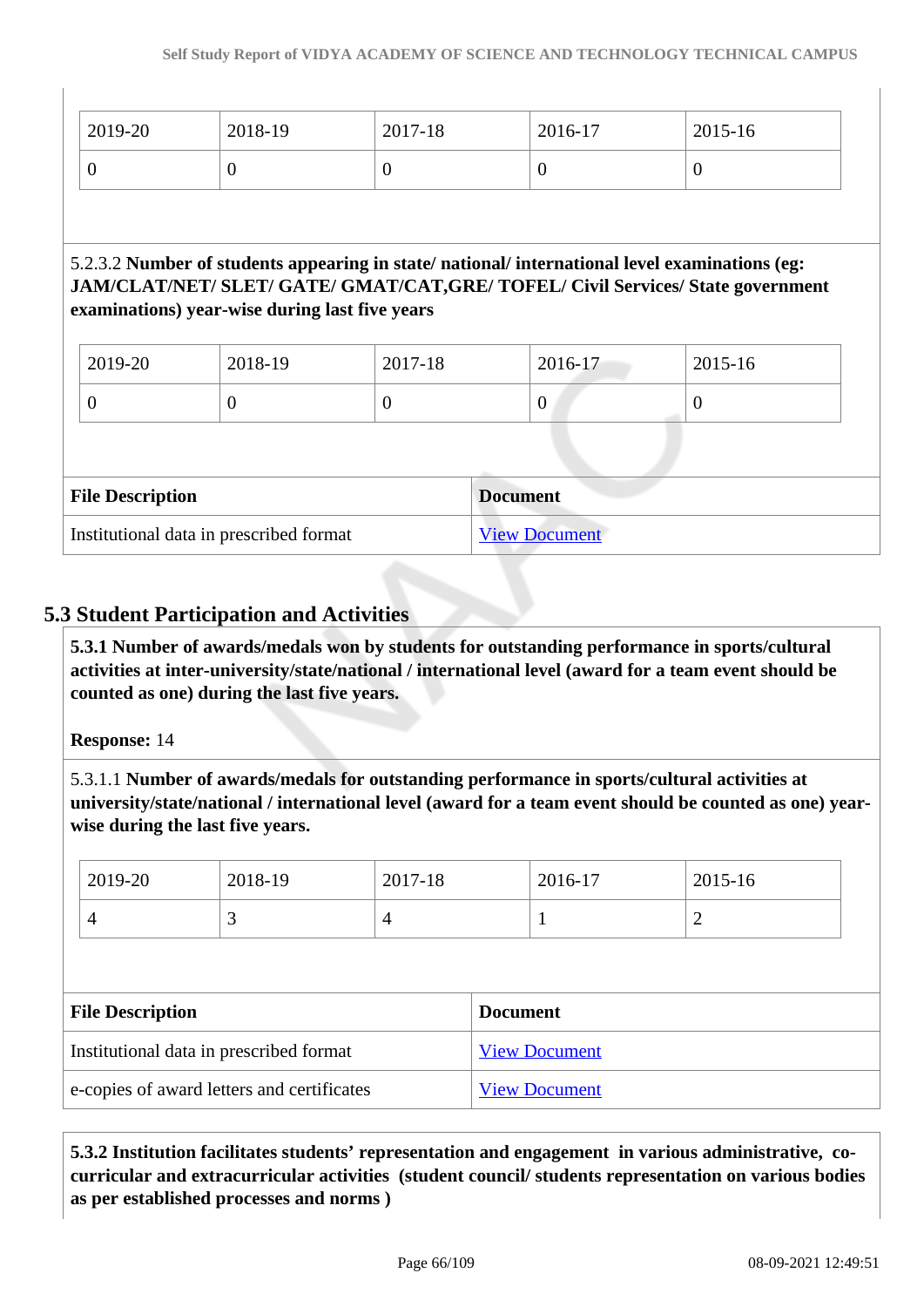| 2019-20                 | 2018-19                                        | 2017-18  | 2016-17         | $2015 - 16$                                                                                                                                                                      |
|-------------------------|------------------------------------------------|----------|-----------------|----------------------------------------------------------------------------------------------------------------------------------------------------------------------------------|
| $\overline{0}$          | $\theta$                                       | $\theta$ | $\overline{0}$  | $\theta$                                                                                                                                                                         |
|                         |                                                |          |                 | 5.2.3.2 Number of students appearing in state/national/international level examinations (eg:<br>JAM/CLAT/NET/ SLET/ GATE/ GMAT/CAT, GRE/ TOFEL/ Civil Services/ State government |
|                         | examinations) year-wise during last five years |          |                 |                                                                                                                                                                                  |
| 2019-20                 | 2018-19                                        | 2017-18  | 2016-17         | 2015-16                                                                                                                                                                          |
| $\overline{0}$          | $\Omega$                                       | $\theta$ | $\theta$        | $\theta$                                                                                                                                                                         |
|                         |                                                |          |                 |                                                                                                                                                                                  |
| <b>File Description</b> |                                                |          | <b>Document</b> |                                                                                                                                                                                  |

# **5.3 Student Participation and Activities**

 **5.3.1 Number of awards/medals won by students for outstanding performance in sports/cultural activities at inter-university/state/national / international level (award for a team event should be counted as one) during the last five years.**

# **Response:** 14

5.3.1.1 **Number of awards/medals for outstanding performance in sports/cultural activities at university/state/national / international level (award for a team event should be counted as one) yearwise during the last five years.**

| 2019-20                                    | 2018-19 | 2017-18 |                      | 2016-17              | 2015-16        |
|--------------------------------------------|---------|---------|----------------------|----------------------|----------------|
| $\overline{4}$                             | 3       | 4       |                      |                      | $\overline{2}$ |
|                                            |         |         |                      |                      |                |
| <b>File Description</b>                    |         |         | <b>Document</b>      |                      |                |
| Institutional data in prescribed format    |         |         | <b>View Document</b> |                      |                |
| e-copies of award letters and certificates |         |         |                      | <b>View Document</b> |                |

 **5.3.2 Institution facilitates students' representation and engagement in various administrative, cocurricular and extracurricular activities (student council/ students representation on various bodies as per established processes and norms )**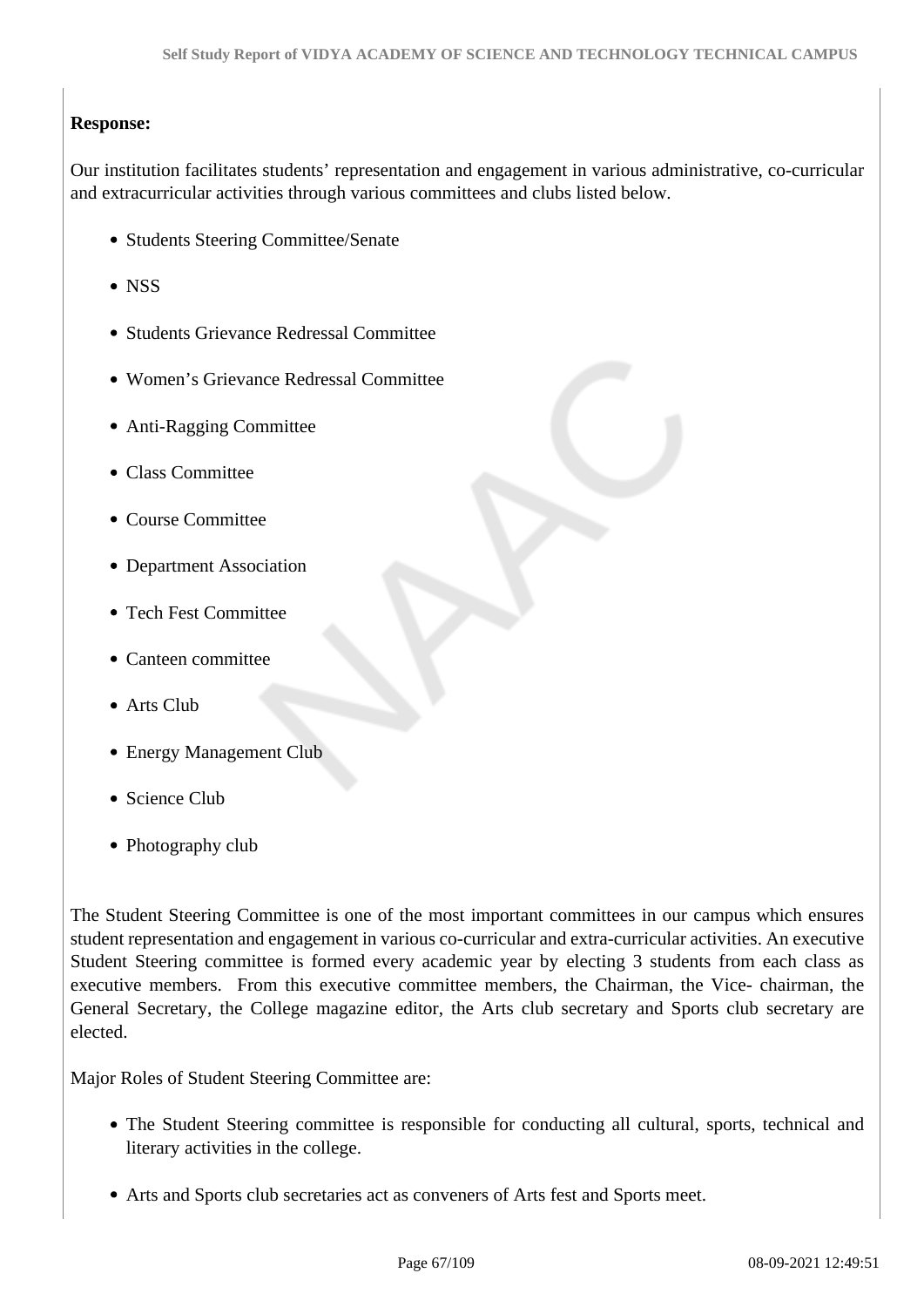# **Response:**

Our institution facilitates students' representation and engagement in various administrative, co-curricular and extracurricular activities through various committees and clubs listed below.

- Students Steering Committee/Senate
- NSS
- Students Grievance Redressal Committee
- Women's Grievance Redressal Committee
- Anti-Ragging Committee
- Class Committee
- Course Committee
- Department Association
- Tech Fest Committee
- Canteen committee
- Arts Club
- Energy Management Club
- Science Club
- Photography club

The Student Steering Committee is one of the most important committees in our campus which ensures student representation and engagement in various co-curricular and extra-curricular activities. An executive Student Steering committee is formed every academic year by electing 3 students from each class as executive members. From this executive committee members, the Chairman, the Vice- chairman, the General Secretary, the College magazine editor, the Arts club secretary and Sports club secretary are elected.

Major Roles of Student Steering Committee are:

- The Student Steering committee is responsible for conducting all cultural, sports, technical and literary activities in the college.
- Arts and Sports club secretaries act as conveners of Arts fest and Sports meet.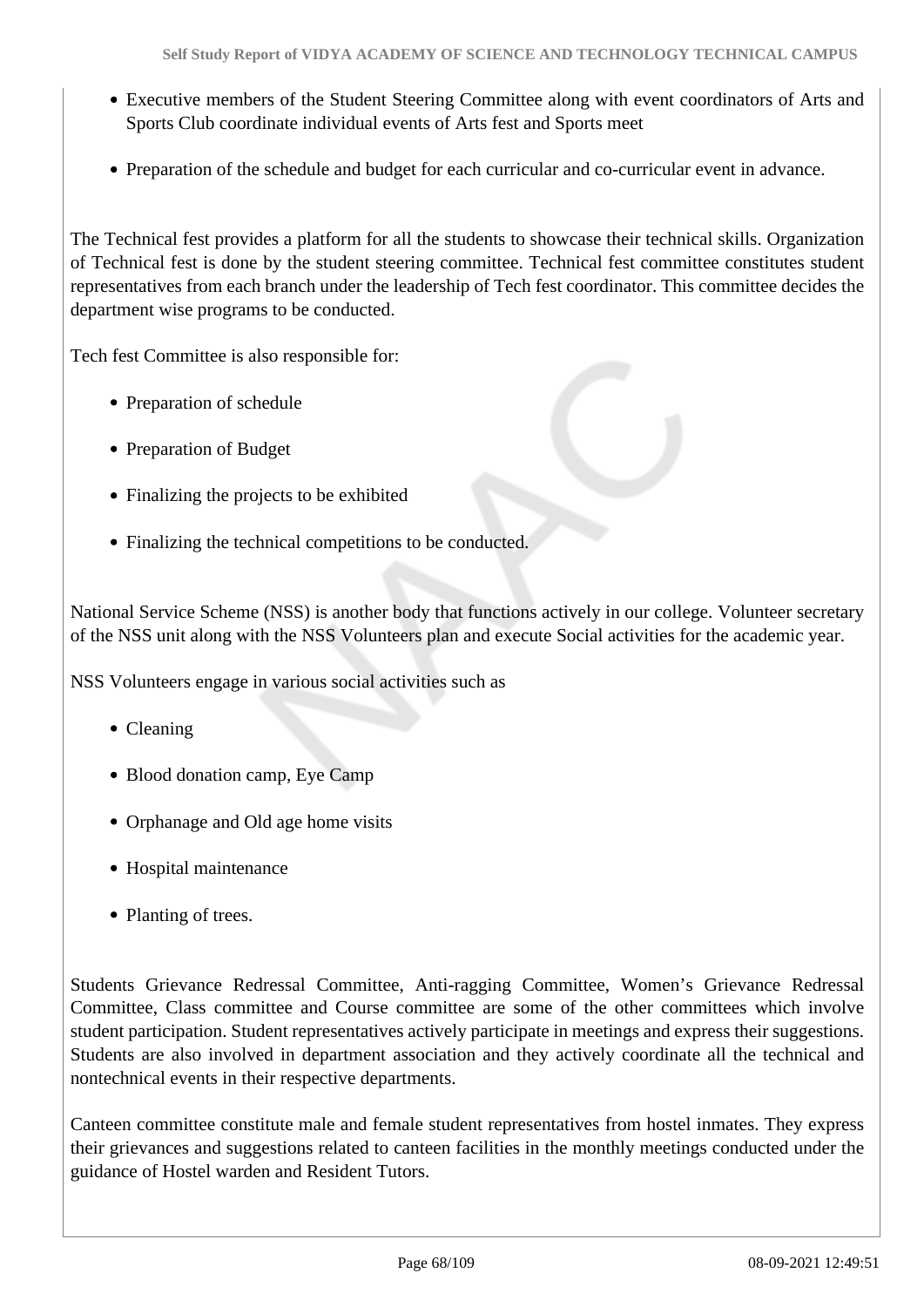- Executive members of the Student Steering Committee along with event coordinators of Arts and Sports Club coordinate individual events of Arts fest and Sports meet
- Preparation of the schedule and budget for each curricular and co-curricular event in advance.

The Technical fest provides a platform for all the students to showcase their technical skills. Organization of Technical fest is done by the student steering committee. Technical fest committee constitutes student representatives from each branch under the leadership of Tech fest coordinator. This committee decides the department wise programs to be conducted.

Tech fest Committee is also responsible for:

- Preparation of schedule
- Preparation of Budget
- Finalizing the projects to be exhibited
- Finalizing the technical competitions to be conducted.

National Service Scheme (NSS) is another body that functions actively in our college. Volunteer secretary of the NSS unit along with the NSS Volunteers plan and execute Social activities for the academic year.

NSS Volunteers engage in various social activities such as

- Cleaning
- Blood donation camp, Eye Camp
- Orphanage and Old age home visits
- Hospital maintenance
- Planting of trees.

Students Grievance Redressal Committee, Anti-ragging Committee, Women's Grievance Redressal Committee, Class committee and Course committee are some of the other committees which involve student participation. Student representatives actively participate in meetings and express their suggestions. Students are also involved in department association and they actively coordinate all the technical and nontechnical events in their respective departments.

Canteen committee constitute male and female student representatives from hostel inmates. They express their grievances and suggestions related to canteen facilities in the monthly meetings conducted under the guidance of Hostel warden and Resident Tutors.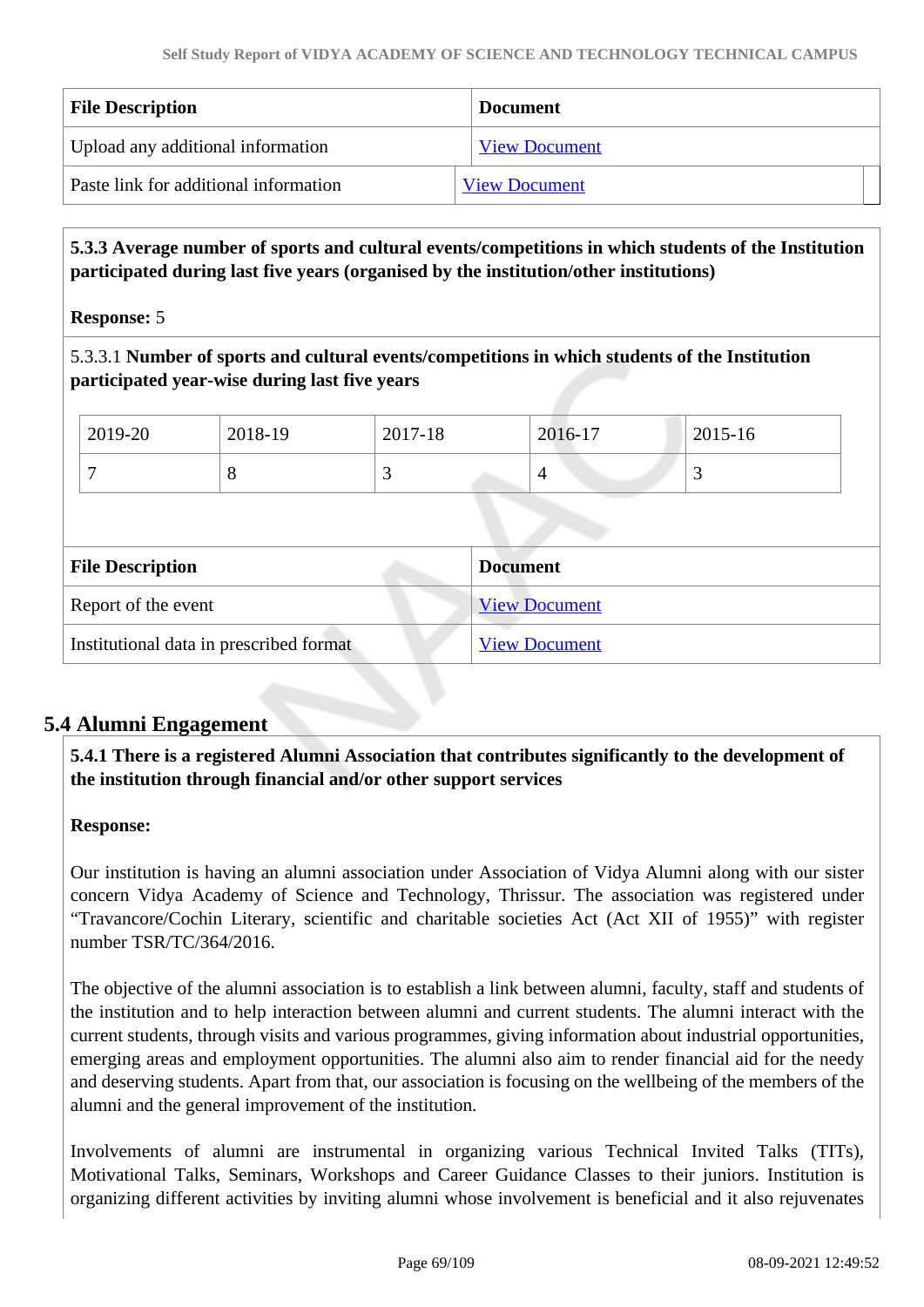| <b>File Description</b>               | <b>Document</b>      |
|---------------------------------------|----------------------|
| Upload any additional information     | <b>View Document</b> |
| Paste link for additional information | <b>View Document</b> |

 **5.3.3 Average number of sports and cultural events/competitions in which students of the Institution participated during last five years (organised by the institution/other institutions)**

**Response:** 5

5.3.3.1 **Number of sports and cultural events/competitions in which students of the Institution participated year-wise during last five years**

| 2019-20 | 2018-19 | 2017-18 | 2016-17 | 2015-16 |
|---------|---------|---------|---------|---------|
|         | O       | ັ       | 4       | ັ       |

| <b>File Description</b>                 | <b>Document</b>      |
|-----------------------------------------|----------------------|
| Report of the event                     | <b>View Document</b> |
| Institutional data in prescribed format | <b>View Document</b> |

# **5.4 Alumni Engagement**

 **5.4.1 There is a registered Alumni Association that contributes significantly to the development of the institution through financial and/or other support services**

# **Response:**

Our institution is having an alumni association under Association of Vidya Alumni along with our sister concern Vidya Academy of Science and Technology, Thrissur. The association was registered under "Travancore/Cochin Literary, scientific and charitable societies Act (Act XII of 1955)" with register number TSR/TC/364/2016.

The objective of the alumni association is to establish a link between alumni, faculty, staff and students of the institution and to help interaction between alumni and current students. The alumni interact with the current students, through visits and various programmes, giving information about industrial opportunities, emerging areas and employment opportunities. The alumni also aim to render financial aid for the needy and deserving students. Apart from that, our association is focusing on the wellbeing of the members of the alumni and the general improvement of the institution.

Involvements of alumni are instrumental in organizing various Technical Invited Talks (TITs), Motivational Talks, Seminars, Workshops and Career Guidance Classes to their juniors. Institution is organizing different activities by inviting alumni whose involvement is beneficial and it also rejuvenates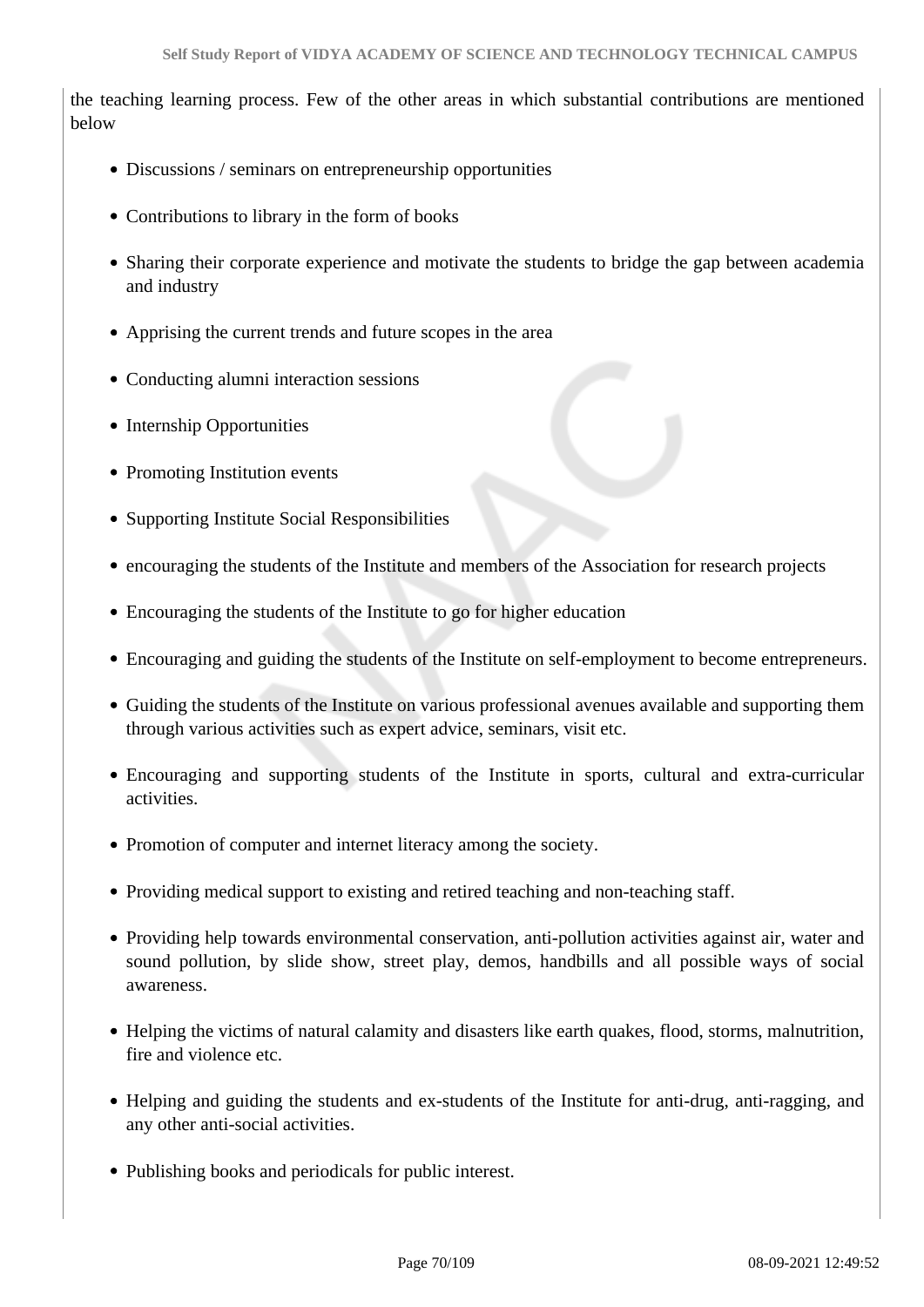the teaching learning process. Few of the other areas in which substantial contributions are mentioned below

- Discussions / seminars on entrepreneurship opportunities
- Contributions to library in the form of books
- Sharing their corporate experience and motivate the students to bridge the gap between academia and industry
- Apprising the current trends and future scopes in the area
- Conducting alumni interaction sessions
- Internship Opportunities
- Promoting Institution events
- Supporting Institute Social Responsibilities
- encouraging the students of the Institute and members of the Association for research projects
- Encouraging the students of the Institute to go for higher education
- Encouraging and guiding the students of the Institute on self-employment to become entrepreneurs.
- Guiding the students of the Institute on various professional avenues available and supporting them through various activities such as expert advice, seminars, visit etc.
- Encouraging and supporting students of the Institute in sports, cultural and extra-curricular activities.
- Promotion of computer and internet literacy among the society.
- Providing medical support to existing and retired teaching and non-teaching staff.
- Providing help towards environmental conservation, anti-pollution activities against air, water and sound pollution, by slide show, street play, demos, handbills and all possible ways of social awareness.
- Helping the victims of natural calamity and disasters like earth quakes, flood, storms, malnutrition, fire and violence etc.
- Helping and guiding the students and ex-students of the Institute for anti-drug, anti-ragging, and any other anti-social activities.
- Publishing books and periodicals for public interest.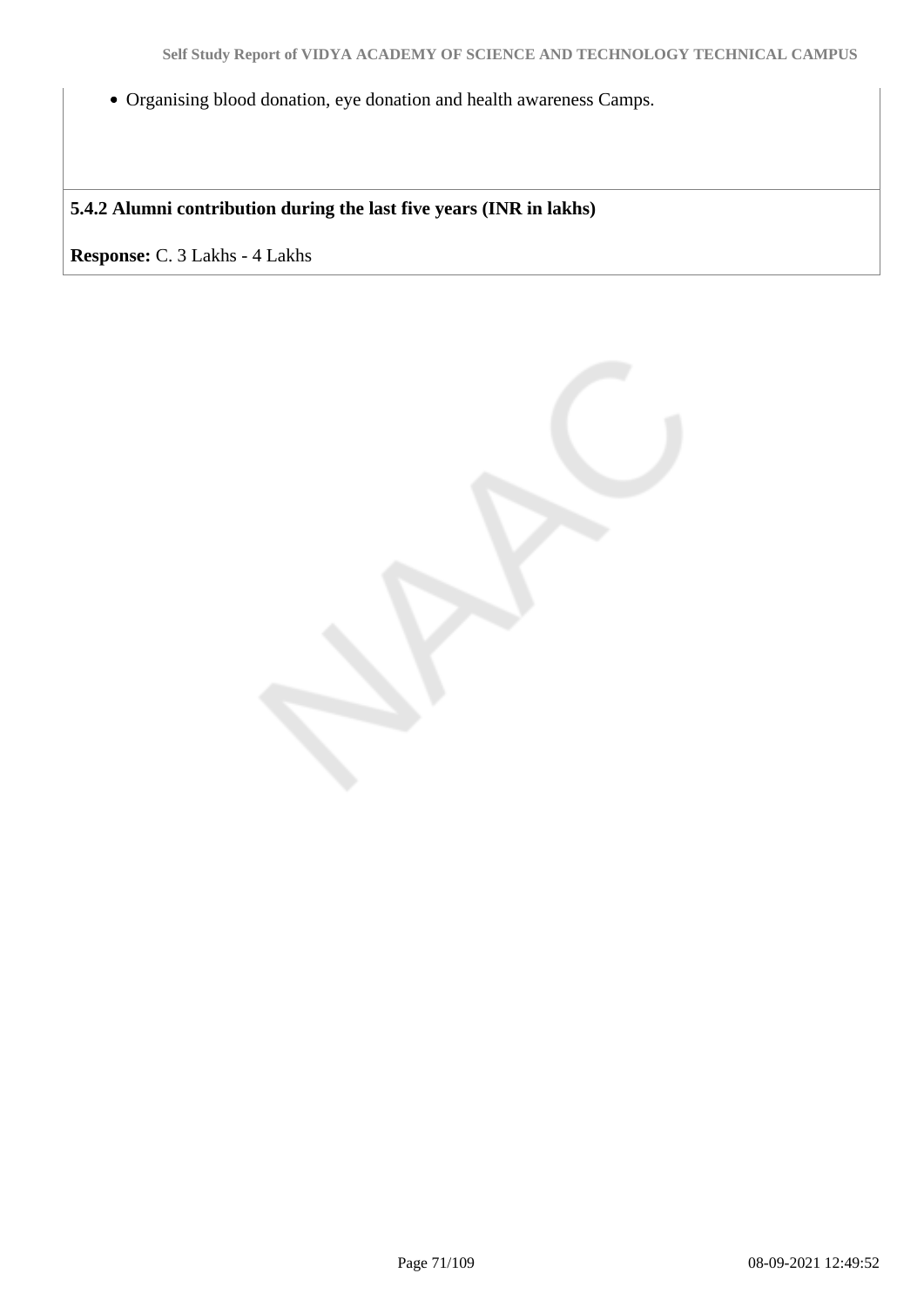Organising blood donation, eye donation and health awareness Camps.

**5.4.2 Alumni contribution during the last five years (INR in lakhs)**

**Response:** C. 3 Lakhs - 4 Lakhs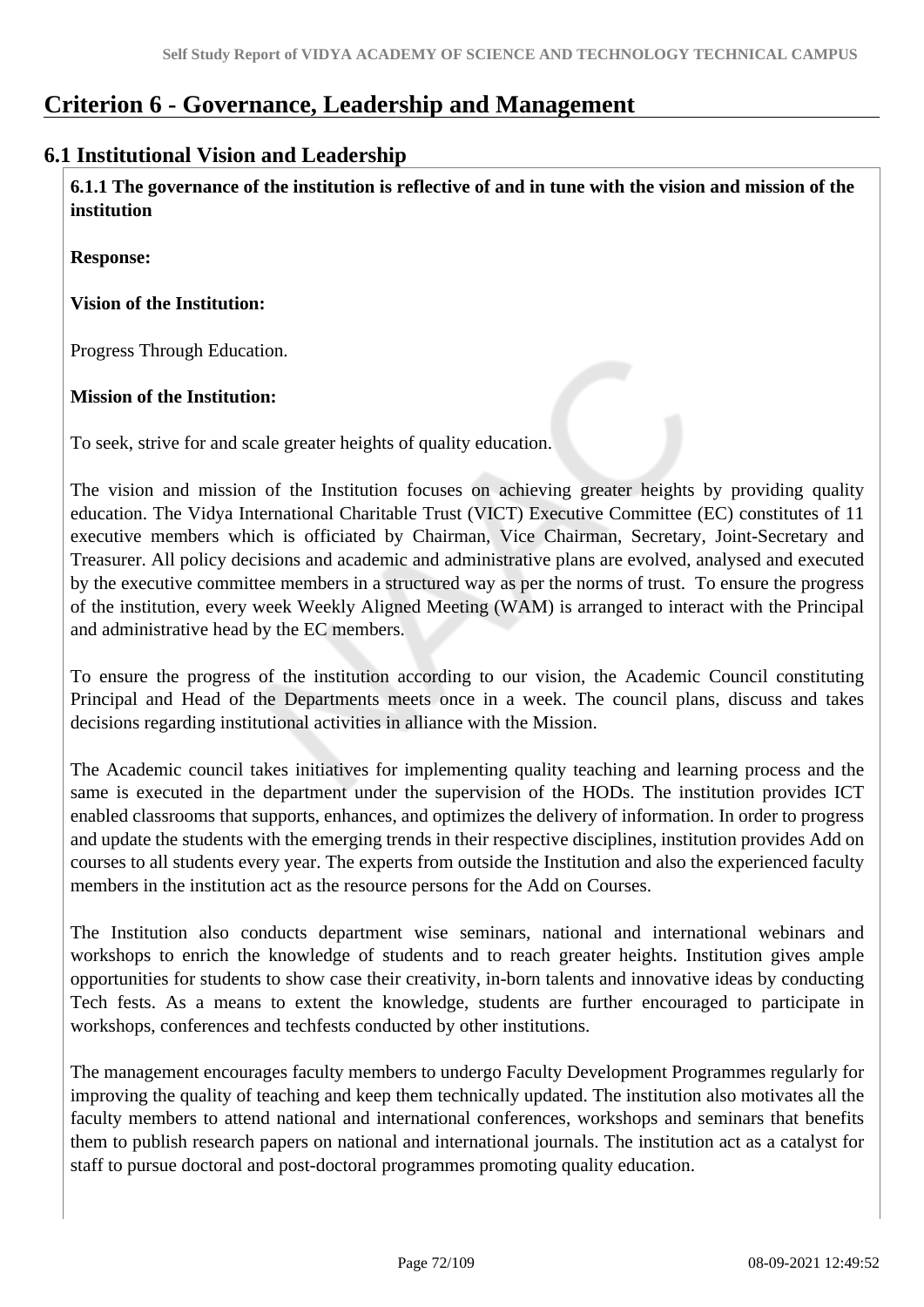# **Criterion 6 - Governance, Leadership and Management**

# **6.1 Institutional Vision and Leadership**

 **6.1.1 The governance of the institution is reflective of and in tune with the vision and mission of the institution**

**Response:** 

# **Vision of the Institution:**

Progress Through Education.

# **Mission of the Institution:**

To seek, strive for and scale greater heights of quality education.

The vision and mission of the Institution focuses on achieving greater heights by providing quality education. The Vidya International Charitable Trust (VICT) Executive Committee (EC) constitutes of 11 executive members which is officiated by Chairman, Vice Chairman, Secretary, Joint-Secretary and Treasurer. All policy decisions and academic and administrative plans are evolved, analysed and executed by the executive committee members in a structured way as per the norms of trust. To ensure the progress of the institution, every week Weekly Aligned Meeting (WAM) is arranged to interact with the Principal and administrative head by the EC members.

To ensure the progress of the institution according to our vision, the Academic Council constituting Principal and Head of the Departments meets once in a week. The council plans, discuss and takes decisions regarding institutional activities in alliance with the Mission.

The Academic council takes initiatives for implementing quality teaching and learning process and the same is executed in the department under the supervision of the HODs. The institution provides ICT enabled classrooms that supports, enhances, and optimizes the delivery of information. In order to progress and update the students with the emerging trends in their respective disciplines, institution provides Add on courses to all students every year. The experts from outside the Institution and also the experienced faculty members in the institution act as the resource persons for the Add on Courses.

The Institution also conducts department wise seminars, national and international webinars and workshops to enrich the knowledge of students and to reach greater heights. Institution gives ample opportunities for students to show case their creativity, in-born talents and innovative ideas by conducting Tech fests. As a means to extent the knowledge, students are further encouraged to participate in workshops, conferences and techfests conducted by other institutions.

The management encourages faculty members to undergo Faculty Development Programmes regularly for improving the quality of teaching and keep them technically updated. The institution also motivates all the faculty members to attend national and international conferences, workshops and seminars that benefits them to publish research papers on national and international journals. The institution act as a catalyst for staff to pursue doctoral and post-doctoral programmes promoting quality education.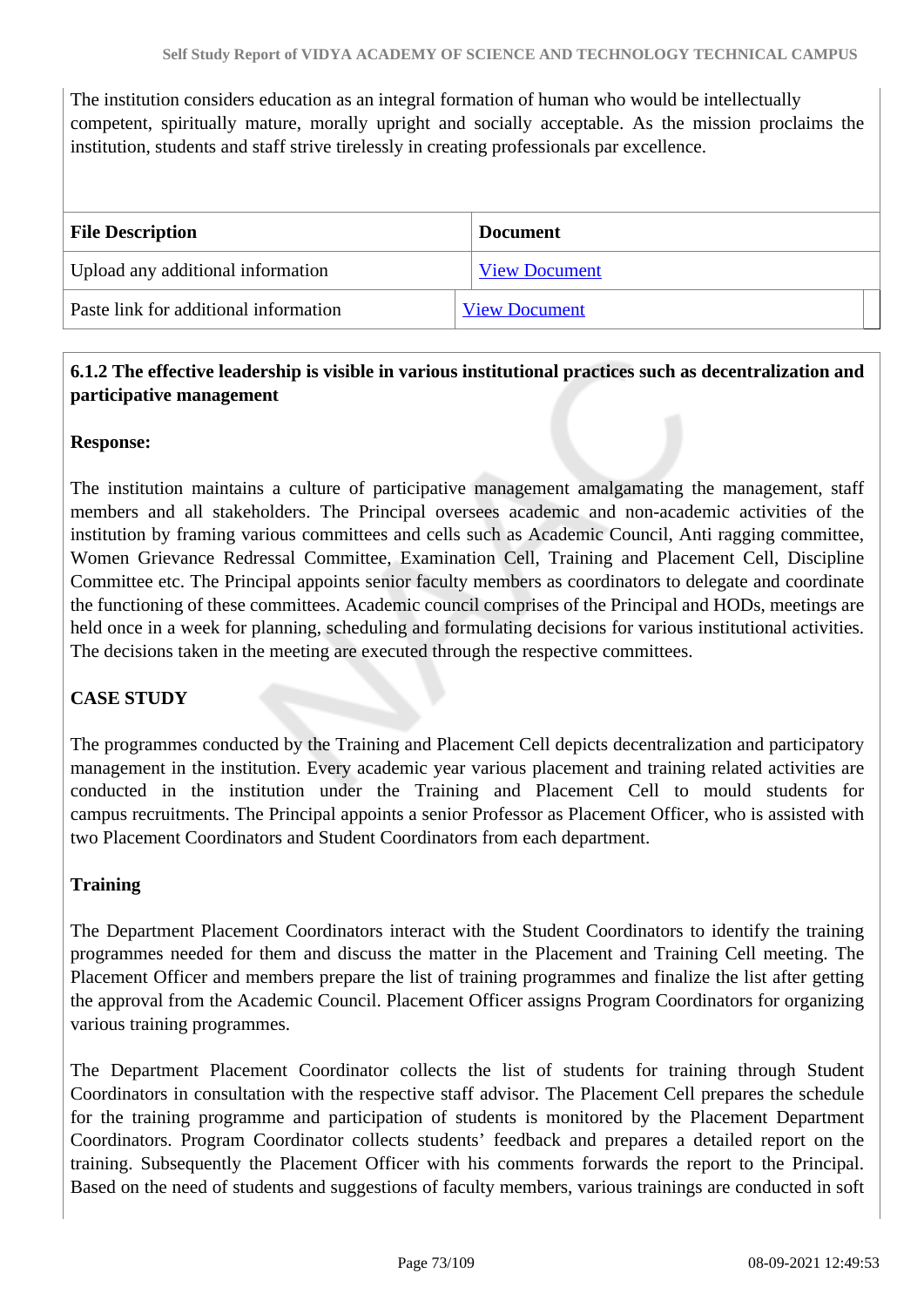The institution considers education as an integral formation of human who would be intellectually competent, spiritually mature, morally upright and socially acceptable. As the mission proclaims the institution, students and staff strive tirelessly in creating professionals par excellence.

| <b>File Description</b>               | <b>Document</b>      |
|---------------------------------------|----------------------|
| Upload any additional information     | <b>View Document</b> |
| Paste link for additional information | <b>View Document</b> |

### **6.1.2 The effective leadership is visible in various institutional practices such as decentralization and participative management**

### **Response:**

The institution maintains a culture of participative management amalgamating the management, staff members and all stakeholders. The Principal oversees academic and non-academic activities of the institution by framing various committees and cells such as Academic Council, Anti ragging committee, Women Grievance Redressal Committee, Examination Cell, Training and Placement Cell, Discipline Committee etc. The Principal appoints senior faculty members as coordinators to delegate and coordinate the functioning of these committees. Academic council comprises of the Principal and HODs, meetings are held once in a week for planning, scheduling and formulating decisions for various institutional activities. The decisions taken in the meeting are executed through the respective committees.

### **CASE STUDY**

The programmes conducted by the Training and Placement Cell depicts decentralization and participatory management in the institution. Every academic year various placement and training related activities are conducted in the institution under the Training and Placement Cell to mould students for campus recruitments. The Principal appoints a senior Professor as Placement Officer, who is assisted with two Placement Coordinators and Student Coordinators from each department.

### **Training**

The Department Placement Coordinators interact with the Student Coordinators to identify the training programmes needed for them and discuss the matter in the Placement and Training Cell meeting. The Placement Officer and members prepare the list of training programmes and finalize the list after getting the approval from the Academic Council. Placement Officer assigns Program Coordinators for organizing various training programmes.

The Department Placement Coordinator collects the list of students for training through Student Coordinators in consultation with the respective staff advisor. The Placement Cell prepares the schedule for the training programme and participation of students is monitored by the Placement Department Coordinators. Program Coordinator collects students' feedback and prepares a detailed report on the training. Subsequently the Placement Officer with his comments forwards the report to the Principal. Based on the need of students and suggestions of faculty members, various trainings are conducted in soft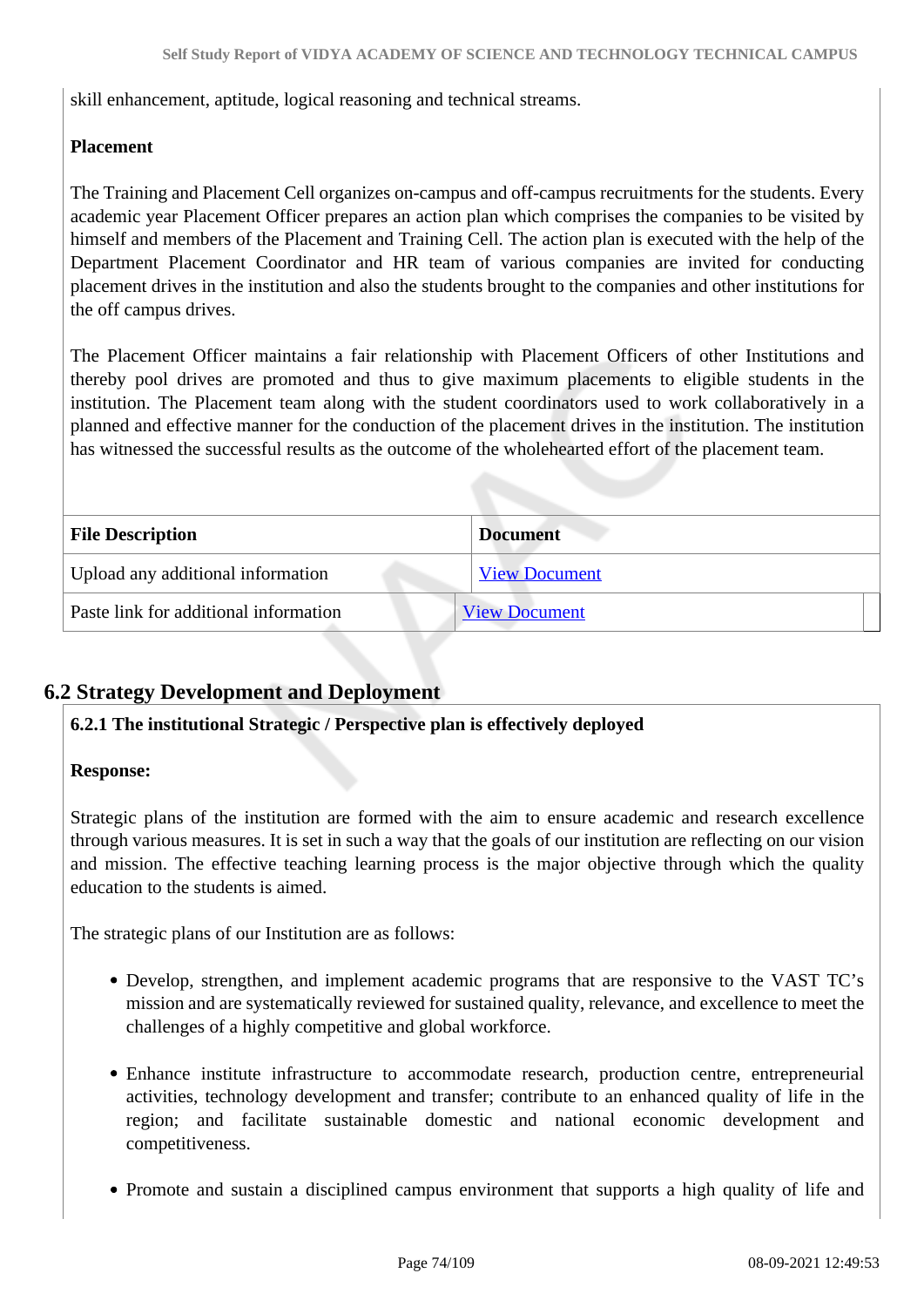skill enhancement, aptitude, logical reasoning and technical streams.

### **Placement**

The Training and Placement Cell organizes on-campus and off-campus recruitments for the students. Every academic year Placement Officer prepares an action plan which comprises the companies to be visited by himself and members of the Placement and Training Cell. The action plan is executed with the help of the Department Placement Coordinator and HR team of various companies are invited for conducting placement drives in the institution and also the students brought to the companies and other institutions for the off campus drives.

The Placement Officer maintains a fair relationship with Placement Officers of other Institutions and thereby pool drives are promoted and thus to give maximum placements to eligible students in the institution. The Placement team along with the student coordinators used to work collaboratively in a planned and effective manner for the conduction of the placement drives in the institution. The institution has witnessed the successful results as the outcome of the wholehearted effort of the placement team.

| <b>File Description</b>               | <b>Document</b>      |
|---------------------------------------|----------------------|
| Upload any additional information     | <b>View Document</b> |
| Paste link for additional information | <b>View Document</b> |

### **6.2 Strategy Development and Deployment**

#### **6.2.1 The institutional Strategic / Perspective plan is effectively deployed**

#### **Response:**

Strategic plans of the institution are formed with the aim to ensure academic and research excellence through various measures. It is set in such a way that the goals of our institution are reflecting on our vision and mission. The effective teaching learning process is the major objective through which the quality education to the students is aimed.

The strategic plans of our Institution are as follows:

- Develop, strengthen, and implement academic programs that are responsive to the VAST TC's mission and are systematically reviewed for sustained quality, relevance, and excellence to meet the challenges of a highly competitive and global workforce.
- Enhance institute infrastructure to accommodate research, production centre, entrepreneurial activities, technology development and transfer; contribute to an enhanced quality of life in the region; and facilitate sustainable domestic and national economic development and competitiveness.
- Promote and sustain a disciplined campus environment that supports a high quality of life and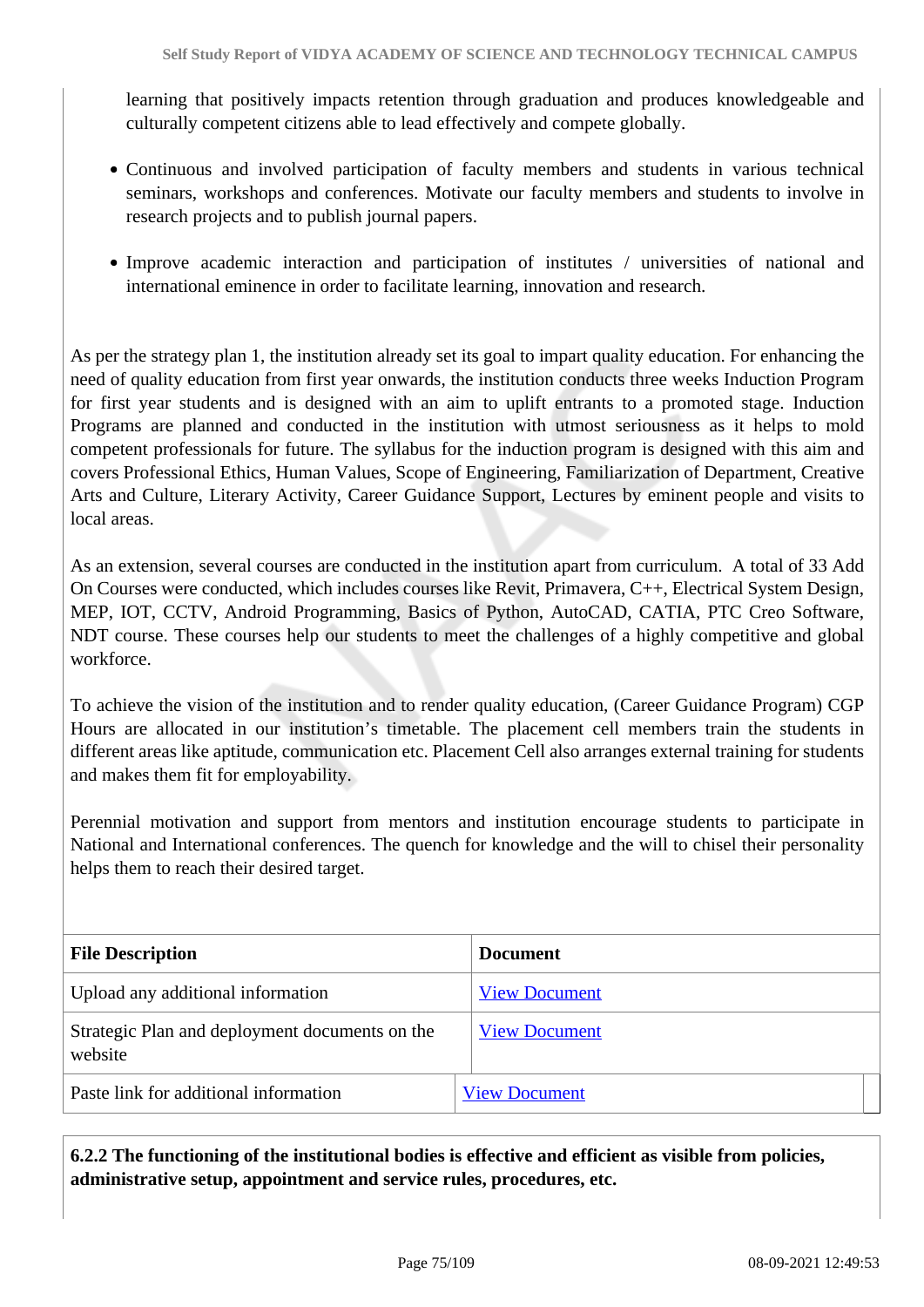learning that positively impacts retention through graduation and produces knowledgeable and culturally competent citizens able to lead effectively and compete globally.

- Continuous and involved participation of faculty members and students in various technical seminars, workshops and conferences. Motivate our faculty members and students to involve in research projects and to publish journal papers.
- Improve academic interaction and participation of institutes / universities of national and international eminence in order to facilitate learning, innovation and research.

As per the strategy plan 1, the institution already set its goal to impart quality education. For enhancing the need of quality education from first year onwards, the institution conducts three weeks Induction Program for first year students and is designed with an aim to uplift entrants to a promoted stage. Induction Programs are planned and conducted in the institution with utmost seriousness as it helps to mold competent professionals for future. The syllabus for the induction program is designed with this aim and covers Professional Ethics, Human Values, Scope of Engineering, Familiarization of Department, Creative Arts and Culture, Literary Activity, Career Guidance Support, Lectures by eminent people and visits to local areas.

As an extension, several courses are conducted in the institution apart from curriculum. A total of 33 Add On Courses were conducted, which includes courses like Revit, Primavera, C++, Electrical System Design, MEP, IOT, CCTV, Android Programming, Basics of Python, AutoCAD, CATIA, PTC Creo Software, NDT course. These courses help our students to meet the challenges of a highly competitive and global workforce.

To achieve the vision of the institution and to render quality education, (Career Guidance Program) CGP Hours are allocated in our institution's timetable. The placement cell members train the students in different areas like aptitude, communication etc. Placement Cell also arranges external training for students and makes them fit for employability.

Perennial motivation and support from mentors and institution encourage students to participate in National and International conferences. The quench for knowledge and the will to chisel their personality helps them to reach their desired target.

| <b>File Description</b>                                   | <b>Document</b>      |
|-----------------------------------------------------------|----------------------|
| Upload any additional information                         | <b>View Document</b> |
| Strategic Plan and deployment documents on the<br>website | <b>View Document</b> |
| Paste link for additional information                     | <b>View Document</b> |

 **6.2.2 The functioning of the institutional bodies is effective and efficient as visible from policies, administrative setup, appointment and service rules, procedures, etc.**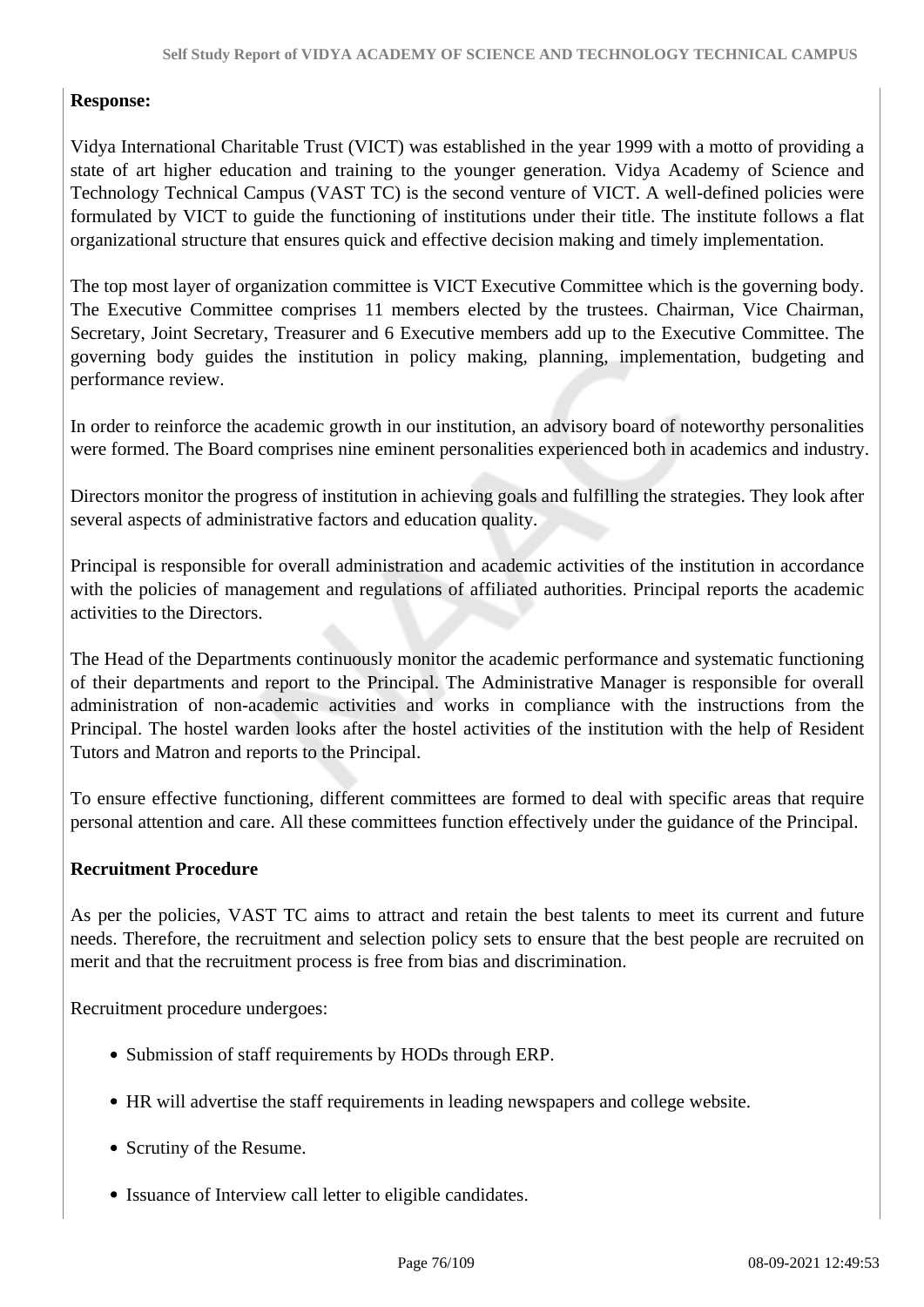#### **Response:**

Vidya International Charitable Trust (VICT) was established in the year 1999 with a motto of providing a state of art higher education and training to the younger generation. Vidya Academy of Science and Technology Technical Campus (VAST TC) is the second venture of VICT. A well-defined policies were formulated by VICT to guide the functioning of institutions under their title. The institute follows a flat organizational structure that ensures quick and effective decision making and timely implementation.

The top most layer of organization committee is VICT Executive Committee which is the governing body. The Executive Committee comprises 11 members elected by the trustees. Chairman, Vice Chairman, Secretary, Joint Secretary, Treasurer and 6 Executive members add up to the Executive Committee. The governing body guides the institution in policy making, planning, implementation, budgeting and performance review.

In order to reinforce the academic growth in our institution, an advisory board of noteworthy personalities were formed. The Board comprises nine eminent personalities experienced both in academics and industry.

Directors monitor the progress of institution in achieving goals and fulfilling the strategies. They look after several aspects of administrative factors and education quality.

Principal is responsible for overall administration and academic activities of the institution in accordance with the policies of management and regulations of affiliated authorities. Principal reports the academic activities to the Directors.

The Head of the Departments continuously monitor the academic performance and systematic functioning of their departments and report to the Principal. The Administrative Manager is responsible for overall administration of non-academic activities and works in compliance with the instructions from the Principal. The hostel warden looks after the hostel activities of the institution with the help of Resident Tutors and Matron and reports to the Principal.

To ensure effective functioning, different committees are formed to deal with specific areas that require personal attention and care. All these committees function effectively under the guidance of the Principal.

#### **Recruitment Procedure**

As per the policies, VAST TC aims to attract and retain the best talents to meet its current and future needs. Therefore, the recruitment and selection policy sets to ensure that the best people are recruited on merit and that the recruitment process is free from bias and discrimination.

Recruitment procedure undergoes:

- Submission of staff requirements by HODs through ERP.
- HR will advertise the staff requirements in leading newspapers and college website.
- Scrutiny of the Resume.
- Issuance of Interview call letter to eligible candidates.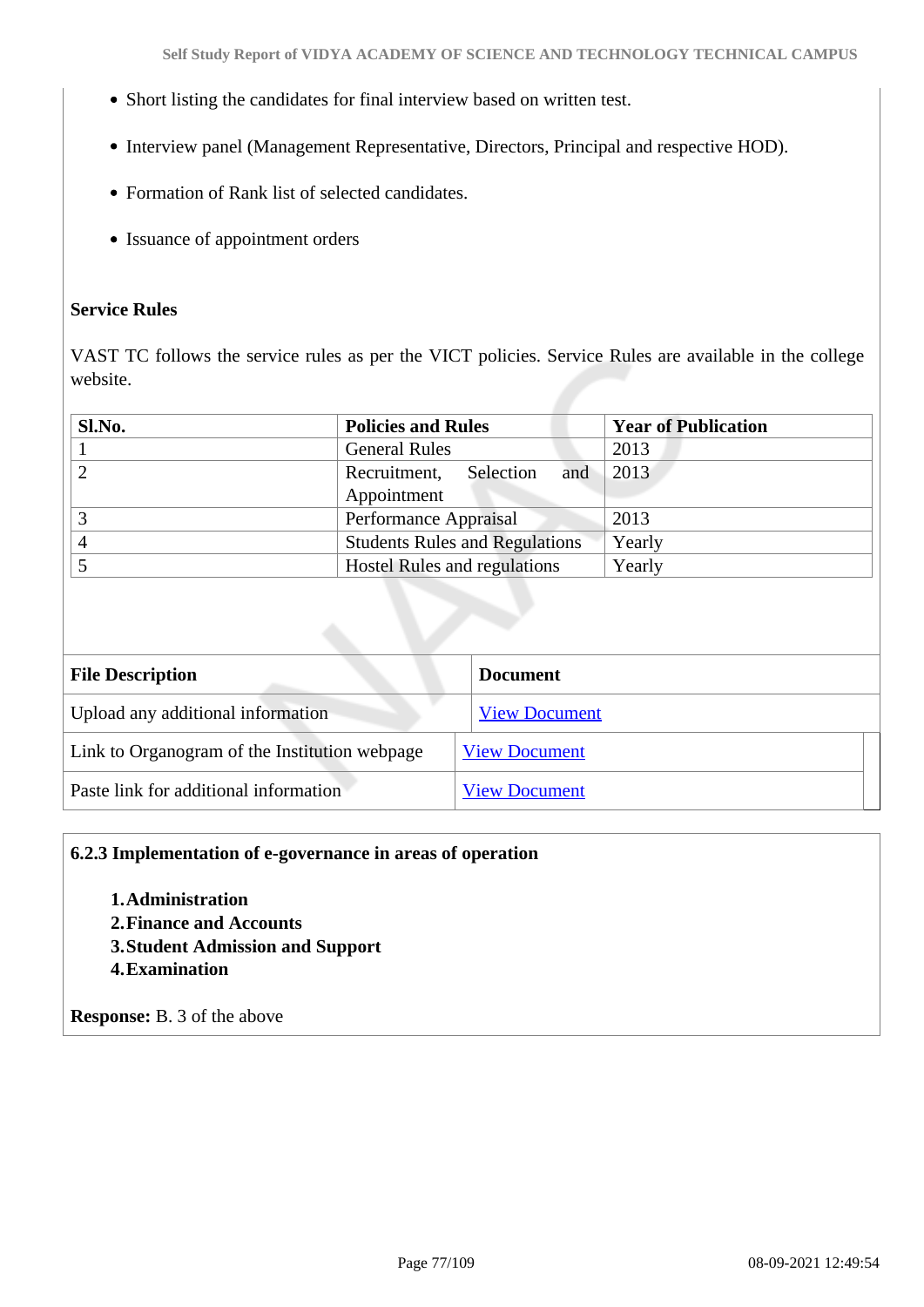- Short listing the candidates for final interview based on written test.
- Interview panel (Management Representative, Directors, Principal and respective HOD).
- Formation of Rank list of selected candidates.
- Issuance of appointment orders

#### **Service Rules**

VAST TC follows the service rules as per the VICT policies. Service Rules are available in the college website.

| Sl.No. | <b>Policies and Rules</b>             | <b>Year of Publication</b> |
|--------|---------------------------------------|----------------------------|
|        | <b>General Rules</b>                  | 2013                       |
|        | Recruitment,<br>and<br>Selection      | 2013                       |
|        | Appointment                           |                            |
|        | Performance Appraisal                 | 2013                       |
|        | <b>Students Rules and Regulations</b> | Yearly                     |
|        | <b>Hostel Rules and regulations</b>   | Yearly                     |

| <b>File Description</b>                       | <b>Document</b>      |  |
|-----------------------------------------------|----------------------|--|
| Upload any additional information             | <b>View Document</b> |  |
| Link to Organogram of the Institution webpage | <b>View Document</b> |  |
| Paste link for additional information         | <b>View Document</b> |  |

#### **6.2.3 Implementation of e-governance in areas of operation**

- **1.Administration**
- **2.Finance and Accounts**
- **3.Student Admission and Support**
- **4.Examination**

**Response:** B. 3 of the above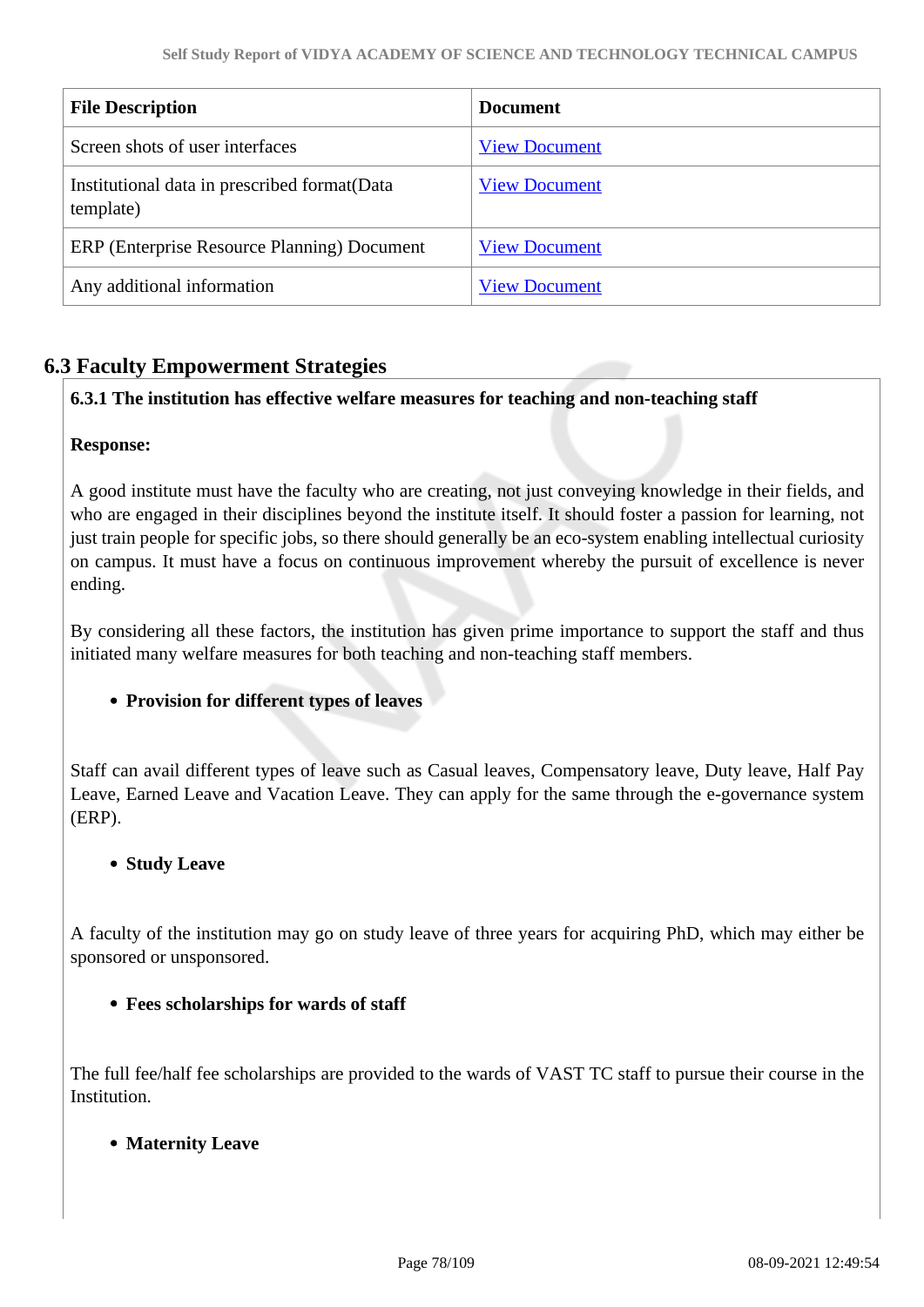| <b>File Description</b>                                    | <b>Document</b>      |
|------------------------------------------------------------|----------------------|
| Screen shots of user interfaces                            | <b>View Document</b> |
| Institutional data in prescribed format (Data<br>template) | <b>View Document</b> |
| ERP (Enterprise Resource Planning) Document                | <b>View Document</b> |
| Any additional information                                 | <b>View Document</b> |

### **6.3 Faculty Empowerment Strategies**

#### **6.3.1 The institution has effective welfare measures for teaching and non-teaching staff**

#### **Response:**

A good institute must have the faculty who are creating, not just conveying knowledge in their fields, and who are engaged in their disciplines beyond the institute itself. It should foster a passion for learning, not just train people for specific jobs, so there should generally be an eco-system enabling intellectual curiosity on campus. It must have a focus on continuous improvement whereby the pursuit of excellence is never ending.

By considering all these factors, the institution has given prime importance to support the staff and thus initiated many welfare measures for both teaching and non-teaching staff members.

#### **Provision for different types of leaves**

Staff can avail different types of leave such as Casual leaves, Compensatory leave, Duty leave, Half Pay Leave, Earned Leave and Vacation Leave. They can apply for the same through the e-governance system (ERP).

#### **• Study Leave**

A faculty of the institution may go on study leave of three years for acquiring PhD, which may either be sponsored or unsponsored.

#### **Fees scholarships for wards of staff**

The full fee/half fee scholarships are provided to the wards of VAST TC staff to pursue their course in the Institution.

#### **Maternity Leave**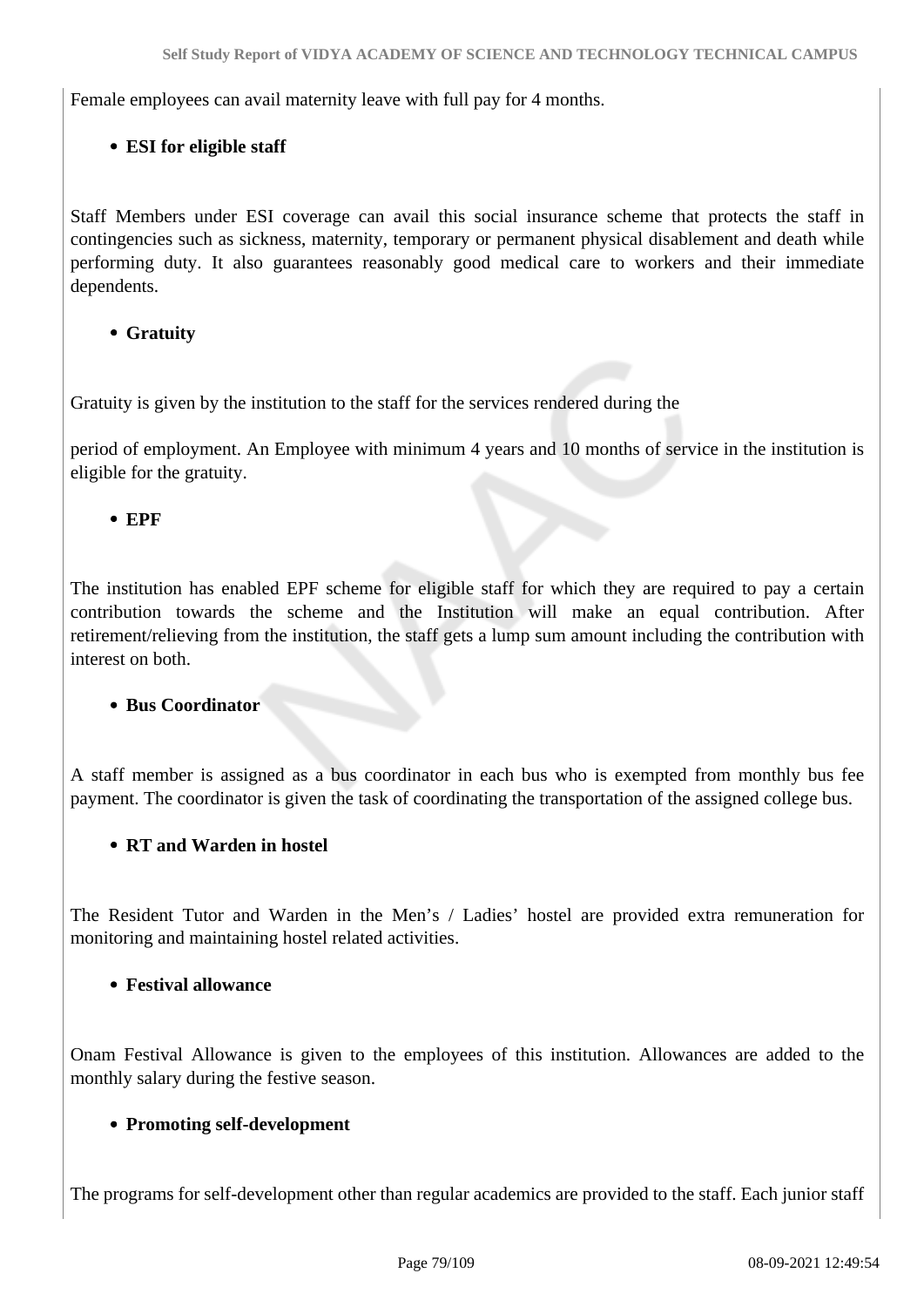Female employees can avail maternity leave with full pay for 4 months.

### **ESI for eligible staff**

Staff Members under ESI coverage can avail this social insurance scheme that protects the staff in contingencies such as sickness, maternity, temporary or permanent physical disablement and death while performing duty. It also guarantees reasonably good medical care to workers and their immediate dependents.

### **Gratuity**

Gratuity is given by the institution to the staff for the services rendered during the

period of employment. An Employee with minimum 4 years and 10 months of service in the institution is eligible for the gratuity.

**EPF**

The institution has enabled EPF scheme for eligible staff for which they are required to pay a certain contribution towards the scheme and the Institution will make an equal contribution. After retirement/relieving from the institution, the staff gets a lump sum amount including the contribution with interest on both.

#### **Bus Coordinator**

A staff member is assigned as a bus coordinator in each bus who is exempted from monthly bus fee payment. The coordinator is given the task of coordinating the transportation of the assigned college bus.

#### **RT and Warden in hostel**

The Resident Tutor and Warden in the Men's / Ladies' hostel are provided extra remuneration for monitoring and maintaining hostel related activities.

#### **Festival allowance**

Onam Festival Allowance is given to the employees of this institution. Allowances are added to the monthly salary during the festive season.

#### **Promoting self-development**

The programs for self-development other than regular academics are provided to the staff. Each junior staff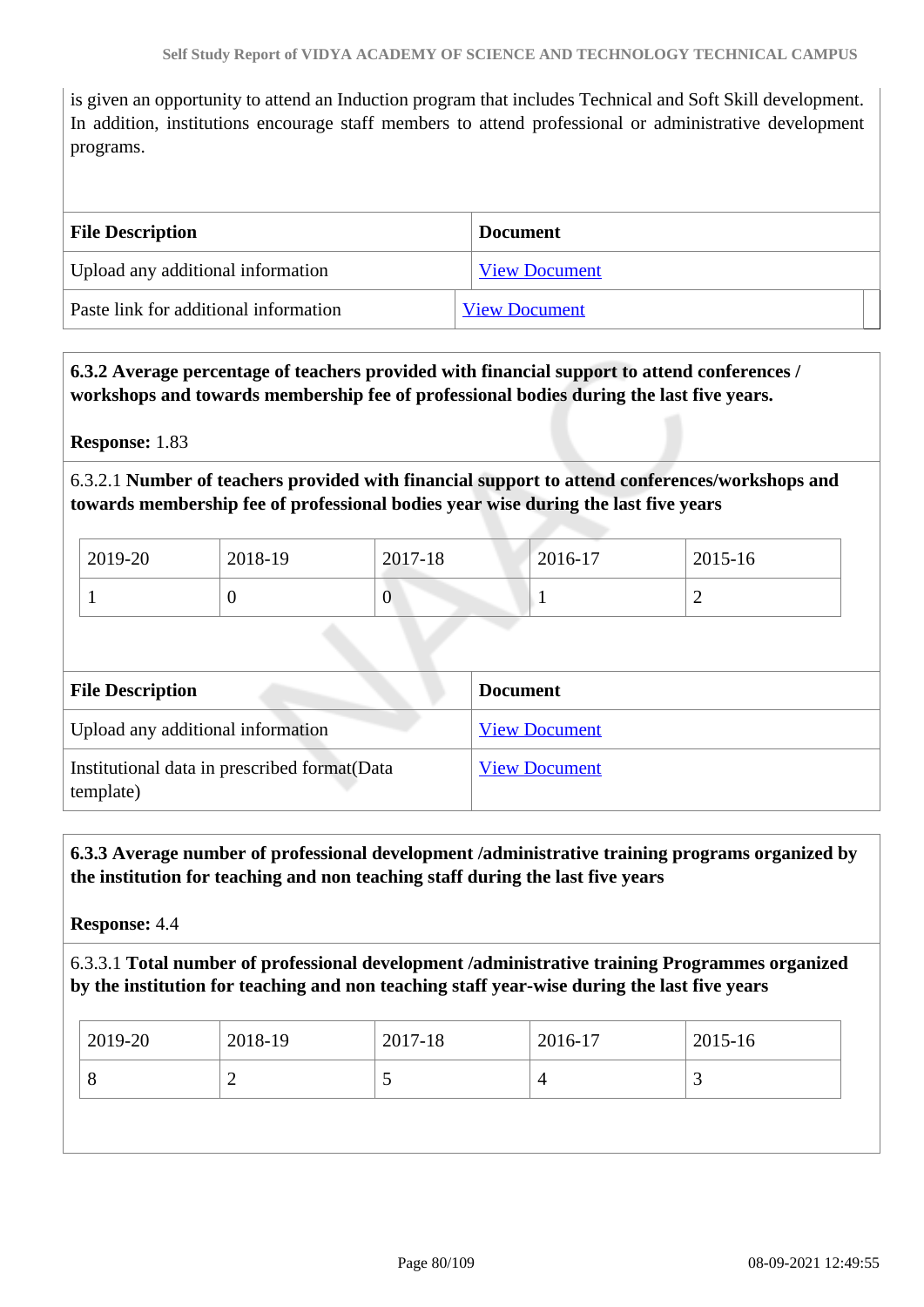is given an opportunity to attend an Induction program that includes Technical and Soft Skill development. In addition, institutions encourage staff members to attend professional or administrative development programs.

| <b>File Description</b>               | <b>Document</b>      |
|---------------------------------------|----------------------|
| Upload any additional information     | <b>View Document</b> |
| Paste link for additional information | <b>View Document</b> |

### **6.3.2 Average percentage of teachers provided with financial support to attend conferences / workshops and towards membership fee of professional bodies during the last five years.**

**Response:** 1.83

### 6.3.2.1 **Number of teachers provided with financial support to attend conferences/workshops and towards membership fee of professional bodies year wise during the last five years**

| 2019-20 | 2018-19 | 2017-18 | 2016-17 | 2015-16 |
|---------|---------|---------|---------|---------|
|         | ◡       | 0       |         | ∼       |

| <b>File Description</b>                                    | <b>Document</b>      |
|------------------------------------------------------------|----------------------|
| Upload any additional information                          | <b>View Document</b> |
| Institutional data in prescribed format (Data<br>template) | <b>View Document</b> |

 **6.3.3 Average number of professional development /administrative training programs organized by the institution for teaching and non teaching staff during the last five years**

**Response:** 4.4

6.3.3.1 **Total number of professional development /administrative training Programmes organized by the institution for teaching and non teaching staff year-wise during the last five years**

| 2019-20 | 2018-19 | 2017-18                  | 2016-17 | 2015-16 |
|---------|---------|--------------------------|---------|---------|
| O<br>∼  |         | $\overline{\phantom{0}}$ | 4       | ت       |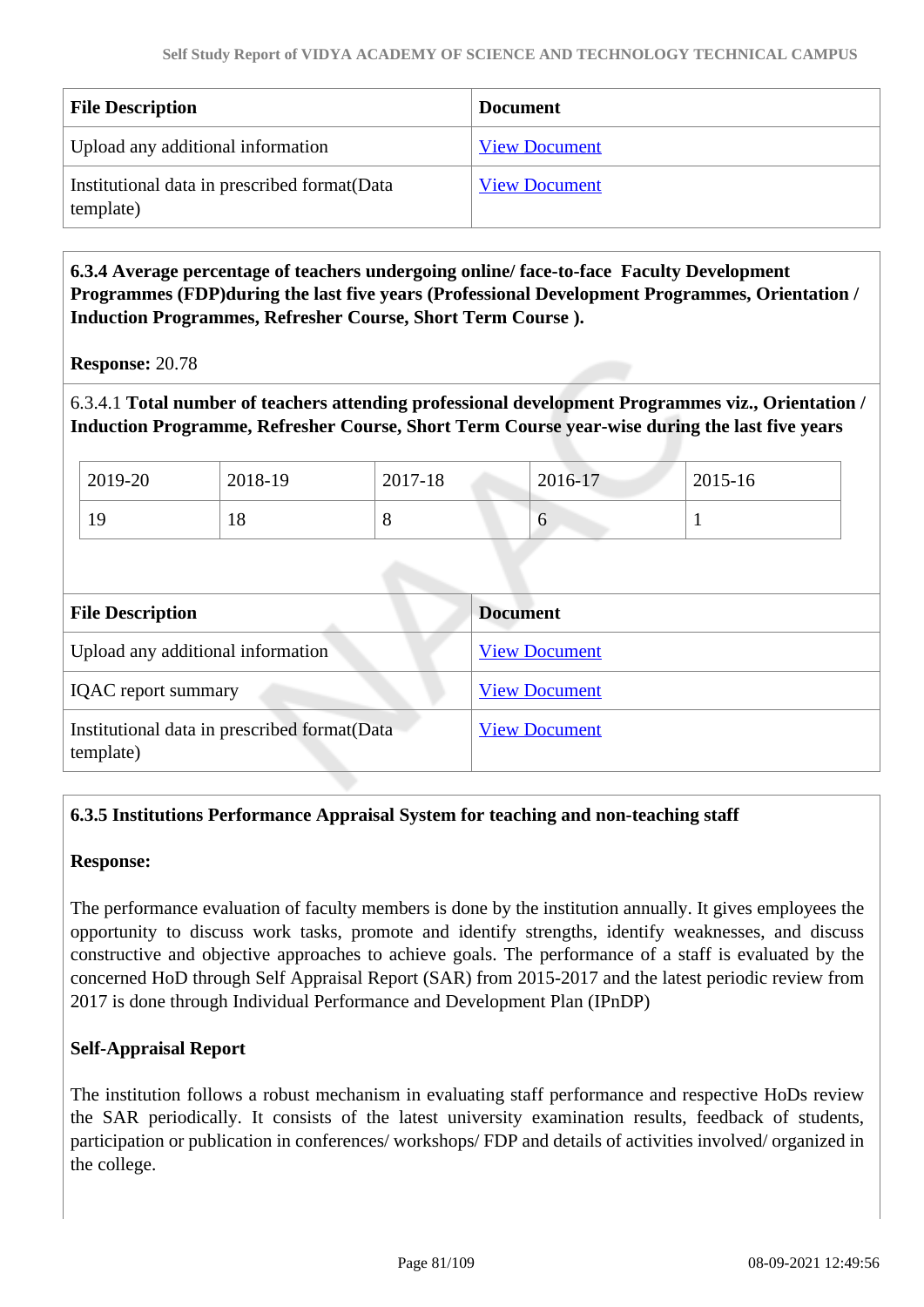| <b>File Description</b>                                    | <b>Document</b>      |
|------------------------------------------------------------|----------------------|
| Upload any additional information                          | <b>View Document</b> |
| Institutional data in prescribed format (Data<br>template) | <b>View Document</b> |

 **6.3.4 Average percentage of teachers undergoing online/ face-to-face Faculty Development Programmes (FDP)during the last five years (Professional Development Programmes, Orientation / Induction Programmes, Refresher Course, Short Term Course ).**

**Response:** 20.78

6.3.4.1 **Total number of teachers attending professional development Programmes viz., Orientation / Induction Programme, Refresher Course, Short Term Course year-wise during the last five years**

| 2019-20 | 2018-19 | 2017-18 | 2016-17 | $2015 - 16$ |
|---------|---------|---------|---------|-------------|
| 19      | 18      | O       | U       |             |

| <b>File Description</b>                                    | <b>Document</b>      |
|------------------------------------------------------------|----------------------|
| Upload any additional information                          | <b>View Document</b> |
| <b>IQAC</b> report summary                                 | <b>View Document</b> |
| Institutional data in prescribed format (Data<br>template) | <b>View Document</b> |

### **6.3.5 Institutions Performance Appraisal System for teaching and non-teaching staff**

#### **Response:**

The performance evaluation of faculty members is done by the institution annually. It gives employees the opportunity to discuss work tasks, promote and identify strengths, identify weaknesses, and discuss constructive and objective approaches to achieve goals. The performance of a staff is evaluated by the concerned HoD through Self Appraisal Report (SAR) from 2015-2017 and the latest periodic review from 2017 is done through Individual Performance and Development Plan (IPnDP)

#### **Self-Appraisal Report**

The institution follows a robust mechanism in evaluating staff performance and respective HoDs review the SAR periodically. It consists of the latest university examination results, feedback of students, participation or publication in conferences/ workshops/ FDP and details of activities involved/ organized in the college.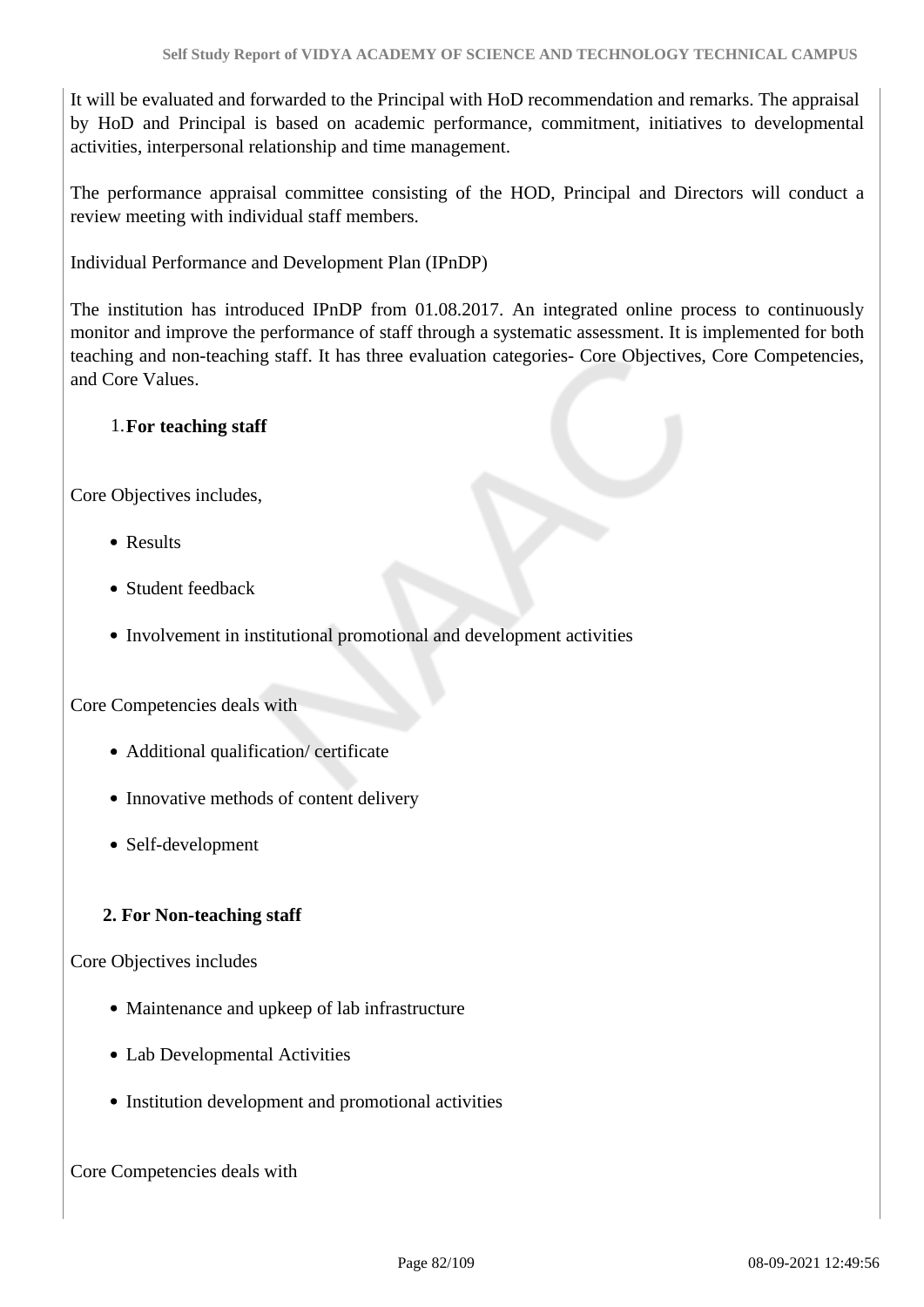It will be evaluated and forwarded to the Principal with HoD recommendation and remarks. The appraisal by HoD and Principal is based on academic performance, commitment, initiatives to developmental activities, interpersonal relationship and time management.

The performance appraisal committee consisting of the HOD, Principal and Directors will conduct a review meeting with individual staff members.

Individual Performance and Development Plan (IPnDP)

The institution has introduced IPnDP from 01.08.2017. An integrated online process to continuously monitor and improve the performance of staff through a systematic assessment. It is implemented for both teaching and non-teaching staff. It has three evaluation categories- Core Objectives, Core Competencies, and Core Values.

### 1.**For teaching staff**

Core Objectives includes,

- Results
- Student feedback
- Involvement in institutional promotional and development activities

Core Competencies deals with

- Additional qualification/ certificate
- Innovative methods of content delivery
- Self-development

#### **2. For Non-teaching staff**

Core Objectives includes

- Maintenance and upkeep of lab infrastructure
- Lab Developmental Activities
- Institution development and promotional activities

Core Competencies deals with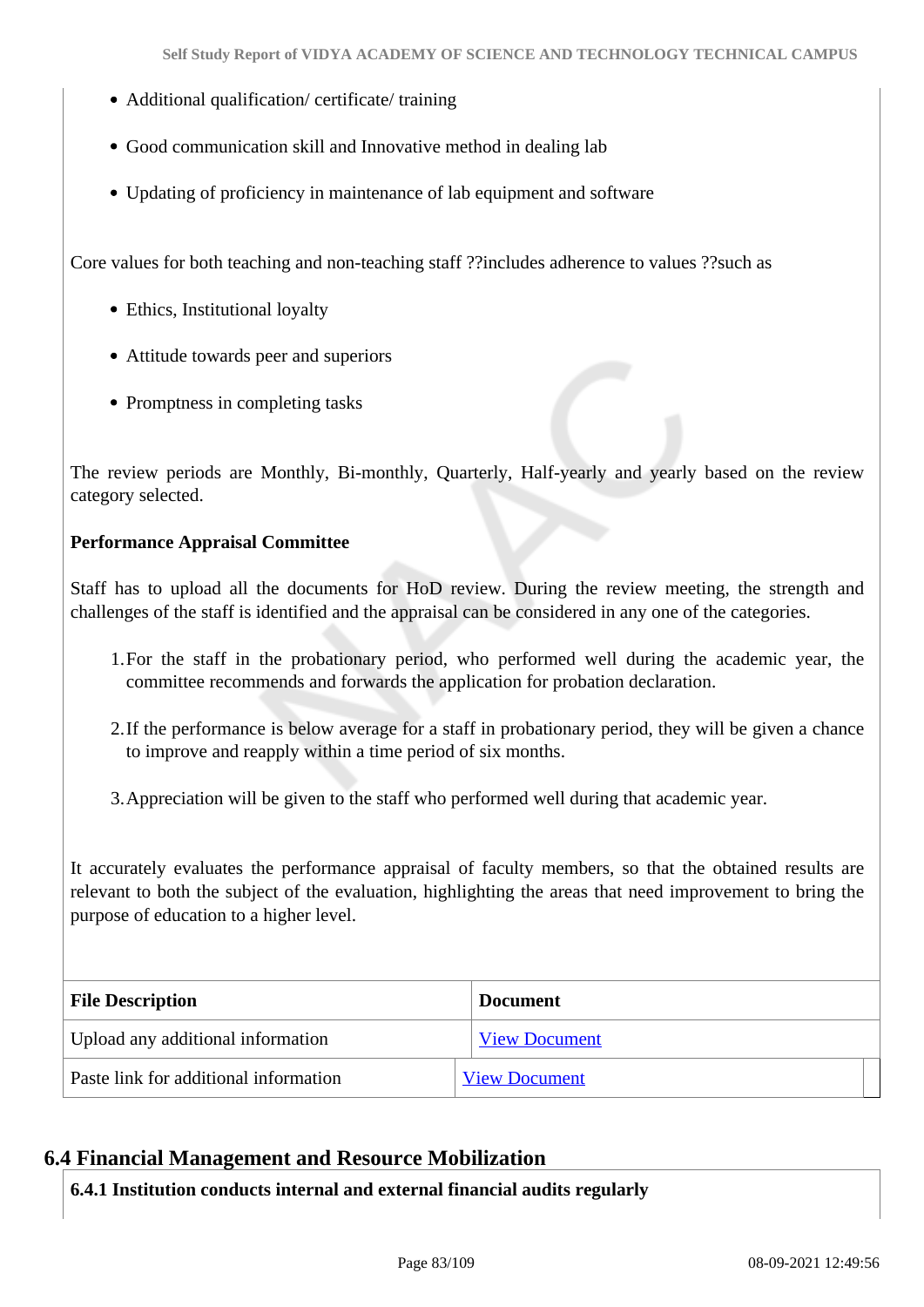- Additional qualification/ certificate/ training
- Good communication skill and Innovative method in dealing lab
- Updating of proficiency in maintenance of lab equipment and software

Core values for both teaching and non-teaching staff ??includes adherence to values ??such as

- Ethics, Institutional loyalty
- Attitude towards peer and superiors
- Promptness in completing tasks

The review periods are Monthly, Bi-monthly, Quarterly, Half-yearly and yearly based on the review category selected.

#### **Performance Appraisal Committee**

Staff has to upload all the documents for HoD review. During the review meeting, the strength and challenges of the staff is identified and the appraisal can be considered in any one of the categories.

- 1.For the staff in the probationary period, who performed well during the academic year, the committee recommends and forwards the application for probation declaration.
- 2.If the performance is below average for a staff in probationary period, they will be given a chance to improve and reapply within a time period of six months.

3.Appreciation will be given to the staff who performed well during that academic year.

It accurately evaluates the performance appraisal of faculty members, so that the obtained results are relevant to both the subject of the evaluation, highlighting the areas that need improvement to bring the purpose of education to a higher level.

| <b>File Description</b>               | <b>Document</b>      |
|---------------------------------------|----------------------|
| Upload any additional information     | <b>View Document</b> |
| Paste link for additional information | <b>View Document</b> |

#### **6.4 Financial Management and Resource Mobilization**

**6.4.1 Institution conducts internal and external financial audits regularly**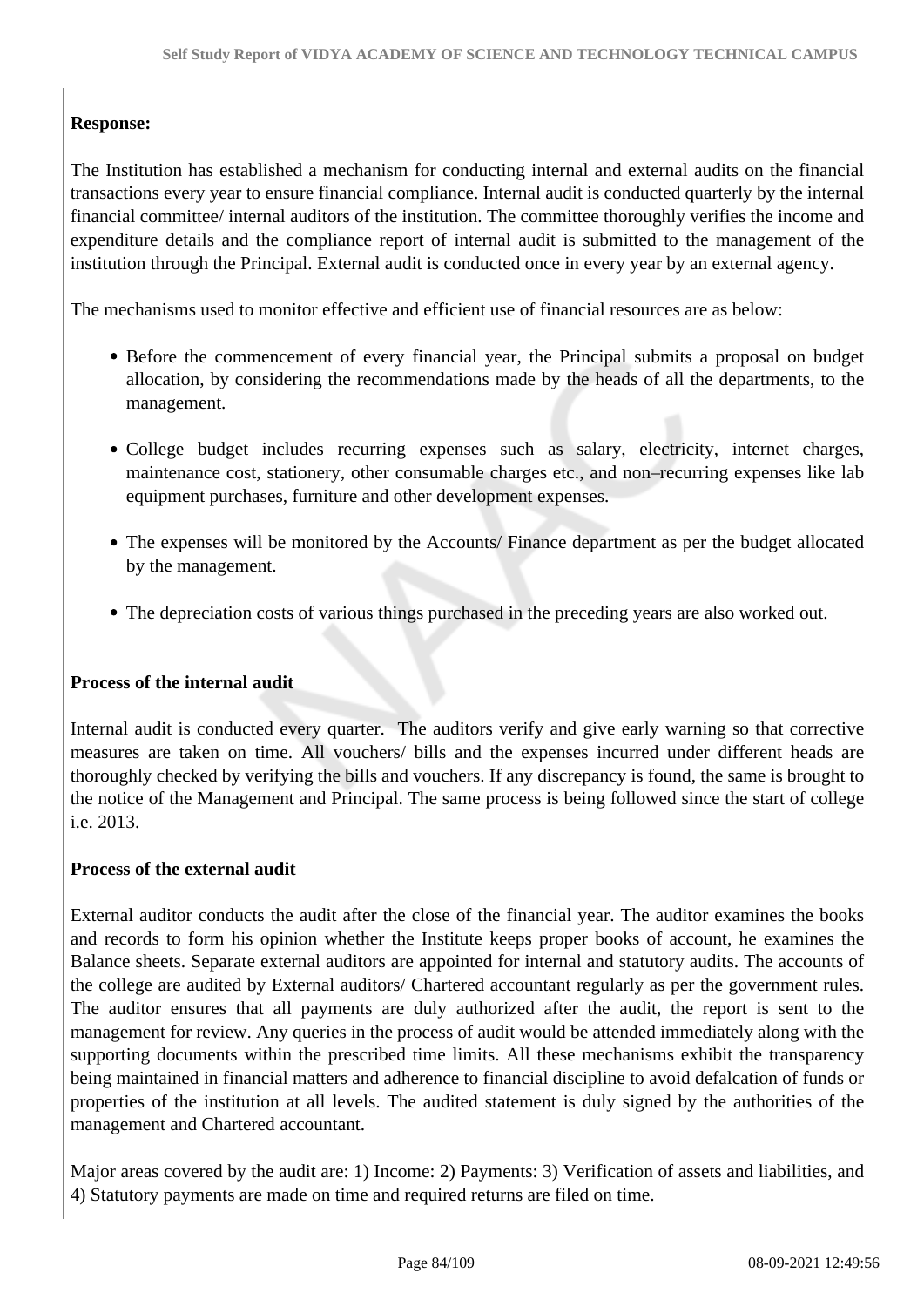### **Response:**

The Institution has established a mechanism for conducting internal and external audits on the financial transactions every year to ensure financial compliance. Internal audit is conducted quarterly by the internal financial committee/ internal auditors of the institution. The committee thoroughly verifies the income and expenditure details and the compliance report of internal audit is submitted to the management of the institution through the Principal. External audit is conducted once in every year by an external agency.

The mechanisms used to monitor effective and efficient use of financial resources are as below:

- Before the commencement of every financial year, the Principal submits a proposal on budget allocation, by considering the recommendations made by the heads of all the departments, to the management.
- College budget includes recurring expenses such as salary, electricity, internet charges, maintenance cost, stationery, other consumable charges etc., and non–recurring expenses like lab equipment purchases, furniture and other development expenses.
- The expenses will be monitored by the Accounts/ Finance department as per the budget allocated by the management.
- The depreciation costs of various things purchased in the preceding years are also worked out.

#### **Process of the internal audit**

Internal audit is conducted every quarter. The auditors verify and give early warning so that corrective measures are taken on time. All vouchers/ bills and the expenses incurred under different heads are thoroughly checked by verifying the bills and vouchers. If any discrepancy is found, the same is brought to the notice of the Management and Principal. The same process is being followed since the start of college i.e. 2013.

#### **Process of the external audit**

External auditor conducts the audit after the close of the financial year. The auditor examines the books and records to form his opinion whether the Institute keeps proper books of account, he examines the Balance sheets. Separate external auditors are appointed for internal and statutory audits. The accounts of the college are audited by External auditors/ Chartered accountant regularly as per the government rules. The auditor ensures that all payments are duly authorized after the audit, the report is sent to the management for review. Any queries in the process of audit would be attended immediately along with the supporting documents within the prescribed time limits. All these mechanisms exhibit the transparency being maintained in financial matters and adherence to financial discipline to avoid defalcation of funds or properties of the institution at all levels. The audited statement is duly signed by the authorities of the management and Chartered accountant.

Major areas covered by the audit are: 1) Income: 2) Payments: 3) Verification of assets and liabilities, and 4) Statutory payments are made on time and required returns are filed on time.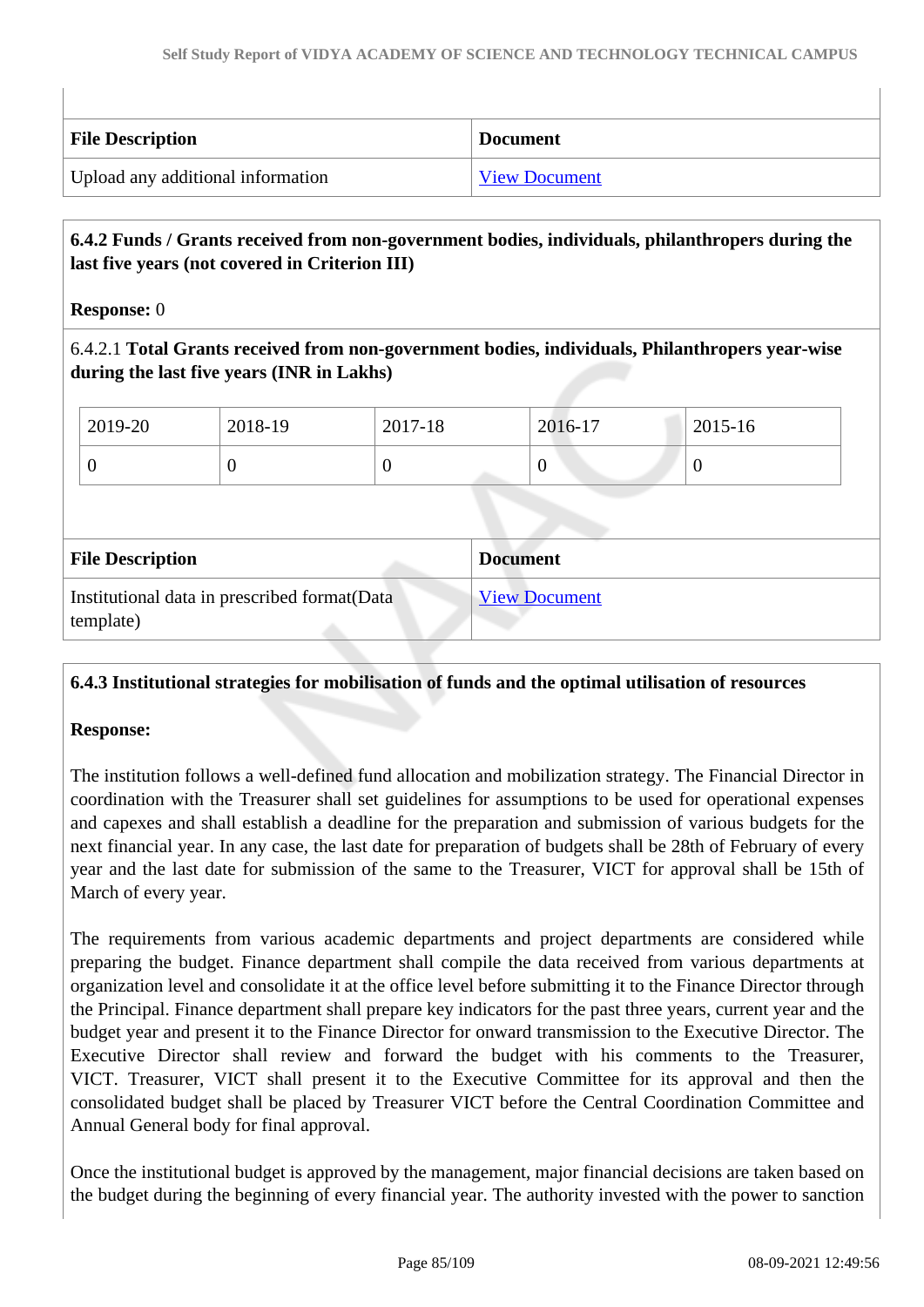| <b>File Description</b>           | <b>Document</b>      |
|-----------------------------------|----------------------|
| Upload any additional information | <b>View Document</b> |

### **6.4.2 Funds / Grants received from non-government bodies, individuals, philanthropers during the last five years (not covered in Criterion III)**

#### **Response:** 0

6.4.2.1 **Total Grants received from non-government bodies, individuals, Philanthropers year-wise during the last five years (INR in Lakhs)**

| 2019-20                 | 2018-19                                       | 2017-18  | 2016-17              | 2015-16          |  |
|-------------------------|-----------------------------------------------|----------|----------------------|------------------|--|
| $\overline{0}$          | $\theta$                                      | $\theta$ | $\overline{0}$       | $\boldsymbol{0}$ |  |
|                         |                                               |          |                      |                  |  |
| <b>File Description</b> |                                               |          | <b>Document</b>      |                  |  |
| template)               | Institutional data in prescribed format (Data |          | <b>View Document</b> |                  |  |

#### **6.4.3 Institutional strategies for mobilisation of funds and the optimal utilisation of resources**

#### **Response:**

The institution follows a well-defined fund allocation and mobilization strategy. The Financial Director in coordination with the Treasurer shall set guidelines for assumptions to be used for operational expenses and capexes and shall establish a deadline for the preparation and submission of various budgets for the next financial year. In any case, the last date for preparation of budgets shall be 28th of February of every year and the last date for submission of the same to the Treasurer, VICT for approval shall be 15th of March of every year.

The requirements from various academic departments and project departments are considered while preparing the budget. Finance department shall compile the data received from various departments at organization level and consolidate it at the office level before submitting it to the Finance Director through the Principal. Finance department shall prepare key indicators for the past three years, current year and the budget year and present it to the Finance Director for onward transmission to the Executive Director. The Executive Director shall review and forward the budget with his comments to the Treasurer, VICT. Treasurer, VICT shall present it to the Executive Committee for its approval and then the consolidated budget shall be placed by Treasurer VICT before the Central Coordination Committee and Annual General body for final approval.

Once the institutional budget is approved by the management, major financial decisions are taken based on the budget during the beginning of every financial year. The authority invested with the power to sanction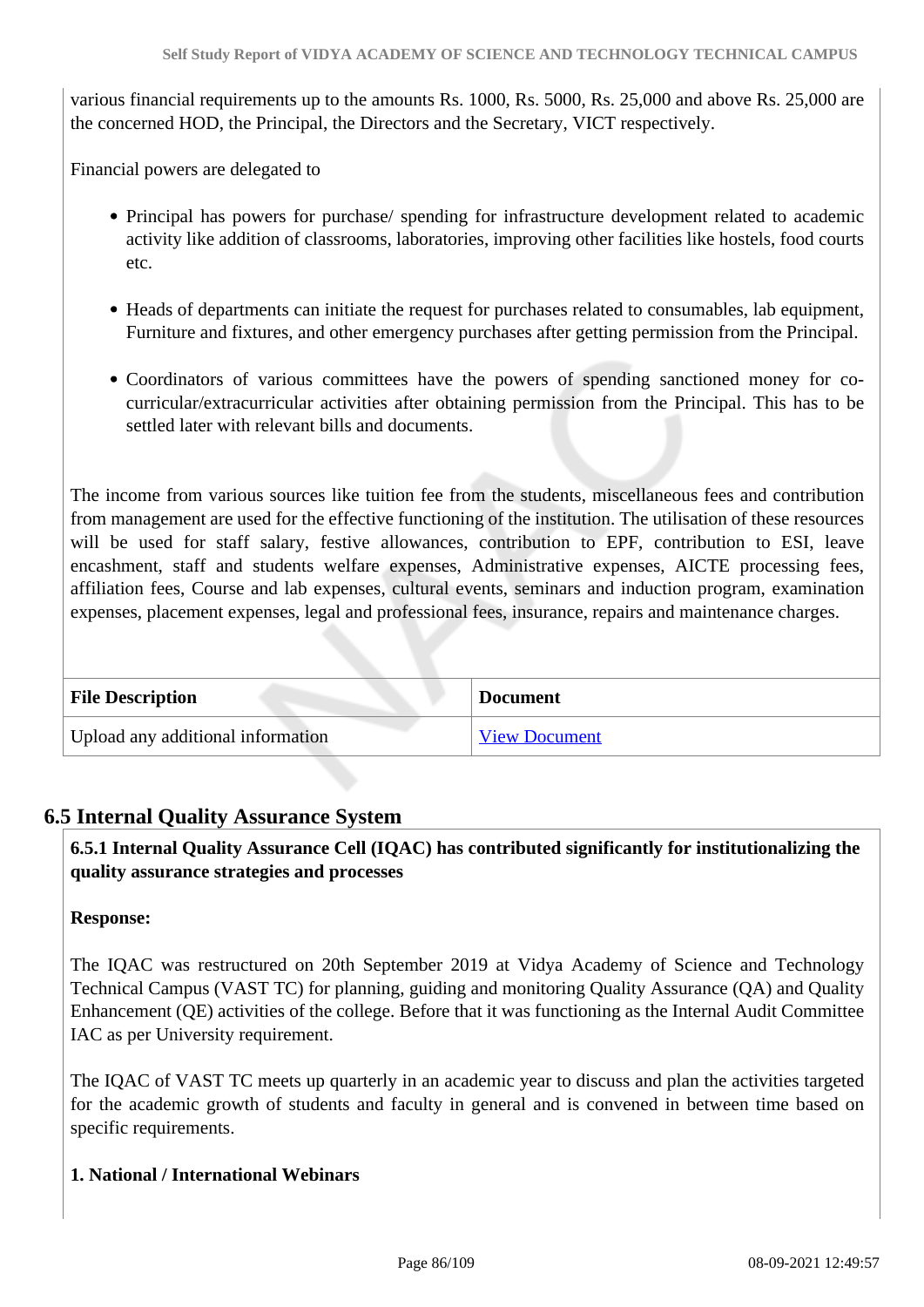various financial requirements up to the amounts Rs. 1000, Rs. 5000, Rs. 25,000 and above Rs. 25,000 are the concerned HOD, the Principal, the Directors and the Secretary, VICT respectively.

Financial powers are delegated to

- Principal has powers for purchase/ spending for infrastructure development related to academic activity like addition of classrooms, laboratories, improving other facilities like hostels, food courts etc.
- Heads of departments can initiate the request for purchases related to consumables, lab equipment, Furniture and fixtures, and other emergency purchases after getting permission from the Principal.
- Coordinators of various committees have the powers of spending sanctioned money for cocurricular/extracurricular activities after obtaining permission from the Principal. This has to be settled later with relevant bills and documents.

The income from various sources like tuition fee from the students, miscellaneous fees and contribution from management are used for the effective functioning of the institution. The utilisation of these resources will be used for staff salary, festive allowances, contribution to EPF, contribution to ESI, leave encashment, staff and students welfare expenses, Administrative expenses, AICTE processing fees, affiliation fees, Course and lab expenses, cultural events, seminars and induction program, examination expenses, placement expenses, legal and professional fees, insurance, repairs and maintenance charges.

| <b>File Description</b>           | <b>Document</b>      |
|-----------------------------------|----------------------|
| Upload any additional information | <b>View Document</b> |

### **6.5 Internal Quality Assurance System**

 **6.5.1 Internal Quality Assurance Cell (IQAC) has contributed significantly for institutionalizing the quality assurance strategies and processes**

#### **Response:**

The IQAC was restructured on 20th September 2019 at Vidya Academy of Science and Technology Technical Campus (VAST TC) for planning, guiding and monitoring Quality Assurance (QA) and Quality Enhancement (QE) activities of the college. Before that it was functioning as the Internal Audit Committee IAC as per University requirement.

The IQAC of VAST TC meets up quarterly in an academic year to discuss and plan the activities targeted for the academic growth of students and faculty in general and is convened in between time based on specific requirements.

#### **1. National / International Webinars**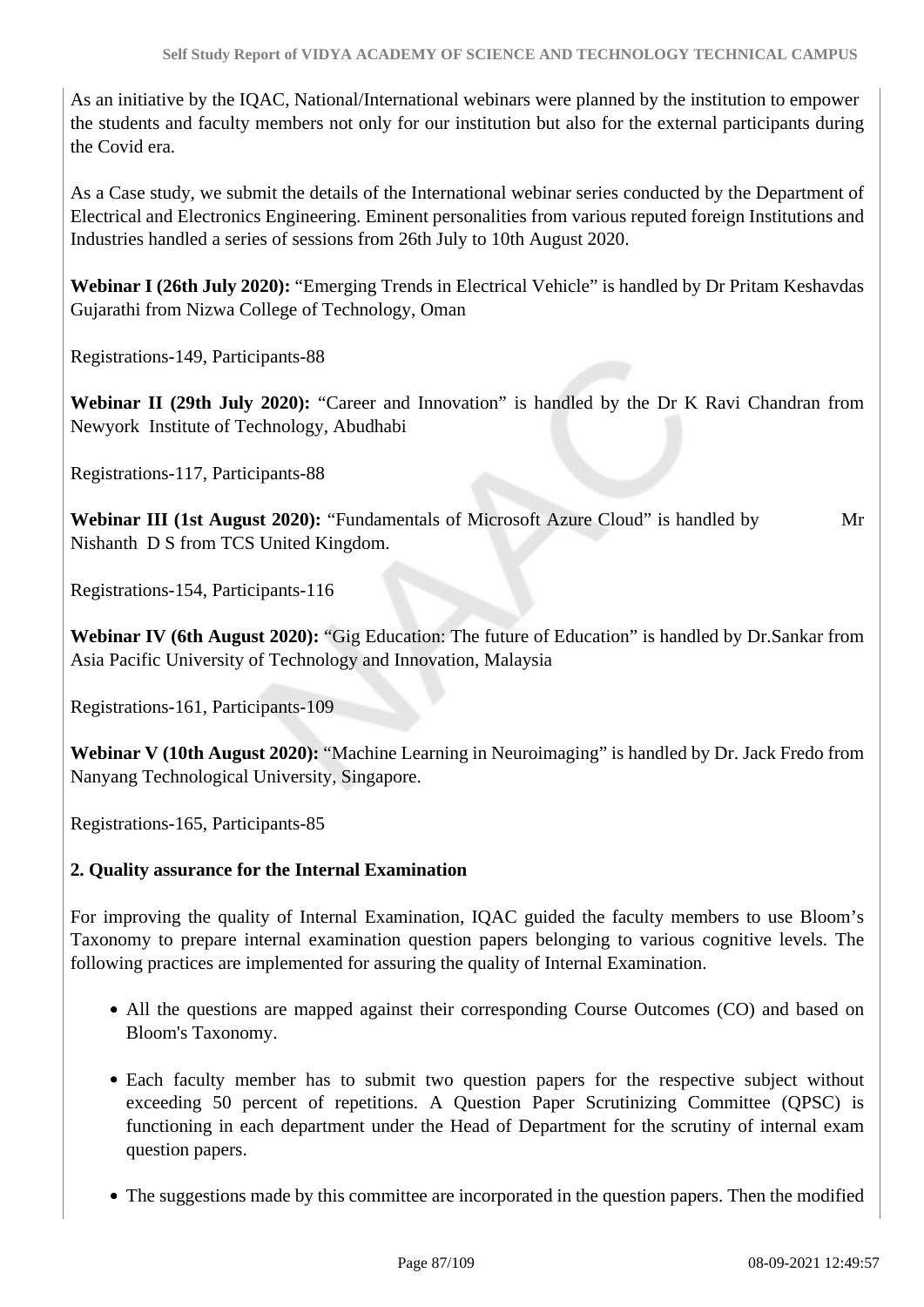As an initiative by the IQAC, National/International webinars were planned by the institution to empower the students and faculty members not only for our institution but also for the external participants during the Covid era.

As a Case study, we submit the details of the International webinar series conducted by the Department of Electrical and Electronics Engineering. Eminent personalities from various reputed foreign Institutions and Industries handled a series of sessions from 26th July to 10th August 2020.

**Webinar I (26th July 2020):** "Emerging Trends in Electrical Vehicle" is handled by Dr Pritam Keshavdas Gujarathi from Nizwa College of Technology, Oman

Registrations-149, Participants-88

**Webinar II (29th July 2020):** "Career and Innovation" is handled by the Dr K Ravi Chandran from Newyork Institute of Technology, Abudhabi

Registrations-117, Participants-88

**Webinar III (1st August 2020):** "Fundamentals of Microsoft Azure Cloud" is handled by Mr Nishanth D S from TCS United Kingdom.

Registrations-154, Participants-116

**Webinar IV (6th August 2020):** "Gig Education: The future of Education" is handled by Dr.Sankar from Asia Pacific University of Technology and Innovation, Malaysia

Registrations-161, Participants-109

**Webinar V (10th August 2020):** "Machine Learning in Neuroimaging" is handled by Dr. Jack Fredo from Nanyang Technological University, Singapore.

Registrations-165, Participants-85

#### **2. Quality assurance for the Internal Examination**

For improving the quality of Internal Examination, IQAC guided the faculty members to use Bloom's Taxonomy to prepare internal examination question papers belonging to various cognitive levels. The following practices are implemented for assuring the quality of Internal Examination.

- All the questions are mapped against their corresponding Course Outcomes (CO) and based on Bloom's Taxonomy.
- Each faculty member has to submit two question papers for the respective subject without exceeding 50 percent of repetitions. A Question Paper Scrutinizing Committee (QPSC) is functioning in each department under the Head of Department for the scrutiny of internal exam question papers.
- The suggestions made by this committee are incorporated in the question papers. Then the modified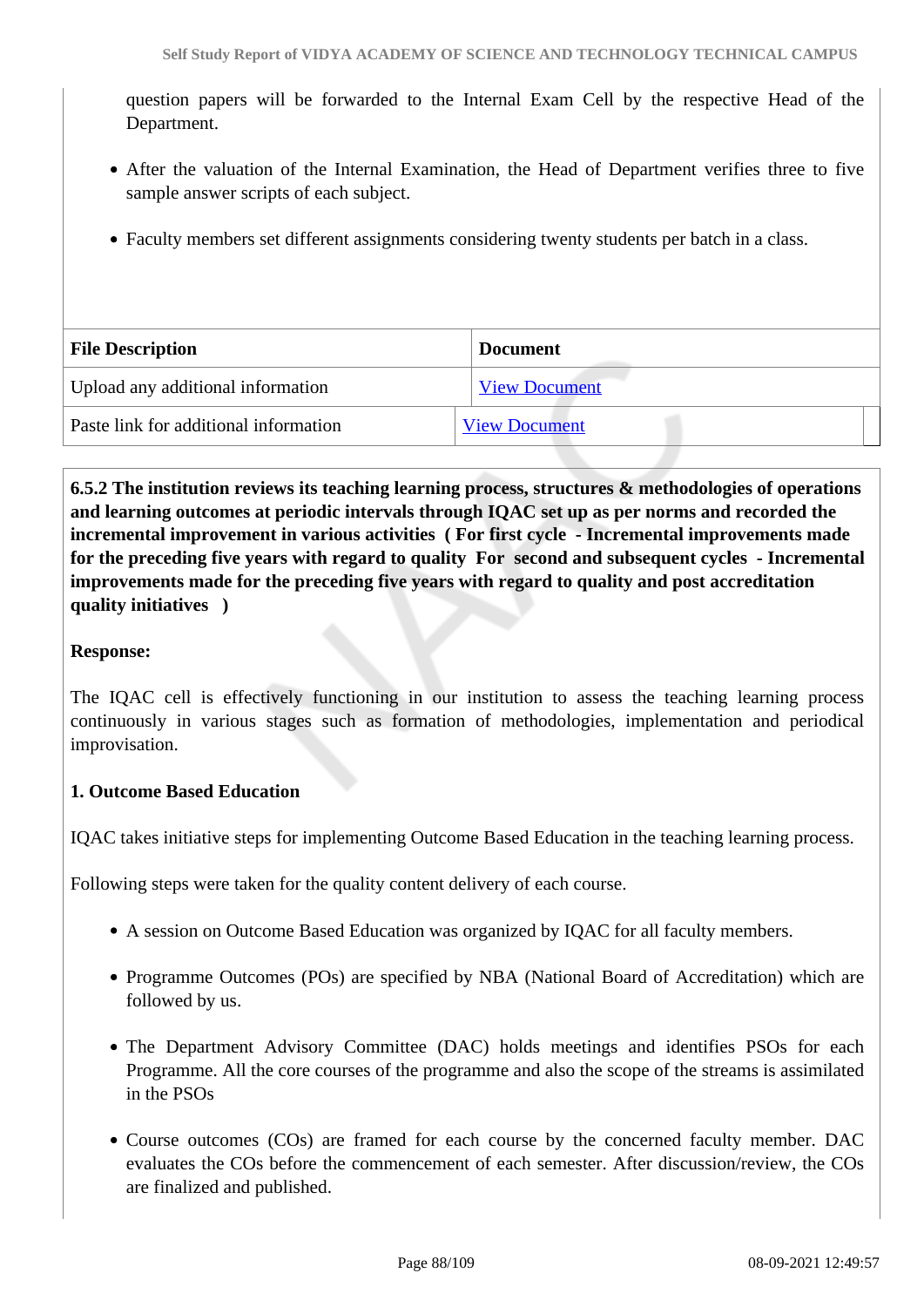question papers will be forwarded to the Internal Exam Cell by the respective Head of the Department.

- After the valuation of the Internal Examination, the Head of Department verifies three to five sample answer scripts of each subject.
- Faculty members set different assignments considering twenty students per batch in a class.

| <b>File Description</b>               | <b>Document</b>      |
|---------------------------------------|----------------------|
| Upload any additional information     | <b>View Document</b> |
| Paste link for additional information | <b>View Document</b> |

 **6.5.2 The institution reviews its teaching learning process, structures & methodologies of operations and learning outcomes at periodic intervals through IQAC set up as per norms and recorded the incremental improvement in various activities ( For first cycle - Incremental improvements made for the preceding five years with regard to quality For second and subsequent cycles - Incremental improvements made for the preceding five years with regard to quality and post accreditation quality initiatives )** 

#### **Response:**

The IQAC cell is effectively functioning in our institution to assess the teaching learning process continuously in various stages such as formation of methodologies, implementation and periodical improvisation.

#### **1. Outcome Based Education**

IQAC takes initiative steps for implementing Outcome Based Education in the teaching learning process.

Following steps were taken for the quality content delivery of each course.

- A session on Outcome Based Education was organized by IQAC for all faculty members.
- Programme Outcomes (POs) are specified by NBA (National Board of Accreditation) which are followed by us.
- The Department Advisory Committee (DAC) holds meetings and identifies PSOs for each Programme. All the core courses of the programme and also the scope of the streams is assimilated in the PSOs
- Course outcomes (COs) are framed for each course by the concerned faculty member. DAC evaluates the COs before the commencement of each semester. After discussion/review, the COs are finalized and published.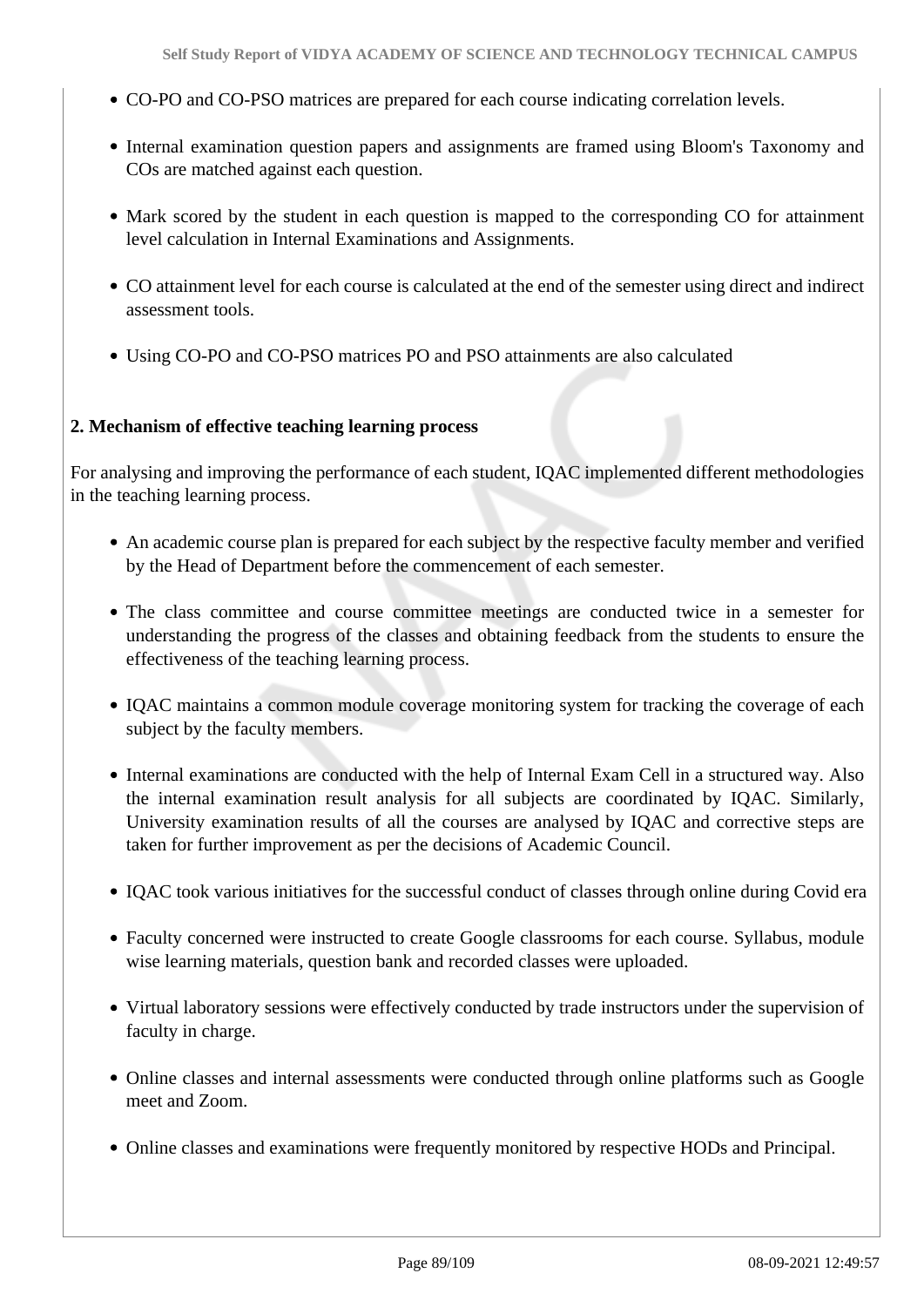- CO-PO and CO-PSO matrices are prepared for each course indicating correlation levels.
- Internal examination question papers and assignments are framed using Bloom's Taxonomy and COs are matched against each question.
- Mark scored by the student in each question is mapped to the corresponding CO for attainment level calculation in Internal Examinations and Assignments.
- CO attainment level for each course is calculated at the end of the semester using direct and indirect assessment tools.
- Using CO-PO and CO-PSO matrices PO and PSO attainments are also calculated

#### **2. Mechanism of effective teaching learning process**

For analysing and improving the performance of each student, IQAC implemented different methodologies in the teaching learning process.

- An academic course plan is prepared for each subject by the respective faculty member and verified by the Head of Department before the commencement of each semester.
- The class committee and course committee meetings are conducted twice in a semester for understanding the progress of the classes and obtaining feedback from the students to ensure the effectiveness of the teaching learning process.
- IQAC maintains a common module coverage monitoring system for tracking the coverage of each subject by the faculty members.
- Internal examinations are conducted with the help of Internal Exam Cell in a structured way. Also the internal examination result analysis for all subjects are coordinated by IQAC. Similarly, University examination results of all the courses are analysed by IQAC and corrective steps are taken for further improvement as per the decisions of Academic Council.
- IQAC took various initiatives for the successful conduct of classes through online during Covid era
- Faculty concerned were instructed to create Google classrooms for each course. Syllabus, module wise learning materials, question bank and recorded classes were uploaded.
- Virtual laboratory sessions were effectively conducted by trade instructors under the supervision of faculty in charge.
- Online classes and internal assessments were conducted through online platforms such as Google meet and Zoom.
- Online classes and examinations were frequently monitored by respective HODs and Principal.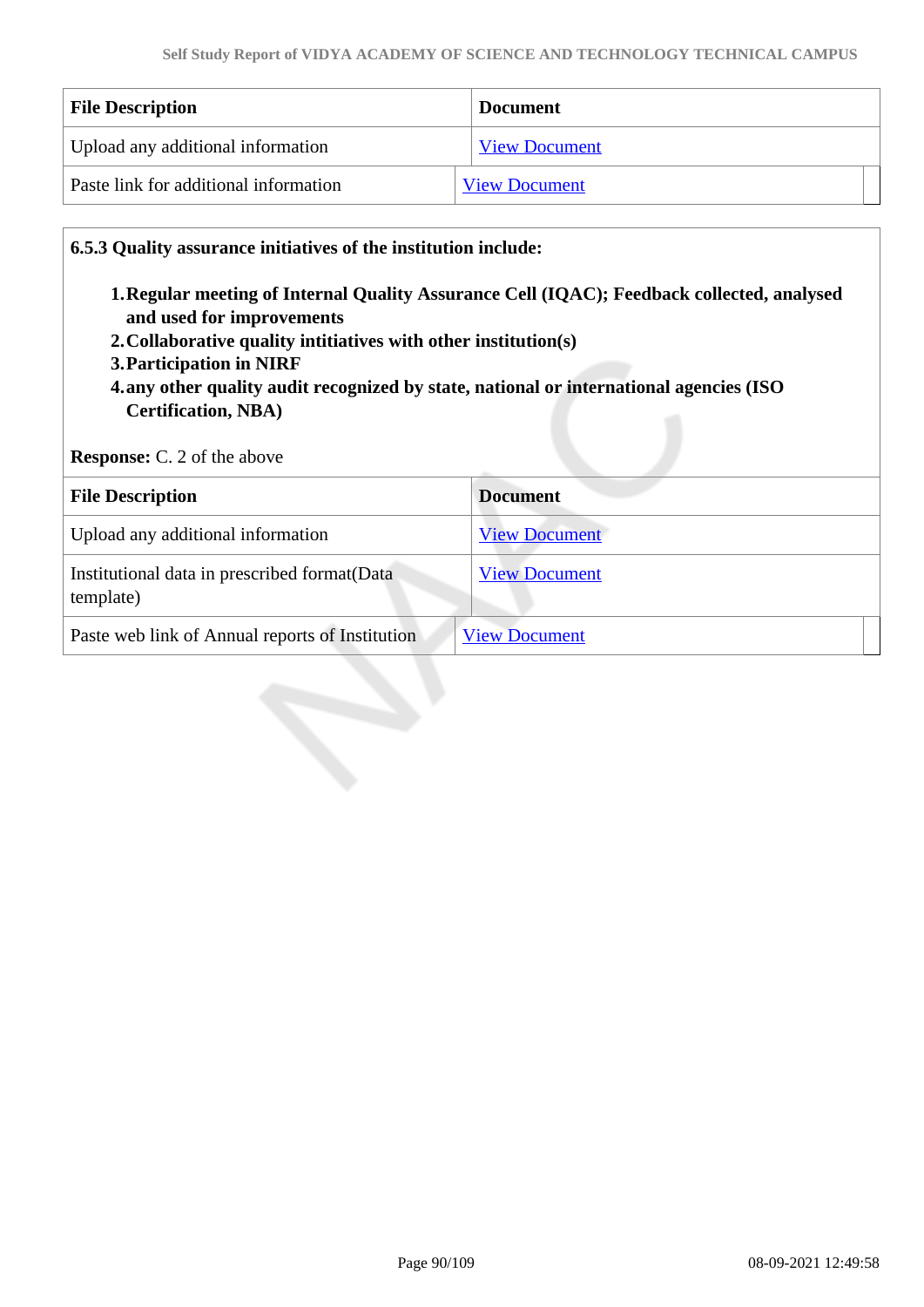| <b>File Description</b>               | <b>Document</b>      |
|---------------------------------------|----------------------|
| Upload any additional information     | <b>View Document</b> |
| Paste link for additional information | <b>View Document</b> |

**6.5.3 Quality assurance initiatives of the institution include:**

- **1.Regular meeting of Internal Quality Assurance Cell (IQAC); Feedback collected, analysed and used for improvements**
- **2.Collaborative quality intitiatives with other institution(s)**
- **3.Participation in NIRF**
- **4.any other quality audit recognized by state, national or international agencies (ISO Certification, NBA)**

**Response:** C. 2 of the above

| <b>File Description</b>                                    | <b>Document</b>      |
|------------------------------------------------------------|----------------------|
| Upload any additional information                          | <b>View Document</b> |
| Institutional data in prescribed format (Data<br>template) | <b>View Document</b> |
| Paste web link of Annual reports of Institution            | <b>View Document</b> |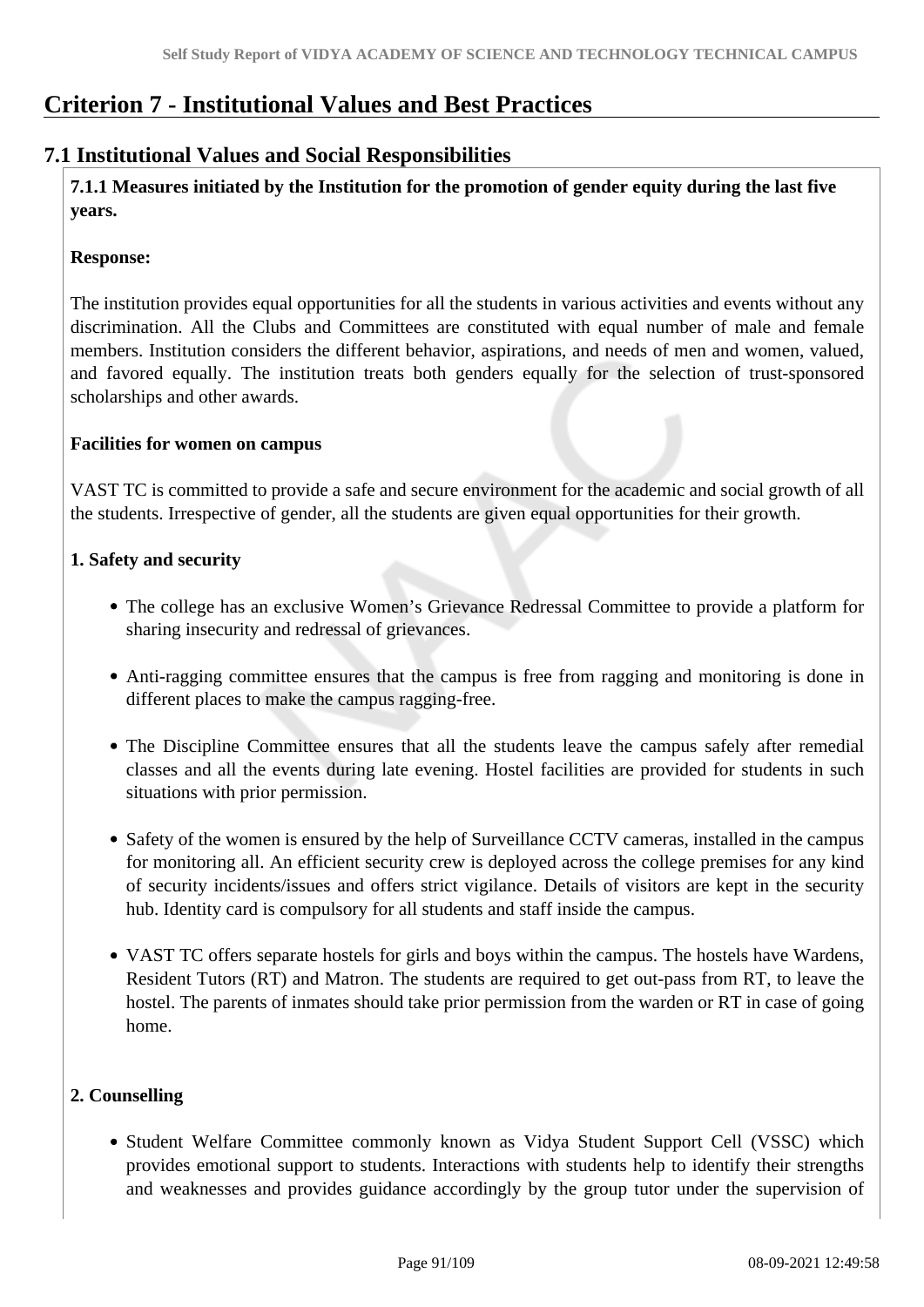## **Criterion 7 - Institutional Values and Best Practices**

### **7.1 Institutional Values and Social Responsibilities**

 **7.1.1 Measures initiated by the Institution for the promotion of gender equity during the last five years.**

#### **Response:**

The institution provides equal opportunities for all the students in various activities and events without any discrimination. All the Clubs and Committees are constituted with equal number of male and female members. Institution considers the different behavior, aspirations, and needs of men and women, valued, and favored equally. The institution treats both genders equally for the selection of trust-sponsored scholarships and other awards.

### **Facilities for women on campus**

VAST TC is committed to provide a safe and secure environment for the academic and social growth of all the students. Irrespective of gender, all the students are given equal opportunities for their growth.

#### **1. Safety and security**

- The college has an exclusive Women's Grievance Redressal Committee to provide a platform for sharing insecurity and redressal of grievances.
- Anti-ragging committee ensures that the campus is free from ragging and monitoring is done in different places to make the campus ragging-free.
- The Discipline Committee ensures that all the students leave the campus safely after remedial classes and all the events during late evening. Hostel facilities are provided for students in such situations with prior permission.
- Safety of the women is ensured by the help of Surveillance CCTV cameras, installed in the campus for monitoring all. An efficient security crew is deployed across the college premises for any kind of security incidents/issues and offers strict vigilance. Details of visitors are kept in the security hub. Identity card is compulsory for all students and staff inside the campus.
- VAST TC offers separate hostels for girls and boys within the campus. The hostels have Wardens, Resident Tutors (RT) and Matron. The students are required to get out-pass from RT, to leave the hostel. The parents of inmates should take prior permission from the warden or RT in case of going home.

### **2. Counselling**

• Student Welfare Committee commonly known as Vidya Student Support Cell (VSSC) which provides emotional support to students. Interactions with students help to identify their strengths and weaknesses and provides guidance accordingly by the group tutor under the supervision of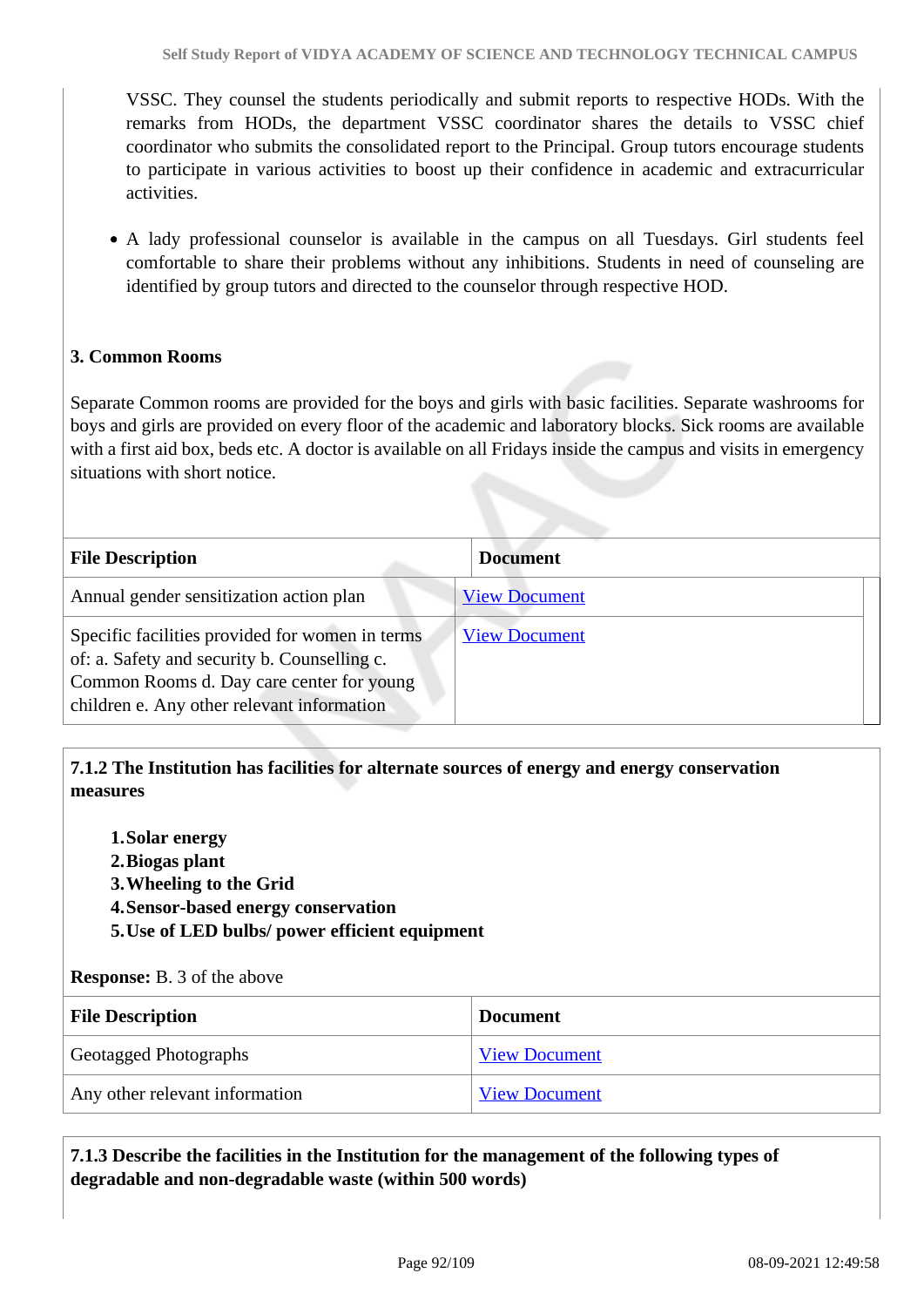VSSC. They counsel the students periodically and submit reports to respective HODs. With the remarks from HODs, the department VSSC coordinator shares the details to VSSC chief coordinator who submits the consolidated report to the Principal. Group tutors encourage students to participate in various activities to boost up their confidence in academic and extracurricular activities.

A lady professional counselor is available in the campus on all Tuesdays. Girl students feel comfortable to share their problems without any inhibitions. Students in need of counseling are identified by group tutors and directed to the counselor through respective HOD.

### **3. Common Rooms**

Separate Common rooms are provided for the boys and girls with basic facilities. Separate washrooms for boys and girls are provided on every floor of the academic and laboratory blocks. Sick rooms are available with a first aid box, beds etc. A doctor is available on all Fridays inside the campus and visits in emergency situations with short notice.

| <b>File Description</b>                                                                                                                                                                    | <b>Document</b>      |
|--------------------------------------------------------------------------------------------------------------------------------------------------------------------------------------------|----------------------|
| Annual gender sensitization action plan                                                                                                                                                    | <b>View Document</b> |
| Specific facilities provided for women in terms<br>of: a. Safety and security b. Counselling c.<br>Common Rooms d. Day care center for young<br>children e. Any other relevant information | <b>View Document</b> |

 **7.1.2 The Institution has facilities for alternate sources of energy and energy conservation measures** 

- **1.Solar energy**
- **2.Biogas plant**
- **3.Wheeling to the Grid**
- **4.Sensor-based energy conservation**
- **5.Use of LED bulbs/ power efficient equipment**

#### **Response:** B. 3 of the above

| <b>File Description</b>        | <b>Document</b>      |
|--------------------------------|----------------------|
| Geotagged Photographs          | <b>View Document</b> |
| Any other relevant information | <b>View Document</b> |

### **7.1.3 Describe the facilities in the Institution for the management of the following types of degradable and non-degradable waste (within 500 words)**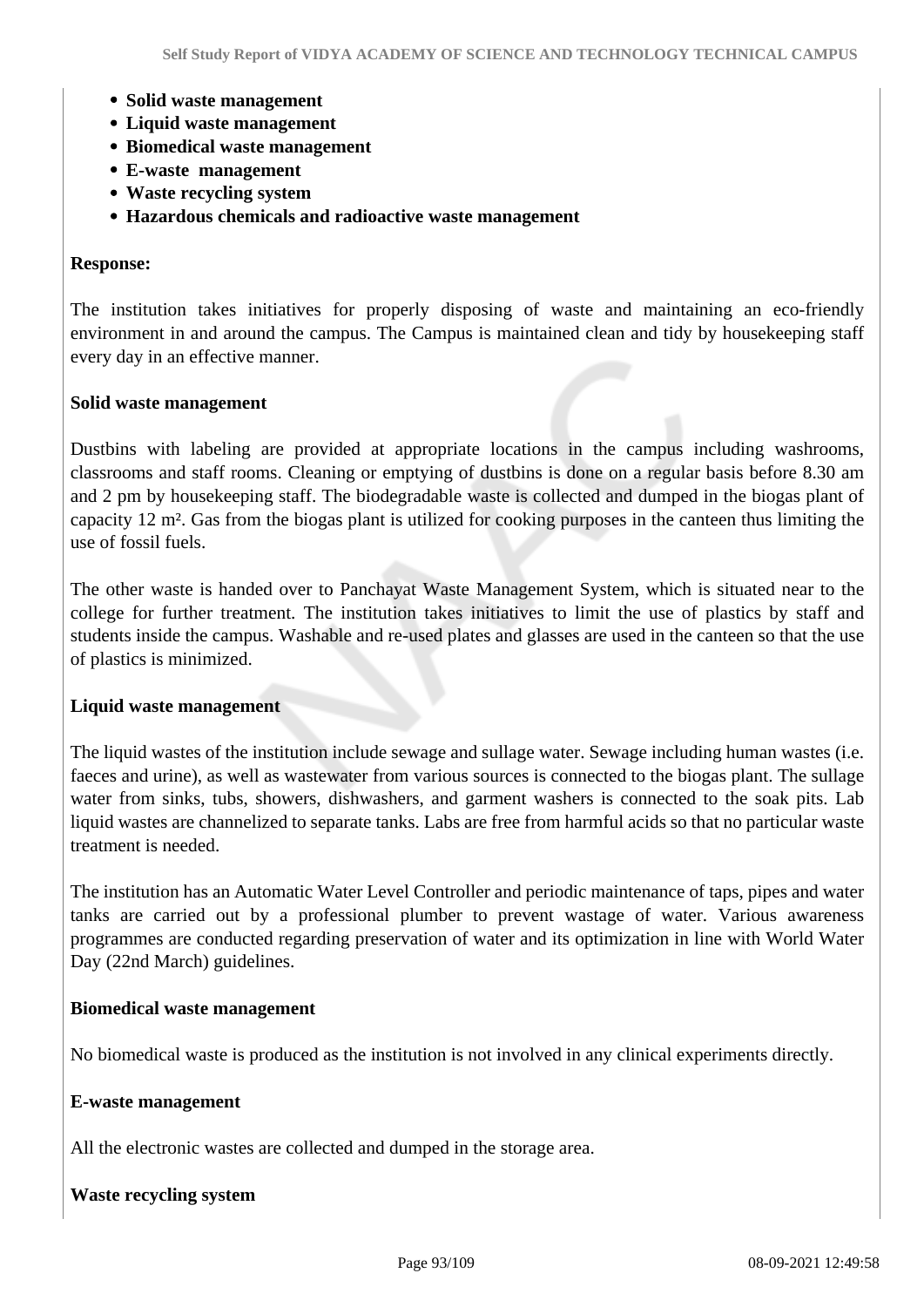- **Solid waste management**
- **Liquid waste management**
- **Biomedical waste management**
- **E-waste management**
- **Waste recycling system**
- **Hazardous chemicals and radioactive waste management**

#### **Response:**

The institution takes initiatives for properly disposing of waste and maintaining an eco-friendly environment in and around the campus. The Campus is maintained clean and tidy by housekeeping staff every day in an effective manner.

#### **Solid waste management**

Dustbins with labeling are provided at appropriate locations in the campus including washrooms, classrooms and staff rooms. Cleaning or emptying of dustbins is done on a regular basis before 8.30 am and 2 pm by housekeeping staff. The biodegradable waste is collected and dumped in the biogas plant of capacity 12 m². Gas from the biogas plant is utilized for cooking purposes in the canteen thus limiting the use of fossil fuels.

The other waste is handed over to Panchayat Waste Management System, which is situated near to the college for further treatment. The institution takes initiatives to limit the use of plastics by staff and students inside the campus. Washable and re-used plates and glasses are used in the canteen so that the use of plastics is minimized.

#### **Liquid waste management**

The liquid wastes of the institution include sewage and sullage water. Sewage including human wastes (i.e. faeces and urine), as well as wastewater from various sources is connected to the biogas plant. The sullage water from sinks, tubs, showers, dishwashers, and garment washers is connected to the soak pits. Lab liquid wastes are channelized to separate tanks. Labs are free from harmful acids so that no particular waste treatment is needed.

The institution has an Automatic Water Level Controller and periodic maintenance of taps, pipes and water tanks are carried out by a professional plumber to prevent wastage of water. Various awareness programmes are conducted regarding preservation of water and its optimization in line with World Water Day (22nd March) guidelines.

#### **Biomedical waste management**

No biomedical waste is produced as the institution is not involved in any clinical experiments directly.

#### **E-waste management**

All the electronic wastes are collected and dumped in the storage area.

#### **Waste recycling system**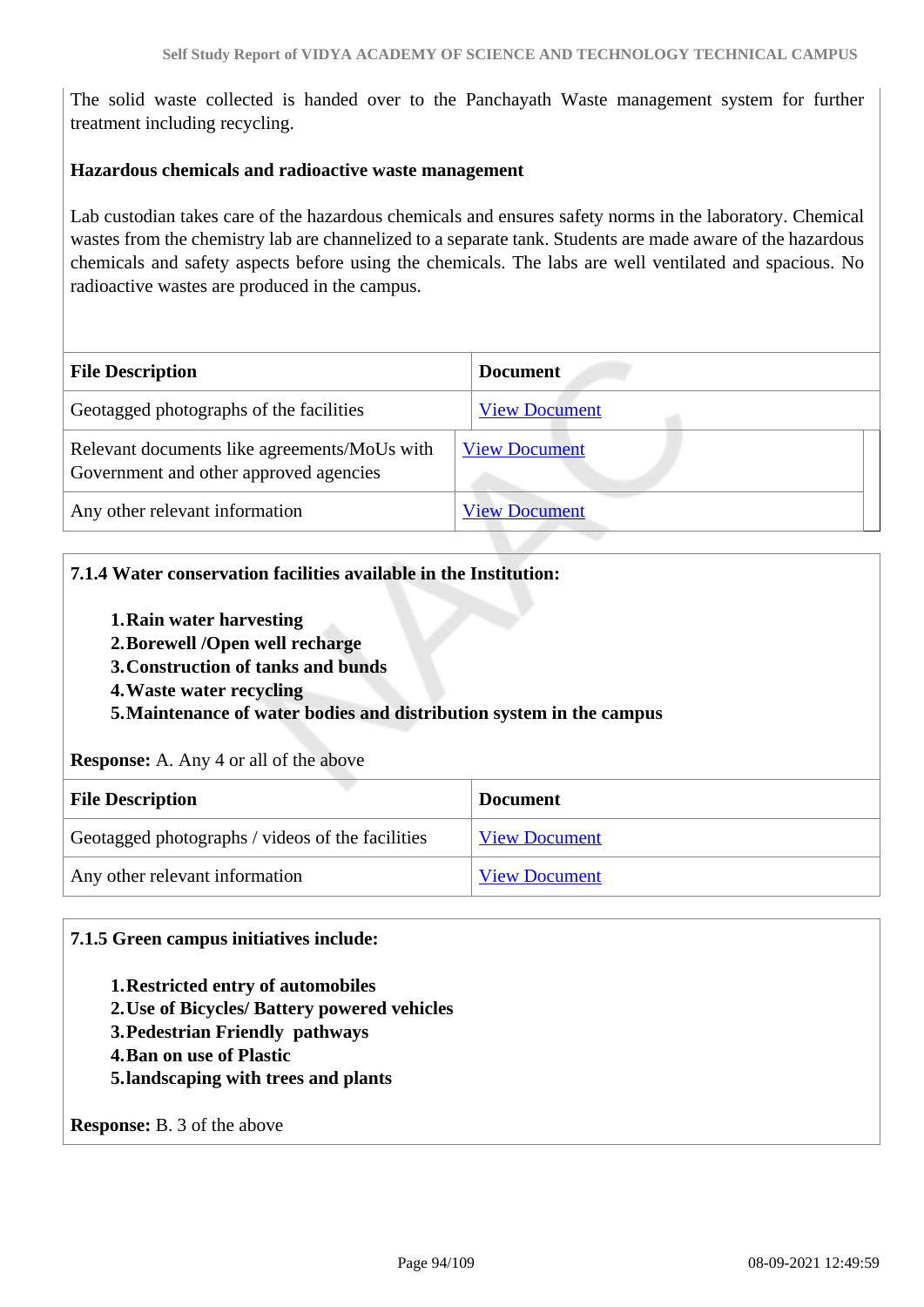The solid waste collected is handed over to the Panchayath Waste management system for further treatment including recycling.

#### **Hazardous chemicals and radioactive waste management**

Lab custodian takes care of the hazardous chemicals and ensures safety norms in the laboratory. Chemical wastes from the chemistry lab are channelized to a separate tank. Students are made aware of the hazardous chemicals and safety aspects before using the chemicals. The labs are well ventilated and spacious. No radioactive wastes are produced in the campus.

| <b>File Description</b>                                                                | <b>Document</b>      |
|----------------------------------------------------------------------------------------|----------------------|
| Geotagged photographs of the facilities                                                | <b>View Document</b> |
| Relevant documents like agreements/MoUs with<br>Government and other approved agencies | <b>View Document</b> |
| Any other relevant information                                                         | <b>View Document</b> |

#### **7.1.4 Water conservation facilities available in the Institution:**

- **1.Rain water harvesting**
- **2.Borewell /Open well recharge**
- **3.Construction of tanks and bunds**
- **4.Waste water recycling**

**5.Maintenance of water bodies and distribution system in the campus**

#### **Response:** A. Any 4 or all of the above

| <b>File Description</b>                          | <b>Document</b>      |
|--------------------------------------------------|----------------------|
| Geotagged photographs / videos of the facilities | <b>View Document</b> |
| Any other relevant information                   | <b>View Document</b> |

#### **7.1.5 Green campus initiatives include:**

- **1.Restricted entry of automobiles**
- **2.Use of Bicycles/ Battery powered vehicles**
- **3.Pedestrian Friendly pathways**
- **4.Ban on use of Plastic**
- **5.landscaping with trees and plants**

**Response:** B. 3 of the above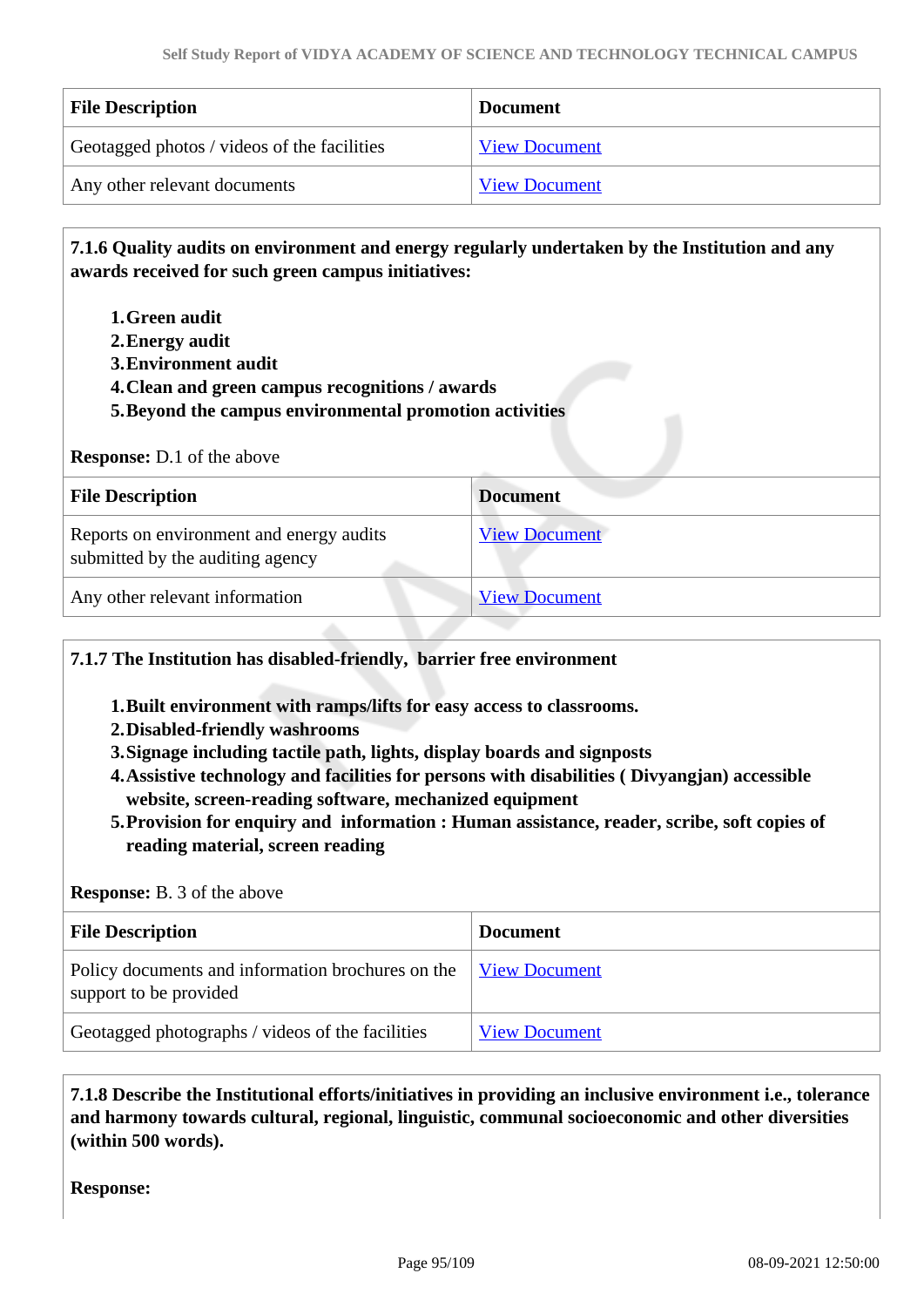| <b>File Description</b>                     | <b>Document</b>      |
|---------------------------------------------|----------------------|
| Geotagged photos / videos of the facilities | <b>View Document</b> |
| Any other relevant documents                | <b>View Document</b> |

 **7.1.6 Quality audits on environment and energy regularly undertaken by the Institution and any awards received for such green campus initiatives:**

- **1.Green audit**
- **2.Energy audit**
- **3.Environment audit**
- **4.Clean and green campus recognitions / awards**
- **5.Beyond the campus environmental promotion activities**

#### **Response:** D.1 of the above

| <b>File Description</b>                                                      | <b>Document</b>      |
|------------------------------------------------------------------------------|----------------------|
| Reports on environment and energy audits<br>submitted by the auditing agency | <b>View Document</b> |
| Any other relevant information                                               | <b>View Document</b> |

**7.1.7 The Institution has disabled-friendly, barrier free environment** 

- **1.Built environment with ramps/lifts for easy access to classrooms.**
- **2.Disabled-friendly washrooms**
- **3.Signage including tactile path, lights, display boards and signposts**
- **4.Assistive technology and facilities for persons with disabilities ( Divyangjan) accessible website, screen-reading software, mechanized equipment**
- **5.Provision for enquiry and information : Human assistance, reader, scribe, soft copies of reading material, screen reading**

#### **Response:** B. 3 of the above

| <b>File Description</b>                                                     | <b>Document</b>      |
|-----------------------------------------------------------------------------|----------------------|
| Policy documents and information brochures on the<br>support to be provided | <b>View Document</b> |
| Geotagged photographs / videos of the facilities                            | <b>View Document</b> |

 **7.1.8 Describe the Institutional efforts/initiatives in providing an inclusive environment i.e., tolerance and harmony towards cultural, regional, linguistic, communal socioeconomic and other diversities (within 500 words).**

**Response:**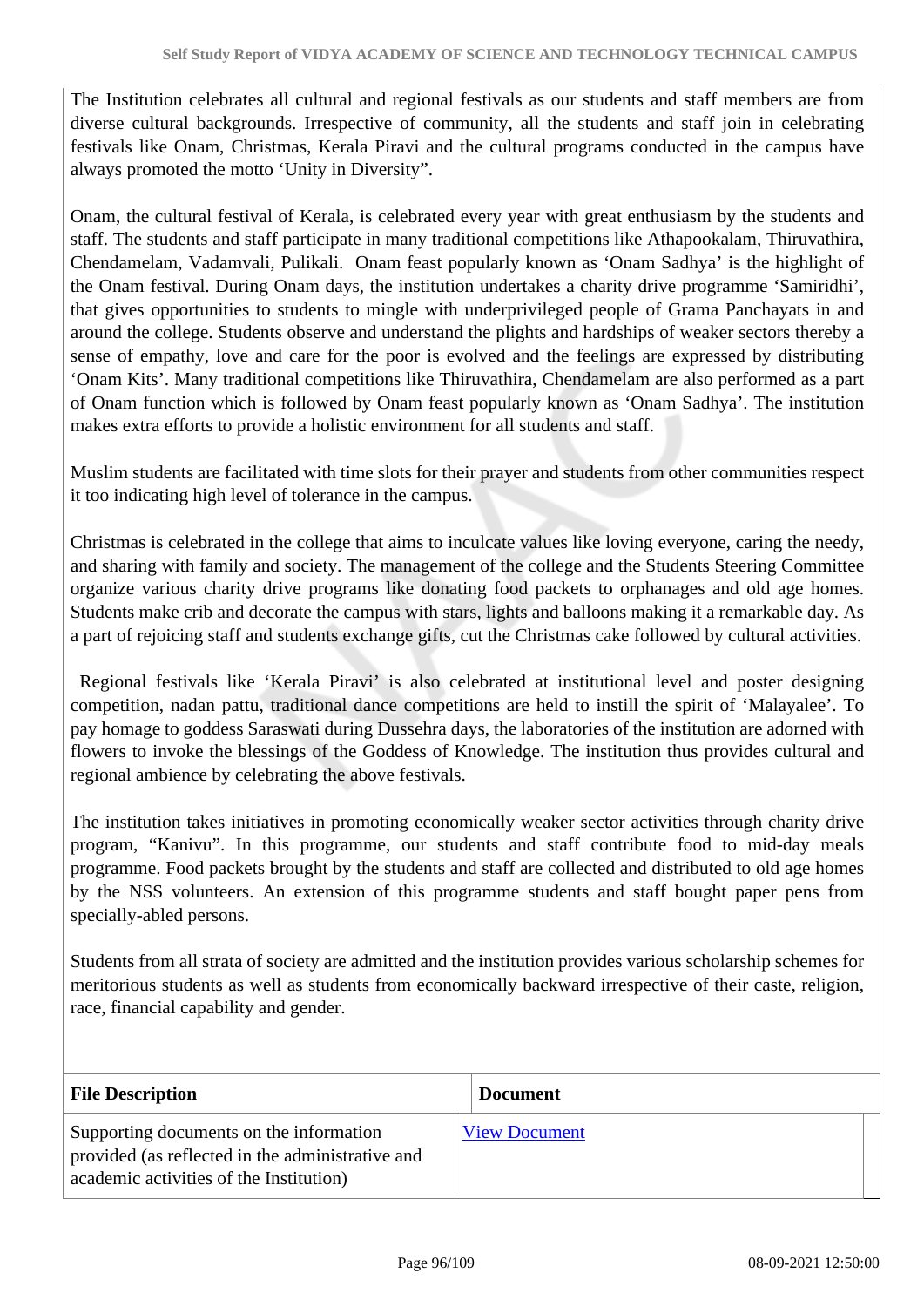The Institution celebrates all cultural and regional festivals as our students and staff members are from diverse cultural backgrounds. Irrespective of community, all the students and staff join in celebrating festivals like Onam, Christmas, Kerala Piravi and the cultural programs conducted in the campus have always promoted the motto 'Unity in Diversity".

Onam, the cultural festival of Kerala, is celebrated every year with great enthusiasm by the students and staff. The students and staff participate in many traditional competitions like Athapookalam, Thiruvathira, Chendamelam, Vadamvali, Pulikali. Onam feast popularly known as 'Onam Sadhya' is the highlight of the Onam festival. During Onam days, the institution undertakes a charity drive programme 'Samiridhi', that gives opportunities to students to mingle with underprivileged people of Grama Panchayats in and around the college. Students observe and understand the plights and hardships of weaker sectors thereby a sense of empathy, love and care for the poor is evolved and the feelings are expressed by distributing 'Onam Kits'. Many traditional competitions like Thiruvathira, Chendamelam are also performed as a part of Onam function which is followed by Onam feast popularly known as 'Onam Sadhya'. The institution makes extra efforts to provide a holistic environment for all students and staff.

Muslim students are facilitated with time slots for their prayer and students from other communities respect it too indicating high level of tolerance in the campus.

Christmas is celebrated in the college that aims to inculcate values like loving everyone, caring the needy, and sharing with family and society. The management of the college and the Students Steering Committee organize various charity drive programs like donating food packets to orphanages and old age homes. Students make crib and decorate the campus with stars, lights and balloons making it a remarkable day. As a part of rejoicing staff and students exchange gifts, cut the Christmas cake followed by cultural activities.

 Regional festivals like 'Kerala Piravi' is also celebrated at institutional level and poster designing competition, nadan pattu, traditional dance competitions are held to instill the spirit of 'Malayalee'. To pay homage to goddess Saraswati during Dussehra days, the laboratories of the institution are adorned with flowers to invoke the blessings of the Goddess of Knowledge. The institution thus provides cultural and regional ambience by celebrating the above festivals.

The institution takes initiatives in promoting economically weaker sector activities through charity drive program, "Kanivu". In this programme, our students and staff contribute food to mid-day meals programme. Food packets brought by the students and staff are collected and distributed to old age homes by the NSS volunteers. An extension of this programme students and staff bought paper pens from specially-abled persons.

Students from all strata of society are admitted and the institution provides various scholarship schemes for meritorious students as well as students from economically backward irrespective of their caste, religion, race, financial capability and gender.

| <b>File Description</b>                                                                                                                | <b>Document</b>      |
|----------------------------------------------------------------------------------------------------------------------------------------|----------------------|
| Supporting documents on the information<br>provided (as reflected in the administrative and<br>academic activities of the Institution) | <b>View Document</b> |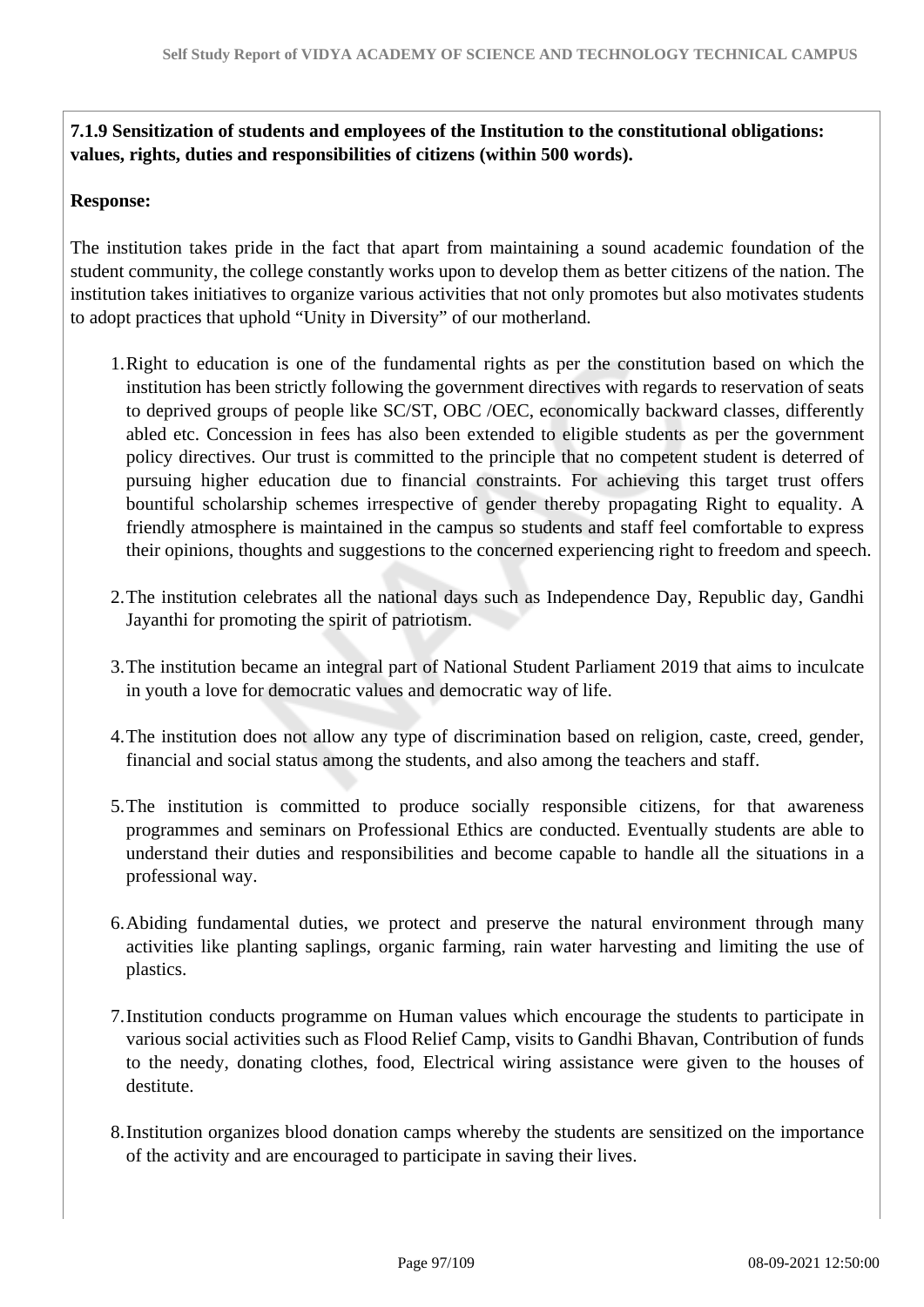**7.1.9 Sensitization of students and employees of the Institution to the constitutional obligations: values, rights, duties and responsibilities of citizens (within 500 words).**

#### **Response:**

The institution takes pride in the fact that apart from maintaining a sound academic foundation of the student community, the college constantly works upon to develop them as better citizens of the nation. The institution takes initiatives to organize various activities that not only promotes but also motivates students to adopt practices that uphold "Unity in Diversity" of our motherland.

- 1.Right to education is one of the fundamental rights as per the constitution based on which the institution has been strictly following the government directives with regards to reservation of seats to deprived groups of people like SC/ST, OBC /OEC, economically backward classes, differently abled etc. Concession in fees has also been extended to eligible students as per the government policy directives. Our trust is committed to the principle that no competent student is deterred of pursuing higher education due to financial constraints. For achieving this target trust offers bountiful scholarship schemes irrespective of gender thereby propagating Right to equality. A friendly atmosphere is maintained in the campus so students and staff feel comfortable to express their opinions, thoughts and suggestions to the concerned experiencing right to freedom and speech.
- 2.The institution celebrates all the national days such as Independence Day, Republic day, Gandhi Jayanthi for promoting the spirit of patriotism.
- 3.The institution became an integral part of National Student Parliament 2019 that aims to inculcate in youth a love for democratic values and democratic way of life.
- 4.The institution does not allow any type of discrimination based on religion, caste, creed, gender, financial and social status among the students, and also among the teachers and staff.
- 5.The institution is committed to produce socially responsible citizens, for that awareness programmes and seminars on Professional Ethics are conducted. Eventually students are able to understand their duties and responsibilities and become capable to handle all the situations in a professional way.
- 6.Abiding fundamental duties, we protect and preserve the natural environment through many activities like planting saplings, organic farming, rain water harvesting and limiting the use of plastics.
- 7.Institution conducts programme on Human values which encourage the students to participate in various social activities such as Flood Relief Camp, visits to Gandhi Bhavan, Contribution of funds to the needy, donating clothes, food, Electrical wiring assistance were given to the houses of destitute.
- 8.Institution organizes blood donation camps whereby the students are sensitized on the importance of the activity and are encouraged to participate in saving their lives.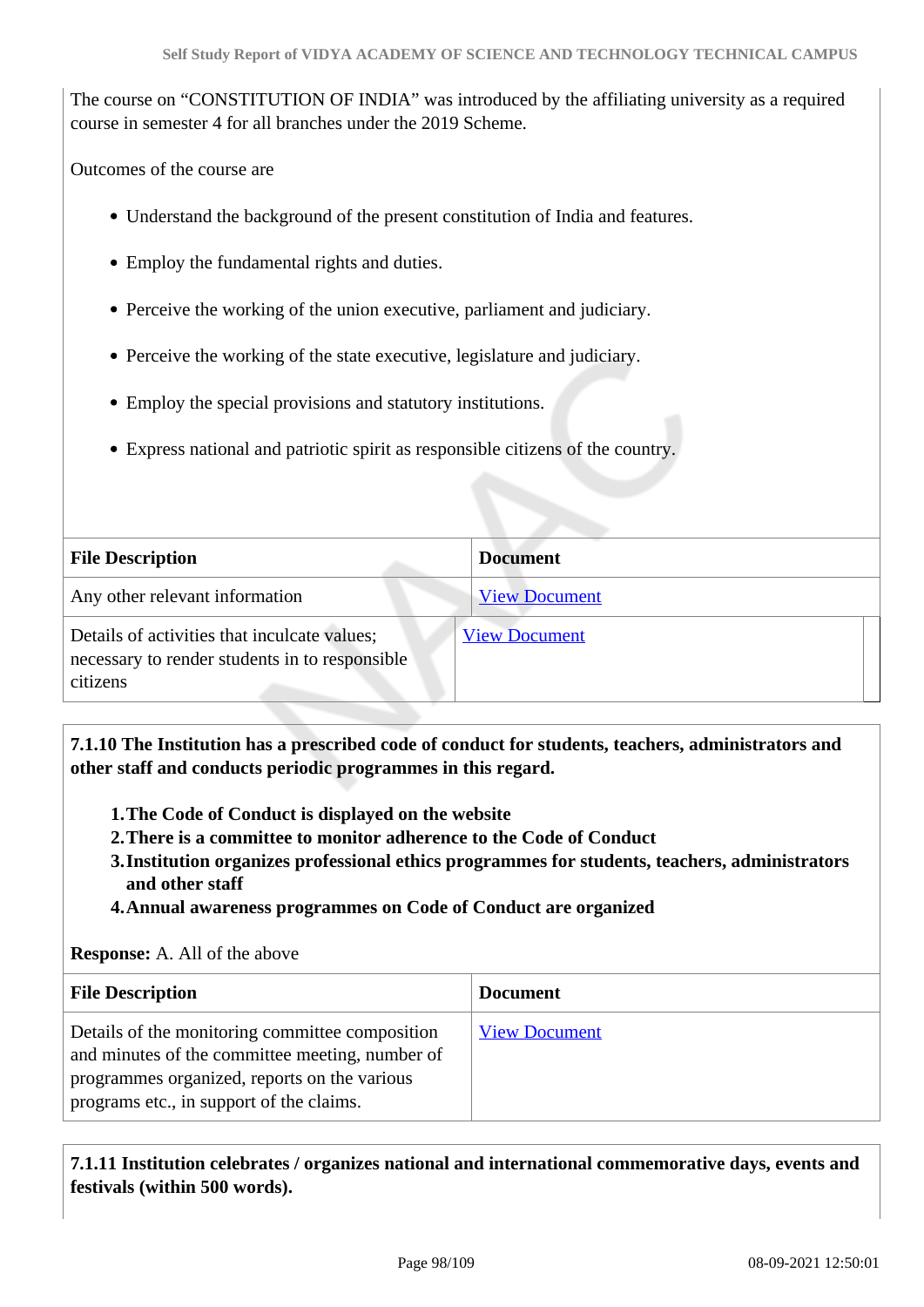The course on "CONSTITUTION OF INDIA" was introduced by the affiliating university as a required course in semester 4 for all branches under the 2019 Scheme.

Outcomes of the course are

- Understand the background of the present constitution of India and features.
- Employ the fundamental rights and duties.
- Perceive the working of the union executive, parliament and judiciary.
- Perceive the working of the state executive, legislature and judiciary.
- Employ the special provisions and statutory institutions.
- Express national and patriotic spirit as responsible citizens of the country.

| <b>File Description</b>                                                                                    | <b>Document</b>      |
|------------------------------------------------------------------------------------------------------------|----------------------|
| Any other relevant information                                                                             | <b>View Document</b> |
| Details of activities that inculcate values;<br>necessary to render students in to responsible<br>citizens | <b>View Document</b> |

 **7.1.10 The Institution has a prescribed code of conduct for students, teachers, administrators and other staff and conducts periodic programmes in this regard.** 

- **1.The Code of Conduct is displayed on the website**
- **2.There is a committee to monitor adherence to the Code of Conduct**
- **3.Institution organizes professional ethics programmes for students, teachers, administrators and other staff**
- **4.Annual awareness programmes on Code of Conduct are organized**

#### **Response:** A. All of the above

| <b>File Description</b>                                                                                                                                                                        | <b>Document</b>      |
|------------------------------------------------------------------------------------------------------------------------------------------------------------------------------------------------|----------------------|
| Details of the monitoring committee composition<br>and minutes of the committee meeting, number of<br>programmes organized, reports on the various<br>programs etc., in support of the claims. | <b>View Document</b> |

 **7.1.11 Institution celebrates / organizes national and international commemorative days, events and festivals (within 500 words).**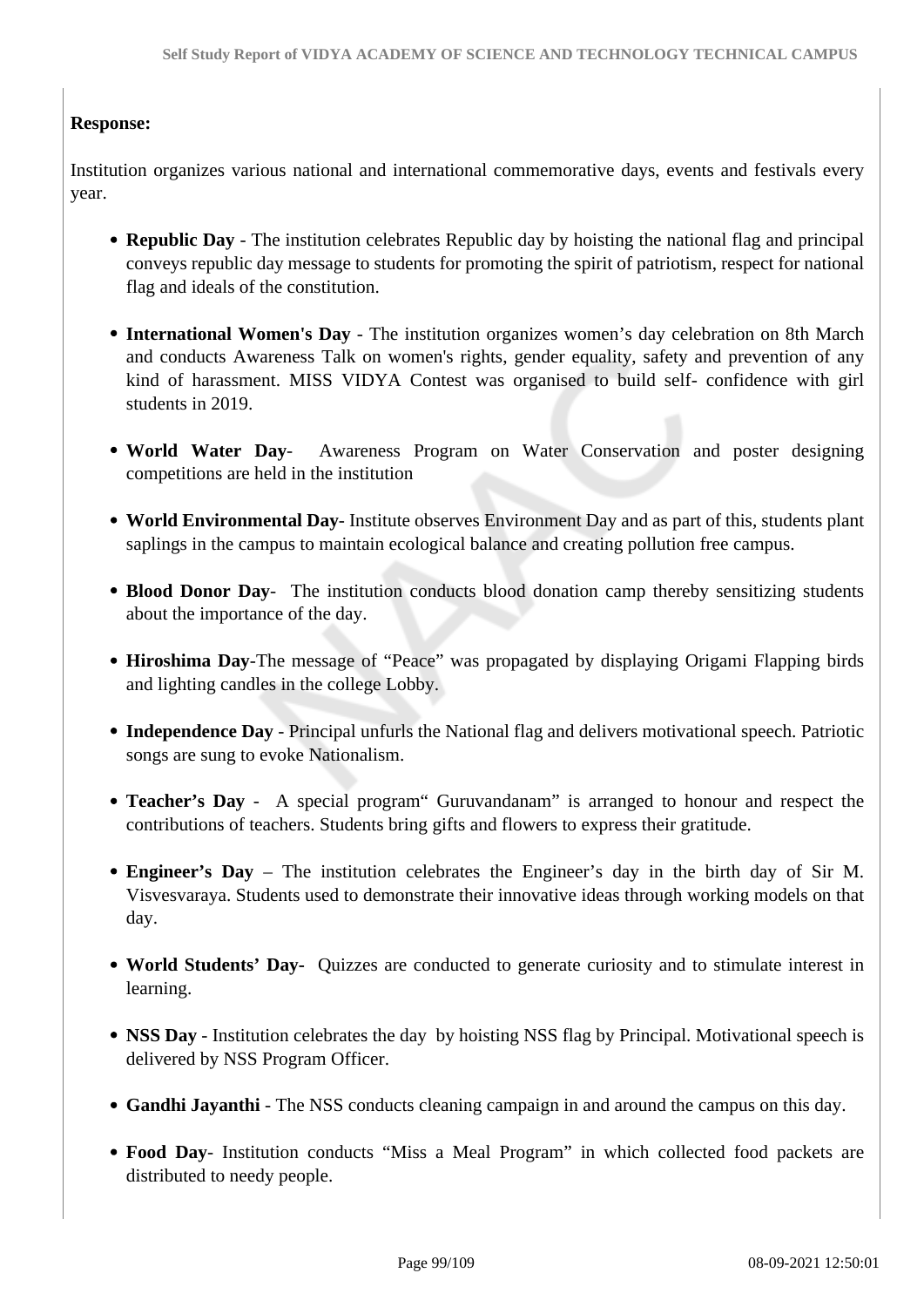### **Response:**

Institution organizes various national and international commemorative days, events and festivals every year.

- **Republic Day**  The institution celebrates Republic day by hoisting the national flag and principal conveys republic day message to students for promoting the spirit of patriotism, respect for national flag and ideals of the constitution.
- **International Women's Day** The institution organizes women's day celebration on 8th March and conducts Awareness Talk on women's rights, gender equality, safety and prevention of any kind of harassment. MISS VIDYA Contest was organised to build self- confidence with girl students in 2019.
- **World Water Day** Awareness Program on Water Conservation and poster designing competitions are held in the institution
- **World Environmental Day** Institute observes Environment Day and as part of this, students plant saplings in the campus to maintain ecological balance and creating pollution free campus.
- **Blood Donor Day** The institution conducts blood donation camp thereby sensitizing students about the importance of the day.
- **Hiroshima Day**-The message of "Peace" was propagated by displaying Origami Flapping birds and lighting candles in the college Lobby.
- **Independence Day** Principal unfurls the National flag and delivers motivational speech. Patriotic songs are sung to evoke Nationalism.
- **Teacher's Day** A special program" Guruvandanam" is arranged to honour and respect the contributions of teachers. Students bring gifts and flowers to express their gratitude.
- **Engineer's Day** The institution celebrates the Engineer's day in the birth day of Sir M. Visvesvaraya. Students used to demonstrate their innovative ideas through working models on that day.
- **World Students' Day-** Quizzes are conducted to generate curiosity and to stimulate interest in learning.
- NSS Day Institution celebrates the day by hoisting NSS flag by Principal. Motivational speech is delivered by NSS Program Officer.
- **Gandhi Jayanthi**  The NSS conducts cleaning campaign in and around the campus on this day.
- **Food Day** Institution conducts "Miss a Meal Program" in which collected food packets are distributed to needy people.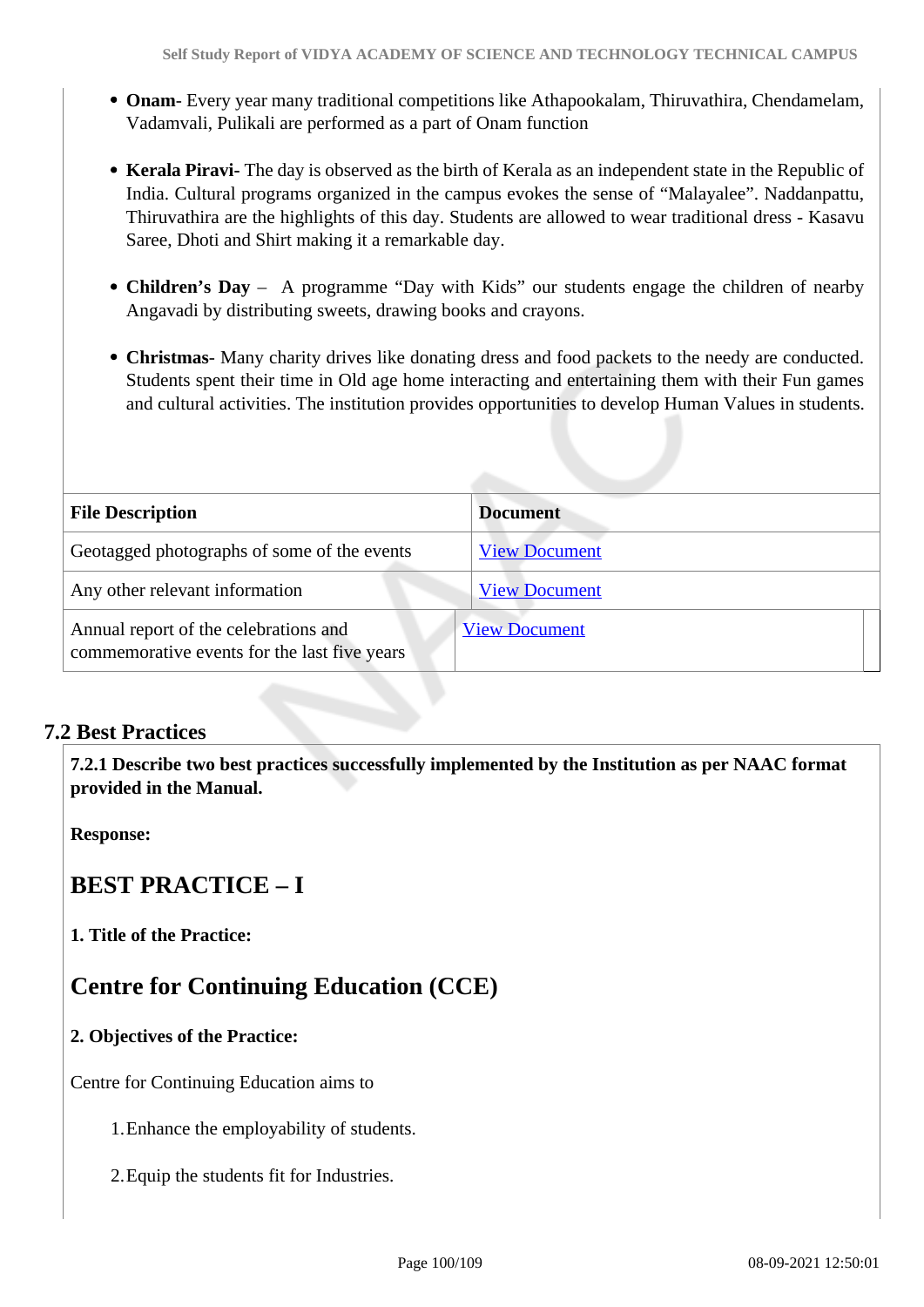- **Onam** Every year many traditional competitions like Athapookalam, Thiruvathira, Chendamelam, Vadamvali, Pulikali are performed as a part of Onam function
- **Kerala Piravi-** The day is observed as the birth of Kerala as an independent state in the Republic of India. Cultural programs organized in the campus evokes the sense of "Malayalee". Naddanpattu, Thiruvathira are the highlights of this day. Students are allowed to wear traditional dress - Kasavu Saree, Dhoti and Shirt making it a remarkable day.
- **Children's Day** A programme "Day with Kids" our students engage the children of nearby Angavadi by distributing sweets, drawing books and crayons.
- **Christmas** Many charity drives like donating dress and food packets to the needy are conducted. Students spent their time in Old age home interacting and entertaining them with their Fun games and cultural activities. The institution provides opportunities to develop Human Values in students.

| <b>File Description</b>                                                               | <b>Document</b>      |
|---------------------------------------------------------------------------------------|----------------------|
| Geotagged photographs of some of the events                                           | <b>View Document</b> |
| Any other relevant information                                                        | <b>View Document</b> |
| Annual report of the celebrations and<br>commemorative events for the last five years | <b>View Document</b> |

### **7.2 Best Practices**

 **7.2.1 Describe two best practices successfully implemented by the Institution as per NAAC format provided in the Manual.**

**Response:** 

## **BEST PRACTICE – I**

**1. Title of the Practice:**

## **Centre for Continuing Education (CCE)**

### **2. Objectives of the Practice:**

Centre for Continuing Education aims to

- 1.Enhance the employability of students.
- 2.Equip the students fit for Industries.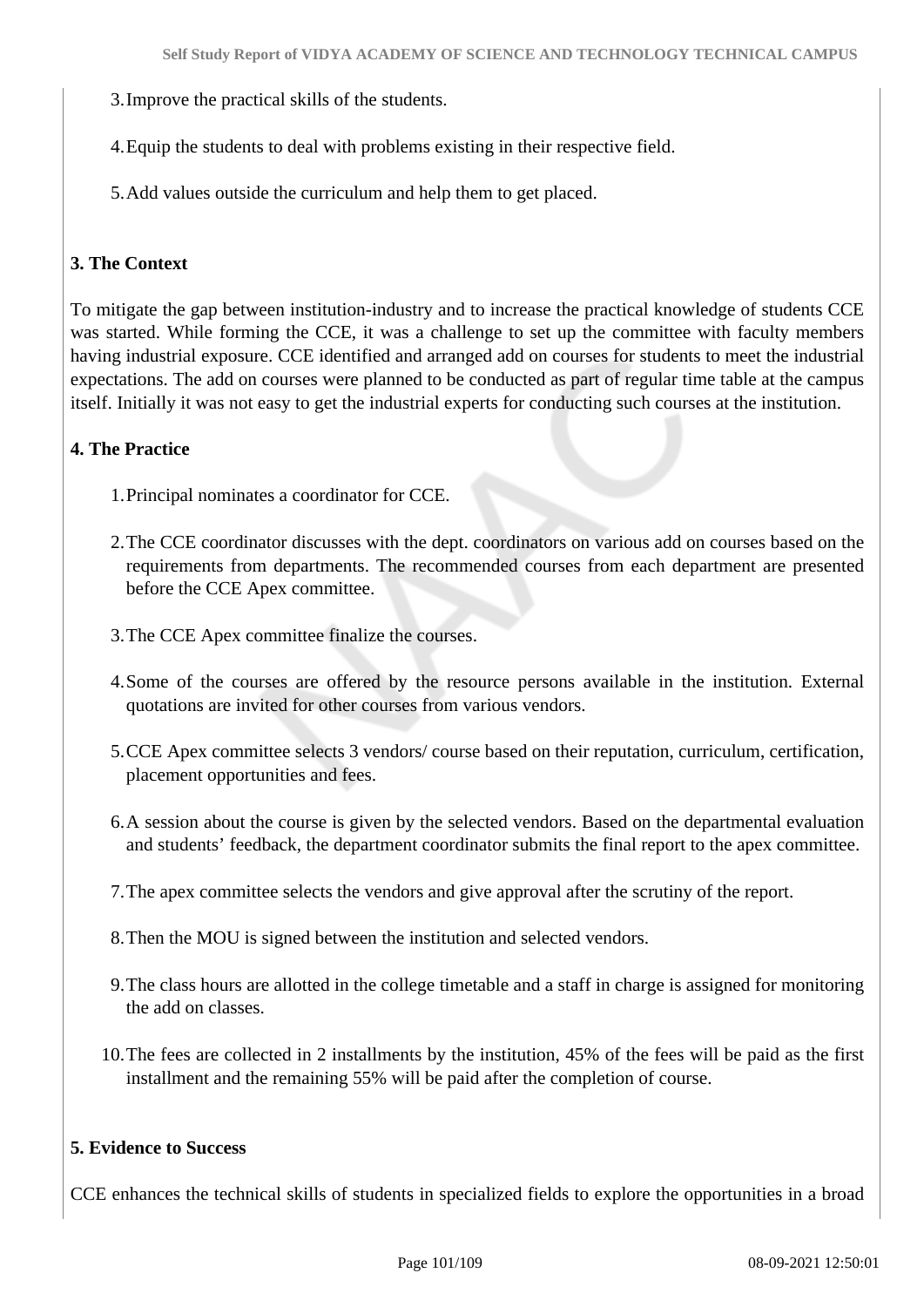- 3.Improve the practical skills of the students.
- 4.Equip the students to deal with problems existing in their respective field.
- 5.Add values outside the curriculum and help them to get placed.

### **3. The Context**

To mitigate the gap between institution-industry and to increase the practical knowledge of students CCE was started. While forming the CCE, it was a challenge to set up the committee with faculty members having industrial exposure. CCE identified and arranged add on courses for students to meet the industrial expectations. The add on courses were planned to be conducted as part of regular time table at the campus itself. Initially it was not easy to get the industrial experts for conducting such courses at the institution.

#### **4. The Practice**

- 1.Principal nominates a coordinator for CCE.
- 2.The CCE coordinator discusses with the dept. coordinators on various add on courses based on the requirements from departments. The recommended courses from each department are presented before the CCE Apex committee.
- 3.The CCE Apex committee finalize the courses.
- 4.Some of the courses are offered by the resource persons available in the institution. External quotations are invited for other courses from various vendors.
- 5.CCE Apex committee selects 3 vendors/ course based on their reputation, curriculum, certification, placement opportunities and fees.
- 6.A session about the course is given by the selected vendors. Based on the departmental evaluation and students' feedback, the department coordinator submits the final report to the apex committee.
- 7.The apex committee selects the vendors and give approval after the scrutiny of the report.
- 8.Then the MOU is signed between the institution and selected vendors.
- 9.The class hours are allotted in the college timetable and a staff in charge is assigned for monitoring the add on classes.
- 10.The fees are collected in 2 installments by the institution, 45% of the fees will be paid as the first installment and the remaining 55% will be paid after the completion of course.

#### **5. Evidence to Success**

CCE enhances the technical skills of students in specialized fields to explore the opportunities in a broad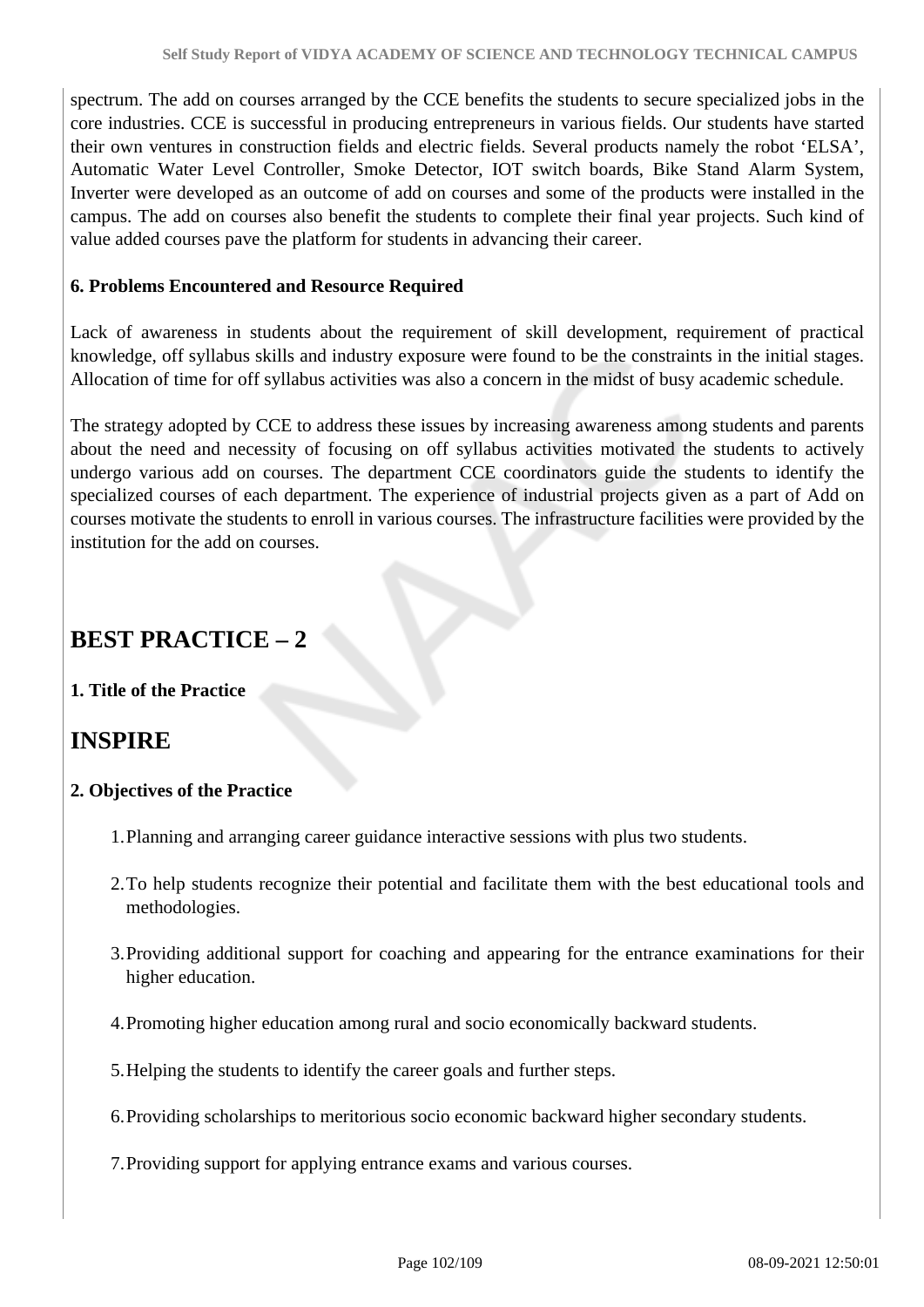spectrum. The add on courses arranged by the CCE benefits the students to secure specialized jobs in the core industries. CCE is successful in producing entrepreneurs in various fields. Our students have started their own ventures in construction fields and electric fields. Several products namely the robot 'ELSA', Automatic Water Level Controller, Smoke Detector, IOT switch boards, Bike Stand Alarm System, Inverter were developed as an outcome of add on courses and some of the products were installed in the campus. The add on courses also benefit the students to complete their final year projects. Such kind of value added courses pave the platform for students in advancing their career.

#### **6. Problems Encountered and Resource Required**

Lack of awareness in students about the requirement of skill development, requirement of practical knowledge, off syllabus skills and industry exposure were found to be the constraints in the initial stages. Allocation of time for off syllabus activities was also a concern in the midst of busy academic schedule.

The strategy adopted by CCE to address these issues by increasing awareness among students and parents about the need and necessity of focusing on off syllabus activities motivated the students to actively undergo various add on courses. The department CCE coordinators guide the students to identify the specialized courses of each department. The experience of industrial projects given as a part of Add on courses motivate the students to enroll in various courses. The infrastructure facilities were provided by the institution for the add on courses.

## **BEST PRACTICE – 2**

#### **1. Title of the Practice**

## **INSPIRE**

#### **2. Objectives of the Practice**

- 1.Planning and arranging career guidance interactive sessions with plus two students.
- 2.To help students recognize their potential and facilitate them with the best educational tools and methodologies.
- 3.Providing additional support for coaching and appearing for the entrance examinations for their higher education.
- 4.Promoting higher education among rural and socio economically backward students.
- 5.Helping the students to identify the career goals and further steps.
- 6.Providing scholarships to meritorious socio economic backward higher secondary students.
- 7.Providing support for applying entrance exams and various courses.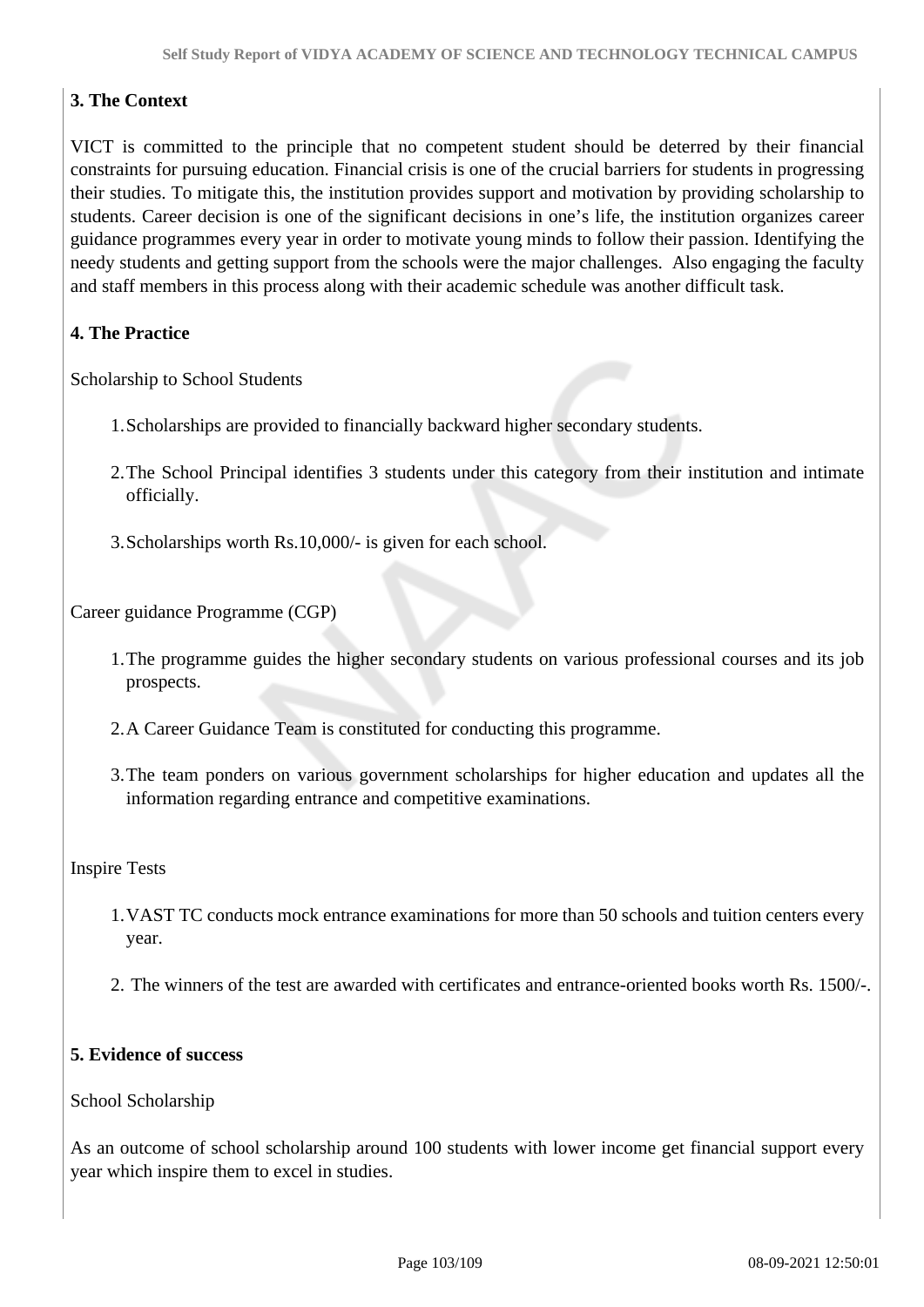### **3. The Context**

VICT is committed to the principle that no competent student should be deterred by their financial constraints for pursuing education. Financial crisis is one of the crucial barriers for students in progressing their studies. To mitigate this, the institution provides support and motivation by providing scholarship to students. Career decision is one of the significant decisions in one's life, the institution organizes career guidance programmes every year in order to motivate young minds to follow their passion. Identifying the needy students and getting support from the schools were the major challenges. Also engaging the faculty and staff members in this process along with their academic schedule was another difficult task.

### **4. The Practice**

Scholarship to School Students

- 1.Scholarships are provided to financially backward higher secondary students.
- 2.The School Principal identifies 3 students under this category from their institution and intimate officially.
- 3.Scholarships worth Rs.10,000/- is given for each school.

Career guidance Programme (CGP)

- 1.The programme guides the higher secondary students on various professional courses and its job prospects.
- 2.A Career Guidance Team is constituted for conducting this programme.
- 3.The team ponders on various government scholarships for higher education and updates all the information regarding entrance and competitive examinations.

#### Inspire Tests

- 1.VAST TC conducts mock entrance examinations for more than 50 schools and tuition centers every year.
- 2. The winners of the test are awarded with certificates and entrance-oriented books worth Rs. 1500/-.

#### **5. Evidence of success**

#### School Scholarship

As an outcome of school scholarship around 100 students with lower income get financial support every year which inspire them to excel in studies.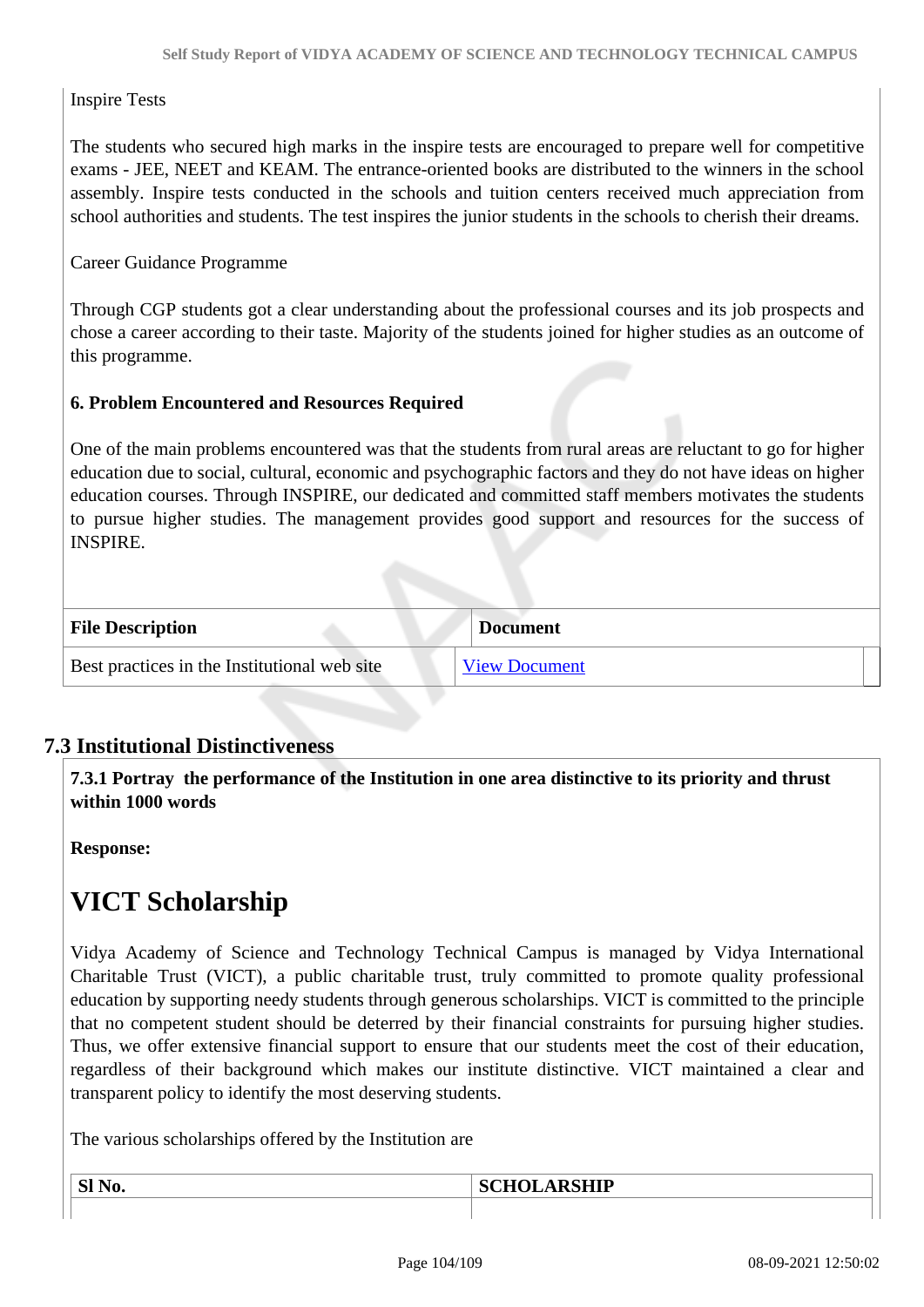#### Inspire Tests

The students who secured high marks in the inspire tests are encouraged to prepare well for competitive exams - JEE, NEET and KEAM. The entrance-oriented books are distributed to the winners in the school assembly. Inspire tests conducted in the schools and tuition centers received much appreciation from school authorities and students. The test inspires the junior students in the schools to cherish their dreams.

#### Career Guidance Programme

Through CGP students got a clear understanding about the professional courses and its job prospects and chose a career according to their taste. Majority of the students joined for higher studies as an outcome of this programme.

#### **6. Problem Encountered and Resources Required**

One of the main problems encountered was that the students from rural areas are reluctant to go for higher education due to social, cultural, economic and psychographic factors and they do not have ideas on higher education courses. Through INSPIRE, our dedicated and committed staff members motivates the students to pursue higher studies. The management provides good support and resources for the success of INSPIRE.

| <b>File Description</b>                      | <b>Document</b>      |
|----------------------------------------------|----------------------|
| Best practices in the Institutional web site | <b>View Document</b> |

### **7.3 Institutional Distinctiveness**

 **7.3.1 Portray the performance of the Institution in one area distinctive to its priority and thrust within 1000 words**

**Response:** 

## **VICT Scholarship**

Vidya Academy of Science and Technology Technical Campus is managed by Vidya International Charitable Trust (VICT), a public charitable trust, truly committed to promote quality professional education by supporting needy students through generous scholarships. VICT is committed to the principle that no competent student should be deterred by their financial constraints for pursuing higher studies. Thus, we offer extensive financial support to ensure that our students meet the cost of their education, regardless of their background which makes our institute distinctive. VICT maintained a clear and transparent policy to identify the most deserving students.

The various scholarships offered by the Institution are

**Sl No. SCHOLARSHIP**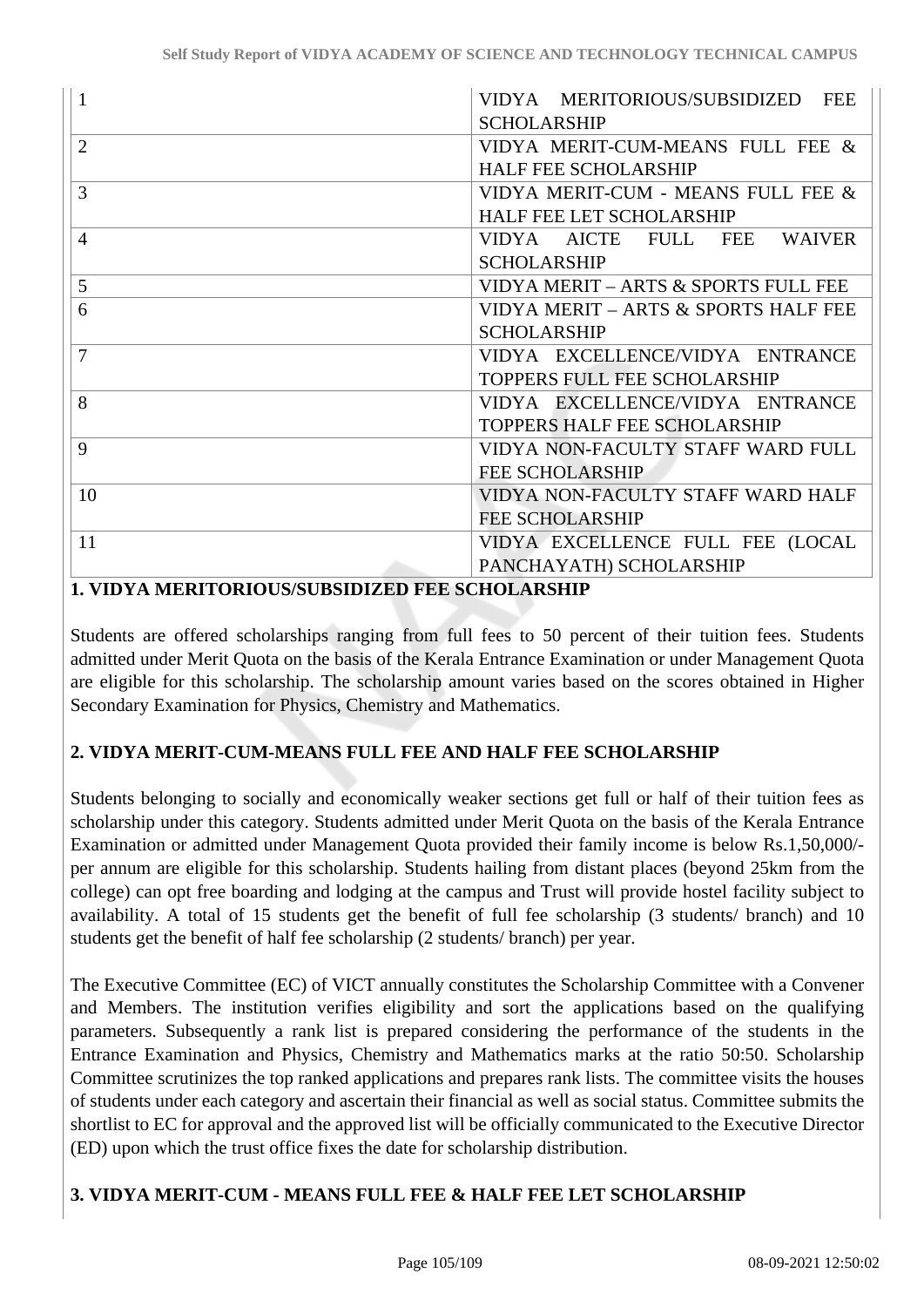| 1              | VIDYA MERITORIOUS/SUBSIDIZED<br><b>FEE</b> |
|----------------|--------------------------------------------|
|                | <b>SCHOLARSHIP</b>                         |
| $\overline{2}$ | VIDYA MERIT-CUM-MEANS FULL FEE &           |
|                | <b>HALF FEE SCHOLARSHIP</b>                |
| 3              | VIDYA MERIT-CUM - MEANS FULL FEE &         |
|                | <b>HALF FEE LET SCHOLARSHIP</b>            |
| 4              | VIDYA AICTE<br>FULL FEE<br><b>WAIVER</b>   |
|                | <b>SCHOLARSHIP</b>                         |
| 5              | VIDYA MERIT - ARTS & SPORTS FULL FEE       |
| 6              | VIDYA MERIT - ARTS & SPORTS HALF FEE       |
|                | <b>SCHOLARSHIP</b>                         |
| 7              | VIDYA EXCELLENCE/VIDYA ENTRANCE            |
|                | <b>TOPPERS FULL FEE SCHOLARSHIP</b>        |
| 8              | VIDYA EXCELLENCE/VIDYA ENTRANCE            |
|                | <b>TOPPERS HALF FEE SCHOLARSHIP</b>        |
| 9              | VIDYA NON-FACULTY STAFF WARD FULL          |
|                | <b>FEE SCHOLARSHIP</b>                     |
| 10             | VIDYA NON-FACULTY STAFF WARD HALF          |
|                | <b>FEE SCHOLARSHIP</b>                     |
| 11             | VIDYA EXCELLENCE FULL FEE (LOCAL           |
|                | PANCHAYATH) SCHOLARSHIP                    |

#### **1. VIDYA MERITORIOUS/SUBSIDIZED FEE SCHOLARSHIP**

Students are offered scholarships ranging from full fees to 50 percent of their tuition fees. Students admitted under Merit Quota on the basis of the Kerala Entrance Examination or under Management Quota are eligible for this scholarship. The scholarship amount varies based on the scores obtained in Higher Secondary Examination for Physics, Chemistry and Mathematics.

### **2. VIDYA MERIT-CUM-MEANS FULL FEE AND HALF FEE SCHOLARSHIP**

Students belonging to socially and economically weaker sections get full or half of their tuition fees as scholarship under this category. Students admitted under Merit Quota on the basis of the Kerala Entrance Examination or admitted under Management Quota provided their family income is below Rs.1,50,000/ per annum are eligible for this scholarship. Students hailing from distant places (beyond 25km from the college) can opt free boarding and lodging at the campus and Trust will provide hostel facility subject to availability. A total of 15 students get the benefit of full fee scholarship (3 students/ branch) and 10 students get the benefit of half fee scholarship (2 students/ branch) per year.

The Executive Committee (EC) of VICT annually constitutes the Scholarship Committee with a Convener and Members. The institution verifies eligibility and sort the applications based on the qualifying parameters. Subsequently a rank list is prepared considering the performance of the students in the Entrance Examination and Physics, Chemistry and Mathematics marks at the ratio 50:50. Scholarship Committee scrutinizes the top ranked applications and prepares rank lists. The committee visits the houses of students under each category and ascertain their financial as well as social status. Committee submits the shortlist to EC for approval and the approved list will be officially communicated to the Executive Director (ED) upon which the trust office fixes the date for scholarship distribution.

### **3. VIDYA MERIT-CUM - MEANS FULL FEE & HALF FEE LET SCHOLARSHIP**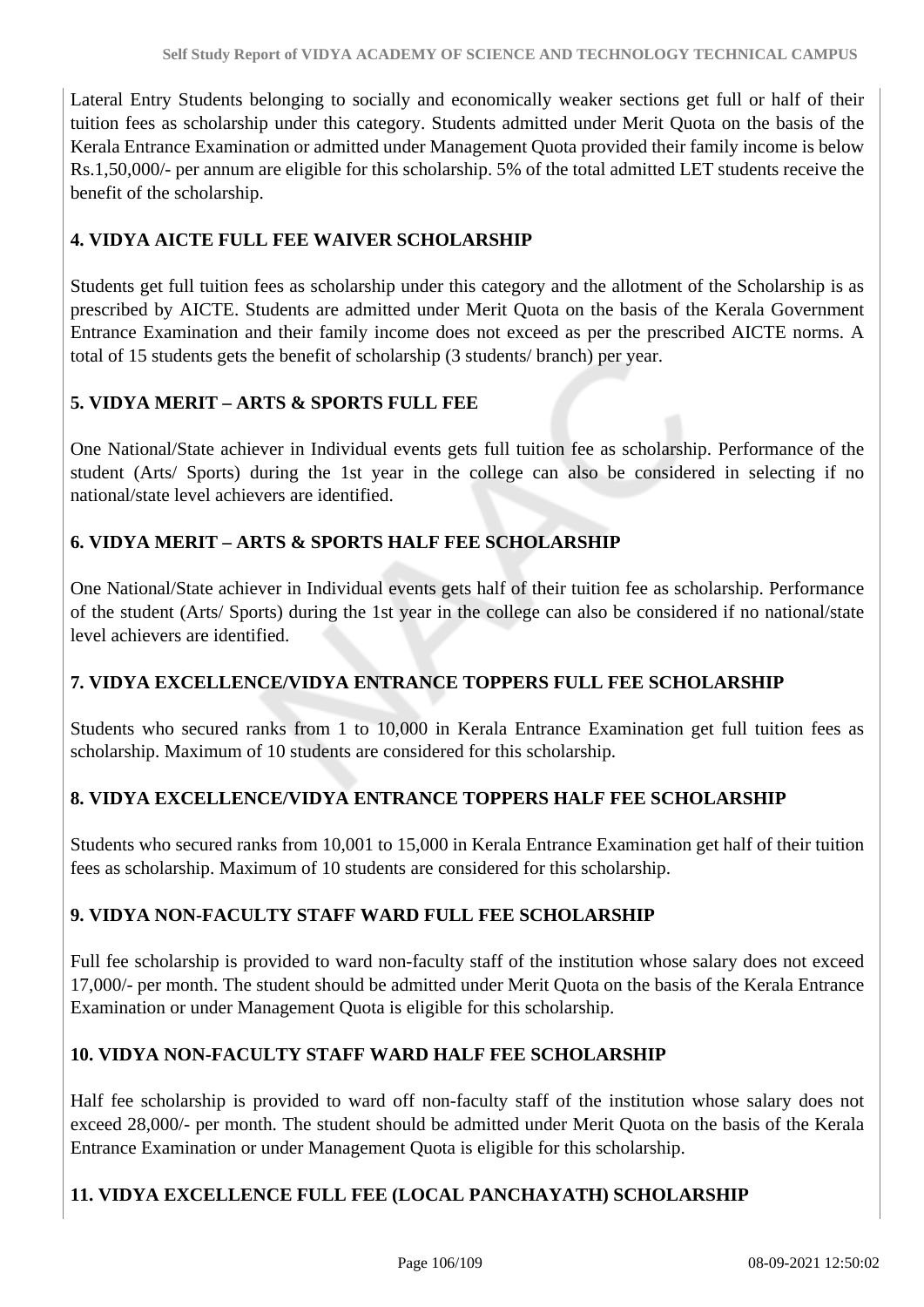Lateral Entry Students belonging to socially and economically weaker sections get full or half of their tuition fees as scholarship under this category. Students admitted under Merit Quota on the basis of the Kerala Entrance Examination or admitted under Management Quota provided their family income is below Rs.1,50,000/- per annum are eligible for this scholarship. 5% of the total admitted LET students receive the benefit of the scholarship.

### **4. VIDYA AICTE FULL FEE WAIVER SCHOLARSHIP**

Students get full tuition fees as scholarship under this category and the allotment of the Scholarship is as prescribed by AICTE. Students are admitted under Merit Quota on the basis of the Kerala Government Entrance Examination and their family income does not exceed as per the prescribed AICTE norms. A total of 15 students gets the benefit of scholarship (3 students/ branch) per year.

### **5. VIDYA MERIT – ARTS & SPORTS FULL FEE**

One National/State achiever in Individual events gets full tuition fee as scholarship. Performance of the student (Arts/ Sports) during the 1st year in the college can also be considered in selecting if no national/state level achievers are identified.

### **6. VIDYA MERIT – ARTS & SPORTS HALF FEE SCHOLARSHIP**

One National/State achiever in Individual events gets half of their tuition fee as scholarship. Performance of the student (Arts/ Sports) during the 1st year in the college can also be considered if no national/state level achievers are identified.

### **7. VIDYA EXCELLENCE/VIDYA ENTRANCE TOPPERS FULL FEE SCHOLARSHIP**

Students who secured ranks from 1 to 10,000 in Kerala Entrance Examination get full tuition fees as scholarship. Maximum of 10 students are considered for this scholarship.

#### **8. VIDYA EXCELLENCE/VIDYA ENTRANCE TOPPERS HALF FEE SCHOLARSHIP**

Students who secured ranks from 10,001 to 15,000 in Kerala Entrance Examination get half of their tuition fees as scholarship. Maximum of 10 students are considered for this scholarship.

### **9. VIDYA NON-FACULTY STAFF WARD FULL FEE SCHOLARSHIP**

Full fee scholarship is provided to ward non-faculty staff of the institution whose salary does not exceed 17,000/- per month. The student should be admitted under Merit Quota on the basis of the Kerala Entrance Examination or under Management Quota is eligible for this scholarship.

### **10. VIDYA NON-FACULTY STAFF WARD HALF FEE SCHOLARSHIP**

Half fee scholarship is provided to ward off non-faculty staff of the institution whose salary does not exceed 28,000/- per month. The student should be admitted under Merit Quota on the basis of the Kerala Entrance Examination or under Management Quota is eligible for this scholarship.

### **11. VIDYA EXCELLENCE FULL FEE (LOCAL PANCHAYATH) SCHOLARSHIP**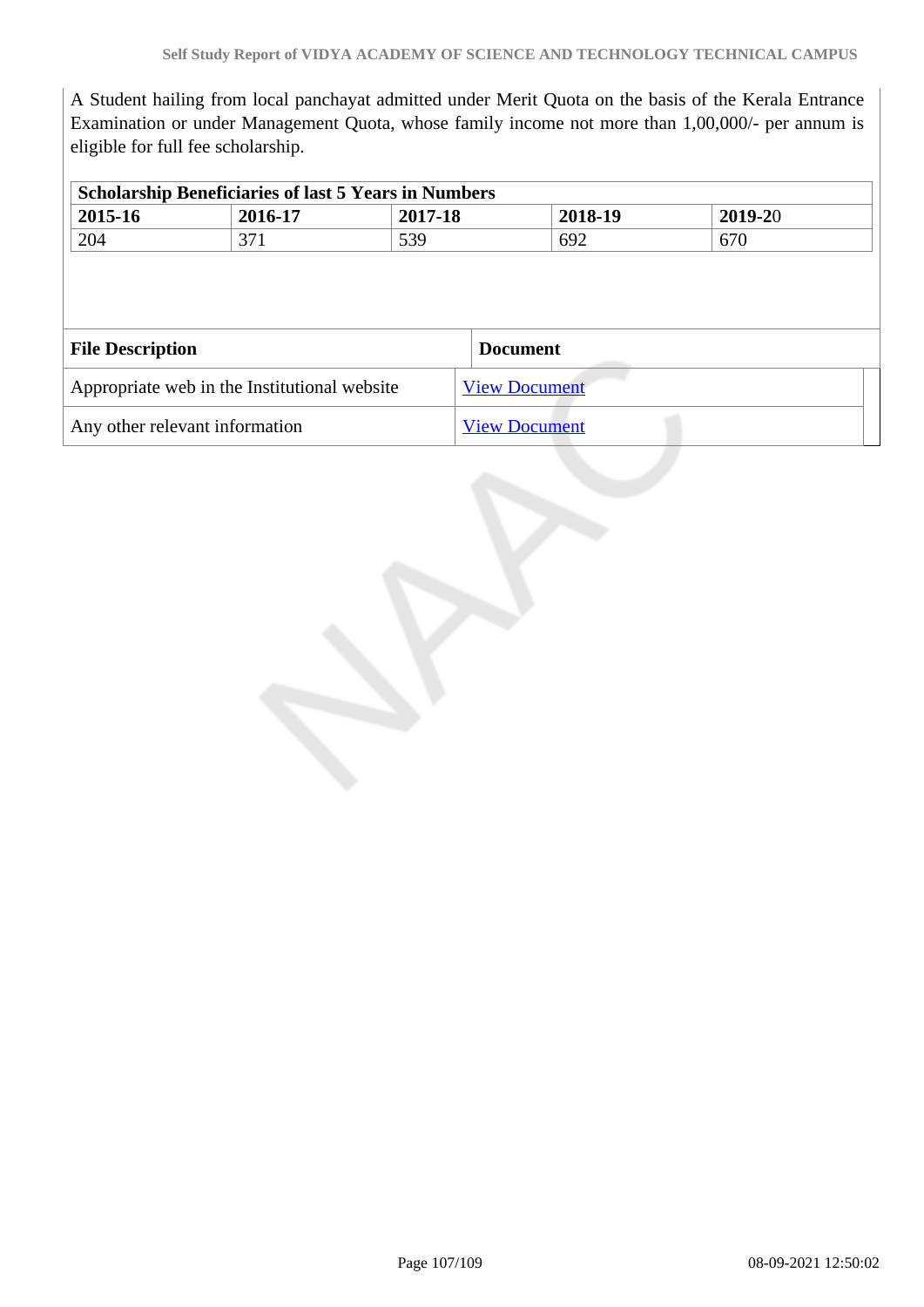A Student hailing from local panchayat admitted under Merit Quota on the basis of the Kerala Entrance Examination or under Management Quota, whose family income not more than 1,00,000/- per annum is eligible for full fee scholarship.

|                         | <b>Scholarship Beneficiaries of last 5 Years in Numbers</b> |         |                      |         |
|-------------------------|-------------------------------------------------------------|---------|----------------------|---------|
| 2015-16                 | 2016-17                                                     | 2017-18 | 2018-19              | 2019-20 |
| 204                     | 371                                                         | 539     | 692                  | 670     |
|                         |                                                             |         |                      |         |
|                         |                                                             |         |                      |         |
|                         |                                                             |         | <b>Document</b>      |         |
| <b>File Description</b> | Appropriate web in the Institutional website                |         | <b>View Document</b> |         |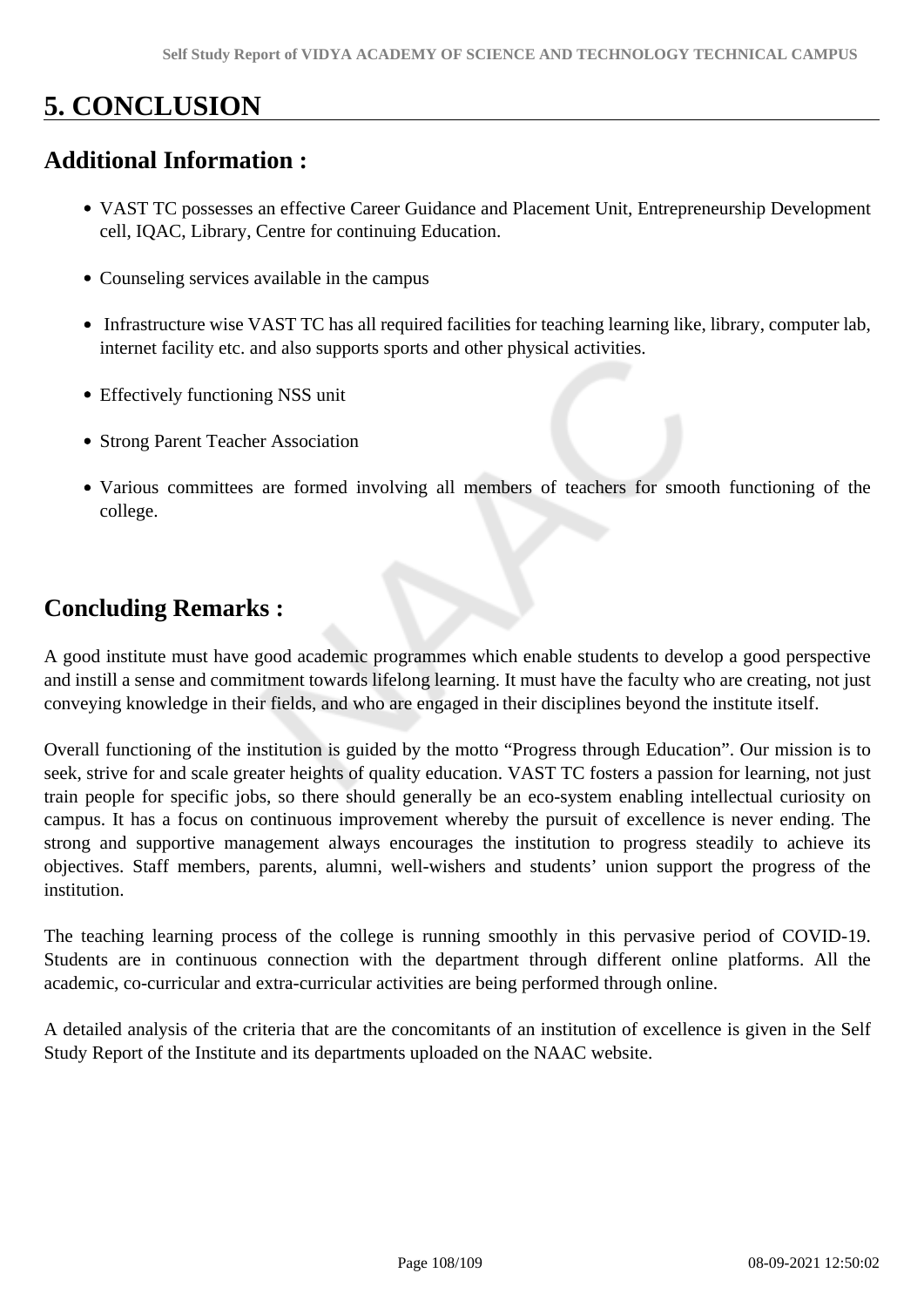# **5. CONCLUSION**

## **Additional Information :**

- VAST TC possesses an effective Career Guidance and Placement Unit, Entrepreneurship Development cell, IQAC, Library, Centre for continuing Education.
- Counseling services available in the campus
- Infrastructure wise VAST TC has all required facilities for teaching learning like, library, computer lab, internet facility etc. and also supports sports and other physical activities.
- Effectively functioning NSS unit
- Strong Parent Teacher Association
- Various committees are formed involving all members of teachers for smooth functioning of the college.

## **Concluding Remarks :**

A good institute must have good academic programmes which enable students to develop a good perspective and instill a sense and commitment towards lifelong learning. It must have the faculty who are creating, not just conveying knowledge in their fields, and who are engaged in their disciplines beyond the institute itself.

Overall functioning of the institution is guided by the motto "Progress through Education". Our mission is to seek, strive for and scale greater heights of quality education. VAST TC fosters a passion for learning, not just train people for specific jobs, so there should generally be an eco-system enabling intellectual curiosity on campus. It has a focus on continuous improvement whereby the pursuit of excellence is never ending. The strong and supportive management always encourages the institution to progress steadily to achieve its objectives. Staff members, parents, alumni, well-wishers and students' union support the progress of the institution.

The teaching learning process of the college is running smoothly in this pervasive period of COVID-19. Students are in continuous connection with the department through different online platforms. All the academic, co-curricular and extra-curricular activities are being performed through online.

A detailed analysis of the criteria that are the concomitants of an institution of excellence is given in the Self Study Report of the Institute and its departments uploaded on the NAAC website.